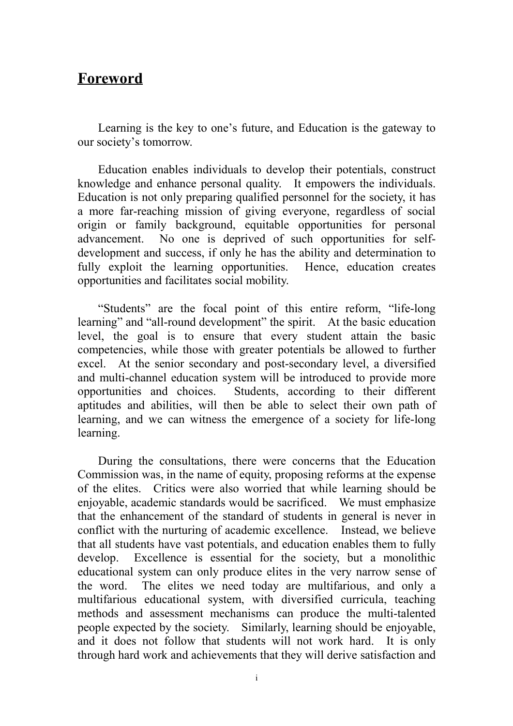### **Foreword**

Learning is the key to one's future, and Education is the gateway to our society's tomorrow.

Education enables individuals to develop their potentials, construct knowledge and enhance personal quality. It empowers the individuals. Education is not only preparing qualified personnel for the society, it has a more far-reaching mission of giving everyone, regardless of social origin or family background, equitable opportunities for personal advancement. No one is deprived of such opportunities for selfdevelopment and success, if only he has the ability and determination to fully exploit the learning opportunities. Hence, education creates opportunities and facilitates social mobility.

"Students" are the focal point of this entire reform, "life-long learning" and "all-round development" the spirit. At the basic education level, the goal is to ensure that every student attain the basic competencies, while those with greater potentials be allowed to further excel. At the senior secondary and post-secondary level, a diversified and multi-channel education system will be introduced to provide more opportunities and choices. Students, according to their different aptitudes and abilities, will then be able to select their own path of learning, and we can witness the emergence of a society for life-long learning.

During the consultations, there were concerns that the Education Commission was, in the name of equity, proposing reforms at the expense of the elites. Critics were also worried that while learning should be enjoyable, academic standards would be sacrificed. We must emphasize that the enhancement of the standard of students in general is never in conflict with the nurturing of academic excellence. Instead, we believe that all students have vast potentials, and education enables them to fully develop. Excellence is essential for the society, but a monolithic educational system can only produce elites in the very narrow sense of the word. The elites we need today are multifarious, and only a multifarious educational system, with diversified curricula, teaching methods and assessment mechanisms can produce the multi-talented people expected by the society. Similarly, learning should be enjoyable, and it does not follow that students will not work hard. It is only through hard work and achievements that they will derive satisfaction and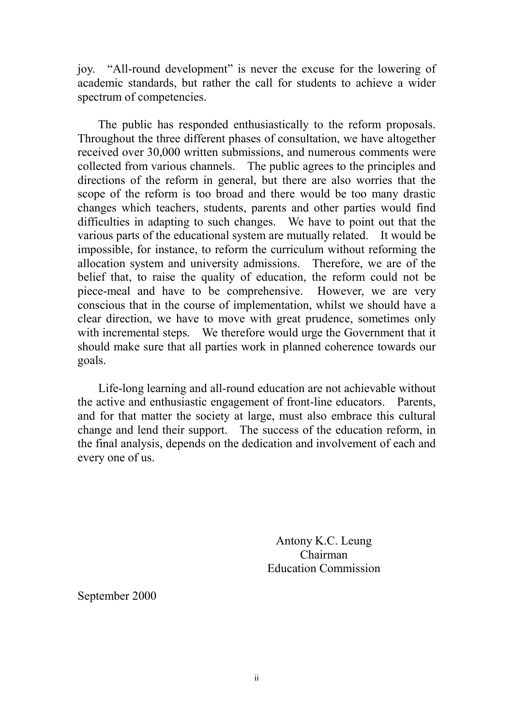joy. "All-round development" is never the excuse for the lowering of academic standards, but rather the call for students to achieve a wider spectrum of competencies.

The public has responded enthusiastically to the reform proposals. Throughout the three different phases of consultation, we have altogether received over 30,000 written submissions, and numerous comments were collected from various channels. The public agrees to the principles and directions of the reform in general, but there are also worries that the scope of the reform is too broad and there would be too many drastic changes which teachers, students, parents and other parties would find difficulties in adapting to such changes. We have to point out that the various parts of the educational system are mutually related. It would be impossible, for instance, to reform the curriculum without reforming the allocation system and university admissions. Therefore, we are of the belief that, to raise the quality of education, the reform could not be piece-meal and have to be comprehensive. However, we are very conscious that in the course of implementation, whilst we should have a clear direction, we have to move with great prudence, sometimes only with incremental steps. We therefore would urge the Government that it should make sure that all parties work in planned coherence towards our goals.

Life-long learning and all-round education are not achievable without the active and enthusiastic engagement of front-line educators. Parents, and for that matter the society at large, must also embrace this cultural change and lend their support. The success of the education reform, in the final analysis, depends on the dedication and involvement of each and every one of us.

> Antony K.C. Leung Chairman Education Commission

September 2000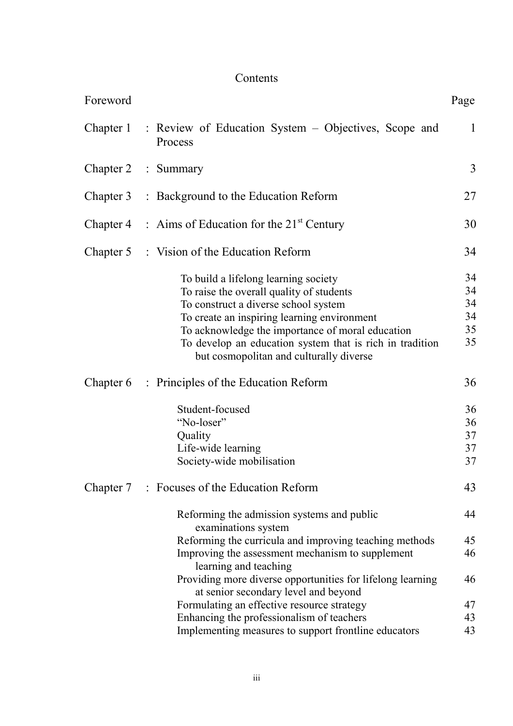# Contents

| Foreword            |                                                                                                                                                                                                                                                                                                                                    | Page                             |
|---------------------|------------------------------------------------------------------------------------------------------------------------------------------------------------------------------------------------------------------------------------------------------------------------------------------------------------------------------------|----------------------------------|
|                     | Chapter 1 : Review of Education System – Objectives, Scope and<br>Process                                                                                                                                                                                                                                                          | $\mathbf{1}$                     |
| Chapter 2 : Summary |                                                                                                                                                                                                                                                                                                                                    | 3                                |
|                     | Chapter 3 : Background to the Education Reform                                                                                                                                                                                                                                                                                     | 27                               |
|                     | Chapter 4 : Aims of Education for the $21^{st}$ Century                                                                                                                                                                                                                                                                            | 30                               |
|                     | Chapter 5 : Vision of the Education Reform                                                                                                                                                                                                                                                                                         | 34                               |
|                     | To build a lifelong learning society<br>To raise the overall quality of students<br>To construct a diverse school system<br>To create an inspiring learning environment<br>To acknowledge the importance of moral education<br>To develop an education system that is rich in tradition<br>but cosmopolitan and culturally diverse | 34<br>34<br>34<br>34<br>35<br>35 |
| Chapter 6           | : Principles of the Education Reform<br>Student-focused<br>"No-loser"<br>Quality<br>Life-wide learning<br>Society-wide mobilisation                                                                                                                                                                                                | 36<br>36<br>36<br>37<br>37<br>37 |
|                     | Chapter 7 : Focuses of the Education Reform                                                                                                                                                                                                                                                                                        | 43                               |
|                     | Reforming the admission systems and public<br>examinations system                                                                                                                                                                                                                                                                  | 44                               |
|                     | Reforming the curricula and improving teaching methods<br>Improving the assessment mechanism to supplement<br>learning and teaching                                                                                                                                                                                                | 45<br>46                         |
|                     | Providing more diverse opportunities for lifelong learning<br>at senior secondary level and beyond                                                                                                                                                                                                                                 | 46                               |
|                     | Formulating an effective resource strategy                                                                                                                                                                                                                                                                                         | 47                               |
|                     | Enhancing the professionalism of teachers                                                                                                                                                                                                                                                                                          | 43                               |
|                     | Implementing measures to support frontline educators                                                                                                                                                                                                                                                                               | 43                               |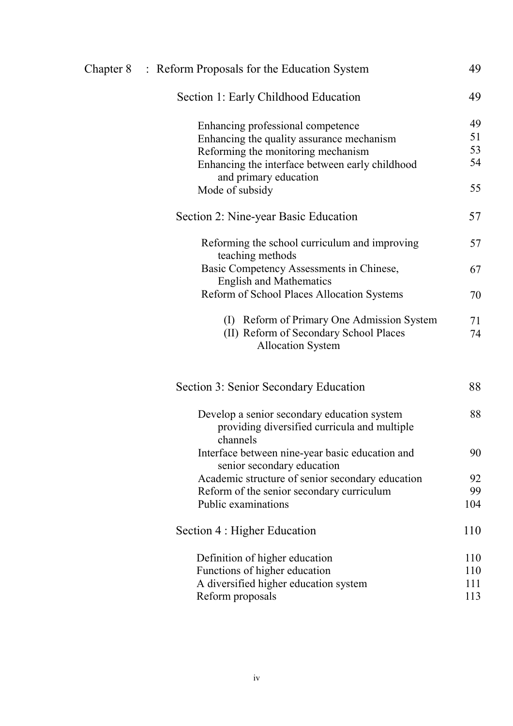| Chapter 8 : Reform Proposals for the Education System                                                   | 49  |
|---------------------------------------------------------------------------------------------------------|-----|
| Section 1: Early Childhood Education                                                                    | 49  |
| Enhancing professional competence                                                                       | 49  |
| Enhancing the quality assurance mechanism                                                               | 51  |
| Reforming the monitoring mechanism                                                                      | 53  |
| Enhancing the interface between early childhood<br>and primary education                                | 54  |
| Mode of subsidy                                                                                         | 55  |
| Section 2: Nine-year Basic Education                                                                    | 57  |
| Reforming the school curriculum and improving<br>teaching methods                                       | 57  |
| Basic Competency Assessments in Chinese,<br><b>English and Mathematics</b>                              | 67  |
| Reform of School Places Allocation Systems                                                              | 70  |
| (I) Reform of Primary One Admission System                                                              | 71  |
| (II) Reform of Secondary School Places<br><b>Allocation System</b>                                      | 74  |
| Section 3: Senior Secondary Education                                                                   | 88  |
| Develop a senior secondary education system<br>providing diversified curricula and multiple<br>channels | 88  |
| Interface between nine-year basic education and<br>senior secondary education                           | 90  |
| Academic structure of senior secondary education                                                        | 92  |
| Reform of the senior secondary curriculum                                                               | 99  |
| Public examinations                                                                                     | 104 |
| Section 4 : Higher Education                                                                            | 110 |
| Definition of higher education                                                                          | 110 |
| Functions of higher education                                                                           | 110 |
| A diversified higher education system                                                                   | 111 |
| Reform proposals                                                                                        | 113 |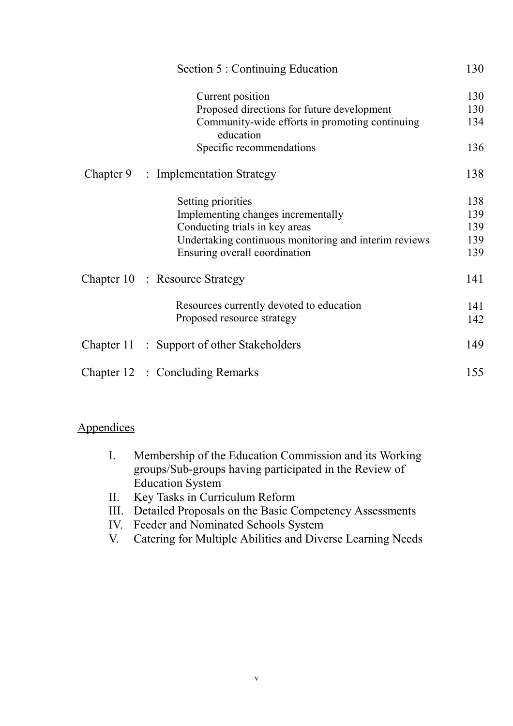| Section 5 : Continuing Education                            | 130 |
|-------------------------------------------------------------|-----|
| Current position                                            | 130 |
| Proposed directions for future development                  | 130 |
| Community-wide efforts in promoting continuing<br>education | 134 |
| Specific recommendations                                    | 136 |
| Chapter 9 : Implementation Strategy                         | 138 |
| Setting priorities                                          | 138 |
| Implementing changes incrementally                          | 139 |
| Conducting trials in key areas                              | 139 |
| Undertaking continuous monitoring and interim reviews       | 139 |
| Ensuring overall coordination                               | 139 |
| Chapter 10 : Resource Strategy                              | 141 |
| Resources currently devoted to education                    | 141 |
| Proposed resource strategy                                  | 142 |
| Chapter 11 : Support of other Stakeholders                  | 149 |
| Chapter 12 : Concluding Remarks                             | 155 |

#### **Appendices**

- I. Membership of the Education Commission and its Working groups/Sub-groups having participated in the Review of Education System
- II. Key Tasks in Curriculum Reform
- III. Detailed Proposals on the Basic Competency Assessments
- IV. Feeder and Nominated Schools System
- V. Catering for Multiple Abilities and Diverse Learning Needs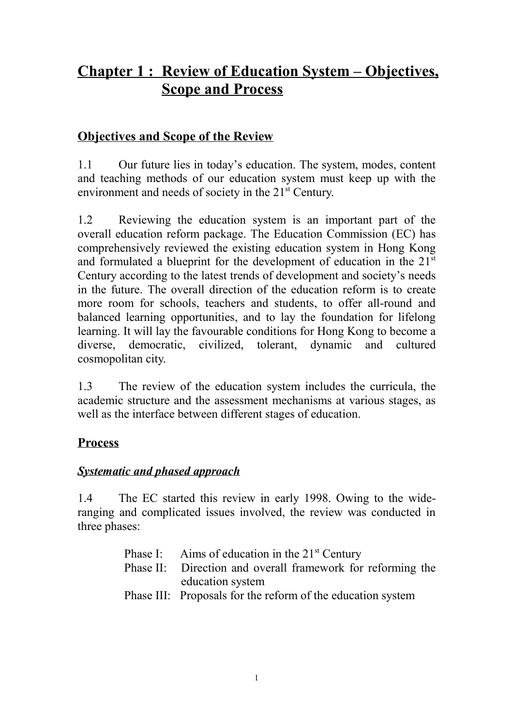# **Chapter 1 : Review of Education System – Objectives, Scope and Process**

### **Objectives and Scope of the Review**

1.1 Our future lies in today's education. The system, modes, content and teaching methods of our education system must keep up with the environment and needs of society in the 21<sup>st</sup> Century.

1.2 Reviewing the education system is an important part of the overall education reform package. The Education Commission (EC) has comprehensively reviewed the existing education system in Hong Kong and formulated a blueprint for the development of education in the 21<sup>st</sup> Century according to the latest trends of development and society's needs in the future. The overall direction of the education reform is to create more room for schools, teachers and students, to offer all-round and balanced learning opportunities, and to lay the foundation for lifelong learning. It will lay the favourable conditions for Hong Kong to become a diverse, democratic, civilized, tolerant, dynamic and cultured cosmopolitan city.

1.3 The review of the education system includes the curricula, the academic structure and the assessment mechanisms at various stages, as well as the interface between different stages of education.

### **Process**

#### *Systematic and phased approach*

1.4 The EC started this review in early 1998. Owing to the wideranging and complicated issues involved, the review was conducted in three phases:

| Phase I: Aims of education in the $21st$ Century            |  |  |
|-------------------------------------------------------------|--|--|
| Phase II: Direction and overall framework for reforming the |  |  |
| education system                                            |  |  |
| Phase III: Proposals for the reform of the education system |  |  |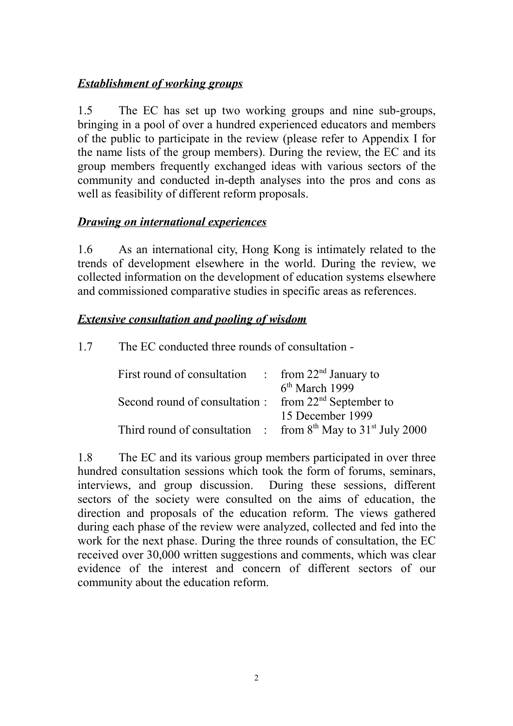#### *Establishment of working groups*

1.5 The EC has set up two working groups and nine sub-groups, bringing in a pool of over a hundred experienced educators and members of the public to participate in the review (please refer to Appendix I for the name lists of the group members). During the review, the EC and its group members frequently exchanged ideas with various sectors of the community and conducted in-depth analyses into the pros and cons as well as feasibility of different reform proposals.

#### *Drawing on international experiences*

1.6 As an international city, Hong Kong is intimately related to the trends of development elsewhere in the world. During the review, we collected information on the development of education systems elsewhere and commissioned comparative studies in specific areas as references.

#### *Extensive consultation and pooling of wisdom*

1.7 The EC conducted three rounds of consultation -

| First round of consultation $\therefore$ from 22 <sup>nd</sup> January to |                                                                  |
|---------------------------------------------------------------------------|------------------------------------------------------------------|
|                                                                           | $6th$ March 1999                                                 |
| Second round of consultation : from 22 <sup>nd</sup> September to         |                                                                  |
|                                                                           | 15 December 1999                                                 |
|                                                                           | Third round of consultation : from $8th$ May to $31st$ July 2000 |

1.8 The EC and its various group members participated in over three hundred consultation sessions which took the form of forums, seminars, interviews, and group discussion. During these sessions, different sectors of the society were consulted on the aims of education, the direction and proposals of the education reform. The views gathered during each phase of the review were analyzed, collected and fed into the work for the next phase. During the three rounds of consultation, the EC received over 30,000 written suggestions and comments, which was clear evidence of the interest and concern of different sectors of our community about the education reform.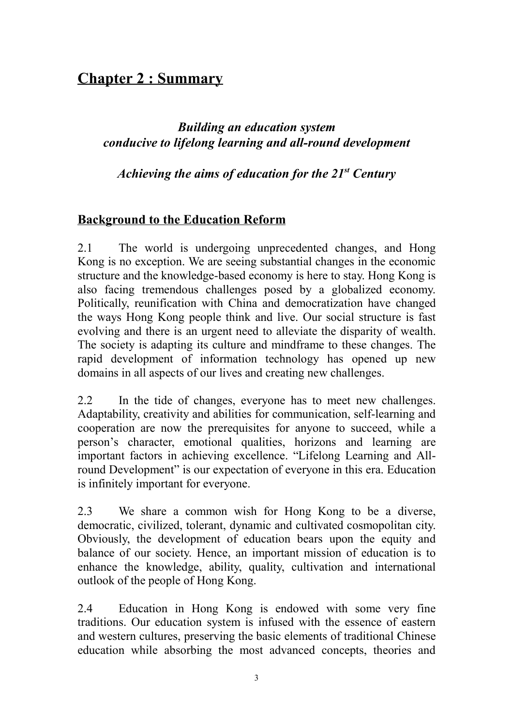# **Chapter 2 : Summary**

### *Building an education system conducive to lifelong learning and all-round development*

*Achieving the aims of education for the 21st Century*

### **Background to the Education Reform**

2.1 The world is undergoing unprecedented changes, and Hong Kong is no exception. We are seeing substantial changes in the economic structure and the knowledge-based economy is here to stay. Hong Kong is also facing tremendous challenges posed by a globalized economy. Politically, reunification with China and democratization have changed the ways Hong Kong people think and live. Our social structure is fast evolving and there is an urgent need to alleviate the disparity of wealth. The society is adapting its culture and mindframe to these changes. The rapid development of information technology has opened up new domains in all aspects of our lives and creating new challenges.

2.2 In the tide of changes, everyone has to meet new challenges. Adaptability, creativity and abilities for communication, self-learning and cooperation are now the prerequisites for anyone to succeed, while a person's character, emotional qualities, horizons and learning are important factors in achieving excellence. "Lifelong Learning and Allround Development" is our expectation of everyone in this era. Education is infinitely important for everyone.

2.3 We share a common wish for Hong Kong to be a diverse, democratic, civilized, tolerant, dynamic and cultivated cosmopolitan city. Obviously, the development of education bears upon the equity and balance of our society. Hence, an important mission of education is to enhance the knowledge, ability, quality, cultivation and international outlook of the people of Hong Kong.

2.4 Education in Hong Kong is endowed with some very fine traditions. Our education system is infused with the essence of eastern and western cultures, preserving the basic elements of traditional Chinese education while absorbing the most advanced concepts, theories and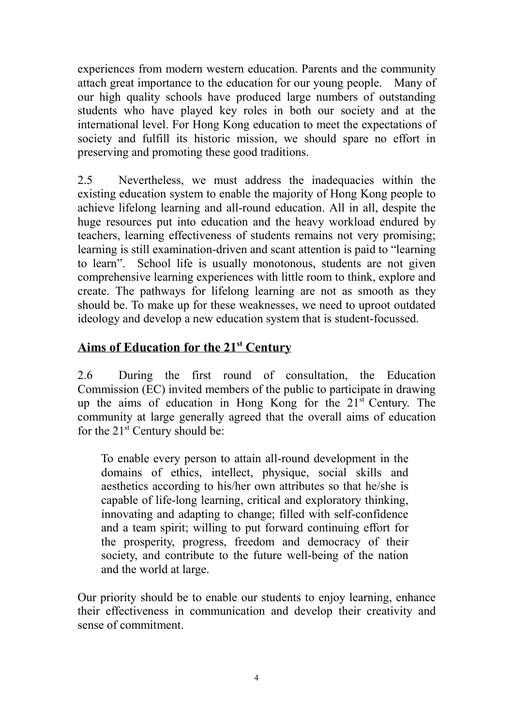experiences from modern western education. Parents and the community attach great importance to the education for our young people. Many of our high quality schools have produced large numbers of outstanding students who have played key roles in both our society and at the international level. For Hong Kong education to meet the expectations of society and fulfill its historic mission, we should spare no effort in preserving and promoting these good traditions.

2.5 Nevertheless, we must address the inadequacies within the existing education system to enable the majority of Hong Kong people to achieve lifelong learning and all-round education. All in all, despite the huge resources put into education and the heavy workload endured by teachers, learning effectiveness of students remains not very promising; learning is still examination-driven and scant attention is paid to "learning to learn". School life is usually monotonous, students are not given comprehensive learning experiences with little room to think, explore and create. The pathways for lifelong learning are not as smooth as they should be. To make up for these weaknesses, we need to uproot outdated ideology and develop a new education system that is student-focussed.

### **Aims of Education for the 21st Century**

2.6 During the first round of consultation, the Education Commission (EC) invited members of the public to participate in drawing up the aims of education in Hong Kong for the  $21<sup>st</sup>$  Century. The community at large generally agreed that the overall aims of education for the  $21^{st}$  Century should be:

To enable every person to attain all-round development in the domains of ethics, intellect, physique, social skills and aesthetics according to his/her own attributes so that he/she is capable of life-long learning, critical and exploratory thinking, innovating and adapting to change; filled with self-confidence and a team spirit; willing to put forward continuing effort for the prosperity, progress, freedom and democracy of their society, and contribute to the future well-being of the nation and the world at large.

Our priority should be to enable our students to enjoy learning, enhance their effectiveness in communication and develop their creativity and sense of commitment.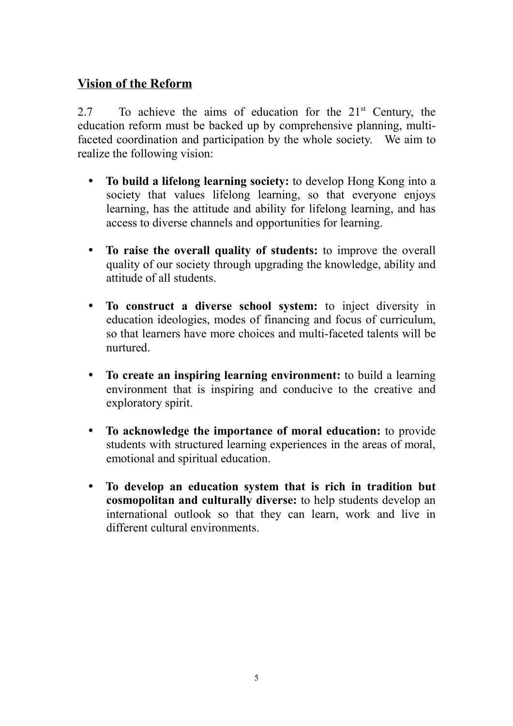### **Vision of the Reform**

2.7 To achieve the aims of education for the 21<sup>st</sup> Century, the education reform must be backed up by comprehensive planning, multifaceted coordination and participation by the whole society. We aim to realize the following vision:

- To build a lifelong learning society: to develop Hong Kong into a society that values lifelong learning, so that everyone enjoys learning, has the attitude and ability for lifelong learning, and has access to diverse channels and opportunities for learning.
- To raise the overall quality of students: to improve the overall quality of our society through upgrading the knowledge, ability and attitude of all students.
- To construct a diverse school system: to inject diversity in education ideologies, modes of financing and focus of curriculum, so that learners have more choices and multi-faceted talents will be nurtured.
- To create an inspiring learning environment: to build a learning environment that is inspiring and conducive to the creative and exploratory spirit.
- y **To acknowledge the importance of moral education:** to provide students with structured learning experiences in the areas of moral, emotional and spiritual education.
- y **To develop an education system that is rich in tradition but cosmopolitan and culturally diverse:** to help students develop an international outlook so that they can learn, work and live in different cultural environments.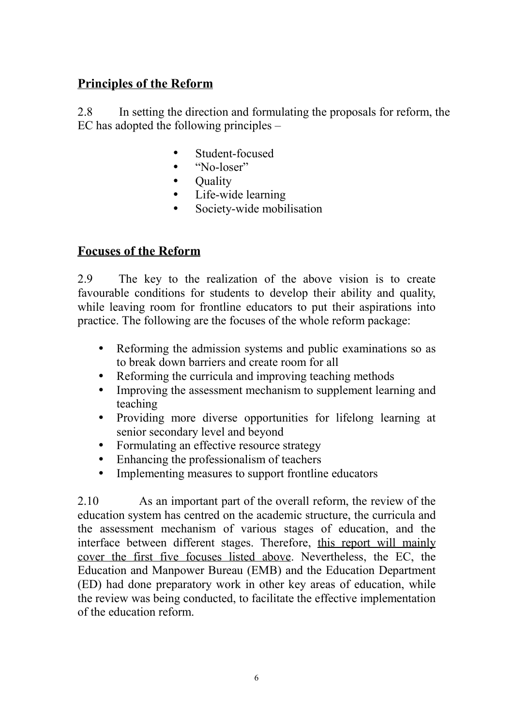## **Principles of the Reform**

2.8 In setting the direction and formulating the proposals for reform, the EC has adopted the following principles –

- Student-focused
- $\bullet$  "No-loser"
- Quality
- Life-wide learning
- Society-wide mobilisation

### **Focuses of the Reform**

2.9 The key to the realization of the above vision is to create favourable conditions for students to develop their ability and quality, while leaving room for frontline educators to put their aspirations into practice. The following are the focuses of the whole reform package:

- Reforming the admission systems and public examinations so as to break down barriers and create room for all
- Reforming the curricula and improving teaching methods
- Improving the assessment mechanism to supplement learning and teaching
- Providing more diverse opportunities for lifelong learning at senior secondary level and beyond
- Formulating an effective resource strategy
- Enhancing the professionalism of teachers
- Implementing measures to support frontline educators

2.10 As an important part of the overall reform, the review of the education system has centred on the academic structure, the curricula and the assessment mechanism of various stages of education, and the interface between different stages. Therefore, this report will mainly cover the first five focuses listed above. Nevertheless, the EC, the Education and Manpower Bureau (EMB) and the Education Department (ED) had done preparatory work in other key areas of education, while the review was being conducted, to facilitate the effective implementation of the education reform.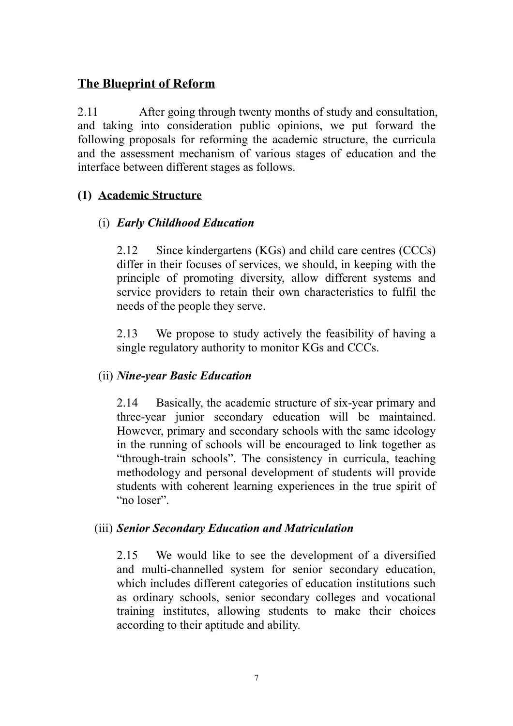### **The Blueprint of Reform**

2.11 After going through twenty months of study and consultation, and taking into consideration public opinions, we put forward the following proposals for reforming the academic structure, the curricula and the assessment mechanism of various stages of education and the interface between different stages as follows.

#### **(1) Academic Structure**

#### (i) *Early Childhood Education*

2.12 Since kindergartens (KGs) and child care centres (CCCs) differ in their focuses of services, we should, in keeping with the principle of promoting diversity, allow different systems and service providers to retain their own characteristics to fulfil the needs of the people they serve.

2.13 We propose to study actively the feasibility of having a single regulatory authority to monitor KGs and CCCs.

#### (ii) *Nine-year Basic Education*

2.14 Basically, the academic structure of six-year primary and three-year junior secondary education will be maintained. However, primary and secondary schools with the same ideology in the running of schools will be encouraged to link together as "through-train schools". The consistency in curricula, teaching methodology and personal development of students will provide students with coherent learning experiences in the true spirit of "no loser".

#### (iii) *Senior Secondary Education and Matriculation*

2.15 We would like to see the development of a diversified and multi-channelled system for senior secondary education, which includes different categories of education institutions such as ordinary schools, senior secondary colleges and vocational training institutes, allowing students to make their choices according to their aptitude and ability.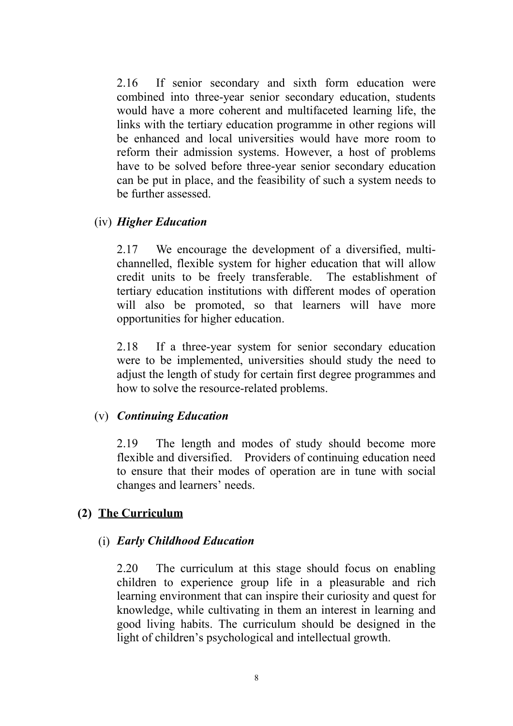2.16 If senior secondary and sixth form education were combined into three-year senior secondary education, students would have a more coherent and multifaceted learning life, the links with the tertiary education programme in other regions will be enhanced and local universities would have more room to reform their admission systems. However, a host of problems have to be solved before three-year senior secondary education can be put in place, and the feasibility of such a system needs to be further assessed.

#### (iv) *Higher Education*

2.17 We encourage the development of a diversified, multichannelled, flexible system for higher education that will allow credit units to be freely transferable. The establishment of tertiary education institutions with different modes of operation will also be promoted, so that learners will have more opportunities for higher education.

2.18 If a three-year system for senior secondary education were to be implemented, universities should study the need to adjust the length of study for certain first degree programmes and how to solve the resource-related problems.

#### (v) *Continuing Education*

2.19 The length and modes of study should become more flexible and diversified. Providers of continuing education need to ensure that their modes of operation are in tune with social changes and learners' needs.

#### **(2) The Curriculum**

#### (i) *Early Childhood Education*

2.20 The curriculum at this stage should focus on enabling children to experience group life in a pleasurable and rich learning environment that can inspire their curiosity and quest for knowledge, while cultivating in them an interest in learning and good living habits. The curriculum should be designed in the light of children's psychological and intellectual growth.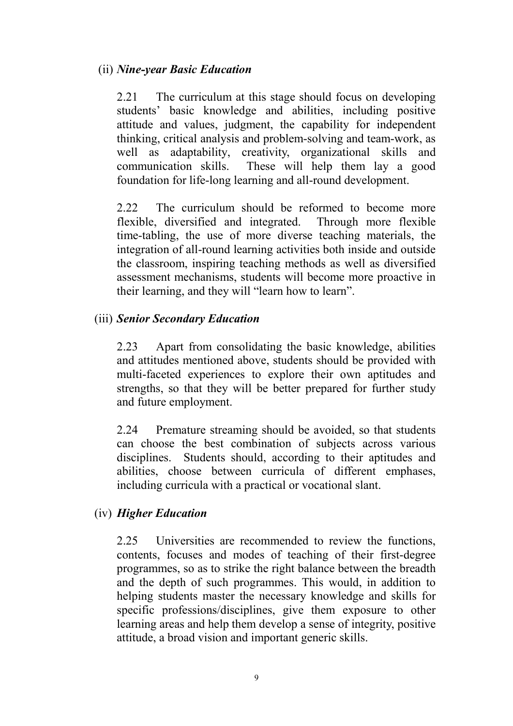#### (ii) *Nine-year Basic Education*

2.21 The curriculum at this stage should focus on developing students' basic knowledge and abilities, including positive attitude and values, judgment, the capability for independent thinking, critical analysis and problem-solving and team-work, as well as adaptability, creativity, organizational skills and communication skills. These will help them lay a good foundation for life-long learning and all-round development.

2.22 The curriculum should be reformed to become more flexible, diversified and integrated. Through more flexible time-tabling, the use of more diverse teaching materials, the integration of all-round learning activities both inside and outside the classroom, inspiring teaching methods as well as diversified assessment mechanisms, students will become more proactive in their learning, and they will "learn how to learn".

#### (iii) *Senior Secondary Education*

2.23 Apart from consolidating the basic knowledge, abilities and attitudes mentioned above, students should be provided with multi-faceted experiences to explore their own aptitudes and strengths, so that they will be better prepared for further study and future employment.

2.24 Premature streaming should be avoided, so that students can choose the best combination of subjects across various disciplines. Students should, according to their aptitudes and abilities, choose between curricula of different emphases, including curricula with a practical or vocational slant.

#### (iv) *Higher Education*

2.25 Universities are recommended to review the functions, contents, focuses and modes of teaching of their first-degree programmes, so as to strike the right balance between the breadth and the depth of such programmes. This would, in addition to helping students master the necessary knowledge and skills for specific professions/disciplines, give them exposure to other learning areas and help them develop a sense of integrity, positive attitude, a broad vision and important generic skills.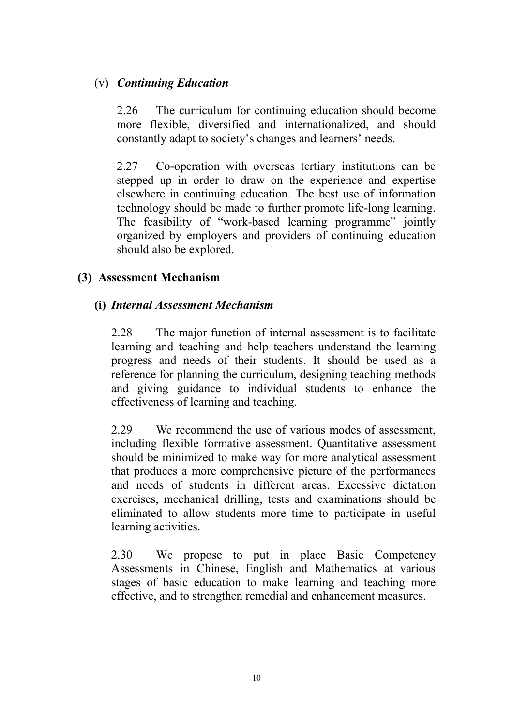#### (v) *Continuing Education*

2.26 The curriculum for continuing education should become more flexible, diversified and internationalized, and should constantly adapt to society's changes and learners' needs.

2.27 Co-operation with overseas tertiary institutions can be stepped up in order to draw on the experience and expertise elsewhere in continuing education. The best use of information technology should be made to further promote life-long learning. The feasibility of "work-based learning programme" jointly organized by employers and providers of continuing education should also be explored.

#### **(3) Assessment Mechanism**

#### **(i)** *Internal Assessment Mechanism*

2.28 The major function of internal assessment is to facilitate learning and teaching and help teachers understand the learning progress and needs of their students. It should be used as a reference for planning the curriculum, designing teaching methods and giving guidance to individual students to enhance the effectiveness of learning and teaching.

2.29 We recommend the use of various modes of assessment, including flexible formative assessment. Quantitative assessment should be minimized to make way for more analytical assessment that produces a more comprehensive picture of the performances and needs of students in different areas. Excessive dictation exercises, mechanical drilling, tests and examinations should be eliminated to allow students more time to participate in useful learning activities.

2.30 We propose to put in place Basic Competency Assessments in Chinese, English and Mathematics at various stages of basic education to make learning and teaching more effective, and to strengthen remedial and enhancement measures.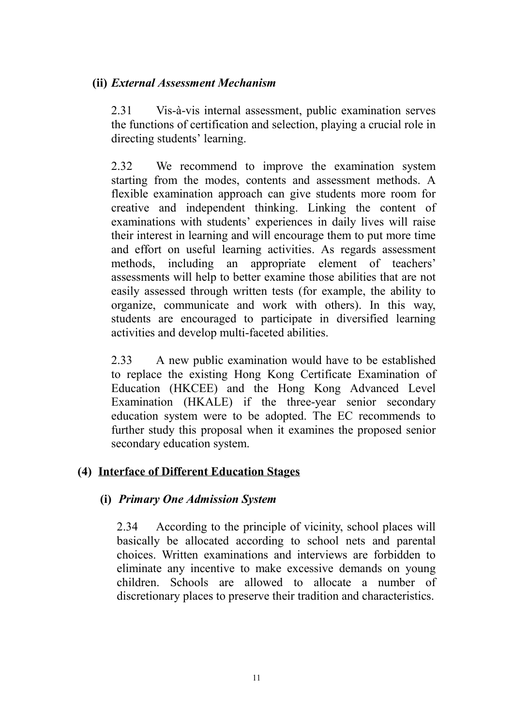#### **(ii)** *External Assessment Mechanism*

2.31 Vis-à-vis internal assessment, public examination serves the functions of certification and selection, playing a crucial role in directing students' learning.

2.32 We recommend to improve the examination system starting from the modes, contents and assessment methods. A flexible examination approach can give students more room for creative and independent thinking. Linking the content of examinations with students' experiences in daily lives will raise their interest in learning and will encourage them to put more time and effort on useful learning activities. As regards assessment methods, including an appropriate element of teachers' assessments will help to better examine those abilities that are not easily assessed through written tests (for example, the ability to organize, communicate and work with others). In this way, students are encouraged to participate in diversified learning activities and develop multi-faceted abilities.

2.33 A new public examination would have to be established to replace the existing Hong Kong Certificate Examination of Education (HKCEE) and the Hong Kong Advanced Level Examination (HKALE) if the three-year senior secondary education system were to be adopted. The EC recommends to further study this proposal when it examines the proposed senior secondary education system.

#### **(4) Interface of Different Education Stages**

#### **(i)** *Primary One Admission System*

2.34 According to the principle of vicinity, school places will basically be allocated according to school nets and parental choices. Written examinations and interviews are forbidden to eliminate any incentive to make excessive demands on young children. Schools are allowed to allocate a number of discretionary places to preserve their tradition and characteristics.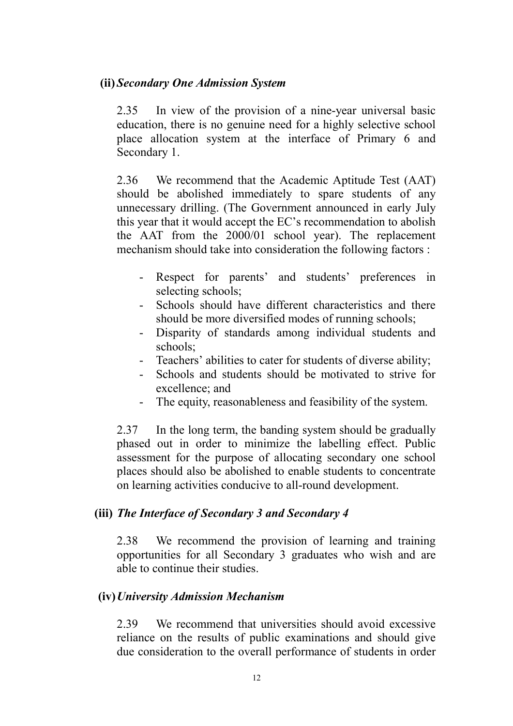#### **(ii)** *Secondary One Admission System*

2.35 In view of the provision of a nine-year universal basic education, there is no genuine need for a highly selective school place allocation system at the interface of Primary 6 and Secondary 1.

2.36 We recommend that the Academic Aptitude Test (AAT) should be abolished immediately to spare students of any unnecessary drilling. (The Government announced in early July this year that it would accept the EC's recommendation to abolish the AAT from the 2000/01 school year). The replacement mechanism should take into consideration the following factors :

- Respect for parents' and students' preferences in selecting schools;
- Schools should have different characteristics and there should be more diversified modes of running schools;
- Disparity of standards among individual students and schools;
- Teachers' abilities to cater for students of diverse ability;
- Schools and students should be motivated to strive for excellence; and
- The equity, reasonableness and feasibility of the system.

2.37 In the long term, the banding system should be gradually phased out in order to minimize the labelling effect. Public assessment for the purpose of allocating secondary one school places should also be abolished to enable students to concentrate on learning activities conducive to all-round development.

#### **(iii)** *The Interface of Secondary 3 and Secondary 4*

2.38 We recommend the provision of learning and training opportunities for all Secondary 3 graduates who wish and are able to continue their studies.

#### **(iv)***University Admission Mechanism*

2.39 We recommend that universities should avoid excessive reliance on the results of public examinations and should give due consideration to the overall performance of students in order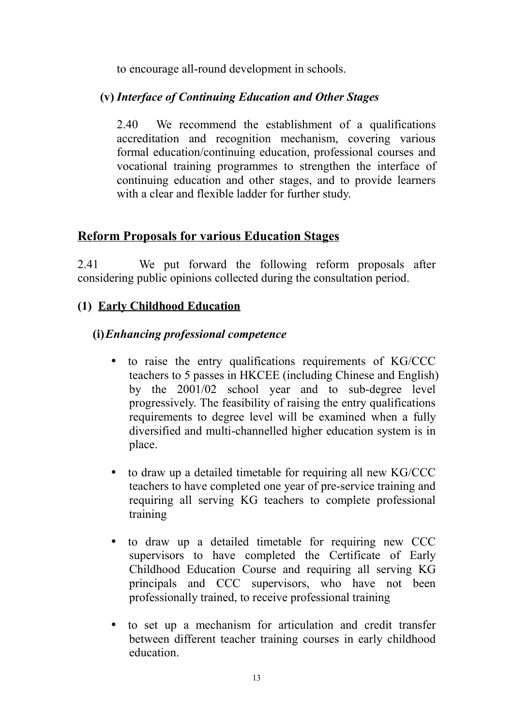to encourage all-round development in schools.

#### **(v)** *Interface of Continuing Education and Other Stages*

2.40 We recommend the establishment of a qualifications accreditation and recognition mechanism, covering various formal education/continuing education, professional courses and vocational training programmes to strengthen the interface of continuing education and other stages, and to provide learners with a clear and flexible ladder for further study.

### **Reform Proposals for various Education Stages**

2.41 We put forward the following reform proposals after considering public opinions collected during the consultation period.

### **(1) Early Childhood Education**

### **(i)***Enhancing professional competence*

- to raise the entry qualifications requirements of KG/CCC teachers to 5 passes in HKCEE (including Chinese and English) by the 2001/02 school year and to sub-degree level progressively. The feasibility of raising the entry qualifications requirements to degree level will be examined when a fully diversified and multi-channelled higher education system is in place.
- to draw up a detailed timetable for requiring all new KG/CCC teachers to have completed one year of pre-service training and requiring all serving KG teachers to complete professional training
- to draw up a detailed timetable for requiring new CCC supervisors to have completed the Certificate of Early Childhood Education Course and requiring all serving KG principals and CCC supervisors, who have not been professionally trained, to receive professional training
- to set up a mechanism for articulation and credit transfer between different teacher training courses in early childhood education.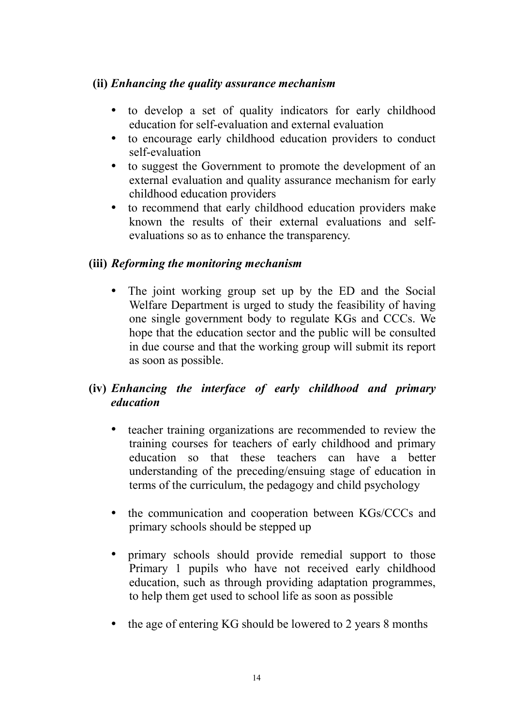#### **(ii)** *Enhancing the quality assurance mechanism*

- to develop a set of quality indicators for early childhood education for self-evaluation and external evaluation
- to encourage early childhood education providers to conduct self-evaluation
- to suggest the Government to promote the development of an external evaluation and quality assurance mechanism for early childhood education providers
- to recommend that early childhood education providers make known the results of their external evaluations and selfevaluations so as to enhance the transparency.

#### **(iii)** *Reforming the monitoring mechanism*

• The joint working group set up by the ED and the Social Welfare Department is urged to study the feasibility of having one single government body to regulate KGs and CCCs. We hope that the education sector and the public will be consulted in due course and that the working group will submit its report as soon as possible.

### **(iv)** *Enhancing the interface of early childhood and primary education*

- teacher training organizations are recommended to review the training courses for teachers of early childhood and primary education so that these teachers can have a better understanding of the preceding/ensuing stage of education in terms of the curriculum, the pedagogy and child psychology
- the communication and cooperation between KGs/CCCs and primary schools should be stepped up
- primary schools should provide remedial support to those Primary 1 pupils who have not received early childhood education, such as through providing adaptation programmes, to help them get used to school life as soon as possible
- the age of entering KG should be lowered to 2 years 8 months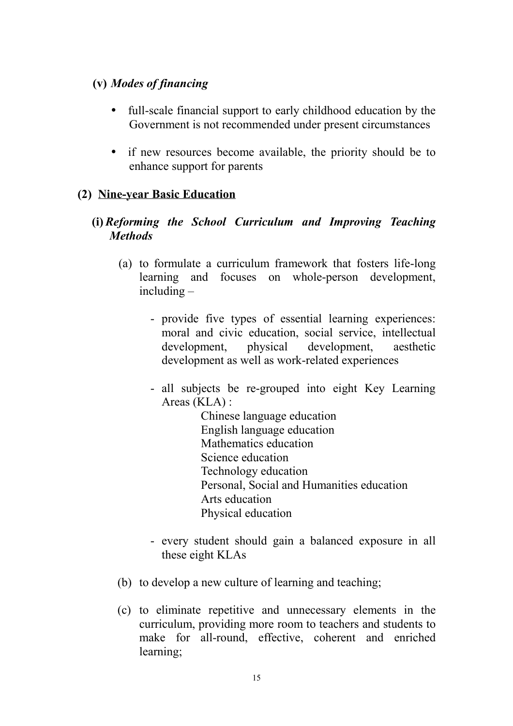#### **(v)** *Modes of financing*

- full-scale financial support to early childhood education by the Government is not recommended under present circumstances
- if new resources become available, the priority should be to enhance support for parents

#### **(2) Nine-year Basic Education**

#### **(i)** *Reforming the School Curriculum and Improving Teaching Methods*

- (a) to formulate a curriculum framework that fosters life-long learning and focuses on whole-person development, including –
	- provide five types of essential learning experiences: moral and civic education, social service, intellectual development, physical development, aesthetic development as well as work-related experiences
	- all subjects be re-grouped into eight Key Learning Areas (KLA) :

Chinese language education English language education Mathematics education Science education Technology education Personal, Social and Humanities education Arts education Physical education

- every student should gain a balanced exposure in all these eight KLAs
- (b) to develop a new culture of learning and teaching;
- (c) to eliminate repetitive and unnecessary elements in the curriculum, providing more room to teachers and students to make for all-round, effective, coherent and enriched learning;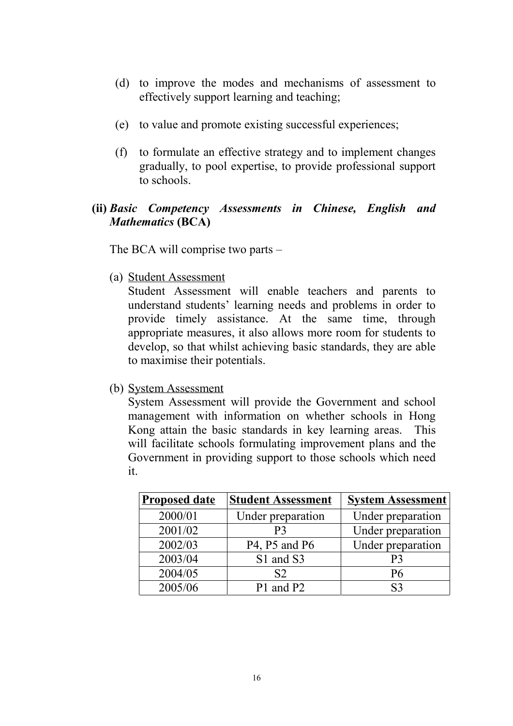- (d) to improve the modes and mechanisms of assessment to effectively support learning and teaching;
- (e) to value and promote existing successful experiences;
- (f) to formulate an effective strategy and to implement changes gradually, to pool expertise, to provide professional support to schools.

#### **(ii)** *Basic Competency Assessments in Chinese, English and Mathematics* **(BCA)**

The BCA will comprise two parts –

(a) Student Assessment

Student Assessment will enable teachers and parents to understand students' learning needs and problems in order to provide timely assistance. At the same time, through appropriate measures, it also allows more room for students to develop, so that whilst achieving basic standards, they are able to maximise their potentials.

(b) System Assessment

System Assessment will provide the Government and school management with information on whether schools in Hong Kong attain the basic standards in key learning areas. This will facilitate schools formulating improvement plans and the Government in providing support to those schools which need it.

| <b>Proposed date</b> | <b>Student Assessment</b> | <b>System Assessment</b> |
|----------------------|---------------------------|--------------------------|
| 2000/01              | Under preparation         | Under preparation        |
| 2001/02              | P <sub>3</sub>            | Under preparation        |
| 2002/03              | P4, P5 and P6             | Under preparation        |
| 2003/04              | S1 and S3                 | P <sub>3</sub>           |
| 2004/05              | S <sub>2</sub>            | <b>P6</b>                |
| 2005/06              | P1 and P2                 | S <sub>3</sub>           |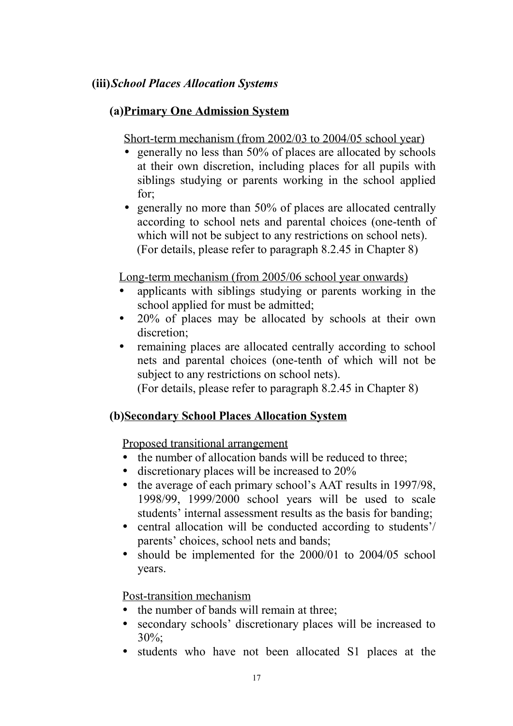#### **(iii)***School Places Allocation Systems*

#### **(a)Primary One Admission System**

Short-term mechanism (from 2002/03 to 2004/05 school year)

- generally no less than 50% of places are allocated by schools at their own discretion, including places for all pupils with siblings studying or parents working in the school applied for;
- generally no more than 50% of places are allocated centrally according to school nets and parental choices (one-tenth of which will not be subject to any restrictions on school nets). (For details, please refer to paragraph 8.2.45 in Chapter 8)

Long-term mechanism (from 2005/06 school year onwards)

- applicants with siblings studying or parents working in the school applied for must be admitted;
- $\bullet$  20% of places may be allocated by schools at their own discretion;
- remaining places are allocated centrally according to school nets and parental choices (one-tenth of which will not be subject to any restrictions on school nets).

(For details, please refer to paragraph 8.2.45 in Chapter 8)

#### **(b)Secondary School Places Allocation System**

Proposed transitional arrangement

- the number of allocation bands will be reduced to three:
- discretionary places will be increased to  $20\%$
- the average of each primary school's AAT results in 1997/98. 1998/99, 1999/2000 school years will be used to scale students' internal assessment results as the basis for banding;
- central allocation will be conducted according to students'/ parents' choices, school nets and bands;
- should be implemented for the 2000/01 to 2004/05 school years.

Post-transition mechanism

- the number of bands will remain at three;
- secondary schools' discretionary places will be increased to 30%;
- students who have not been allocated S1 places at the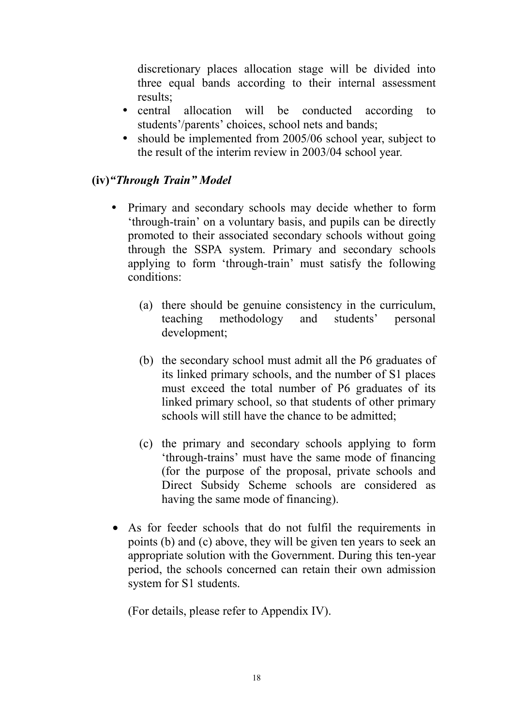discretionary places allocation stage will be divided into three equal bands according to their internal assessment results;

- central allocation will be conducted according to students'/parents' choices, school nets and bands;
- should be implemented from 2005/06 school year, subject to the result of the interim review in 2003/04 school year.

### **(iv)***"Through Train" Model*

- Primary and secondary schools may decide whether to form 'through-train' on a voluntary basis, and pupils can be directly promoted to their associated secondary schools without going through the SSPA system. Primary and secondary schools applying to form 'through-train' must satisfy the following conditions:
	- (a) there should be genuine consistency in the curriculum, teaching methodology and students' personal development;
	- (b) the secondary school must admit all the P6 graduates of its linked primary schools, and the number of S1 places must exceed the total number of P6 graduates of its linked primary school, so that students of other primary schools will still have the chance to be admitted;
	- (c) the primary and secondary schools applying to form 'through-trains' must have the same mode of financing (for the purpose of the proposal, private schools and Direct Subsidy Scheme schools are considered as having the same mode of financing).
- As for feeder schools that do not fulfil the requirements in points (b) and (c) above, they will be given ten years to seek an appropriate solution with the Government. During this ten-year period, the schools concerned can retain their own admission system for S1 students.

(For details, please refer to Appendix IV).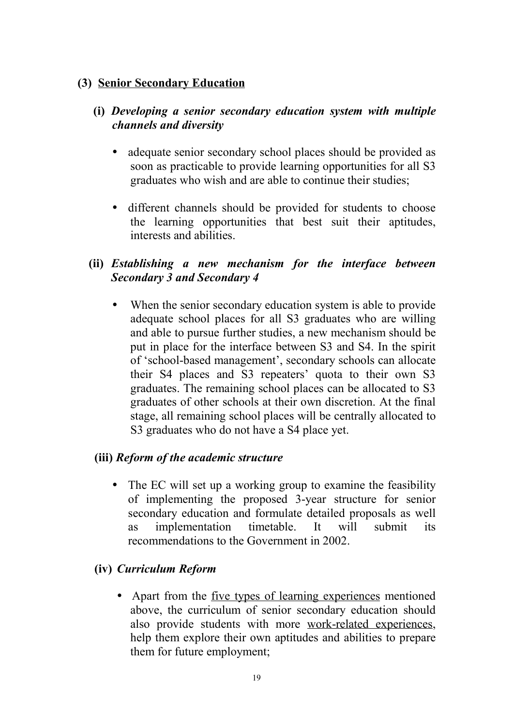#### **(3) Senior Secondary Education**

#### **(i)** *Developing a senior secondary education system with multiple channels and diversity*

- adequate senior secondary school places should be provided as soon as practicable to provide learning opportunities for all S3 graduates who wish and are able to continue their studies;
- different channels should be provided for students to choose the learning opportunities that best suit their aptitudes, interests and abilities.

#### **(ii)** *Establishing a new mechanism for the interface between Secondary 3 and Secondary 4*

• When the senior secondary education system is able to provide adequate school places for all S3 graduates who are willing and able to pursue further studies, a new mechanism should be put in place for the interface between S3 and S4. In the spirit of 'school-based management', secondary schools can allocate their S4 places and S3 repeaters' quota to their own S3 graduates. The remaining school places can be allocated to S3 graduates of other schools at their own discretion. At the final stage, all remaining school places will be centrally allocated to S3 graduates who do not have a S4 place yet.

#### **(iii)** *Reform of the academic structure*

• The EC will set up a working group to examine the feasibility of implementing the proposed 3-year structure for senior secondary education and formulate detailed proposals as well as implementation timetable. It will submit its recommendations to the Government in 2002.

#### **(iv)** *Curriculum Reform*

• Apart from the <u>five types of learning experiences</u> mentioned above, the curriculum of senior secondary education should also provide students with more work-related experiences, help them explore their own aptitudes and abilities to prepare them for future employment;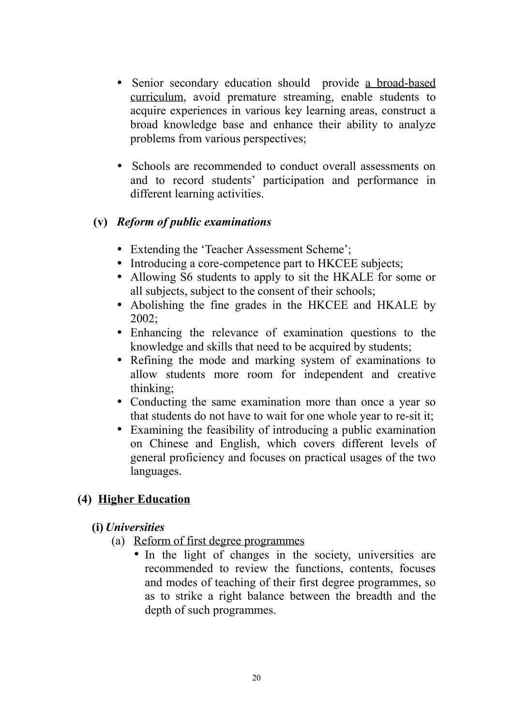- Senior secondary education should provide a broad-based curriculum, avoid premature streaming, enable students to acquire experiences in various key learning areas, construct a broad knowledge base and enhance their ability to analyze problems from various perspectives;
- Schools are recommended to conduct overall assessments on and to record students' participation and performance in different learning activities.

#### **(v)** *Reform of public examinations*

- Extending the 'Teacher Assessment Scheme':
- Introducing a core-competence part to HKCEE subjects;
- Allowing S6 students to apply to sit the HKALE for some or all subjects, subject to the consent of their schools;
- Abolishing the fine grades in the HKCEE and HKALE by 2002;
- Enhancing the relevance of examination questions to the knowledge and skills that need to be acquired by students;
- Refining the mode and marking system of examinations to allow students more room for independent and creative thinking;
- Conducting the same examination more than once a year so that students do not have to wait for one whole year to re-sit it;
- Examining the feasibility of introducing a public examination on Chinese and English, which covers different levels of general proficiency and focuses on practical usages of the two languages.

#### **(4) Higher Education**

#### **(i)** *Universities*

- (a) Reform of first degree programmes
	- In the light of changes in the society, universities are recommended to review the functions, contents, focuses and modes of teaching of their first degree programmes, so as to strike a right balance between the breadth and the depth of such programmes.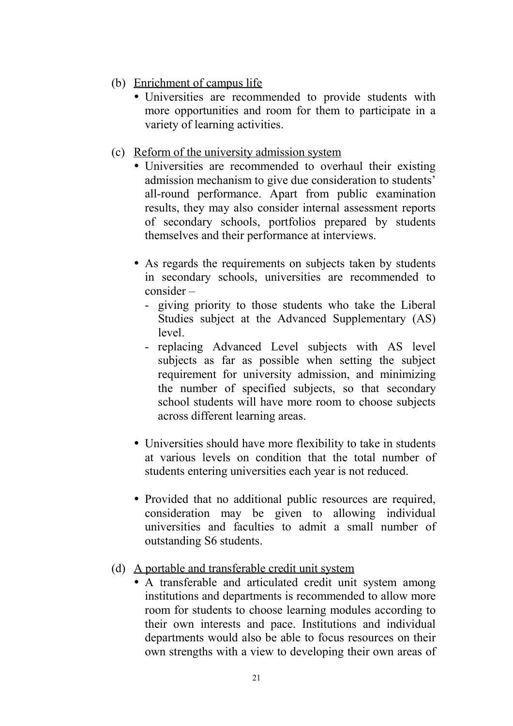- (b) Enrichment of campus life
	- Universities are recommended to provide students with more opportunities and room for them to participate in a variety of learning activities.
- (c) Reform of the university admission system
	- Universities are recommended to overhaul their existing admission mechanism to give due consideration to students' all-round performance. Apart from public examination results, they may also consider internal assessment reports of secondary schools, portfolios prepared by students themselves and their performance at interviews.
	- As regards the requirements on subjects taken by students in secondary schools, universities are recommended to consider –
		- giving priority to those students who take the Liberal Studies subject at the Advanced Supplementary (AS) level.
		- replacing Advanced Level subjects with AS level subjects as far as possible when setting the subject requirement for university admission, and minimizing the number of specified subjects, so that secondary school students will have more room to choose subjects across different learning areas.
	- Universities should have more flexibility to take in students at various levels on condition that the total number of students entering universities each year is not reduced.
	- Provided that no additional public resources are required, consideration may be given to allowing individual universities and faculties to admit a small number of outstanding S6 students.
- (d) A portable and transferable credit unit system
	- A transferable and articulated credit unit system among institutions and departments is recommended to allow more room for students to choose learning modules according to their own interests and pace. Institutions and individual departments would also be able to focus resources on their own strengths with a view to developing their own areas of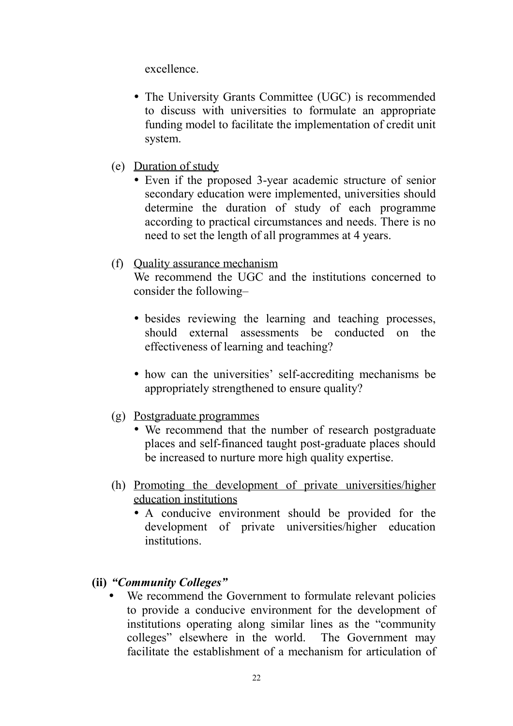excellence.

- The University Grants Committee (UGC) is recommended to discuss with universities to formulate an appropriate funding model to facilitate the implementation of credit unit system.
- (e) Duration of study
	- Even if the proposed 3-year academic structure of senior secondary education were implemented, universities should determine the duration of study of each programme according to practical circumstances and needs. There is no need to set the length of all programmes at 4 years.

#### (f) Quality assurance mechanism

We recommend the UGC and the institutions concerned to consider the following–

- besides reviewing the learning and teaching processes, should external assessments be conducted on the effectiveness of learning and teaching?
- how can the universities' self-accrediting mechanisms be appropriately strengthened to ensure quality?
- (g) Postgraduate programmes
	- We recommend that the number of research postgraduate places and self-financed taught post-graduate places should be increased to nurture more high quality expertise.
- (h) Promoting the development of private universities/higher education institutions
	- A conducive environment should be provided for the development of private universities/higher education institutions.
- **(ii)** *"Community Colleges"*
	- We recommend the Government to formulate relevant policies to provide a conducive environment for the development of institutions operating along similar lines as the "community colleges" elsewhere in the world. The Government may facilitate the establishment of a mechanism for articulation of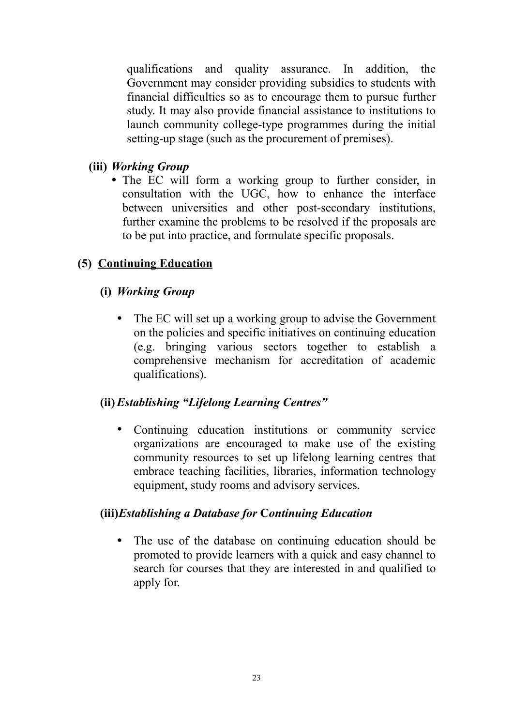qualifications and quality assurance. In addition, the Government may consider providing subsidies to students with financial difficulties so as to encourage them to pursue further study. It may also provide financial assistance to institutions to launch community college-type programmes during the initial setting-up stage (such as the procurement of premises).

#### **(iii)** *Working Group*

• The EC will form a working group to further consider, in consultation with the UGC, how to enhance the interface between universities and other post-secondary institutions, further examine the problems to be resolved if the proposals are to be put into practice, and formulate specific proposals.

### **(5) Continuing Education**

#### **(i)** *Working Group*

• The EC will set up a working group to advise the Government on the policies and specific initiatives on continuing education (e.g. bringing various sectors together to establish a comprehensive mechanism for accreditation of academic qualifications).

## **(ii)***Establishing "Lifelong Learning Centres"*

y Continuing education institutions or community service organizations are encouraged to make use of the existing community resources to set up lifelong learning centres that embrace teaching facilities, libraries, information technology equipment, study rooms and advisory services.

#### **(iii)***Establishing a Database for* **C***ontinuing Education*

• The use of the database on continuing education should be promoted to provide learners with a quick and easy channel to search for courses that they are interested in and qualified to apply for.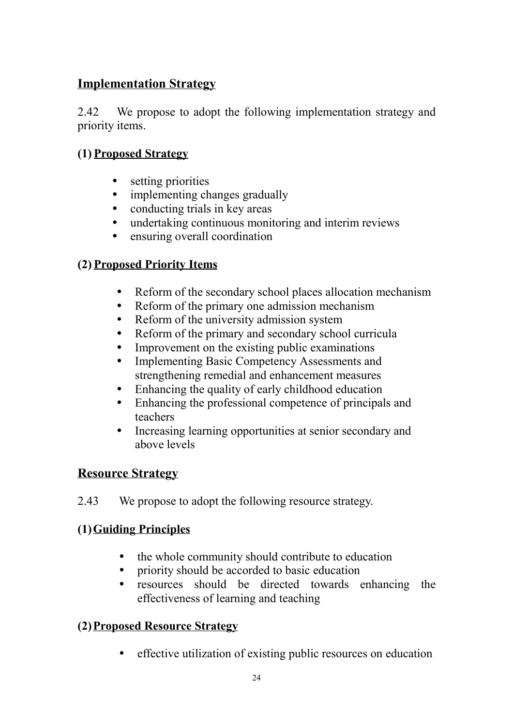### **Implementation Strategy**

2.42 We propose to adopt the following implementation strategy and priority items.

### **(1) Proposed Strategy**

- setting priorities
- implementing changes gradually
- conducting trials in key areas
- undertaking continuous monitoring and interim reviews
- ensuring overall coordination

#### **(2) Proposed Priority Items**

- Reform of the secondary school places allocation mechanism
- Reform of the primary one admission mechanism
- Reform of the university admission system
- Reform of the primary and secondary school curricula
- Improvement on the existing public examinations
- Implementing Basic Competency Assessments and strengthening remedial and enhancement measures
- Enhancing the quality of early childhood education
- Enhancing the professional competence of principals and teachers
- Increasing learning opportunities at senior secondary and above levels

#### **Resource Strategy**

2.43 We propose to adopt the following resource strategy.

#### **(1)Guiding Principles**

- the whole community should contribute to education
- priority should be accorded to basic education
- resources should be directed towards enhancing the effectiveness of learning and teaching

#### **(2)Proposed Resource Strategy**

• effective utilization of existing public resources on education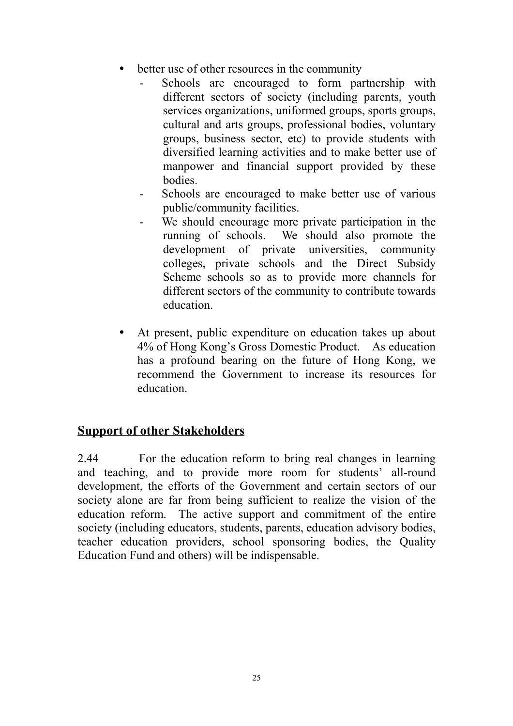- better use of other resources in the community
	- Schools are encouraged to form partnership with different sectors of society (including parents, youth services organizations, uniformed groups, sports groups, cultural and arts groups, professional bodies, voluntary groups, business sector, etc) to provide students with diversified learning activities and to make better use of manpower and financial support provided by these bodies.
	- Schools are encouraged to make better use of various public/community facilities.
	- We should encourage more private participation in the running of schools. We should also promote the development of private universities, community colleges, private schools and the Direct Subsidy Scheme schools so as to provide more channels for different sectors of the community to contribute towards education.
- At present, public expenditure on education takes up about 4% of Hong Kong's Gross Domestic Product. As education has a profound bearing on the future of Hong Kong, we recommend the Government to increase its resources for education.

### **Support of other Stakeholders**

2.44 For the education reform to bring real changes in learning and teaching, and to provide more room for students' all-round development, the efforts of the Government and certain sectors of our society alone are far from being sufficient to realize the vision of the education reform. The active support and commitment of the entire society (including educators, students, parents, education advisory bodies, teacher education providers, school sponsoring bodies, the Quality Education Fund and others) will be indispensable.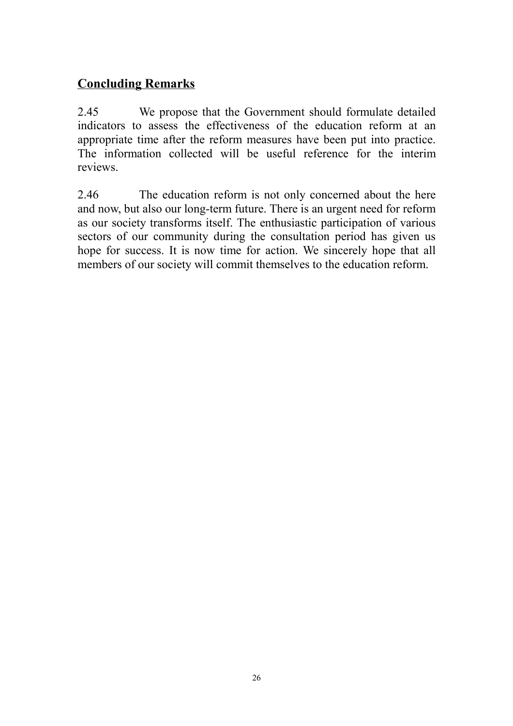## **Concluding Remarks**

2.45 We propose that the Government should formulate detailed indicators to assess the effectiveness of the education reform at an appropriate time after the reform measures have been put into practice. The information collected will be useful reference for the interim reviews.

2.46 The education reform is not only concerned about the here and now, but also our long-term future. There is an urgent need for reform as our society transforms itself. The enthusiastic participation of various sectors of our community during the consultation period has given us hope for success. It is now time for action. We sincerely hope that all members of our society will commit themselves to the education reform.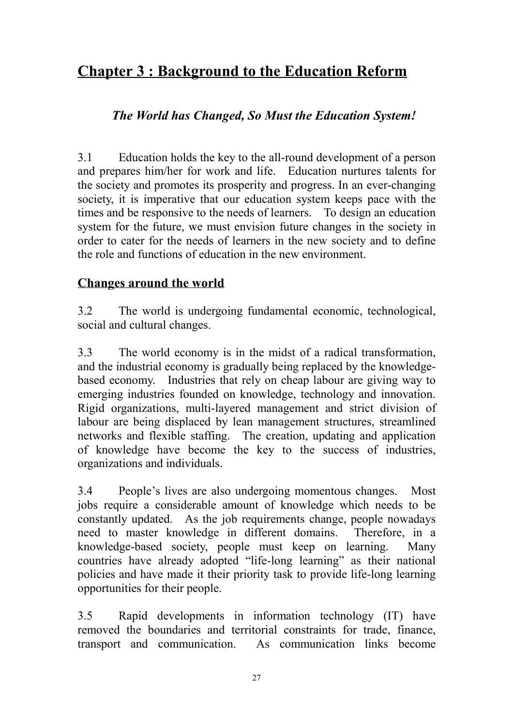# **Chapter 3 : Background to the Education Reform**

## *The World has Changed, So Must the Education System!*

3.1 Education holds the key to the all-round development of a person and prepares him/her for work and life. Education nurtures talents for the society and promotes its prosperity and progress. In an ever-changing society, it is imperative that our education system keeps pace with the times and be responsive to the needs of learners. To design an education system for the future, we must envision future changes in the society in order to cater for the needs of learners in the new society and to define the role and functions of education in the new environment.

### **Changes around the world**

3.2 The world is undergoing fundamental economic, technological, social and cultural changes.

3.3 The world economy is in the midst of a radical transformation, and the industrial economy is gradually being replaced by the knowledgebased economy. Industries that rely on cheap labour are giving way to emerging industries founded on knowledge, technology and innovation. Rigid organizations, multi-layered management and strict division of labour are being displaced by lean management structures, streamlined networks and flexible staffing. The creation, updating and application of knowledge have become the key to the success of industries, organizations and individuals.

3.4 People's lives are also undergoing momentous changes. Most jobs require a considerable amount of knowledge which needs to be constantly updated. As the job requirements change, people nowadays need to master knowledge in different domains. Therefore, in a knowledge-based society, people must keep on learning. Many countries have already adopted "life-long learning" as their national policies and have made it their priority task to provide life-long learning opportunities for their people.

3.5 Rapid developments in information technology (IT) have removed the boundaries and territorial constraints for trade, finance, transport and communication. As communication links become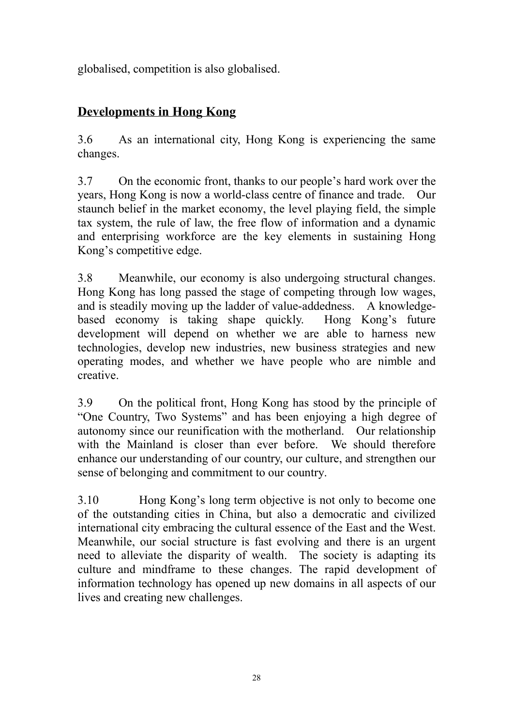globalised, competition is also globalised.

## **Developments in Hong Kong**

3.6 As an international city, Hong Kong is experiencing the same changes.

3.7 On the economic front, thanks to our people's hard work over the years, Hong Kong is now a world-class centre of finance and trade. Our staunch belief in the market economy, the level playing field, the simple tax system, the rule of law, the free flow of information and a dynamic and enterprising workforce are the key elements in sustaining Hong Kong's competitive edge.

3.8 Meanwhile, our economy is also undergoing structural changes. Hong Kong has long passed the stage of competing through low wages, and is steadily moving up the ladder of value-addedness. A knowledgebased economy is taking shape quickly. Hong Kong's future development will depend on whether we are able to harness new technologies, develop new industries, new business strategies and new operating modes, and whether we have people who are nimble and creative.

3.9 On the political front, Hong Kong has stood by the principle of "One Country, Two Systems" and has been enjoying a high degree of autonomy since our reunification with the motherland. Our relationship with the Mainland is closer than ever before. We should therefore enhance our understanding of our country, our culture, and strengthen our sense of belonging and commitment to our country.

3.10 Hong Kong's long term objective is not only to become one of the outstanding cities in China, but also a democratic and civilized international city embracing the cultural essence of the East and the West. Meanwhile, our social structure is fast evolving and there is an urgent need to alleviate the disparity of wealth. The society is adapting its culture and mindframe to these changes. The rapid development of information technology has opened up new domains in all aspects of our lives and creating new challenges.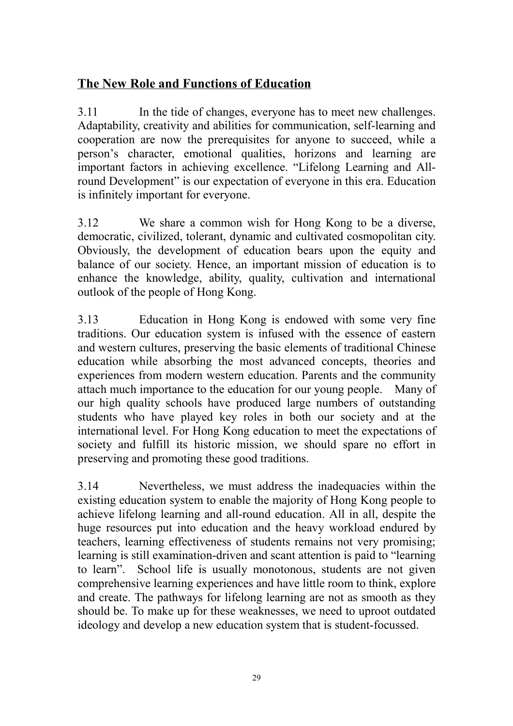### **The New Role and Functions of Education**

3.11 In the tide of changes, everyone has to meet new challenges. Adaptability, creativity and abilities for communication, self-learning and cooperation are now the prerequisites for anyone to succeed, while a person's character, emotional qualities, horizons and learning are important factors in achieving excellence. "Lifelong Learning and Allround Development" is our expectation of everyone in this era. Education is infinitely important for everyone.

3.12 We share a common wish for Hong Kong to be a diverse, democratic, civilized, tolerant, dynamic and cultivated cosmopolitan city. Obviously, the development of education bears upon the equity and balance of our society. Hence, an important mission of education is to enhance the knowledge, ability, quality, cultivation and international outlook of the people of Hong Kong.

3.13 Education in Hong Kong is endowed with some very fine traditions. Our education system is infused with the essence of eastern and western cultures, preserving the basic elements of traditional Chinese education while absorbing the most advanced concepts, theories and experiences from modern western education. Parents and the community attach much importance to the education for our young people. Many of our high quality schools have produced large numbers of outstanding students who have played key roles in both our society and at the international level. For Hong Kong education to meet the expectations of society and fulfill its historic mission, we should spare no effort in preserving and promoting these good traditions.

3.14 Nevertheless, we must address the inadequacies within the existing education system to enable the majority of Hong Kong people to achieve lifelong learning and all-round education. All in all, despite the huge resources put into education and the heavy workload endured by teachers, learning effectiveness of students remains not very promising; learning is still examination-driven and scant attention is paid to "learning to learn". School life is usually monotonous, students are not given comprehensive learning experiences and have little room to think, explore and create. The pathways for lifelong learning are not as smooth as they should be. To make up for these weaknesses, we need to uproot outdated ideology and develop a new education system that is student-focussed.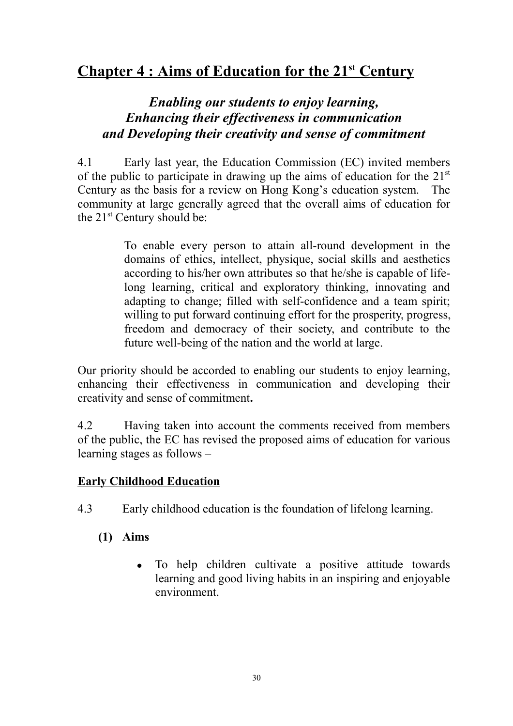# **Chapter 4 : Aims of Education for the 21st Century**

## *Enabling our students to enjoy learning, Enhancing their effectiveness in communication and Developing their creativity and sense of commitment*

4.1 Early last year, the Education Commission (EC) invited members of the public to participate in drawing up the aims of education for the  $21<sup>st</sup>$ Century as the basis for a review on Hong Kong's education system. The community at large generally agreed that the overall aims of education for the 21<sup>st</sup> Century should be:

> To enable every person to attain all-round development in the domains of ethics, intellect, physique, social skills and aesthetics according to his/her own attributes so that he/she is capable of lifelong learning, critical and exploratory thinking, innovating and adapting to change; filled with self-confidence and a team spirit; willing to put forward continuing effort for the prosperity, progress, freedom and democracy of their society, and contribute to the future well-being of the nation and the world at large.

Our priority should be accorded to enabling our students to enjoy learning, enhancing their effectiveness in communication and developing their creativity and sense of commitment**.**

4.2 Having taken into account the comments received from members of the public, the EC has revised the proposed aims of education for various learning stages as follows –

#### **Early Childhood Education**

- 4.3 Early childhood education is the foundation of lifelong learning.
	- **(1) Aims**
		- To help children cultivate a positive attitude towards learning and good living habits in an inspiring and enjoyable environment.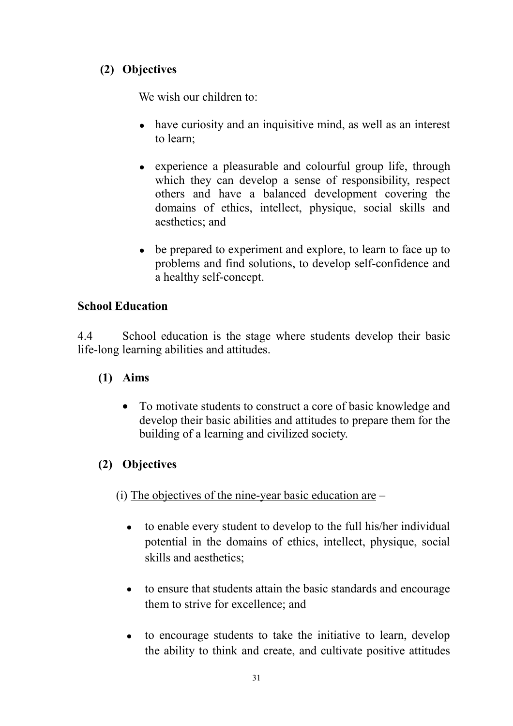### **(2) Objectives**

We wish our children to:

- $\bullet$  have curiosity and an inquisitive mind, as well as an interest to learn;
- experience a pleasurable and colourful group life, through which they can develop a sense of responsibility, respect others and have a balanced development covering the domains of ethics, intellect, physique, social skills and aesthetics; and
- be prepared to experiment and explore, to learn to face up to problems and find solutions, to develop self-confidence and a healthy self-concept.

### **School Education**

4.4 School education is the stage where students develop their basic life-long learning abilities and attitudes.

- **(1) Aims**
	- To motivate students to construct a core of basic knowledge and develop their basic abilities and attitudes to prepare them for the building of a learning and civilized society.

# **(2) Objectives**

 $(i)$  The objectives of the nine-year basic education are  $-$ 

- $\bullet$  to enable every student to develop to the full his/her individual potential in the domains of ethics, intellect, physique, social skills and aesthetics;
- to ensure that students attain the basic standards and encourage them to strive for excellence; and
- to encourage students to take the initiative to learn, develop the ability to think and create, and cultivate positive attitudes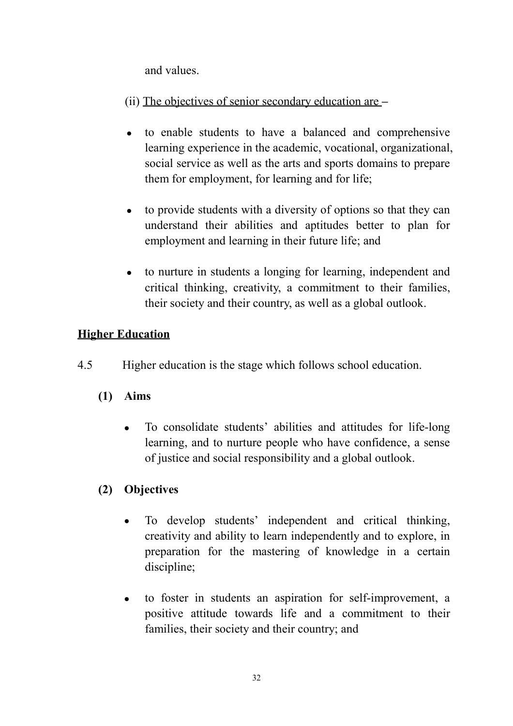and values.

(ii) The objectives of senior secondary education are **–**

- to enable students to have a balanced and comprehensive learning experience in the academic, vocational, organizational, social service as well as the arts and sports domains to prepare them for employment, for learning and for life;
- to provide students with a diversity of options so that they can understand their abilities and aptitudes better to plan for employment and learning in their future life; and
- to nurture in students a longing for learning, independent and critical thinking, creativity, a commitment to their families, their society and their country, as well as a global outlook.

## **Higher Education**

- 4.5 Higher education is the stage which follows school education.
	- **(1) Aims**
		- To consolidate students' abilities and attitudes for life-long learning, and to nurture people who have confidence, a sense of justice and social responsibility and a global outlook.

## **(2) Objectives**

- To develop students' independent and critical thinking, creativity and ability to learn independently and to explore, in preparation for the mastering of knowledge in a certain discipline;
- to foster in students an aspiration for self-improvement, a positive attitude towards life and a commitment to their families, their society and their country; and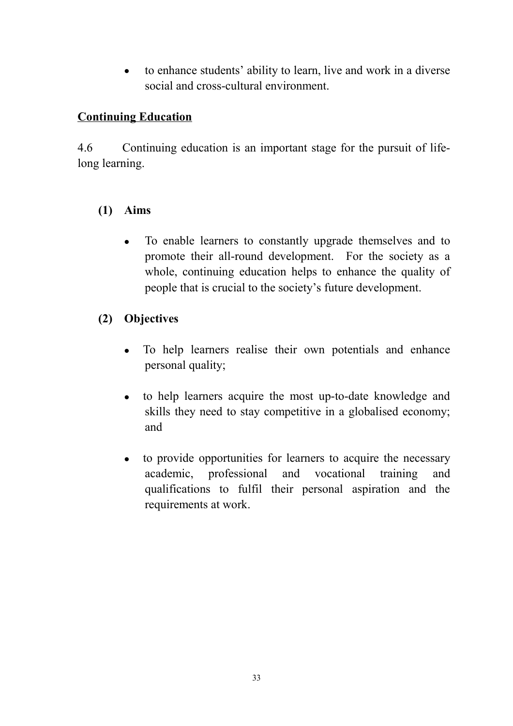• to enhance students' ability to learn, live and work in a diverse social and cross-cultural environment.

#### **Continuing Education**

4.6 Continuing education is an important stage for the pursuit of lifelong learning.

#### **(1) Aims**

• To enable learners to constantly upgrade themselves and to promote their all-round development. For the society as a whole, continuing education helps to enhance the quality of people that is crucial to the society's future development.

#### **(2) Objectives**

- To help learners realise their own potentials and enhance personal quality;
- to help learners acquire the most up-to-date knowledge and skills they need to stay competitive in a globalised economy; and
- to provide opportunities for learners to acquire the necessary academic, professional and vocational training and qualifications to fulfil their personal aspiration and the requirements at work.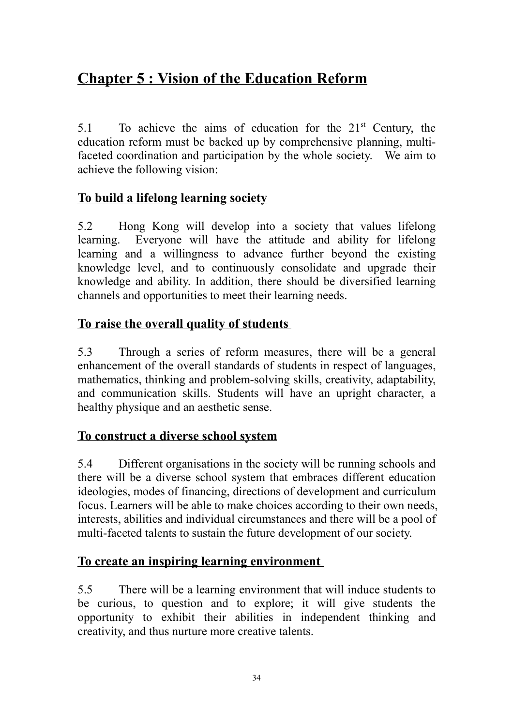# **Chapter 5 : Vision of the Education Reform**

5.1 To achieve the aims of education for the 21<sup>st</sup> Century, the education reform must be backed up by comprehensive planning, multifaceted coordination and participation by the whole society. We aim to achieve the following vision:

#### **To build a lifelong learning society**

5.2 Hong Kong will develop into a society that values lifelong learning. Everyone will have the attitude and ability for lifelong learning and a willingness to advance further beyond the existing knowledge level, and to continuously consolidate and upgrade their knowledge and ability. In addition, there should be diversified learning channels and opportunities to meet their learning needs.

## **To raise the overall quality of students**

5.3 Through a series of reform measures, there will be a general enhancement of the overall standards of students in respect of languages, mathematics, thinking and problem-solving skills, creativity, adaptability, and communication skills. Students will have an upright character, a healthy physique and an aesthetic sense.

## **To construct a diverse school system**

5.4 Different organisations in the society will be running schools and there will be a diverse school system that embraces different education ideologies, modes of financing, directions of development and curriculum focus. Learners will be able to make choices according to their own needs, interests, abilities and individual circumstances and there will be a pool of multi-faceted talents to sustain the future development of our society.

## **To create an inspiring learning environment**

5.5 There will be a learning environment that will induce students to be curious, to question and to explore; it will give students the opportunity to exhibit their abilities in independent thinking and creativity, and thus nurture more creative talents.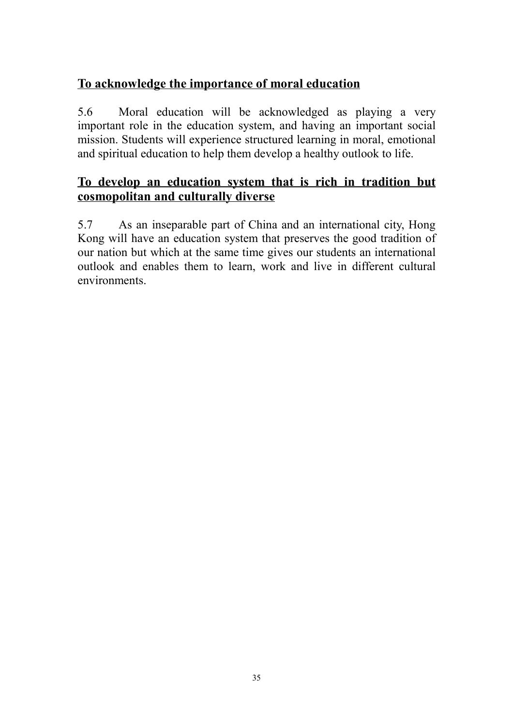## **To acknowledge the importance of moral education**

5.6 Moral education will be acknowledged as playing a very important role in the education system, and having an important social mission. Students will experience structured learning in moral, emotional and spiritual education to help them develop a healthy outlook to life.

## **To develop an education system that is rich in tradition but cosmopolitan and culturally diverse**

5.7 As an inseparable part of China and an international city, Hong Kong will have an education system that preserves the good tradition of our nation but which at the same time gives our students an international outlook and enables them to learn, work and live in different cultural environments.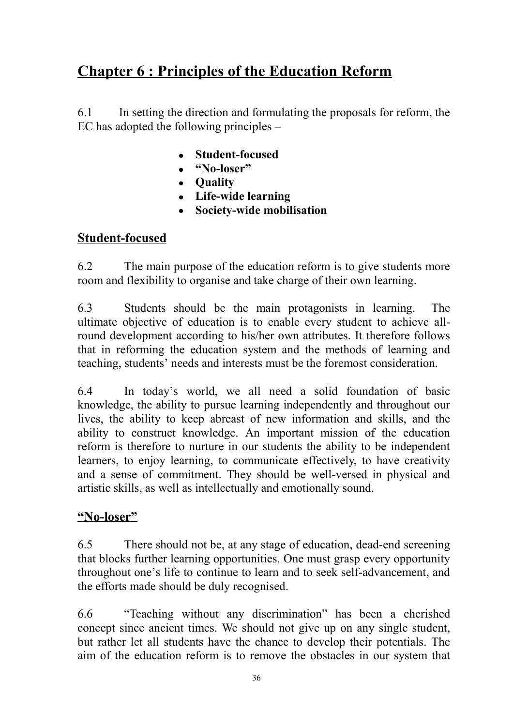# **Chapter 6 : Principles of the Education Reform**

6.1 In setting the direction and formulating the proposals for reform, the EC has adopted the following principles –

- **Student-focused**
- <sup>z</sup> **"No-loser"**
- **Quality**
- <sup>z</sup> **Life-wide learning**
- <sup>z</sup> **Society-wide mobilisation**

## **Student-focused**

6.2 The main purpose of the education reform is to give students more room and flexibility to organise and take charge of their own learning.

6.3 Students should be the main protagonists in learning. The ultimate objective of education is to enable every student to achieve allround development according to his/her own attributes. It therefore follows that in reforming the education system and the methods of learning and teaching, students' needs and interests must be the foremost consideration.

6.4 In today's world, we all need a solid foundation of basic knowledge, the ability to pursue learning independently and throughout our lives, the ability to keep abreast of new information and skills, and the ability to construct knowledge. An important mission of the education reform is therefore to nurture in our students the ability to be independent learners, to enjoy learning, to communicate effectively, to have creativity and a sense of commitment. They should be well-versed in physical and artistic skills, as well as intellectually and emotionally sound.

#### **"No-loser"**

6.5 There should not be, at any stage of education, dead-end screening that blocks further learning opportunities. One must grasp every opportunity throughout one's life to continue to learn and to seek self-advancement, and the efforts made should be duly recognised.

6.6 "Teaching without any discrimination" has been a cherished concept since ancient times. We should not give up on any single student, but rather let all students have the chance to develop their potentials. The aim of the education reform is to remove the obstacles in our system that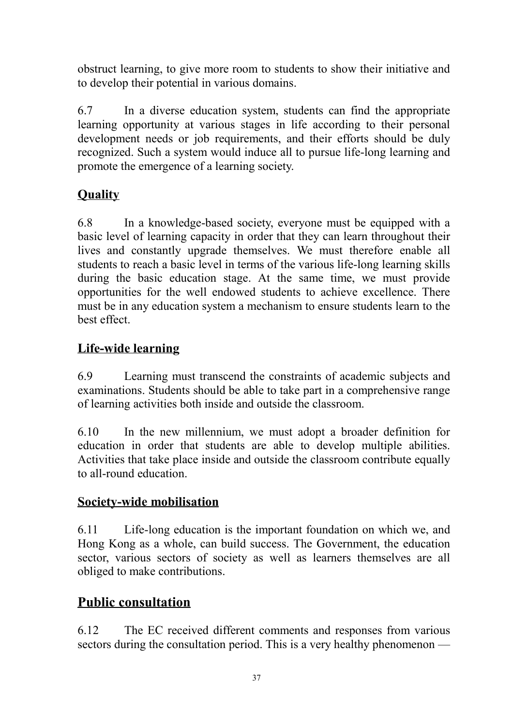obstruct learning, to give more room to students to show their initiative and to develop their potential in various domains.

6.7 In a diverse education system, students can find the appropriate learning opportunity at various stages in life according to their personal development needs or job requirements, and their efforts should be duly recognized. Such a system would induce all to pursue life-long learning and promote the emergence of a learning society.

# **Quality**

6.8 In a knowledge-based society, everyone must be equipped with a basic level of learning capacity in order that they can learn throughout their lives and constantly upgrade themselves. We must therefore enable all students to reach a basic level in terms of the various life-long learning skills during the basic education stage. At the same time, we must provide opportunities for the well endowed students to achieve excellence. There must be in any education system a mechanism to ensure students learn to the best effect.

## **Life-wide learning**

6.9 Learning must transcend the constraints of academic subjects and examinations. Students should be able to take part in a comprehensive range of learning activities both inside and outside the classroom.

6.10 In the new millennium, we must adopt a broader definition for education in order that students are able to develop multiple abilities. Activities that take place inside and outside the classroom contribute equally to all-round education.

## **Society-wide mobilisation**

6.11 Life-long education is the important foundation on which we, and Hong Kong as a whole, can build success. The Government, the education sector, various sectors of society as well as learners themselves are all obliged to make contributions.

# **Public consultation**

6.12 The EC received different comments and responses from various sectors during the consultation period. This is a very healthy phenomenon —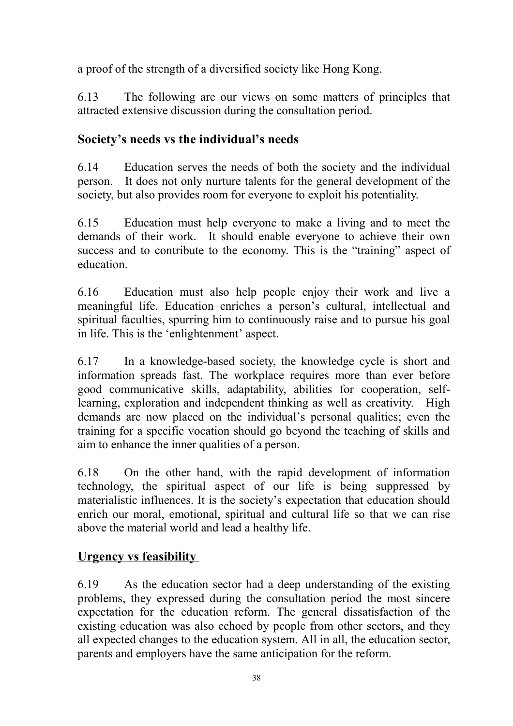a proof of the strength of a diversified society like Hong Kong.

6.13 The following are our views on some matters of principles that attracted extensive discussion during the consultation period.

## **Society's needs vs the individual's needs**

6.14 Education serves the needs of both the society and the individual person. It does not only nurture talents for the general development of the society, but also provides room for everyone to exploit his potentiality.

6.15 Education must help everyone to make a living and to meet the demands of their work. It should enable everyone to achieve their own success and to contribute to the economy. This is the "training" aspect of education.

6.16 Education must also help people enjoy their work and live a meaningful life. Education enriches a person's cultural, intellectual and spiritual faculties, spurring him to continuously raise and to pursue his goal in life. This is the 'enlightenment' aspect.

6.17 In a knowledge-based society, the knowledge cycle is short and information spreads fast. The workplace requires more than ever before good communicative skills, adaptability, abilities for cooperation, selflearning, exploration and independent thinking as well as creativity. High demands are now placed on the individual's personal qualities; even the training for a specific vocation should go beyond the teaching of skills and aim to enhance the inner qualities of a person.

6.18 On the other hand, with the rapid development of information technology, the spiritual aspect of our life is being suppressed by materialistic influences. It is the society's expectation that education should enrich our moral, emotional, spiritual and cultural life so that we can rise above the material world and lead a healthy life.

## **Urgency vs feasibility**

6.19 As the education sector had a deep understanding of the existing problems, they expressed during the consultation period the most sincere expectation for the education reform. The general dissatisfaction of the existing education was also echoed by people from other sectors, and they all expected changes to the education system. All in all, the education sector, parents and employers have the same anticipation for the reform.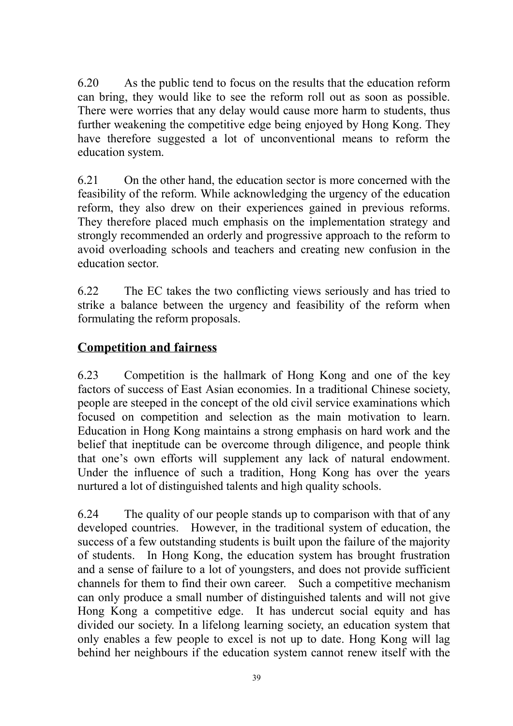6.20 As the public tend to focus on the results that the education reform can bring, they would like to see the reform roll out as soon as possible. There were worries that any delay would cause more harm to students, thus further weakening the competitive edge being enjoyed by Hong Kong. They have therefore suggested a lot of unconventional means to reform the education system.

6.21 On the other hand, the education sector is more concerned with the feasibility of the reform. While acknowledging the urgency of the education reform, they also drew on their experiences gained in previous reforms. They therefore placed much emphasis on the implementation strategy and strongly recommended an orderly and progressive approach to the reform to avoid overloading schools and teachers and creating new confusion in the education sector.

6.22 The EC takes the two conflicting views seriously and has tried to strike a balance between the urgency and feasibility of the reform when formulating the reform proposals.

## **Competition and fairness**

6.23 Competition is the hallmark of Hong Kong and one of the key factors of success of East Asian economies. In a traditional Chinese society, people are steeped in the concept of the old civil service examinations which focused on competition and selection as the main motivation to learn. Education in Hong Kong maintains a strong emphasis on hard work and the belief that ineptitude can be overcome through diligence, and people think that one's own efforts will supplement any lack of natural endowment. Under the influence of such a tradition, Hong Kong has over the years nurtured a lot of distinguished talents and high quality schools.

6.24 The quality of our people stands up to comparison with that of any developed countries. However, in the traditional system of education, the success of a few outstanding students is built upon the failure of the majority of students. In Hong Kong, the education system has brought frustration and a sense of failure to a lot of youngsters, and does not provide sufficient channels for them to find their own career. Such a competitive mechanism can only produce a small number of distinguished talents and will not give Hong Kong a competitive edge. It has undercut social equity and has divided our society. In a lifelong learning society, an education system that only enables a few people to excel is not up to date. Hong Kong will lag behind her neighbours if the education system cannot renew itself with the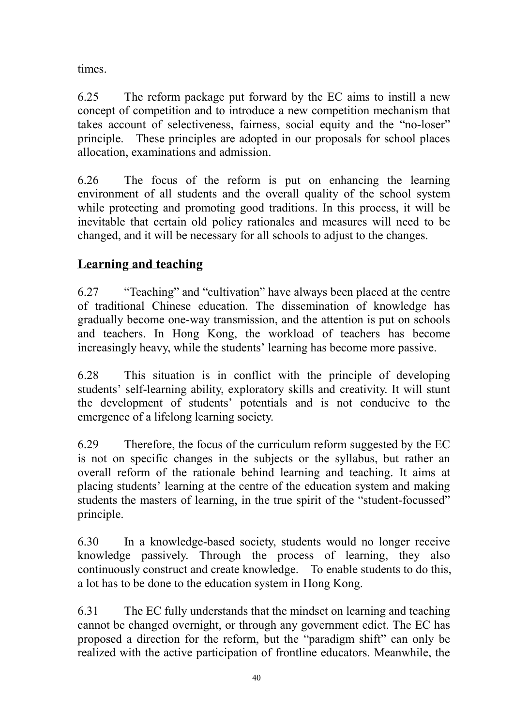times.

6.25 The reform package put forward by the EC aims to instill a new concept of competition and to introduce a new competition mechanism that takes account of selectiveness, fairness, social equity and the "no-loser" principle. These principles are adopted in our proposals for school places allocation, examinations and admission.

6.26 The focus of the reform is put on enhancing the learning environment of all students and the overall quality of the school system while protecting and promoting good traditions. In this process, it will be inevitable that certain old policy rationales and measures will need to be changed, and it will be necessary for all schools to adjust to the changes.

## **Learning and teaching**

6.27 "Teaching" and "cultivation" have always been placed at the centre of traditional Chinese education. The dissemination of knowledge has gradually become one-way transmission, and the attention is put on schools and teachers. In Hong Kong, the workload of teachers has become increasingly heavy, while the students' learning has become more passive.

6.28 This situation is in conflict with the principle of developing students' self-learning ability, exploratory skills and creativity. It will stunt the development of students' potentials and is not conducive to the emergence of a lifelong learning society.

6.29 Therefore, the focus of the curriculum reform suggested by the EC is not on specific changes in the subjects or the syllabus, but rather an overall reform of the rationale behind learning and teaching. It aims at placing students' learning at the centre of the education system and making students the masters of learning, in the true spirit of the "student-focussed" principle.

6.30 In a knowledge-based society, students would no longer receive knowledge passively. Through the process of learning, they also continuously construct and create knowledge. To enable students to do this, a lot has to be done to the education system in Hong Kong.

6.31 The EC fully understands that the mindset on learning and teaching cannot be changed overnight, or through any government edict. The EC has proposed a direction for the reform, but the "paradigm shift" can only be realized with the active participation of frontline educators. Meanwhile, the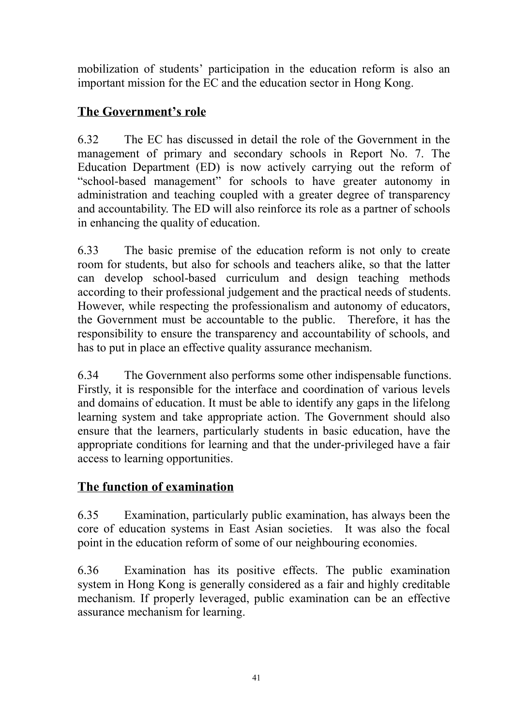mobilization of students' participation in the education reform is also an important mission for the EC and the education sector in Hong Kong.

## **The Government's role**

6.32 The EC has discussed in detail the role of the Government in the management of primary and secondary schools in Report No. 7. The Education Department (ED) is now actively carrying out the reform of "school-based management" for schools to have greater autonomy in administration and teaching coupled with a greater degree of transparency and accountability. The ED will also reinforce its role as a partner of schools in enhancing the quality of education.

6.33 The basic premise of the education reform is not only to create room for students, but also for schools and teachers alike, so that the latter can develop school-based curriculum and design teaching methods according to their professional judgement and the practical needs of students. However, while respecting the professionalism and autonomy of educators, the Government must be accountable to the public. Therefore, it has the responsibility to ensure the transparency and accountability of schools, and has to put in place an effective quality assurance mechanism.

6.34 The Government also performs some other indispensable functions. Firstly, it is responsible for the interface and coordination of various levels and domains of education. It must be able to identify any gaps in the lifelong learning system and take appropriate action. The Government should also ensure that the learners, particularly students in basic education, have the appropriate conditions for learning and that the under-privileged have a fair access to learning opportunities.

## **The function of examination**

6.35 Examination, particularly public examination, has always been the core of education systems in East Asian societies. It was also the focal point in the education reform of some of our neighbouring economies.

6.36 Examination has its positive effects. The public examination system in Hong Kong is generally considered as a fair and highly creditable mechanism. If properly leveraged, public examination can be an effective assurance mechanism for learning.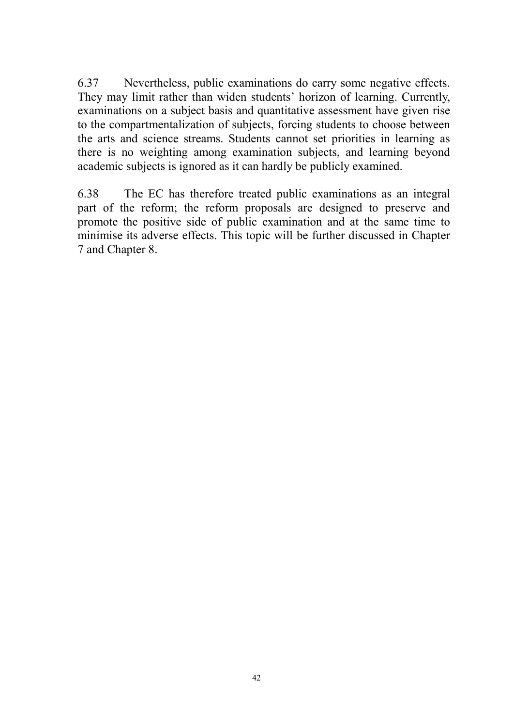6.37 Nevertheless, public examinations do carry some negative effects. They may limit rather than widen students' horizon of learning. Currently, examinations on a subject basis and quantitative assessment have given rise to the compartmentalization of subjects, forcing students to choose between the arts and science streams. Students cannot set priorities in learning as there is no weighting among examination subjects, and learning beyond academic subjects is ignored as it can hardly be publicly examined.

6.38 The EC has therefore treated public examinations as an integral part of the reform; the reform proposals are designed to preserve and promote the positive side of public examination and at the same time to minimise its adverse effects. This topic will be further discussed in Chapter 7 and Chapter 8.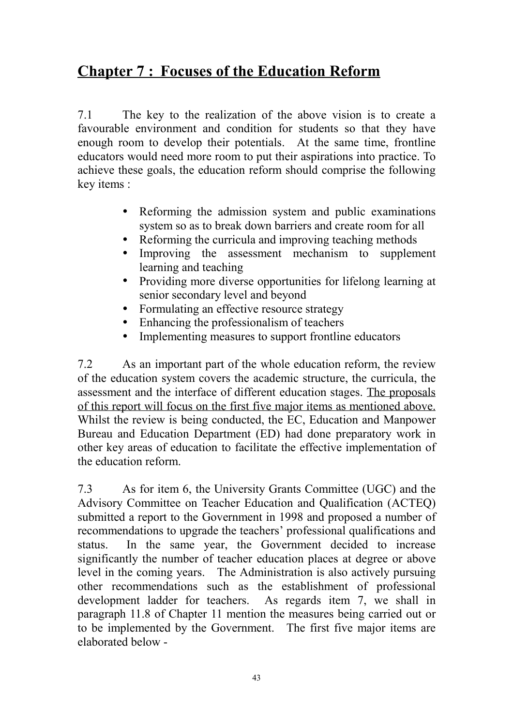# **Chapter 7 : Focuses of the Education Reform**

7.1 The key to the realization of the above vision is to create a favourable environment and condition for students so that they have enough room to develop their potentials. At the same time, frontline educators would need more room to put their aspirations into practice. To achieve these goals, the education reform should comprise the following key items :

- Reforming the admission system and public examinations system so as to break down barriers and create room for all
- Reforming the curricula and improving teaching methods
- Improving the assessment mechanism to supplement learning and teaching
- Providing more diverse opportunities for lifelong learning at senior secondary level and beyond
- Formulating an effective resource strategy
- Enhancing the professionalism of teachers
- Implementing measures to support frontline educators

7.2 As an important part of the whole education reform, the review of the education system covers the academic structure, the curricula, the assessment and the interface of different education stages. The proposals of this report will focus on the first five major items as mentioned above. Whilst the review is being conducted, the EC, Education and Manpower Bureau and Education Department (ED) had done preparatory work in other key areas of education to facilitate the effective implementation of the education reform.

7.3 As for item 6, the University Grants Committee (UGC) and the Advisory Committee on Teacher Education and Qualification (ACTEQ) submitted a report to the Government in 1998 and proposed a number of recommendations to upgrade the teachers' professional qualifications and status. In the same year, the Government decided to increase significantly the number of teacher education places at degree or above level in the coming years. The Administration is also actively pursuing other recommendations such as the establishment of professional development ladder for teachers. As regards item 7, we shall in paragraph 11.8 of Chapter 11 mention the measures being carried out or to be implemented by the Government. The first five major items are elaborated below -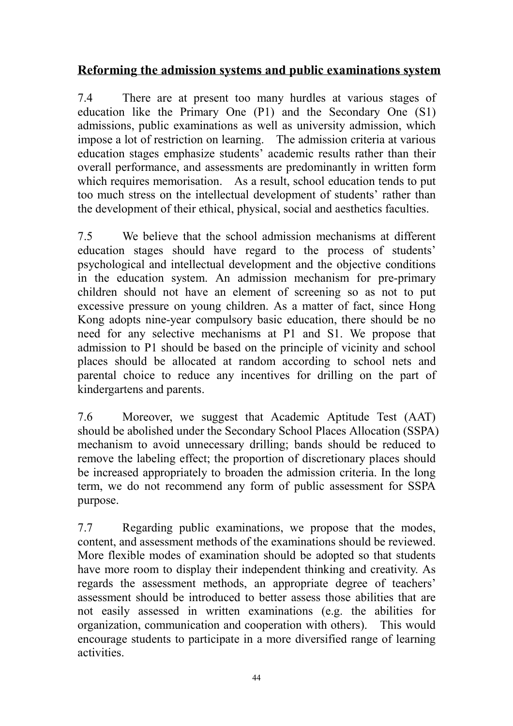## **Reforming the admission systems and public examinations system**

7.4 There are at present too many hurdles at various stages of education like the Primary One (P1) and the Secondary One (S1) admissions, public examinations as well as university admission, which impose a lot of restriction on learning. The admission criteria at various education stages emphasize students' academic results rather than their overall performance, and assessments are predominantly in written form which requires memorisation. As a result, school education tends to put too much stress on the intellectual development of students' rather than the development of their ethical, physical, social and aesthetics faculties.

7.5 We believe that the school admission mechanisms at different education stages should have regard to the process of students' psychological and intellectual development and the objective conditions in the education system. An admission mechanism for pre-primary children should not have an element of screening so as not to put excessive pressure on young children. As a matter of fact, since Hong Kong adopts nine-year compulsory basic education, there should be no need for any selective mechanisms at P1 and S1. We propose that admission to P1 should be based on the principle of vicinity and school places should be allocated at random according to school nets and parental choice to reduce any incentives for drilling on the part of kindergartens and parents.

7.6 Moreover, we suggest that Academic Aptitude Test (AAT) should be abolished under the Secondary School Places Allocation (SSPA) mechanism to avoid unnecessary drilling; bands should be reduced to remove the labeling effect; the proportion of discretionary places should be increased appropriately to broaden the admission criteria. In the long term, we do not recommend any form of public assessment for SSPA purpose.

7.7 Regarding public examinations, we propose that the modes, content, and assessment methods of the examinations should be reviewed. More flexible modes of examination should be adopted so that students have more room to display their independent thinking and creativity. As regards the assessment methods, an appropriate degree of teachers' assessment should be introduced to better assess those abilities that are not easily assessed in written examinations (e.g. the abilities for organization, communication and cooperation with others). This would encourage students to participate in a more diversified range of learning activities.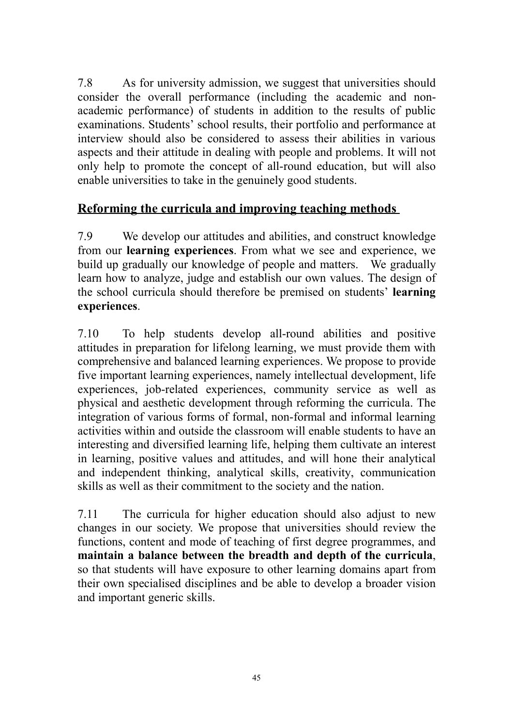7.8 As for university admission, we suggest that universities should consider the overall performance (including the academic and nonacademic performance) of students in addition to the results of public examinations. Students' school results, their portfolio and performance at interview should also be considered to assess their abilities in various aspects and their attitude in dealing with people and problems. It will not only help to promote the concept of all-round education, but will also enable universities to take in the genuinely good students.

## **Reforming the curricula and improving teaching methods**

7.9 We develop our attitudes and abilities, and construct knowledge from our **learning experiences**. From what we see and experience, we build up gradually our knowledge of people and matters. We gradually learn how to analyze, judge and establish our own values. The design of the school curricula should therefore be premised on students' **learning experiences**.

7.10 To help students develop all-round abilities and positive attitudes in preparation for lifelong learning, we must provide them with comprehensive and balanced learning experiences. We propose to provide five important learning experiences, namely intellectual development, life experiences, job-related experiences, community service as well as physical and aesthetic development through reforming the curricula. The integration of various forms of formal, non-formal and informal learning activities within and outside the classroom will enable students to have an interesting and diversified learning life, helping them cultivate an interest in learning, positive values and attitudes, and will hone their analytical and independent thinking, analytical skills, creativity, communication skills as well as their commitment to the society and the nation.

7.11 The curricula for higher education should also adjust to new changes in our society. We propose that universities should review the functions, content and mode of teaching of first degree programmes, and **maintain a balance between the breadth and depth of the curricula**, so that students will have exposure to other learning domains apart from their own specialised disciplines and be able to develop a broader vision and important generic skills.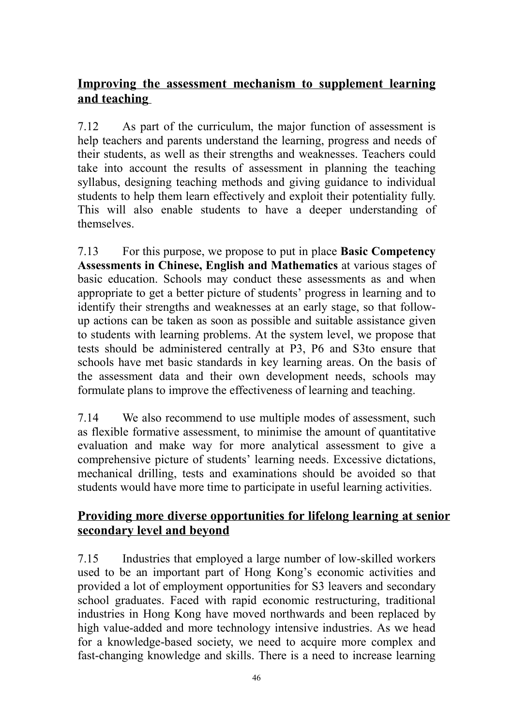## **Improving the assessment mechanism to supplement learning and teaching**

7.12 As part of the curriculum, the major function of assessment is help teachers and parents understand the learning, progress and needs of their students, as well as their strengths and weaknesses. Teachers could take into account the results of assessment in planning the teaching syllabus, designing teaching methods and giving guidance to individual students to help them learn effectively and exploit their potentiality fully. This will also enable students to have a deeper understanding of themselves.

7.13 For this purpose, we propose to put in place **Basic Competency Assessments in Chinese, English and Mathematics** at various stages of basic education. Schools may conduct these assessments as and when appropriate to get a better picture of students' progress in learning and to identify their strengths and weaknesses at an early stage, so that followup actions can be taken as soon as possible and suitable assistance given to students with learning problems. At the system level, we propose that tests should be administered centrally at P3, P6 and S3to ensure that schools have met basic standards in key learning areas. On the basis of the assessment data and their own development needs, schools may formulate plans to improve the effectiveness of learning and teaching.

7.14 We also recommend to use multiple modes of assessment, such as flexible formative assessment, to minimise the amount of quantitative evaluation and make way for more analytical assessment to give a comprehensive picture of students' learning needs. Excessive dictations, mechanical drilling, tests and examinations should be avoided so that students would have more time to participate in useful learning activities.

## **Providing more diverse opportunities for lifelong learning at senior secondary level and beyond**

7.15 Industries that employed a large number of low-skilled workers used to be an important part of Hong Kong's economic activities and provided a lot of employment opportunities for S3 leavers and secondary school graduates. Faced with rapid economic restructuring, traditional industries in Hong Kong have moved northwards and been replaced by high value-added and more technology intensive industries. As we head for a knowledge-based society, we need to acquire more complex and fast-changing knowledge and skills. There is a need to increase learning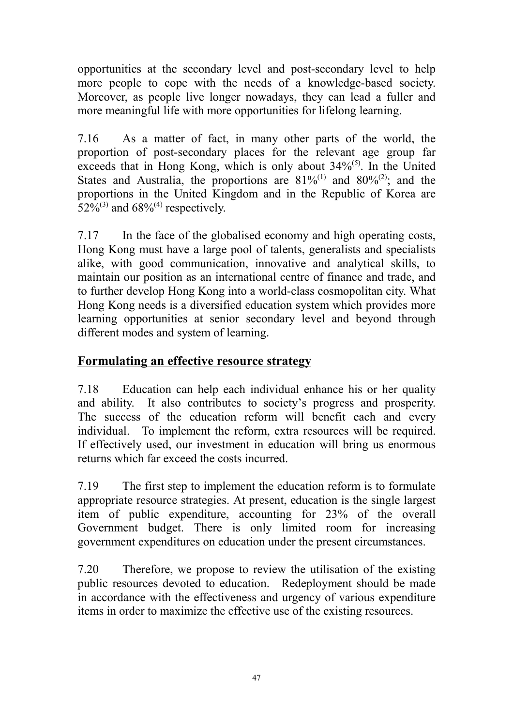opportunities at the secondary level and post-secondary level to help more people to cope with the needs of a knowledge-based society. Moreover, as people live longer nowadays, they can lead a fuller and more meaningful life with more opportunities for lifelong learning.

7.16 As a matter of fact, in many other parts of the world, the proportion of post-secondary places for the relevant age group far exceeds that in Hong Kong, which is only about  $34\%$ <sup>(5)</sup>. In the United States and Australia, the proportions are  $81\%^{(1)}$  and  $80\%^{(2)}$ ; and the proportions in the United Kingdom and in the Republic of Korea are 52%<sup>(3)</sup> and 68%<sup>(4)</sup> respectively.

7.17 In the face of the globalised economy and high operating costs, Hong Kong must have a large pool of talents, generalists and specialists alike, with good communication, innovative and analytical skills, to maintain our position as an international centre of finance and trade, and to further develop Hong Kong into a world-class cosmopolitan city. What Hong Kong needs is a diversified education system which provides more learning opportunities at senior secondary level and beyond through different modes and system of learning.

### **Formulating an effective resource strategy**

7.18 Education can help each individual enhance his or her quality and ability. It also contributes to society's progress and prosperity. The success of the education reform will benefit each and every individual. To implement the reform, extra resources will be required. If effectively used, our investment in education will bring us enormous returns which far exceed the costs incurred.

7.19 The first step to implement the education reform is to formulate appropriate resource strategies. At present, education is the single largest item of public expenditure, accounting for 23% of the overall Government budget. There is only limited room for increasing government expenditures on education under the present circumstances.

7.20 Therefore, we propose to review the utilisation of the existing public resources devoted to education. Redeployment should be made in accordance with the effectiveness and urgency of various expenditure items in order to maximize the effective use of the existing resources.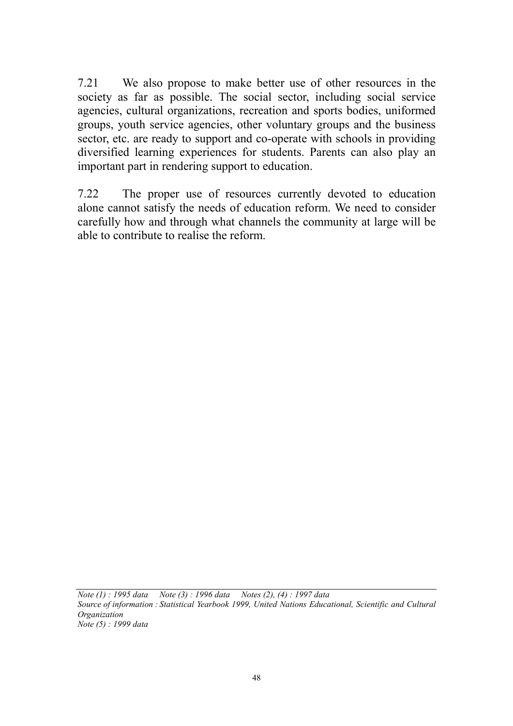7.21 We also propose to make better use of other resources in the society as far as possible. The social sector, including social service agencies, cultural organizations, recreation and sports bodies, uniformed groups, youth service agencies, other voluntary groups and the business sector, etc. are ready to support and co-operate with schools in providing diversified learning experiences for students. Parents can also play an important part in rendering support to education.

7.22 The proper use of resources currently devoted to education alone cannot satisfy the needs of education reform. We need to consider carefully how and through what channels the community at large will be able to contribute to realise the reform.

*Note (1) : 1995 data Note (3) : 1996 data Notes (2), (4) : 1997 data Source of information : Statistical Yearbook 1999, United Nations Educational, Scientific and Cultural Organization Note (5) : 1999 data*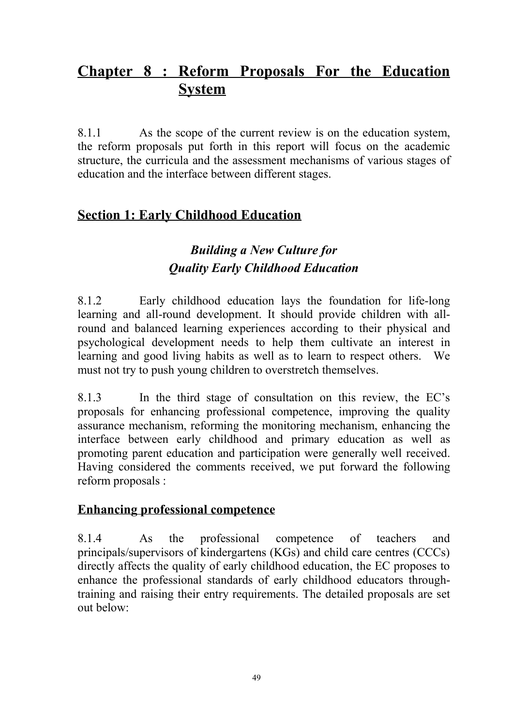# **Chapter 8 : Reform Proposals For the Education System**

8.1.1 As the scope of the current review is on the education system, the reform proposals put forth in this report will focus on the academic structure, the curricula and the assessment mechanisms of various stages of education and the interface between different stages.

## **Section 1: Early Childhood Education**

# *Building a New Culture for Quality Early Childhood Education*

8.1.2 Early childhood education lays the foundation for life-long learning and all-round development. It should provide children with allround and balanced learning experiences according to their physical and psychological development needs to help them cultivate an interest in learning and good living habits as well as to learn to respect others. We must not try to push young children to overstretch themselves.

8.1.3 In the third stage of consultation on this review, the EC's proposals for enhancing professional competence, improving the quality assurance mechanism, reforming the monitoring mechanism, enhancing the interface between early childhood and primary education as well as promoting parent education and participation were generally well received. Having considered the comments received, we put forward the following reform proposals :

## **Enhancing professional competence**

8.1.4 As the professional competence of teachers and principals/supervisors of kindergartens (KGs) and child care centres (CCCs) directly affects the quality of early childhood education, the EC proposes to enhance the professional standards of early childhood educators throughtraining and raising their entry requirements. The detailed proposals are set out below: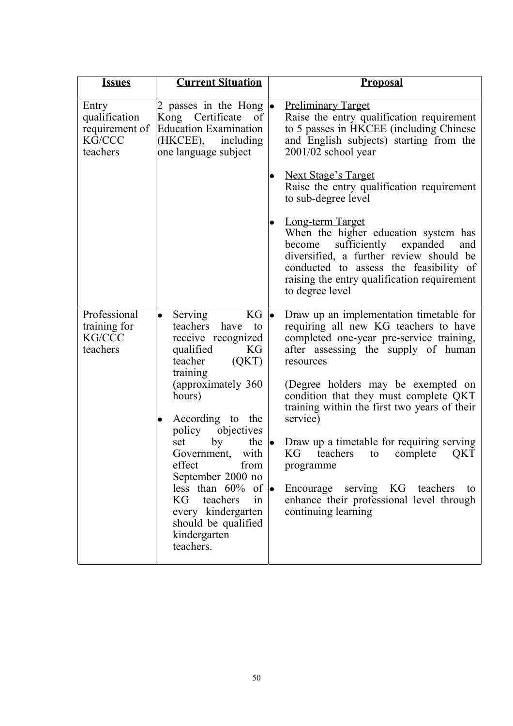| <b>Issues</b>                                                  | <b>Current Situation</b>                                                                                                                                                                                                                                                                                                                                              | <b>Proposal</b>                                                                                                                                                                                                                                                                                                                                                                                                                                                                                                     |
|----------------------------------------------------------------|-----------------------------------------------------------------------------------------------------------------------------------------------------------------------------------------------------------------------------------------------------------------------------------------------------------------------------------------------------------------------|---------------------------------------------------------------------------------------------------------------------------------------------------------------------------------------------------------------------------------------------------------------------------------------------------------------------------------------------------------------------------------------------------------------------------------------------------------------------------------------------------------------------|
| Entry<br>qualification<br>requirement of<br>KG/CCC<br>teachers | 2 passes in the Hong $\bullet$<br>Kong Certificate<br>of<br><b>Education Examination</b><br>(HKCEE), including<br>one language subject                                                                                                                                                                                                                                | <b>Preliminary Target</b><br>Raise the entry qualification requirement<br>to 5 passes in HKCEE (including Chinese<br>and English subjects) starting from the<br>2001/02 school year<br><b>Next Stage's Target</b>                                                                                                                                                                                                                                                                                                   |
|                                                                |                                                                                                                                                                                                                                                                                                                                                                       | Raise the entry qualification requirement<br>to sub-degree level                                                                                                                                                                                                                                                                                                                                                                                                                                                    |
|                                                                |                                                                                                                                                                                                                                                                                                                                                                       | <b>Long-term Target</b><br>When the higher education system has<br>sufficiently<br>expanded<br>become<br>and<br>diversified, a further review should be<br>conducted to assess the feasibility of<br>raising the entry qualification requirement<br>to degree level                                                                                                                                                                                                                                                 |
| Professional<br>training for<br>KG/CCC<br>teachers             | $KG \mid\!\bullet$<br>Serving<br>$\bullet$<br>teachers<br>have to<br>receive recognized<br>qualified<br>KG<br>(QKT)<br>teacher<br>training<br>(approximately 360<br>hours)<br>According to the<br>policy objectives<br>by<br>the $\bullet$<br>set<br>Government, with<br>effect<br>from<br>September 2000 no<br>less than $60\%$ of $\bullet$<br>KG<br>teachers<br>in | Draw up an implementation timetable for<br>requiring all new KG teachers to have<br>completed one-year pre-service training,<br>after assessing the supply of human<br>resources<br>(Degree holders may be exempted on<br>condition that they must complete QKT<br>training within the first two years of their<br>service)<br>Draw up a timetable for requiring serving<br>KG<br>teachers<br>complete<br>QKT<br>to<br>programme<br>Encourage serving KG teachers<br>to<br>enhance their professional level through |
|                                                                | every kindergarten<br>should be qualified<br>kindergarten<br>teachers.                                                                                                                                                                                                                                                                                                | continuing learning                                                                                                                                                                                                                                                                                                                                                                                                                                                                                                 |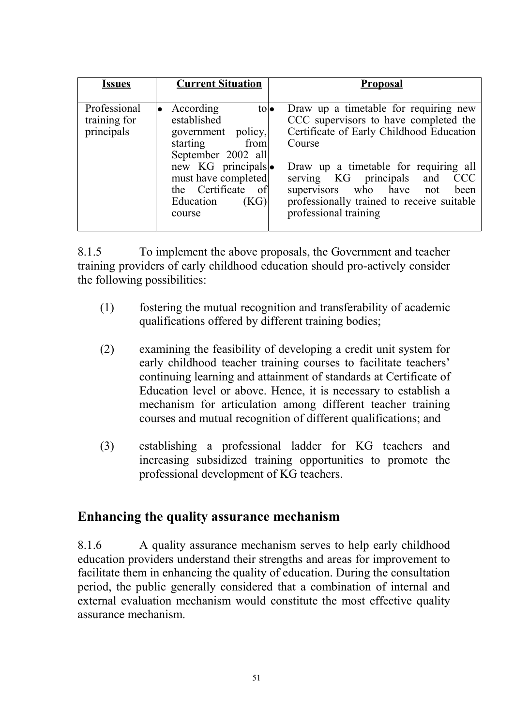| <i><b>Issues</b></i>                       | <b>Current Situation</b>                                                                                                                                                                                               | <b>Proposal</b>                                                                                                                                                                                                                                                                                                                           |
|--------------------------------------------|------------------------------------------------------------------------------------------------------------------------------------------------------------------------------------------------------------------------|-------------------------------------------------------------------------------------------------------------------------------------------------------------------------------------------------------------------------------------------------------------------------------------------------------------------------------------------|
| Professional<br>training for<br>principals | According<br>$\mathsf{to}$<br>$\bullet$<br>established<br>government policy,<br>starting from<br>September 2002 all<br>new KG principals •<br>must have completed<br>the Certificate of<br>Education<br>(KG)<br>course | Draw up a timetable for requiring new<br>CCC supervisors to have completed the<br>Certificate of Early Childhood Education<br>Course<br>Draw up a timetable for requiring all<br><b>CCC</b><br>serving KG principals<br>and<br>supervisors who have<br>been<br>not<br>professionally trained to receive suitable<br>professional training |

8.1.5 To implement the above proposals, the Government and teacher training providers of early childhood education should pro-actively consider the following possibilities:

- (1) fostering the mutual recognition and transferability of academic qualifications offered by different training bodies;
- (2) examining the feasibility of developing a credit unit system for early childhood teacher training courses to facilitate teachers' continuing learning and attainment of standards at Certificate of Education level or above. Hence, it is necessary to establish a mechanism for articulation among different teacher training courses and mutual recognition of different qualifications; and
- (3) establishing a professional ladder for KG teachers and increasing subsidized training opportunities to promote the professional development of KG teachers.

## **Enhancing the quality assurance mechanism**

8.1.6 A quality assurance mechanism serves to help early childhood education providers understand their strengths and areas for improvement to facilitate them in enhancing the quality of education. During the consultation period, the public generally considered that a combination of internal and external evaluation mechanism would constitute the most effective quality assurance mechanism.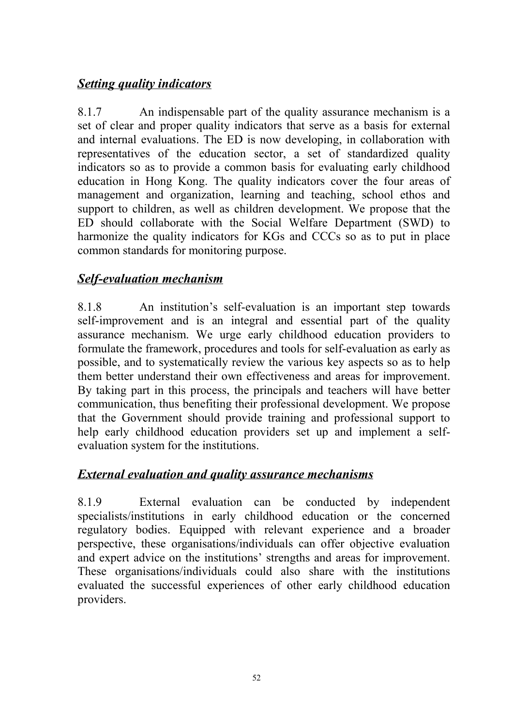## *Setting quality indicators*

8.1.7 An indispensable part of the quality assurance mechanism is a set of clear and proper quality indicators that serve as a basis for external and internal evaluations. The ED is now developing, in collaboration with representatives of the education sector, a set of standardized quality indicators so as to provide a common basis for evaluating early childhood education in Hong Kong. The quality indicators cover the four areas of management and organization, learning and teaching, school ethos and support to children, as well as children development. We propose that the ED should collaborate with the Social Welfare Department (SWD) to harmonize the quality indicators for KGs and CCCs so as to put in place common standards for monitoring purpose.

#### *Self-evaluation mechanism*

8.1.8 An institution's self-evaluation is an important step towards self-improvement and is an integral and essential part of the quality assurance mechanism. We urge early childhood education providers to formulate the framework, procedures and tools for self-evaluation as early as possible, and to systematically review the various key aspects so as to help them better understand their own effectiveness and areas for improvement. By taking part in this process, the principals and teachers will have better communication, thus benefiting their professional development. We propose that the Government should provide training and professional support to help early childhood education providers set up and implement a selfevaluation system for the institutions.

#### *External evaluation and quality assurance mechanisms*

8.1.9 External evaluation can be conducted by independent specialists/institutions in early childhood education or the concerned regulatory bodies. Equipped with relevant experience and a broader perspective, these organisations/individuals can offer objective evaluation and expert advice on the institutions' strengths and areas for improvement. These organisations/individuals could also share with the institutions evaluated the successful experiences of other early childhood education providers.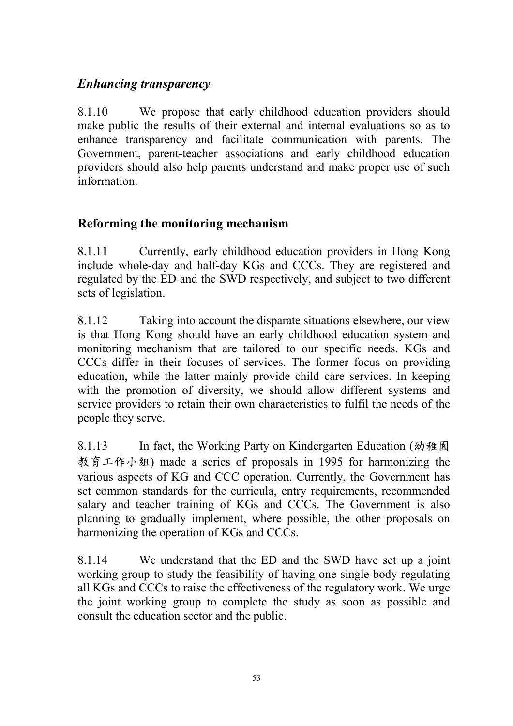## *Enhancing transparency*

8.1.10 We propose that early childhood education providers should make public the results of their external and internal evaluations so as to enhance transparency and facilitate communication with parents. The Government, parent-teacher associations and early childhood education providers should also help parents understand and make proper use of such information.

## **Reforming the monitoring mechanism**

8.1.11 Currently, early childhood education providers in Hong Kong include whole-day and half-day KGs and CCCs. They are registered and regulated by the ED and the SWD respectively, and subject to two different sets of legislation.

8.1.12 Taking into account the disparate situations elsewhere, our view is that Hong Kong should have an early childhood education system and monitoring mechanism that are tailored to our specific needs. KGs and CCCs differ in their focuses of services. The former focus on providing education, while the latter mainly provide child care services. In keeping with the promotion of diversity, we should allow different systems and service providers to retain their own characteristics to fulfil the needs of the people they serve.

8.1.13 In fact, the Working Party on Kindergarten Education (幼稚園 教育工作小組) made a series of proposals in 1995 for harmonizing the various aspects of KG and CCC operation. Currently, the Government has set common standards for the curricula, entry requirements, recommended salary and teacher training of KGs and CCCs. The Government is also planning to gradually implement, where possible, the other proposals on harmonizing the operation of KGs and CCCs.

8.1.14 We understand that the ED and the SWD have set up a joint working group to study the feasibility of having one single body regulating all KGs and CCCs to raise the effectiveness of the regulatory work. We urge the joint working group to complete the study as soon as possible and consult the education sector and the public.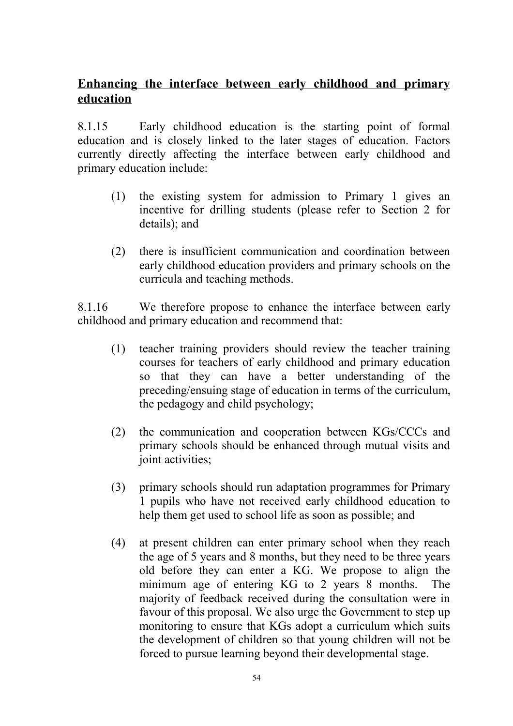## **Enhancing the interface between early childhood and primary education**

8.1.15 Early childhood education is the starting point of formal education and is closely linked to the later stages of education. Factors currently directly affecting the interface between early childhood and primary education include:

- (1) the existing system for admission to Primary 1 gives an incentive for drilling students (please refer to Section 2 for details); and
- (2) there is insufficient communication and coordination between early childhood education providers and primary schools on the curricula and teaching methods.

8.1.16 We therefore propose to enhance the interface between early childhood and primary education and recommend that:

- (1) teacher training providers should review the teacher training courses for teachers of early childhood and primary education so that they can have a better understanding of the preceding/ensuing stage of education in terms of the curriculum, the pedagogy and child psychology;
- (2) the communication and cooperation between KGs/CCCs and primary schools should be enhanced through mutual visits and joint activities;
- (3) primary schools should run adaptation programmes for Primary 1 pupils who have not received early childhood education to help them get used to school life as soon as possible; and
- (4) at present children can enter primary school when they reach the age of 5 years and 8 months, but they need to be three years old before they can enter a KG. We propose to align the minimum age of entering KG to 2 years 8 months. The majority of feedback received during the consultation were in favour of this proposal. We also urge the Government to step up monitoring to ensure that KGs adopt a curriculum which suits the development of children so that young children will not be forced to pursue learning beyond their developmental stage.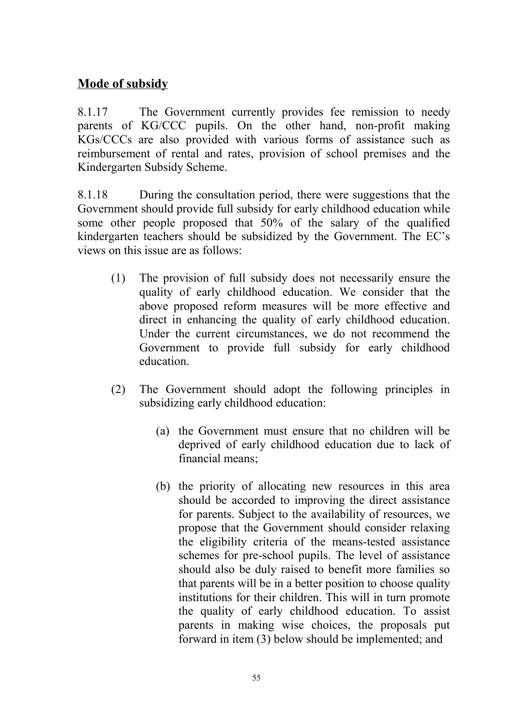## **Mode of subsidy**

8.1.17 The Government currently provides fee remission to needy parents of KG/CCC pupils. On the other hand, non-profit making KGs/CCCs are also provided with various forms of assistance such as reimbursement of rental and rates, provision of school premises and the Kindergarten Subsidy Scheme.

8.1.18 During the consultation period, there were suggestions that the Government should provide full subsidy for early childhood education while some other people proposed that 50% of the salary of the qualified kindergarten teachers should be subsidized by the Government. The EC's views on this issue are as follows:

- (1) The provision of full subsidy does not necessarily ensure the quality of early childhood education. We consider that the above proposed reform measures will be more effective and direct in enhancing the quality of early childhood education. Under the current circumstances, we do not recommend the Government to provide full subsidy for early childhood education.
- (2) The Government should adopt the following principles in subsidizing early childhood education:
	- (a) the Government must ensure that no children will be deprived of early childhood education due to lack of financial means;
	- (b) the priority of allocating new resources in this area should be accorded to improving the direct assistance for parents. Subject to the availability of resources, we propose that the Government should consider relaxing the eligibility criteria of the means-tested assistance schemes for pre-school pupils. The level of assistance should also be duly raised to benefit more families so that parents will be in a better position to choose quality institutions for their children. This will in turn promote the quality of early childhood education. To assist parents in making wise choices, the proposals put forward in item (3) below should be implemented; and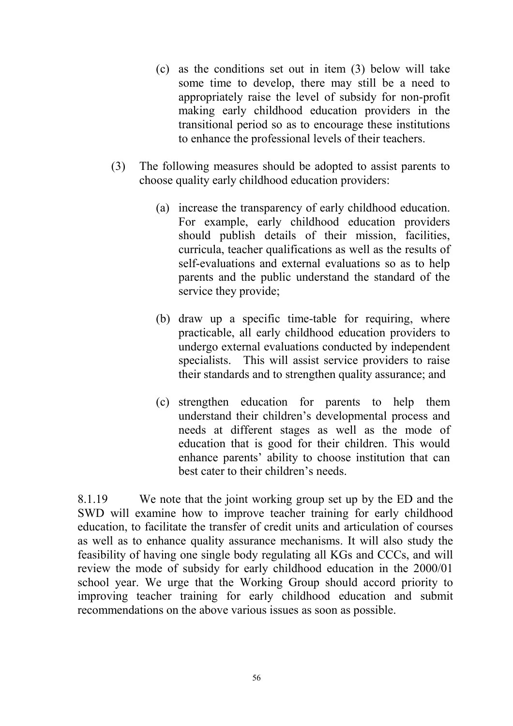- (c) as the conditions set out in item (3) below will take some time to develop, there may still be a need to appropriately raise the level of subsidy for non-profit making early childhood education providers in the transitional period so as to encourage these institutions to enhance the professional levels of their teachers.
- (3) The following measures should be adopted to assist parents to choose quality early childhood education providers:
	- (a) increase the transparency of early childhood education. For example, early childhood education providers should publish details of their mission, facilities, curricula, teacher qualifications as well as the results of self-evaluations and external evaluations so as to help parents and the public understand the standard of the service they provide;
	- (b) draw up a specific time-table for requiring, where practicable, all early childhood education providers to undergo external evaluations conducted by independent specialists. This will assist service providers to raise their standards and to strengthen quality assurance; and
	- (c) strengthen education for parents to help them understand their children's developmental process and needs at different stages as well as the mode of education that is good for their children. This would enhance parents' ability to choose institution that can best cater to their children's needs.

8.1.19 We note that the joint working group set up by the ED and the SWD will examine how to improve teacher training for early childhood education, to facilitate the transfer of credit units and articulation of courses as well as to enhance quality assurance mechanisms. It will also study the feasibility of having one single body regulating all KGs and CCCs, and will review the mode of subsidy for early childhood education in the 2000/01 school year. We urge that the Working Group should accord priority to improving teacher training for early childhood education and submit recommendations on the above various issues as soon as possible.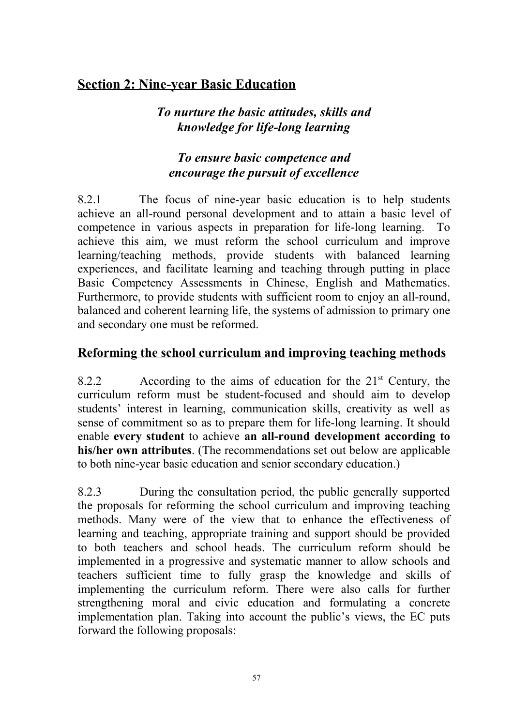## **Section 2: Nine-year Basic Education**

## *To nurture the basic attitudes, skills and knowledge for life-long learning*

## *To ensure basic competence and encourage the pursuit of excellence*

8.2.1 The focus of nine-year basic education is to help students achieve an all-round personal development and to attain a basic level of competence in various aspects in preparation for life-long learning. To achieve this aim, we must reform the school curriculum and improve learning/teaching methods, provide students with balanced learning experiences, and facilitate learning and teaching through putting in place Basic Competency Assessments in Chinese, English and Mathematics. Furthermore, to provide students with sufficient room to enjoy an all-round, balanced and coherent learning life, the systems of admission to primary one and secondary one must be reformed.

#### **Reforming the school curriculum and improving teaching methods**

8.2.2 According to the aims of education for the  $21<sup>st</sup>$  Century, the curriculum reform must be student-focused and should aim to develop students' interest in learning, communication skills, creativity as well as sense of commitment so as to prepare them for life-long learning. It should enable **every student** to achieve **an all-round development according to his/her own attributes**. (The recommendations set out below are applicable to both nine-year basic education and senior secondary education.)

8.2.3 During the consultation period, the public generally supported the proposals for reforming the school curriculum and improving teaching methods. Many were of the view that to enhance the effectiveness of learning and teaching, appropriate training and support should be provided to both teachers and school heads. The curriculum reform should be implemented in a progressive and systematic manner to allow schools and teachers sufficient time to fully grasp the knowledge and skills of implementing the curriculum reform. There were also calls for further strengthening moral and civic education and formulating a concrete implementation plan. Taking into account the public's views, the EC puts forward the following proposals: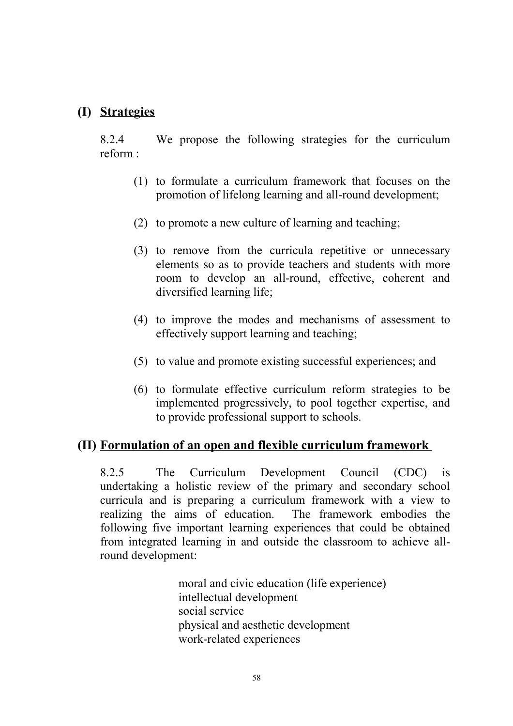#### **(I) Strategies**

8.2.4 We propose the following strategies for the curriculum reform :

- (1) to formulate a curriculum framework that focuses on the promotion of lifelong learning and all-round development;
- (2) to promote a new culture of learning and teaching;
- (3) to remove from the curricula repetitive or unnecessary elements so as to provide teachers and students with more room to develop an all-round, effective, coherent and diversified learning life;
- (4) to improve the modes and mechanisms of assessment to effectively support learning and teaching;
- (5) to value and promote existing successful experiences; and
- (6) to formulate effective curriculum reform strategies to be implemented progressively, to pool together expertise, and to provide professional support to schools.

#### **(II) Formulation of an open and flexible curriculum framework**

8.2.5 The Curriculum Development Council (CDC) is undertaking a holistic review of the primary and secondary school curricula and is preparing a curriculum framework with a view to realizing the aims of education. The framework embodies the following five important learning experiences that could be obtained from integrated learning in and outside the classroom to achieve allround development:

> moral and civic education (life experience) intellectual development social service physical and aesthetic development work-related experiences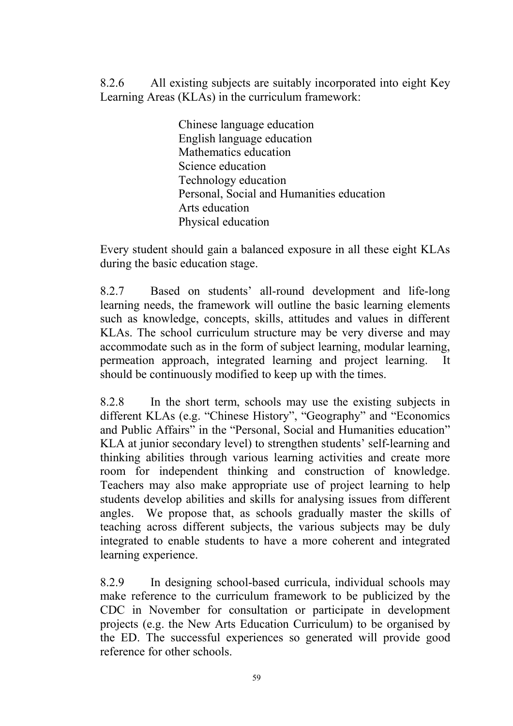8.2.6 All existing subjects are suitably incorporated into eight Key Learning Areas (KLAs) in the curriculum framework:

> Chinese language education English language education Mathematics education Science education Technology education Personal, Social and Humanities education Arts education Physical education

Every student should gain a balanced exposure in all these eight KLAs during the basic education stage.

8.2.7 Based on students' all-round development and life-long learning needs, the framework will outline the basic learning elements such as knowledge, concepts, skills, attitudes and values in different KLAs. The school curriculum structure may be very diverse and may accommodate such as in the form of subject learning, modular learning, permeation approach, integrated learning and project learning. It should be continuously modified to keep up with the times.

8.2.8 In the short term, schools may use the existing subjects in different KLAs (e.g. "Chinese History", "Geography" and "Economics and Public Affairs" in the "Personal, Social and Humanities education" KLA at junior secondary level) to strengthen students' self-learning and thinking abilities through various learning activities and create more room for independent thinking and construction of knowledge. Teachers may also make appropriate use of project learning to help students develop abilities and skills for analysing issues from different angles. We propose that, as schools gradually master the skills of teaching across different subjects, the various subjects may be duly integrated to enable students to have a more coherent and integrated learning experience.

8.2.9 In designing school-based curricula, individual schools may make reference to the curriculum framework to be publicized by the CDC in November for consultation or participate in development projects (e.g. the New Arts Education Curriculum) to be organised by the ED. The successful experiences so generated will provide good reference for other schools.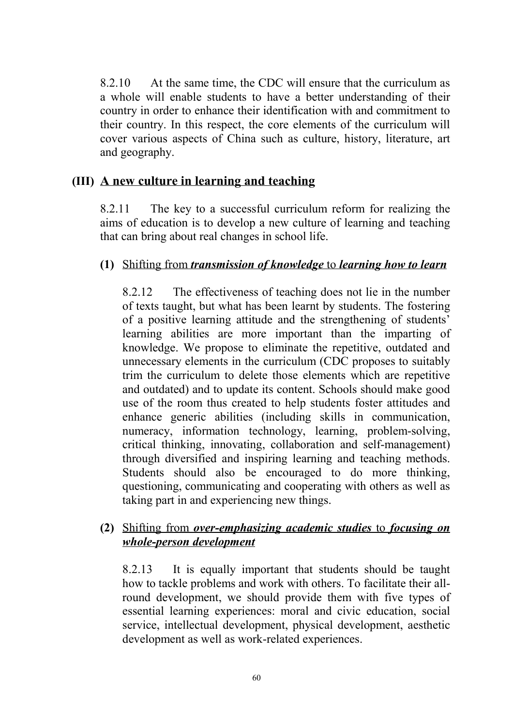8.2.10 At the same time, the CDC will ensure that the curriculum as a whole will enable students to have a better understanding of their country in order to enhance their identification with and commitment to their country. In this respect, the core elements of the curriculum will cover various aspects of China such as culture, history, literature, art and geography.

#### **(III) A new culture in learning and teaching**

8.2.11 The key to a successful curriculum reform for realizing the aims of education is to develop a new culture of learning and teaching that can bring about real changes in school life.

#### **(1)** Shifting from *transmission of knowledge* to *learning how to learn*

8.2.12 The effectiveness of teaching does not lie in the number of texts taught, but what has been learnt by students. The fostering of a positive learning attitude and the strengthening of students' learning abilities are more important than the imparting of knowledge. We propose to eliminate the repetitive, outdated and unnecessary elements in the curriculum (CDC proposes to suitably trim the curriculum to delete those elements which are repetitive and outdated) and to update its content. Schools should make good use of the room thus created to help students foster attitudes and enhance generic abilities (including skills in communication, numeracy, information technology, learning, problem-solving, critical thinking, innovating, collaboration and self-management) through diversified and inspiring learning and teaching methods. Students should also be encouraged to do more thinking, questioning, communicating and cooperating with others as well as taking part in and experiencing new things.

#### **(2)** Shifting from *over-emphasizing academic studies* to *focusing on whole-person development*

8.2.13 It is equally important that students should be taught how to tackle problems and work with others. To facilitate their allround development, we should provide them with five types of essential learning experiences: moral and civic education, social service, intellectual development, physical development, aesthetic development as well as work-related experiences.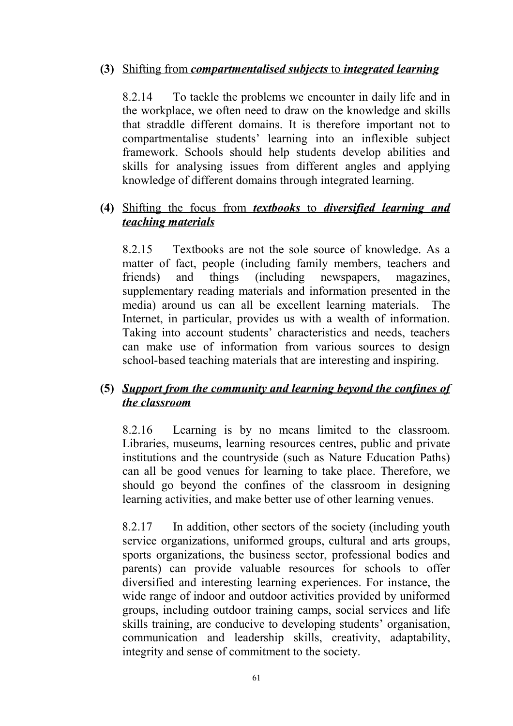#### **(3)** Shifting from *compartmentalised subjects* to *integrated learning*

8.2.14 To tackle the problems we encounter in daily life and in the workplace, we often need to draw on the knowledge and skills that straddle different domains. It is therefore important not to compartmentalise students' learning into an inflexible subject framework. Schools should help students develop abilities and skills for analysing issues from different angles and applying knowledge of different domains through integrated learning.

#### **(4)** Shifting the focus from *textbooks* to *diversified learning and teaching materials*

8.2.15 Textbooks are not the sole source of knowledge. As a matter of fact, people (including family members, teachers and friends) and things (including newspapers, magazines, supplementary reading materials and information presented in the media) around us can all be excellent learning materials. The Internet, in particular, provides us with a wealth of information. Taking into account students' characteristics and needs, teachers can make use of information from various sources to design school-based teaching materials that are interesting and inspiring.

#### **(5)** *Support from the community and learning beyond the confines of the classroom*

8.2.16 Learning is by no means limited to the classroom. Libraries, museums, learning resources centres, public and private institutions and the countryside (such as Nature Education Paths) can all be good venues for learning to take place. Therefore, we should go beyond the confines of the classroom in designing learning activities, and make better use of other learning venues.

8.2.17 In addition, other sectors of the society (including youth service organizations, uniformed groups, cultural and arts groups, sports organizations, the business sector, professional bodies and parents) can provide valuable resources for schools to offer diversified and interesting learning experiences. For instance, the wide range of indoor and outdoor activities provided by uniformed groups, including outdoor training camps, social services and life skills training, are conducive to developing students' organisation, communication and leadership skills, creativity, adaptability, integrity and sense of commitment to the society.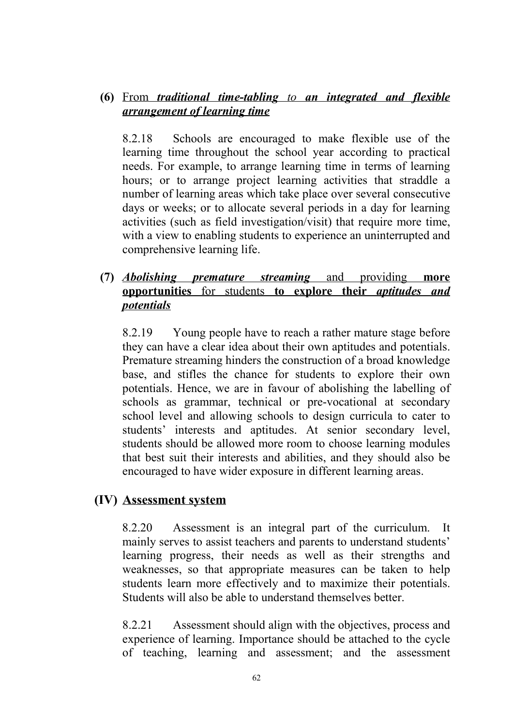#### **(6)** From *traditional time-tabling to an integrated and flexible arrangement of learning time*

8.2.18 Schools are encouraged to make flexible use of the learning time throughout the school year according to practical needs. For example, to arrange learning time in terms of learning hours; or to arrange project learning activities that straddle a number of learning areas which take place over several consecutive days or weeks; or to allocate several periods in a day for learning activities (such as field investigation/visit) that require more time, with a view to enabling students to experience an uninterrupted and comprehensive learning life.

#### **(7)** *Abolishing premature streaming* and providing **more opportunities** for students **to explore their** *aptitudes and potentials*

8.2.19 Young people have to reach a rather mature stage before they can have a clear idea about their own aptitudes and potentials. Premature streaming hinders the construction of a broad knowledge base, and stifles the chance for students to explore their own potentials. Hence, we are in favour of abolishing the labelling of schools as grammar, technical or pre-vocational at secondary school level and allowing schools to design curricula to cater to students' interests and aptitudes. At senior secondary level, students should be allowed more room to choose learning modules that best suit their interests and abilities, and they should also be encouraged to have wider exposure in different learning areas.

#### **(IV) Assessment system**

8.2.20 Assessment is an integral part of the curriculum. It mainly serves to assist teachers and parents to understand students' learning progress, their needs as well as their strengths and weaknesses, so that appropriate measures can be taken to help students learn more effectively and to maximize their potentials. Students will also be able to understand themselves better.

8.2.21 Assessment should align with the objectives, process and experience of learning. Importance should be attached to the cycle of teaching, learning and assessment; and the assessment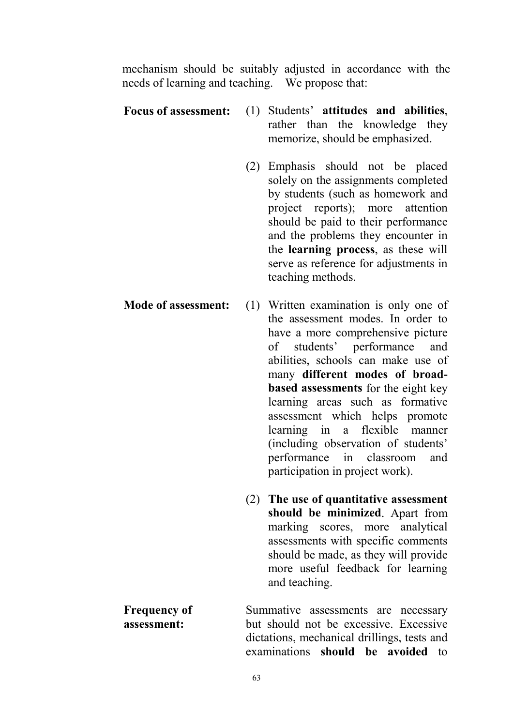mechanism should be suitably adjusted in accordance with the needs of learning and teaching. We propose that:

- **Focus of assessment:** (1) Students' **attitudes and abilities**, rather than the knowledge they memorize, should be emphasized.
	- (2) Emphasis should not be placed solely on the assignments completed by students (such as homework and project reports); more attention should be paid to their performance and the problems they encounter in the **learning process**, as these will serve as reference for adjustments in teaching methods.
- **Mode of assessment:** (1) Written examination is only one of the assessment modes. In order to have a more comprehensive picture of students' performance and abilities, schools can make use of many **different modes of broadbased assessments** for the eight key learning areas such as formative assessment which helps promote learning in a flexible manner (including observation of students' performance in classroom and participation in project work).
	- (2) **The use of quantitative assessment should be minimized**. Apart from marking scores, more analytical assessments with specific comments should be made, as they will provide more useful feedback for learning and teaching.

**Frequency of assessment:** Summative assessments are necessary but should not be excessive. Excessive dictations, mechanical drillings, tests and examinations **should be avoided** to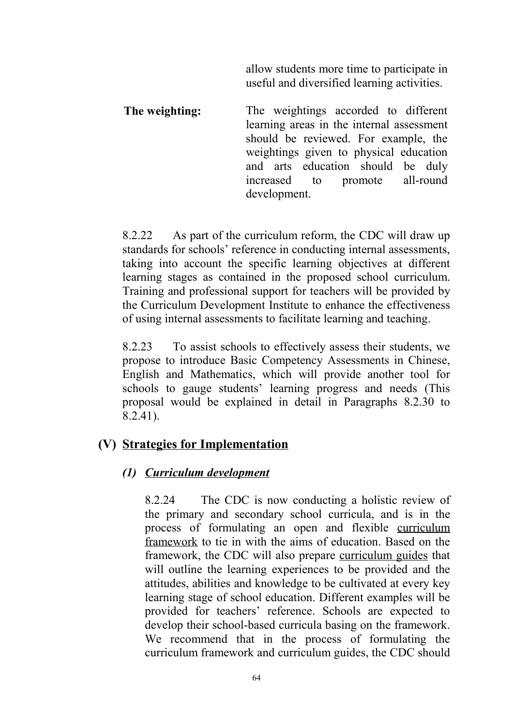allow students more time to participate in useful and diversified learning activities.

**The weighting:** The weightings accorded to different learning areas in the internal assessment should be reviewed. For example, the weightings given to physical education and arts education should be duly increased to promote all-round development.

8.2.22 As part of the curriculum reform, the CDC will draw up standards for schools' reference in conducting internal assessments, taking into account the specific learning objectives at different learning stages as contained in the proposed school curriculum. Training and professional support for teachers will be provided by the Curriculum Development Institute to enhance the effectiveness of using internal assessments to facilitate learning and teaching.

8.2.23 To assist schools to effectively assess their students, we propose to introduce Basic Competency Assessments in Chinese, English and Mathematics, which will provide another tool for schools to gauge students' learning progress and needs (This proposal would be explained in detail in Paragraphs 8.2.30 to 8.2.41).

#### **(V) Strategies for Implementation**

#### *(1) Curriculum development*

8.2.24 The CDC is now conducting a holistic review of the primary and secondary school curricula, and is in the process of formulating an open and flexible curriculum framework to tie in with the aims of education. Based on the framework, the CDC will also prepare curriculum guides that will outline the learning experiences to be provided and the attitudes, abilities and knowledge to be cultivated at every key learning stage of school education. Different examples will be provided for teachers' reference. Schools are expected to develop their school-based curricula basing on the framework. We recommend that in the process of formulating the curriculum framework and curriculum guides, the CDC should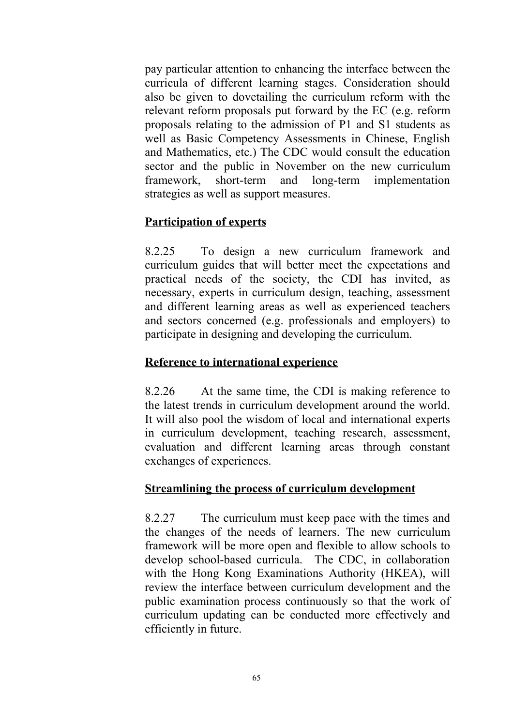pay particular attention to enhancing the interface between the curricula of different learning stages. Consideration should also be given to dovetailing the curriculum reform with the relevant reform proposals put forward by the EC (e.g. reform proposals relating to the admission of P1 and S1 students as well as Basic Competency Assessments in Chinese, English and Mathematics, etc.) The CDC would consult the education sector and the public in November on the new curriculum framework, short-term and long-term implementation strategies as well as support measures.

#### **Participation of experts**

8.2.25 To design a new curriculum framework and curriculum guides that will better meet the expectations and practical needs of the society, the CDI has invited, as necessary, experts in curriculum design, teaching, assessment and different learning areas as well as experienced teachers and sectors concerned (e.g. professionals and employers) to participate in designing and developing the curriculum.

#### **Reference to international experience**

8.2.26 At the same time, the CDI is making reference to the latest trends in curriculum development around the world. It will also pool the wisdom of local and international experts in curriculum development, teaching research, assessment, evaluation and different learning areas through constant exchanges of experiences.

#### **Streamlining the process of curriculum development**

8.2.27 The curriculum must keep pace with the times and the changes of the needs of learners. The new curriculum framework will be more open and flexible to allow schools to develop school-based curricula. The CDC, in collaboration with the Hong Kong Examinations Authority (HKEA), will review the interface between curriculum development and the public examination process continuously so that the work of curriculum updating can be conducted more effectively and efficiently in future.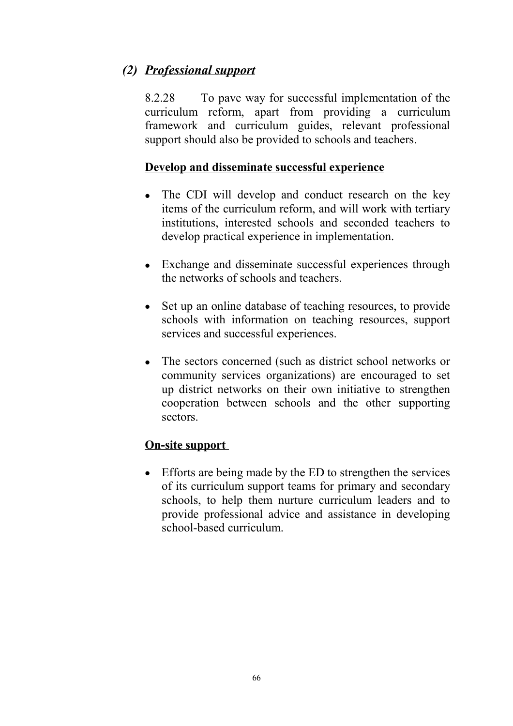## *(2) Professional support*

8.2.28 To pave way for successful implementation of the curriculum reform, apart from providing a curriculum framework and curriculum guides, relevant professional support should also be provided to schools and teachers.

#### **Develop and disseminate successful experience**

- The CDI will develop and conduct research on the key items of the curriculum reform, and will work with tertiary institutions, interested schools and seconded teachers to develop practical experience in implementation.
- Exchange and disseminate successful experiences through the networks of schools and teachers.
- Set up an online database of teaching resources, to provide schools with information on teaching resources, support services and successful experiences.
- The sectors concerned (such as district school networks or community services organizations) are encouraged to set up district networks on their own initiative to strengthen cooperation between schools and the other supporting sectors.

#### **On-site support**

• Efforts are being made by the ED to strengthen the services of its curriculum support teams for primary and secondary schools, to help them nurture curriculum leaders and to provide professional advice and assistance in developing school-based curriculum.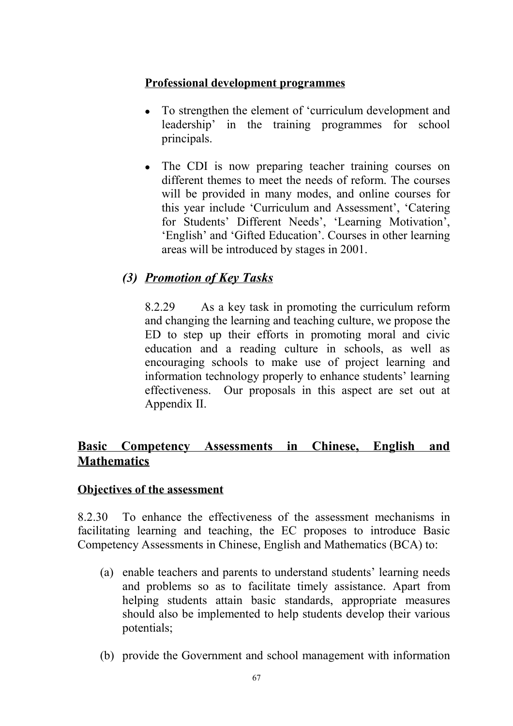#### **Professional development programmes**

- To strengthen the element of 'curriculum development and leadership' in the training programmes for school principals.
- The CDI is now preparing teacher training courses on different themes to meet the needs of reform. The courses will be provided in many modes, and online courses for this year include 'Curriculum and Assessment', 'Catering for Students' Different Needs', 'Learning Motivation', 'English' and 'Gifted Education'. Courses in other learning areas will be introduced by stages in 2001.

## *(3) Promotion of Key Tasks*

8.2.29 As a key task in promoting the curriculum reform and changing the learning and teaching culture, we propose the ED to step up their efforts in promoting moral and civic education and a reading culture in schools, as well as encouraging schools to make use of project learning and information technology properly to enhance students' learning effectiveness. Our proposals in this aspect are set out at Appendix II.

## **Basic Competency Assessments in Chinese, English and Mathematics**

#### **Objectives of the assessment**

8.2.30 To enhance the effectiveness of the assessment mechanisms in facilitating learning and teaching, the EC proposes to introduce Basic Competency Assessments in Chinese, English and Mathematics (BCA) to:

- (a) enable teachers and parents to understand students' learning needs and problems so as to facilitate timely assistance. Apart from helping students attain basic standards, appropriate measures should also be implemented to help students develop their various potentials;
- (b) provide the Government and school management with information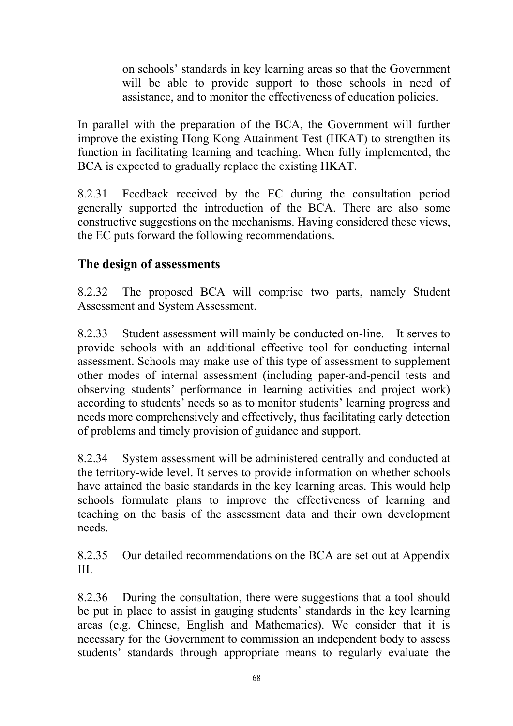on schools' standards in key learning areas so that the Government will be able to provide support to those schools in need of assistance, and to monitor the effectiveness of education policies.

In parallel with the preparation of the BCA, the Government will further improve the existing Hong Kong Attainment Test (HKAT) to strengthen its function in facilitating learning and teaching. When fully implemented, the BCA is expected to gradually replace the existing HKAT.

8.2.31 Feedback received by the EC during the consultation period generally supported the introduction of the BCA. There are also some constructive suggestions on the mechanisms. Having considered these views, the EC puts forward the following recommendations.

## **The design of assessments**

8.2.32 The proposed BCA will comprise two parts, namely Student Assessment and System Assessment.

8.2.33 Student assessment will mainly be conducted on-line. It serves to provide schools with an additional effective tool for conducting internal assessment. Schools may make use of this type of assessment to supplement other modes of internal assessment (including paper-and-pencil tests and observing students' performance in learning activities and project work) according to students' needs so as to monitor students' learning progress and needs more comprehensively and effectively, thus facilitating early detection of problems and timely provision of guidance and support.

8.2.34 System assessment will be administered centrally and conducted at the territory-wide level. It serves to provide information on whether schools have attained the basic standards in the key learning areas. This would help schools formulate plans to improve the effectiveness of learning and teaching on the basis of the assessment data and their own development needs.

8.2.35 Our detailed recommendations on the BCA are set out at Appendix III.

8.2.36 During the consultation, there were suggestions that a tool should be put in place to assist in gauging students' standards in the key learning areas (e.g. Chinese, English and Mathematics). We consider that it is necessary for the Government to commission an independent body to assess students' standards through appropriate means to regularly evaluate the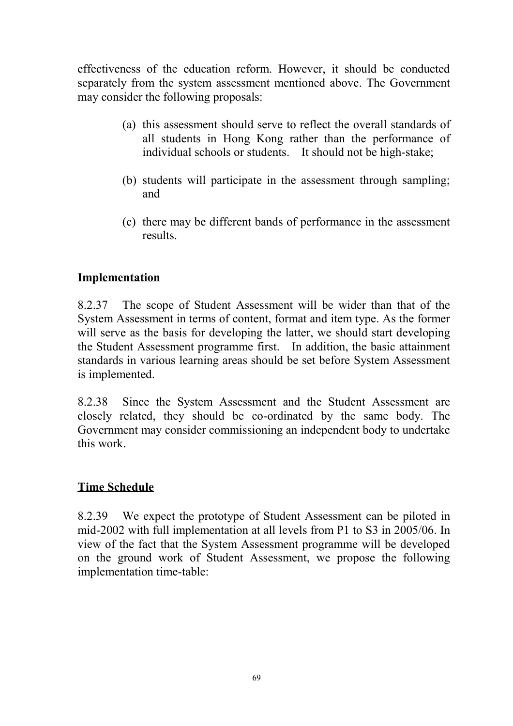effectiveness of the education reform. However, it should be conducted separately from the system assessment mentioned above. The Government may consider the following proposals:

- (a) this assessment should serve to reflect the overall standards of all students in Hong Kong rather than the performance of individual schools or students. It should not be high-stake;
- (b) students will participate in the assessment through sampling; and
- (c) there may be different bands of performance in the assessment results.

## **Implementation**

8.2.37 The scope of Student Assessment will be wider than that of the System Assessment in terms of content, format and item type. As the former will serve as the basis for developing the latter, we should start developing the Student Assessment programme first. In addition, the basic attainment standards in various learning areas should be set before System Assessment is implemented.

8.2.38 Since the System Assessment and the Student Assessment are closely related, they should be co-ordinated by the same body. The Government may consider commissioning an independent body to undertake this work.

### **Time Schedule**

8.2.39 We expect the prototype of Student Assessment can be piloted in mid-2002 with full implementation at all levels from P1 to S3 in 2005/06. In view of the fact that the System Assessment programme will be developed on the ground work of Student Assessment, we propose the following implementation time-table: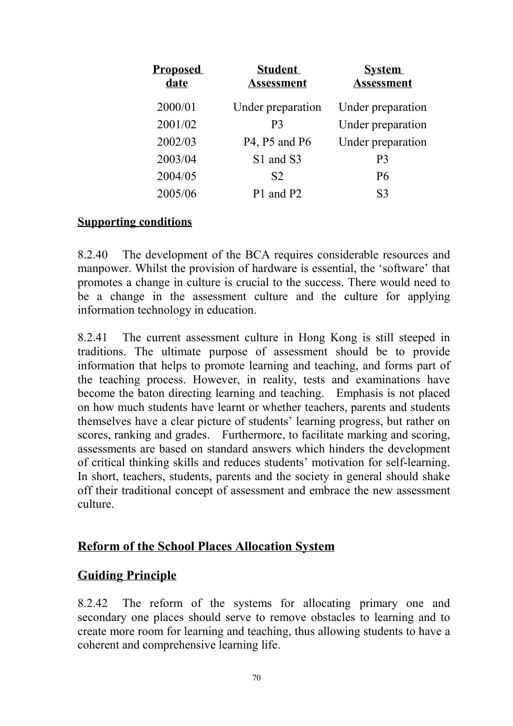| <b>Proposed</b><br>date | <b>Student</b><br><b>Assessment</b> | <b>System</b><br><b>Assessment</b> |
|-------------------------|-------------------------------------|------------------------------------|
| 2000/01                 | Under preparation                   | Under preparation                  |
| 2001/02                 | P <sub>3</sub>                      | Under preparation                  |
| 2002/03                 | P4, P5 and P6                       | Under preparation                  |
| 2003/04                 | S1 and S3                           | P <sub>3</sub>                     |
| 2004/05                 | S <sub>2</sub>                      | <b>P6</b>                          |
| 2005/06                 | P1 and P2                           | S <sub>3</sub>                     |

### **Supporting conditions**

8.2.40 The development of the BCA requires considerable resources and manpower. Whilst the provision of hardware is essential, the 'software' that promotes a change in culture is crucial to the success. There would need to be a change in the assessment culture and the culture for applying information technology in education.

8.2.41 The current assessment culture in Hong Kong is still steeped in traditions. The ultimate purpose of assessment should be to provide information that helps to promote learning and teaching, and forms part of the teaching process. However, in reality, tests and examinations have become the baton directing learning and teaching. Emphasis is not placed on how much students have learnt or whether teachers, parents and students themselves have a clear picture of students' learning progress, but rather on scores, ranking and grades. Furthermore, to facilitate marking and scoring, assessments are based on standard answers which hinders the development of critical thinking skills and reduces students' motivation for self-learning. In short, teachers, students, parents and the society in general should shake off their traditional concept of assessment and embrace the new assessment culture.

## **Reform of the School Places Allocation System**

## **Guiding Principle**

8.2.42 The reform of the systems for allocating primary one and secondary one places should serve to remove obstacles to learning and to create more room for learning and teaching, thus allowing students to have a coherent and comprehensive learning life.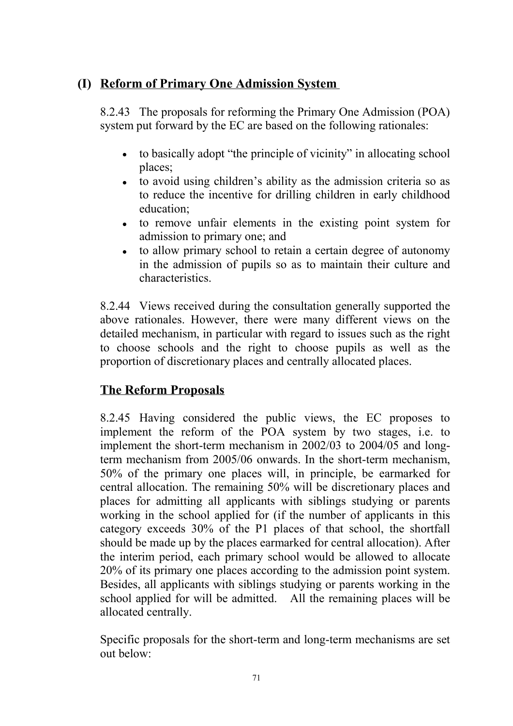# **(I) Reform of Primary One Admission System**

8.2.43 The proposals for reforming the Primary One Admission (POA) system put forward by the EC are based on the following rationales:

- $\bullet$  to basically adopt "the principle of vicinity" in allocating school places;
- to avoid using children's ability as the admission criteria so as to reduce the incentive for drilling children in early childhood education;
- to remove unfair elements in the existing point system for admission to primary one; and
- to allow primary school to retain a certain degree of autonomy in the admission of pupils so as to maintain their culture and characteristics.

8.2.44 Views received during the consultation generally supported the above rationales. However, there were many different views on the detailed mechanism, in particular with regard to issues such as the right to choose schools and the right to choose pupils as well as the proportion of discretionary places and centrally allocated places.

# **The Reform Proposals**

8.2.45 Having considered the public views, the EC proposes to implement the reform of the POA system by two stages, i.e. to implement the short-term mechanism in 2002/03 to 2004/05 and longterm mechanism from 2005/06 onwards. In the short-term mechanism, 50% of the primary one places will, in principle, be earmarked for central allocation. The remaining 50% will be discretionary places and places for admitting all applicants with siblings studying or parents working in the school applied for (if the number of applicants in this category exceeds 30% of the P1 places of that school, the shortfall should be made up by the places earmarked for central allocation). After the interim period, each primary school would be allowed to allocate 20% of its primary one places according to the admission point system. Besides, all applicants with siblings studying or parents working in the school applied for will be admitted. All the remaining places will be allocated centrally.

Specific proposals for the short-term and long-term mechanisms are set out below: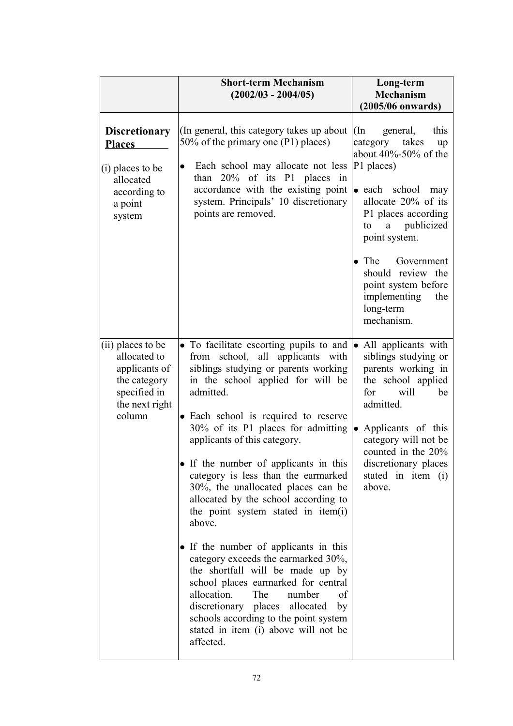|                                                                                                                | <b>Short-term Mechanism</b><br>$(2002/03 - 2004/05)$                                                                                                                                                                                                                                                                                                                                                                                                                                                                                                                                                                                                                                                                                                                                                                                                           | Long-term<br><b>Mechanism</b><br>$(2005/06$ onwards)                                                                                                                                                                                                                                                                                            |
|----------------------------------------------------------------------------------------------------------------|----------------------------------------------------------------------------------------------------------------------------------------------------------------------------------------------------------------------------------------------------------------------------------------------------------------------------------------------------------------------------------------------------------------------------------------------------------------------------------------------------------------------------------------------------------------------------------------------------------------------------------------------------------------------------------------------------------------------------------------------------------------------------------------------------------------------------------------------------------------|-------------------------------------------------------------------------------------------------------------------------------------------------------------------------------------------------------------------------------------------------------------------------------------------------------------------------------------------------|
| <b>Discretionary</b><br><b>Places</b><br>$(i)$ places to be<br>allocated<br>according to<br>a point<br>system  | (In general, this category takes up about)<br>50% of the primary one (P1) places)<br>Each school may allocate not less<br>$\bullet$<br>than $20\%$ of its P1 places in<br>accordance with the existing point<br>system. Principals' 10 discretionary<br>points are removed.                                                                                                                                                                                                                                                                                                                                                                                                                                                                                                                                                                                    | $(\text{In})$<br>general,<br>this<br>category takes<br>up<br>about $40\% - 50\%$ of the<br>P1 places)<br>• each school<br>may<br>allocate 20% of its<br>P1 places according<br>a publicized<br>to<br>point system.<br>$\bullet$ The<br>Government<br>should review the<br>point system before<br>implementing<br>the<br>long-term<br>mechanism. |
| (ii) places to be<br>allocated to<br>applicants of<br>the category<br>specified in<br>the next right<br>column | • To facilitate escorting pupils to and • All applicants with<br>from school, all applicants with<br>siblings studying or parents working<br>in the school applied for will be<br>admitted.<br>• Each school is required to reserve<br>30% of its P1 places for admitting<br>applicants of this category.<br>• If the number of applicants in this<br>category is less than the earmarked<br>30%, the unallocated places can be<br>allocated by the school according to<br>the point system stated in item(i)<br>above.<br>• If the number of applicants in this<br>category exceeds the earmarked 30%,<br>the shortfall will be made up by<br>school places earmarked for central<br>allocation.<br>The<br>number<br>οf<br>discretionary places allocated<br>by<br>schools according to the point system<br>stated in item (i) above will not be<br>affected. | siblings studying or<br>parents working in<br>the school applied<br>will<br>for<br>be<br>admitted.<br>$\bullet$ Applicants of this<br>category will not be<br>counted in the 20%<br>discretionary places<br>stated in item (i)<br>above.                                                                                                        |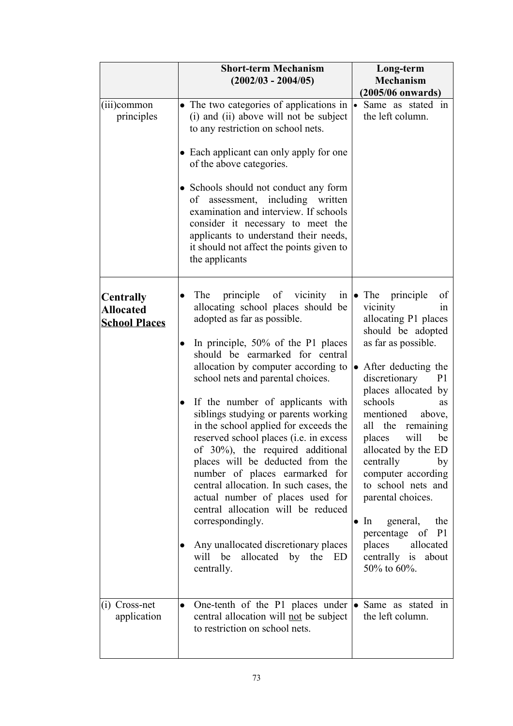|                                                              | <b>Short-term Mechanism</b><br>$(2002/03 - 2004/05)$                                                                                                                                                                                                                                                                                                                                                                                                                                                                                                                                                                                                                                                                                                                                                         | Long-term<br><b>Mechanism</b><br>(2005/06 onwards)                                                                                                                                                                                                                                                                                                                                                                                                                                                                        |
|--------------------------------------------------------------|--------------------------------------------------------------------------------------------------------------------------------------------------------------------------------------------------------------------------------------------------------------------------------------------------------------------------------------------------------------------------------------------------------------------------------------------------------------------------------------------------------------------------------------------------------------------------------------------------------------------------------------------------------------------------------------------------------------------------------------------------------------------------------------------------------------|---------------------------------------------------------------------------------------------------------------------------------------------------------------------------------------------------------------------------------------------------------------------------------------------------------------------------------------------------------------------------------------------------------------------------------------------------------------------------------------------------------------------------|
| $(iii)$ common<br>principles                                 | • The two categories of applications in $\cdot$<br>(i) and (ii) above will not be subject<br>to any restriction on school nets.<br>• Each applicant can only apply for one<br>of the above categories.<br>• Schools should not conduct any form<br>of assessment, including written<br>examination and interview. If schools<br>consider it necessary to meet the<br>applicants to understand their needs,<br>it should not affect the points given to<br>the applicants                                                                                                                                                                                                                                                                                                                                     | Same as stated in<br>the left column.                                                                                                                                                                                                                                                                                                                                                                                                                                                                                     |
| <b>Centrally</b><br><b>Allocated</b><br><b>School Places</b> | principle of vicinity<br>The<br>in<br>$\bullet$<br>allocating school places should be<br>adopted as far as possible.<br>In principle, 50% of the P1 places<br>$\bullet$<br>should be earmarked for central<br>allocation by computer according to<br>school nets and parental choices.<br>If the number of applicants with<br>$\bullet$<br>siblings studying or parents working<br>in the school applied for exceeds the<br>reserved school places (i.e. in excess<br>of 30%), the required additional<br>places will be deducted from the<br>number of places earmarked for<br>central allocation. In such cases, the<br>actual number of places used for<br>central allocation will be reduced<br>correspondingly.<br>Any unallocated discretionary places<br>allocated by the ED<br>will be<br>centrally. | $\bullet$ The principle<br>of<br>vicinity<br>1n<br>allocating P1 places<br>should be adopted<br>as far as possible.<br>• After deducting the<br>discretionary<br>P <sub>1</sub><br>places allocated by<br>schools<br>as<br>mentioned<br>above,<br>all the remaining<br>places will<br>be<br>allocated by the ED<br>centrally<br>by<br>computer according<br>to school nets and<br>parental choices.<br>general,<br>the<br>In<br>$\bullet$<br>percentage of P1<br>places<br>allocated<br>centrally is about<br>50% to 60%. |
| $(i)$ Cross-net<br>application                               | One-tenth of the P1 places under $\bullet$ Same as stated in<br>$\bullet$<br>central allocation will not be subject<br>to restriction on school nets.                                                                                                                                                                                                                                                                                                                                                                                                                                                                                                                                                                                                                                                        | the left column.                                                                                                                                                                                                                                                                                                                                                                                                                                                                                                          |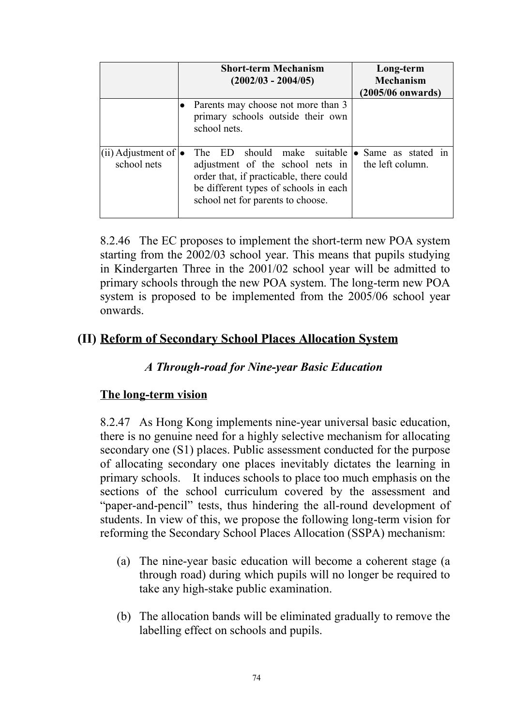|                                             | <b>Short-term Mechanism</b><br>$(2002/03 - 2004/05)$                                                                                                                               | Long-term<br><b>Mechanism</b><br>(2005/06 onwards) |
|---------------------------------------------|------------------------------------------------------------------------------------------------------------------------------------------------------------------------------------|----------------------------------------------------|
|                                             | Parents may choose not more than 3<br>primary schools outside their own<br>school nets.                                                                                            |                                                    |
| (ii) Adjustment of $\bullet$<br>school nets | should make<br>The ED<br>adjustment of the school nets in<br>order that, if practicable, there could<br>be different types of schools in each<br>school net for parents to choose. | suitable • Same as stated in<br>the left column.   |

8.2.46 The EC proposes to implement the short-term new POA system starting from the 2002/03 school year. This means that pupils studying in Kindergarten Three in the 2001/02 school year will be admitted to primary schools through the new POA system. The long-term new POA system is proposed to be implemented from the 2005/06 school year onwards.

## **(II) Reform of Secondary School Places Allocation System**

## *A Through-road for Nine-year Basic Education*

### **The long-term vision**

8.2.47 As Hong Kong implements nine-year universal basic education, there is no genuine need for a highly selective mechanism for allocating secondary one (S1) places. Public assessment conducted for the purpose of allocating secondary one places inevitably dictates the learning in primary schools. It induces schools to place too much emphasis on the sections of the school curriculum covered by the assessment and "paper-and-pencil" tests, thus hindering the all-round development of students. In view of this, we propose the following long-term vision for reforming the Secondary School Places Allocation (SSPA) mechanism:

- (a) The nine-year basic education will become a coherent stage (a through road) during which pupils will no longer be required to take any high-stake public examination.
- (b) The allocation bands will be eliminated gradually to remove the labelling effect on schools and pupils.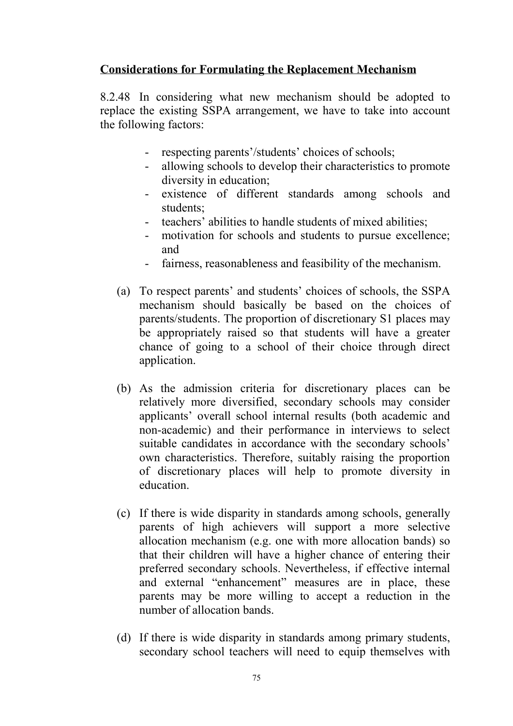### **Considerations for Formulating the Replacement Mechanism**

8.2.48 In considering what new mechanism should be adopted to replace the existing SSPA arrangement, we have to take into account the following factors:

- respecting parents'/students' choices of schools;
- allowing schools to develop their characteristics to promote diversity in education;
- existence of different standards among schools and students;
- teachers' abilities to handle students of mixed abilities;
- motivation for schools and students to pursue excellence; and
- fairness, reasonableness and feasibility of the mechanism.
- (a) To respect parents' and students' choices of schools, the SSPA mechanism should basically be based on the choices of parents/students. The proportion of discretionary S1 places may be appropriately raised so that students will have a greater chance of going to a school of their choice through direct application.
- (b) As the admission criteria for discretionary places can be relatively more diversified, secondary schools may consider applicants' overall school internal results (both academic and non-academic) and their performance in interviews to select suitable candidates in accordance with the secondary schools' own characteristics. Therefore, suitably raising the proportion of discretionary places will help to promote diversity in education.
- (c) If there is wide disparity in standards among schools, generally parents of high achievers will support a more selective allocation mechanism (e.g. one with more allocation bands) so that their children will have a higher chance of entering their preferred secondary schools. Nevertheless, if effective internal and external "enhancement" measures are in place, these parents may be more willing to accept a reduction in the number of allocation bands.
- (d) If there is wide disparity in standards among primary students, secondary school teachers will need to equip themselves with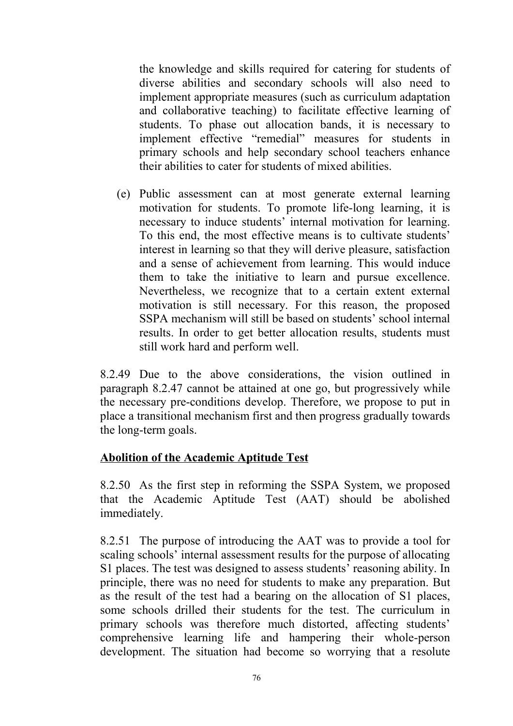the knowledge and skills required for catering for students of diverse abilities and secondary schools will also need to implement appropriate measures (such as curriculum adaptation and collaborative teaching) to facilitate effective learning of students. To phase out allocation bands, it is necessary to implement effective "remedial" measures for students in primary schools and help secondary school teachers enhance their abilities to cater for students of mixed abilities.

(e) Public assessment can at most generate external learning motivation for students. To promote life-long learning, it is necessary to induce students' internal motivation for learning. To this end, the most effective means is to cultivate students' interest in learning so that they will derive pleasure, satisfaction and a sense of achievement from learning. This would induce them to take the initiative to learn and pursue excellence. Nevertheless, we recognize that to a certain extent external motivation is still necessary. For this reason, the proposed SSPA mechanism will still be based on students' school internal results. In order to get better allocation results, students must still work hard and perform well.

8.2.49 Due to the above considerations, the vision outlined in paragraph 8.2.47 cannot be attained at one go, but progressively while the necessary pre-conditions develop. Therefore, we propose to put in place a transitional mechanism first and then progress gradually towards the long-term goals.

### **Abolition of the Academic Aptitude Test**

8.2.50 As the first step in reforming the SSPA System, we proposed that the Academic Aptitude Test (AAT) should be abolished immediately.

8.2.51 The purpose of introducing the AAT was to provide a tool for scaling schools' internal assessment results for the purpose of allocating S1 places. The test was designed to assess students' reasoning ability. In principle, there was no need for students to make any preparation. But as the result of the test had a bearing on the allocation of S1 places, some schools drilled their students for the test. The curriculum in primary schools was therefore much distorted, affecting students' comprehensive learning life and hampering their whole-person development. The situation had become so worrying that a resolute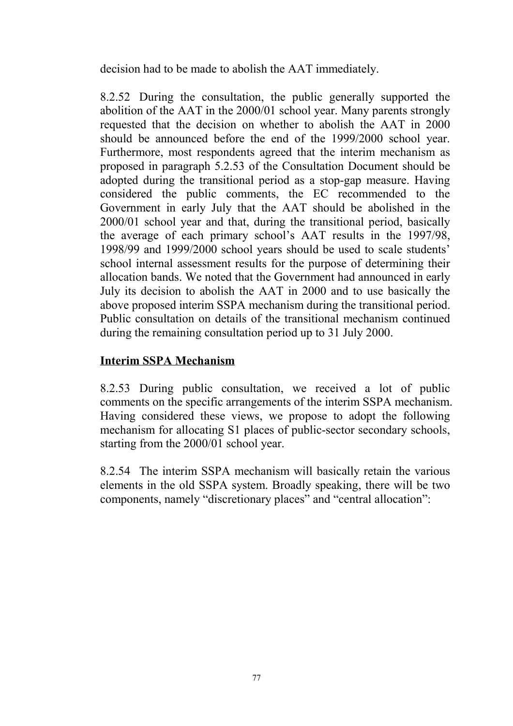decision had to be made to abolish the AAT immediately.

8.2.52 During the consultation, the public generally supported the abolition of the AAT in the 2000/01 school year. Many parents strongly requested that the decision on whether to abolish the AAT in 2000 should be announced before the end of the 1999/2000 school year. Furthermore, most respondents agreed that the interim mechanism as proposed in paragraph 5.2.53 of the Consultation Document should be adopted during the transitional period as a stop-gap measure. Having considered the public comments, the EC recommended to the Government in early July that the AAT should be abolished in the 2000/01 school year and that, during the transitional period, basically the average of each primary school's AAT results in the 1997/98, 1998/99 and 1999/2000 school years should be used to scale students' school internal assessment results for the purpose of determining their allocation bands. We noted that the Government had announced in early July its decision to abolish the AAT in 2000 and to use basically the above proposed interim SSPA mechanism during the transitional period. Public consultation on details of the transitional mechanism continued during the remaining consultation period up to 31 July 2000.

## **Interim SSPA Mechanism**

8.2.53 During public consultation, we received a lot of public comments on the specific arrangements of the interim SSPA mechanism. Having considered these views, we propose to adopt the following mechanism for allocating S1 places of public-sector secondary schools, starting from the 2000/01 school year.

8.2.54 The interim SSPA mechanism will basically retain the various elements in the old SSPA system. Broadly speaking, there will be two components, namely "discretionary places" and "central allocation":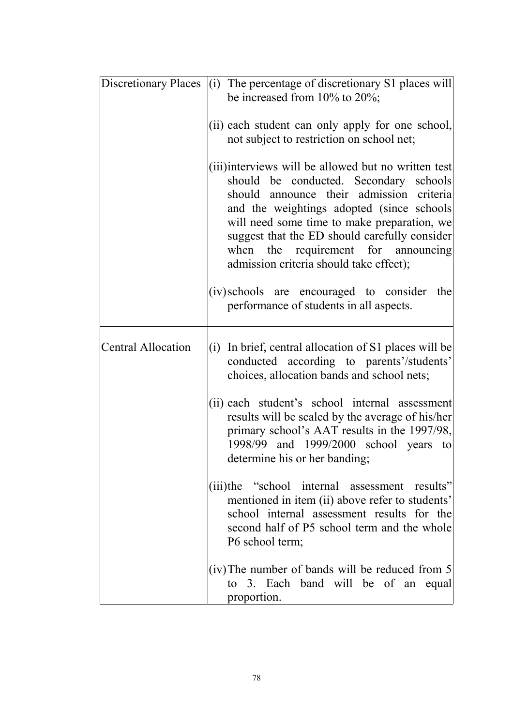|                           | Discretionary Places (i) The percentage of discretionary S1 places will<br>be increased from $10\%$ to $20\%$ ;                                                                                                                                                                                                                                                           |
|---------------------------|---------------------------------------------------------------------------------------------------------------------------------------------------------------------------------------------------------------------------------------------------------------------------------------------------------------------------------------------------------------------------|
|                           | (ii) each student can only apply for one school,<br>not subject to restriction on school net;                                                                                                                                                                                                                                                                             |
|                           | (iii)interviews will be allowed but no written test<br>should be conducted. Secondary schools<br>should announce their admission criteria<br>and the weightings adopted (since schools)<br>will need some time to make preparation, we<br>suggest that the ED should carefully consider<br>when the requirement for announcing<br>admission criteria should take effect); |
|                           | (iv) schools are encouraged to consider the<br>performance of students in all aspects.                                                                                                                                                                                                                                                                                    |
| <b>Central Allocation</b> | (i) In brief, central allocation of S1 places will be<br>conducted according to parents'/students'<br>choices, allocation bands and school nets;                                                                                                                                                                                                                          |
|                           | (ii) each student's school internal assessment<br>results will be scaled by the average of his/her<br>primary school's AAT results in the 1997/98,<br>1998/99 and 1999/2000 school years to<br>determine his or her banding;                                                                                                                                              |
|                           | (iii)the "school internal assessment results"<br>mentioned in item (ii) above refer to students'<br>school internal assessment results for the<br>second half of P5 school term and the whole<br>P6 school term;                                                                                                                                                          |
|                           | (iv) The number of bands will be reduced from 5<br>to 3. Each band will be of an equal<br>proportion.                                                                                                                                                                                                                                                                     |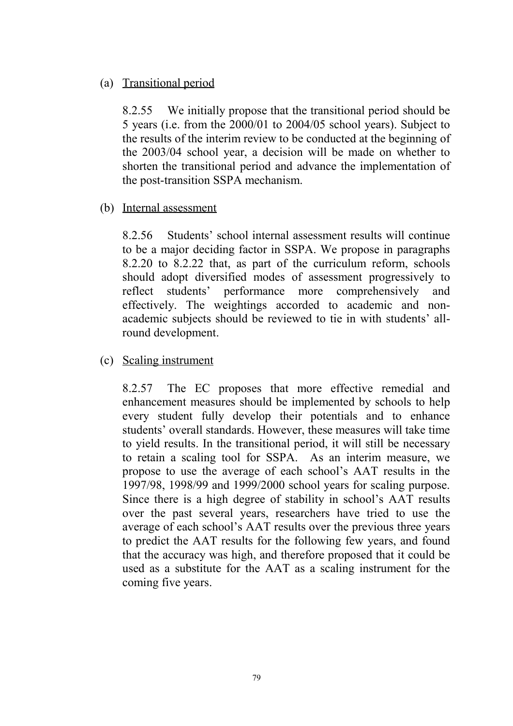### (a) Transitional period

8.2.55 We initially propose that the transitional period should be 5 years (i.e. from the 2000/01 to 2004/05 school years). Subject to the results of the interim review to be conducted at the beginning of the 2003/04 school year, a decision will be made on whether to shorten the transitional period and advance the implementation of the post-transition SSPA mechanism.

### (b) Internal assessment

8.2.56 Students' school internal assessment results will continue to be a major deciding factor in SSPA. We propose in paragraphs 8.2.20 to 8.2.22 that, as part of the curriculum reform, schools should adopt diversified modes of assessment progressively to reflect students' performance more comprehensively and effectively. The weightings accorded to academic and nonacademic subjects should be reviewed to tie in with students' allround development.

### (c) Scaling instrument

8.2.57 The EC proposes that more effective remedial and enhancement measures should be implemented by schools to help every student fully develop their potentials and to enhance students' overall standards. However, these measures will take time to yield results. In the transitional period, it will still be necessary to retain a scaling tool for SSPA. As an interim measure, we propose to use the average of each school's AAT results in the 1997/98, 1998/99 and 1999/2000 school years for scaling purpose. Since there is a high degree of stability in school's AAT results over the past several years, researchers have tried to use the average of each school's AAT results over the previous three years to predict the AAT results for the following few years, and found that the accuracy was high, and therefore proposed that it could be used as a substitute for the AAT as a scaling instrument for the coming five years.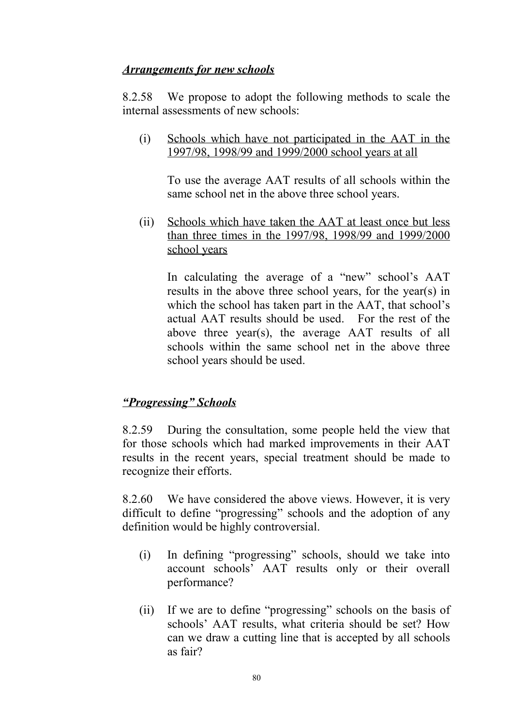#### *Arrangements for new schools*

8.2.58 We propose to adopt the following methods to scale the internal assessments of new schools:

(i) Schools which have not participated in the AAT in the 1997/98, 1998/99 and 1999/2000 school years at all

To use the average AAT results of all schools within the same school net in the above three school years.

(ii) Schools which have taken the AAT at least once but less than three times in the 1997/98, 1998/99 and 1999/2000 school years

In calculating the average of a "new" school's AAT results in the above three school years, for the year(s) in which the school has taken part in the AAT, that school's actual AAT results should be used. For the rest of the above three year(s), the average AAT results of all schools within the same school net in the above three school years should be used.

### *"Progressing" Schools*

8.2.59 During the consultation, some people held the view that for those schools which had marked improvements in their AAT results in the recent years, special treatment should be made to recognize their efforts.

8.2.60 We have considered the above views. However, it is very difficult to define "progressing" schools and the adoption of any definition would be highly controversial.

- (i) In defining "progressing" schools, should we take into account schools' AAT results only or their overall performance?
- (ii) If we are to define "progressing" schools on the basis of schools' AAT results, what criteria should be set? How can we draw a cutting line that is accepted by all schools as fair?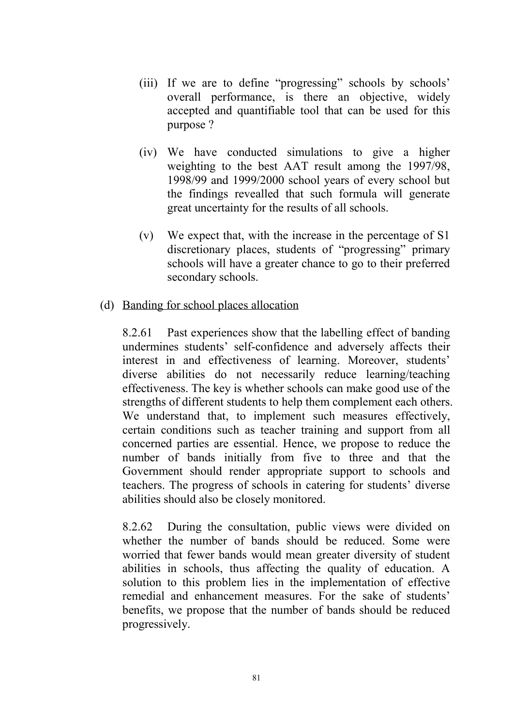- (iii) If we are to define "progressing" schools by schools' overall performance, is there an objective, widely accepted and quantifiable tool that can be used for this purpose ?
- (iv) We have conducted simulations to give a higher weighting to the best AAT result among the 1997/98, 1998/99 and 1999/2000 school years of every school but the findings revealled that such formula will generate great uncertainty for the results of all schools.
- (v) We expect that, with the increase in the percentage of S1 discretionary places, students of "progressing" primary schools will have a greater chance to go to their preferred secondary schools.
- (d) Banding for school places allocation

8.2.61 Past experiences show that the labelling effect of banding undermines students' self-confidence and adversely affects their interest in and effectiveness of learning. Moreover, students' diverse abilities do not necessarily reduce learning/teaching effectiveness. The key is whether schools can make good use of the strengths of different students to help them complement each others. We understand that, to implement such measures effectively, certain conditions such as teacher training and support from all concerned parties are essential. Hence, we propose to reduce the number of bands initially from five to three and that the Government should render appropriate support to schools and teachers. The progress of schools in catering for students' diverse abilities should also be closely monitored.

8.2.62 During the consultation, public views were divided on whether the number of bands should be reduced. Some were worried that fewer bands would mean greater diversity of student abilities in schools, thus affecting the quality of education. A solution to this problem lies in the implementation of effective remedial and enhancement measures. For the sake of students' benefits, we propose that the number of bands should be reduced progressively.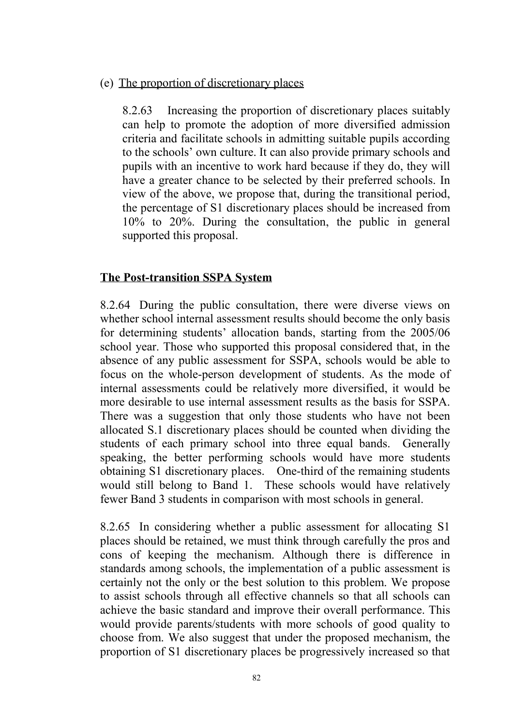#### (e) The proportion of discretionary places

8.2.63 Increasing the proportion of discretionary places suitably can help to promote the adoption of more diversified admission criteria and facilitate schools in admitting suitable pupils according to the schools' own culture. It can also provide primary schools and pupils with an incentive to work hard because if they do, they will have a greater chance to be selected by their preferred schools. In view of the above, we propose that, during the transitional period, the percentage of S1 discretionary places should be increased from 10% to 20%. During the consultation, the public in general supported this proposal.

### **The Post-transition SSPA System**

8.2.64 During the public consultation, there were diverse views on whether school internal assessment results should become the only basis for determining students' allocation bands, starting from the 2005/06 school year. Those who supported this proposal considered that, in the absence of any public assessment for SSPA, schools would be able to focus on the whole-person development of students. As the mode of internal assessments could be relatively more diversified, it would be more desirable to use internal assessment results as the basis for SSPA. There was a suggestion that only those students who have not been allocated S.1 discretionary places should be counted when dividing the students of each primary school into three equal bands. Generally speaking, the better performing schools would have more students obtaining S1 discretionary places. One-third of the remaining students would still belong to Band 1. These schools would have relatively fewer Band 3 students in comparison with most schools in general.

8.2.65 In considering whether a public assessment for allocating S1 places should be retained, we must think through carefully the pros and cons of keeping the mechanism. Although there is difference in standards among schools, the implementation of a public assessment is certainly not the only or the best solution to this problem. We propose to assist schools through all effective channels so that all schools can achieve the basic standard and improve their overall performance. This would provide parents/students with more schools of good quality to choose from. We also suggest that under the proposed mechanism, the proportion of S1 discretionary places be progressively increased so that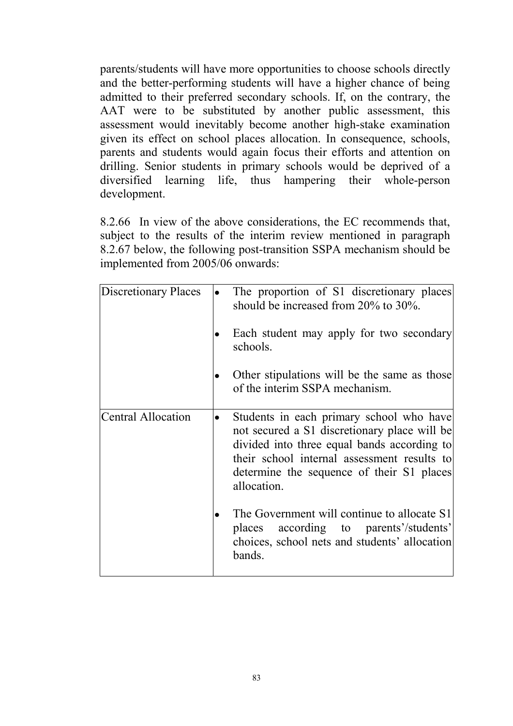parents/students will have more opportunities to choose schools directly and the better-performing students will have a higher chance of being admitted to their preferred secondary schools. If, on the contrary, the AAT were to be substituted by another public assessment, this assessment would inevitably become another high-stake examination given its effect on school places allocation. In consequence, schools, parents and students would again focus their efforts and attention on drilling. Senior students in primary schools would be deprived of a diversified learning life, thus hampering their whole-person development.

8.2.66 In view of the above considerations, the EC recommends that, subject to the results of the interim review mentioned in paragraph 8.2.67 below, the following post-transition SSPA mechanism should be implemented from 2005/06 onwards:

| <b>Discretionary Places</b> | The proportion of S1 discretionary places<br>should be increased from $20\%$ to $30\%$ .                                                                                                                                                           |
|-----------------------------|----------------------------------------------------------------------------------------------------------------------------------------------------------------------------------------------------------------------------------------------------|
|                             | Each student may apply for two secondary<br>schools.                                                                                                                                                                                               |
|                             | Other stipulations will be the same as those<br>of the interim SSPA mechanism.                                                                                                                                                                     |
| <b>Central Allocation</b>   | Students in each primary school who have<br>not secured a S1 discretionary place will be<br>divided into three equal bands according to<br>their school internal assessment results to<br>determine the sequence of their S1 places<br>allocation. |
|                             | The Government will continue to allocate S1<br>according to parents'/students'<br>places<br>choices, school nets and students' allocation<br>bands.                                                                                                |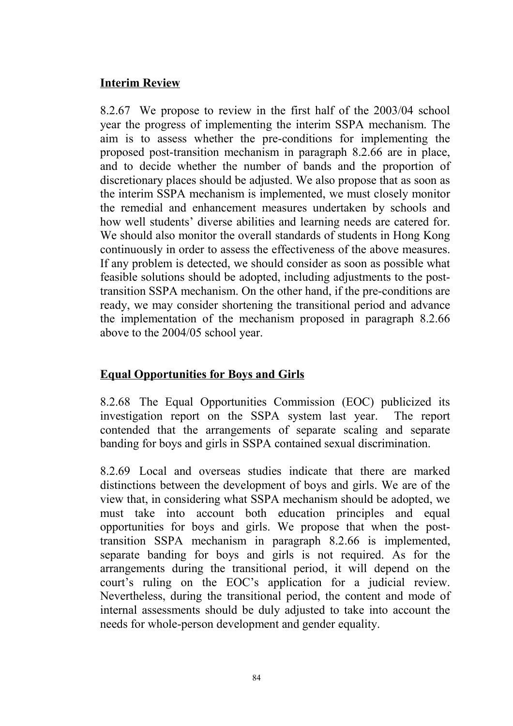### **Interim Review**

8.2.67 We propose to review in the first half of the 2003/04 school year the progress of implementing the interim SSPA mechanism. The aim is to assess whether the pre-conditions for implementing the proposed post-transition mechanism in paragraph 8.2.66 are in place, and to decide whether the number of bands and the proportion of discretionary places should be adjusted. We also propose that as soon as the interim SSPA mechanism is implemented, we must closely monitor the remedial and enhancement measures undertaken by schools and how well students' diverse abilities and learning needs are catered for. We should also monitor the overall standards of students in Hong Kong continuously in order to assess the effectiveness of the above measures. If any problem is detected, we should consider as soon as possible what feasible solutions should be adopted, including adjustments to the posttransition SSPA mechanism. On the other hand, if the pre-conditions are ready, we may consider shortening the transitional period and advance the implementation of the mechanism proposed in paragraph 8.2.66 above to the 2004/05 school year.

## **Equal Opportunities for Boys and Girls**

8.2.68 The Equal Opportunities Commission (EOC) publicized its investigation report on the SSPA system last year. The report contended that the arrangements of separate scaling and separate banding for boys and girls in SSPA contained sexual discrimination.

8.2.69 Local and overseas studies indicate that there are marked distinctions between the development of boys and girls. We are of the view that, in considering what SSPA mechanism should be adopted, we must take into account both education principles and equal opportunities for boys and girls. We propose that when the posttransition SSPA mechanism in paragraph 8.2.66 is implemented, separate banding for boys and girls is not required. As for the arrangements during the transitional period, it will depend on the court's ruling on the EOC's application for a judicial review. Nevertheless, during the transitional period, the content and mode of internal assessments should be duly adjusted to take into account the needs for whole-person development and gender equality.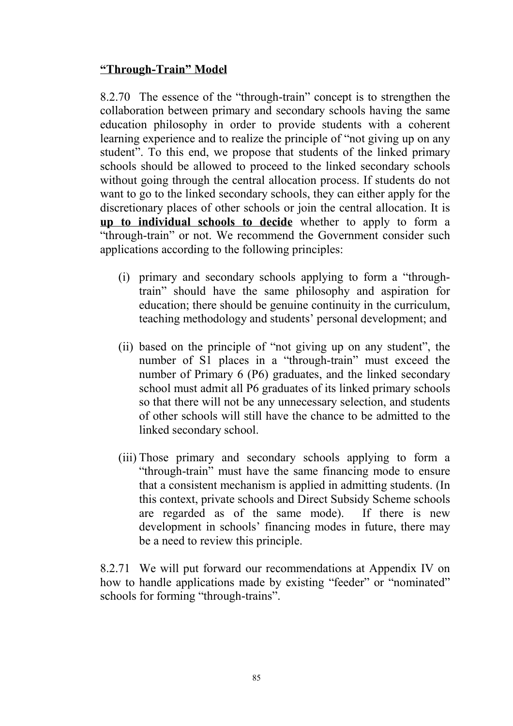### **"Through-Train" Model**

8.2.70 The essence of the "through-train" concept is to strengthen the collaboration between primary and secondary schools having the same education philosophy in order to provide students with a coherent learning experience and to realize the principle of "not giving up on any student". To this end, we propose that students of the linked primary schools should be allowed to proceed to the linked secondary schools without going through the central allocation process. If students do not want to go to the linked secondary schools, they can either apply for the discretionary places of other schools or join the central allocation. It is **up to individual schools to decide** whether to apply to form a "through-train" or not. We recommend the Government consider such applications according to the following principles:

- (i) primary and secondary schools applying to form a "throughtrain" should have the same philosophy and aspiration for education; there should be genuine continuity in the curriculum, teaching methodology and students' personal development; and
- (ii) based on the principle of "not giving up on any student", the number of S1 places in a "through-train" must exceed the number of Primary 6 (P6) graduates, and the linked secondary school must admit all P6 graduates of its linked primary schools so that there will not be any unnecessary selection, and students of other schools will still have the chance to be admitted to the linked secondary school.
- (iii) Those primary and secondary schools applying to form a "through-train" must have the same financing mode to ensure that a consistent mechanism is applied in admitting students. (In this context, private schools and Direct Subsidy Scheme schools are regarded as of the same mode). If there is new development in schools' financing modes in future, there may be a need to review this principle.

8.2.71 We will put forward our recommendations at Appendix IV on how to handle applications made by existing "feeder" or "nominated" schools for forming "through-trains".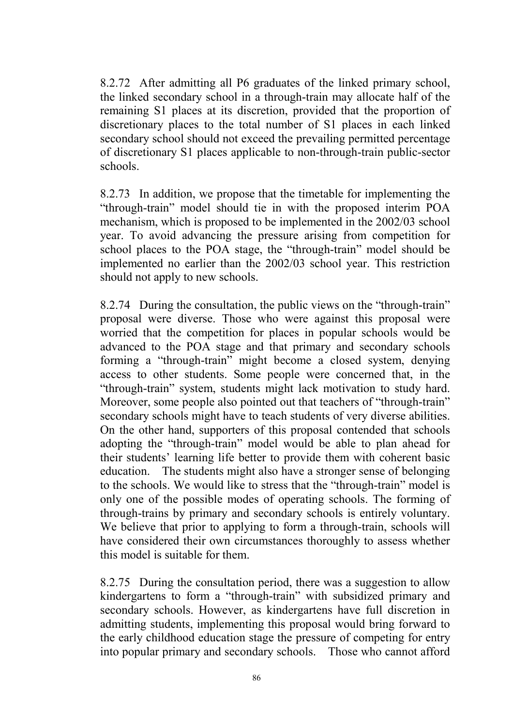8.2.72 After admitting all P6 graduates of the linked primary school, the linked secondary school in a through-train may allocate half of the remaining S1 places at its discretion, provided that the proportion of discretionary places to the total number of S1 places in each linked secondary school should not exceed the prevailing permitted percentage of discretionary S1 places applicable to non-through-train public-sector schools.

8.2.73 In addition, we propose that the timetable for implementing the "through-train" model should tie in with the proposed interim POA mechanism, which is proposed to be implemented in the 2002/03 school year. To avoid advancing the pressure arising from competition for school places to the POA stage, the "through-train" model should be implemented no earlier than the 2002/03 school year. This restriction should not apply to new schools.

8.2.74 During the consultation, the public views on the "through-train" proposal were diverse. Those who were against this proposal were worried that the competition for places in popular schools would be advanced to the POA stage and that primary and secondary schools forming a "through-train" might become a closed system, denying access to other students. Some people were concerned that, in the "through-train" system, students might lack motivation to study hard. Moreover, some people also pointed out that teachers of "through-train" secondary schools might have to teach students of very diverse abilities. On the other hand, supporters of this proposal contended that schools adopting the "through-train" model would be able to plan ahead for their students' learning life better to provide them with coherent basic education. The students might also have a stronger sense of belonging to the schools. We would like to stress that the "through-train" model is only one of the possible modes of operating schools. The forming of through-trains by primary and secondary schools is entirely voluntary. We believe that prior to applying to form a through-train, schools will have considered their own circumstances thoroughly to assess whether this model is suitable for them.

8.2.75 During the consultation period, there was a suggestion to allow kindergartens to form a "through-train" with subsidized primary and secondary schools. However, as kindergartens have full discretion in admitting students, implementing this proposal would bring forward to the early childhood education stage the pressure of competing for entry into popular primary and secondary schools. Those who cannot afford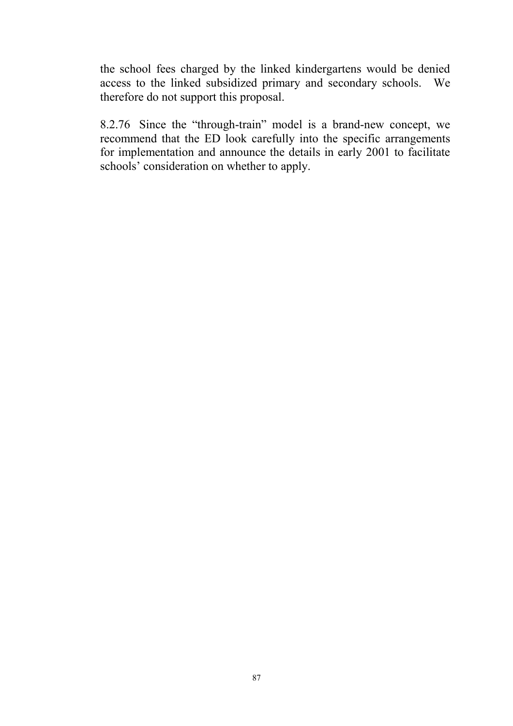the school fees charged by the linked kindergartens would be denied access to the linked subsidized primary and secondary schools. We therefore do not support this proposal.

8.2.76 Since the "through-train" model is a brand-new concept, we recommend that the ED look carefully into the specific arrangements for implementation and announce the details in early 2001 to facilitate schools' consideration on whether to apply.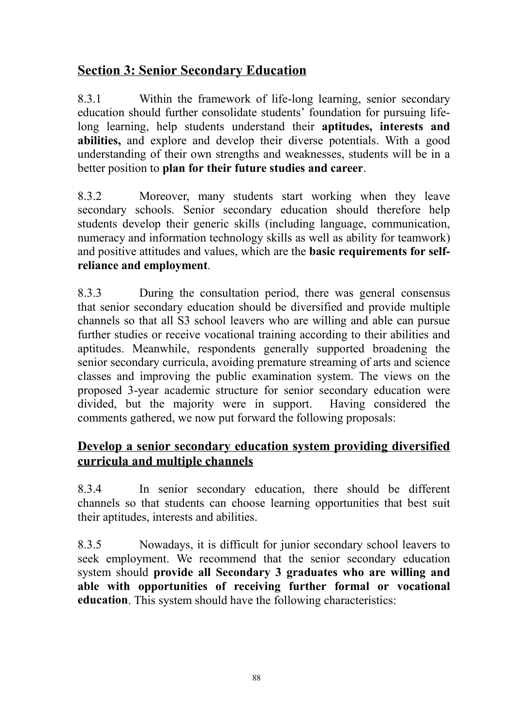# **Section 3: Senior Secondary Education**

8.3.1 Within the framework of life-long learning, senior secondary education should further consolidate students' foundation for pursuing lifelong learning, help students understand their **aptitudes, interests and abilities,** and explore and develop their diverse potentials. With a good understanding of their own strengths and weaknesses, students will be in a better position to **plan for their future studies and career**.

8.3.2 Moreover, many students start working when they leave secondary schools. Senior secondary education should therefore help students develop their generic skills (including language, communication, numeracy and information technology skills as well as ability for teamwork) and positive attitudes and values, which are the **basic requirements for selfreliance and employment**.

8.3.3 During the consultation period, there was general consensus that senior secondary education should be diversified and provide multiple channels so that all S3 school leavers who are willing and able can pursue further studies or receive vocational training according to their abilities and aptitudes. Meanwhile, respondents generally supported broadening the senior secondary curricula, avoiding premature streaming of arts and science classes and improving the public examination system. The views on the proposed 3-year academic structure for senior secondary education were divided, but the majority were in support. Having considered the comments gathered, we now put forward the following proposals:

## **Develop a senior secondary education system providing diversified curricula and multiple channels**

8.3.4 In senior secondary education, there should be different channels so that students can choose learning opportunities that best suit their aptitudes, interests and abilities.

8.3.5 Nowadays, it is difficult for junior secondary school leavers to seek employment. We recommend that the senior secondary education system should **provide all Secondary 3 graduates who are willing and able with opportunities of receiving further formal or vocational education**. This system should have the following characteristics: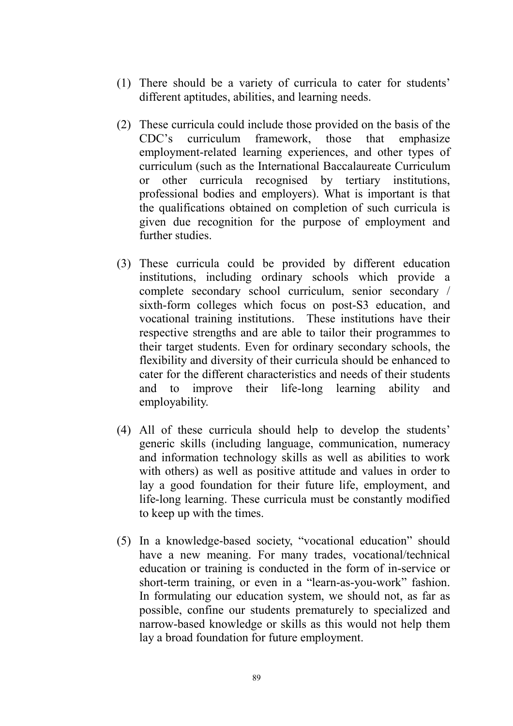- (1) There should be a variety of curricula to cater for students' different aptitudes, abilities, and learning needs.
- (2) These curricula could include those provided on the basis of the CDC's curriculum framework, those that emphasize employment-related learning experiences, and other types of curriculum (such as the International Baccalaureate Curriculum or other curricula recognised by tertiary institutions, professional bodies and employers). What is important is that the qualifications obtained on completion of such curricula is given due recognition for the purpose of employment and further studies.
- (3) These curricula could be provided by different education institutions, including ordinary schools which provide a complete secondary school curriculum, senior secondary / sixth-form colleges which focus on post-S3 education, and vocational training institutions. These institutions have their respective strengths and are able to tailor their programmes to their target students. Even for ordinary secondary schools, the flexibility and diversity of their curricula should be enhanced to cater for the different characteristics and needs of their students and to improve their life-long learning ability and employability.
- (4) All of these curricula should help to develop the students' generic skills (including language, communication, numeracy and information technology skills as well as abilities to work with others) as well as positive attitude and values in order to lay a good foundation for their future life, employment, and life-long learning. These curricula must be constantly modified to keep up with the times.
- (5) In a knowledge-based society, "vocational education" should have a new meaning. For many trades, vocational/technical education or training is conducted in the form of in-service or short-term training, or even in a "learn-as-you-work" fashion. In formulating our education system, we should not, as far as possible, confine our students prematurely to specialized and narrow-based knowledge or skills as this would not help them lay a broad foundation for future employment.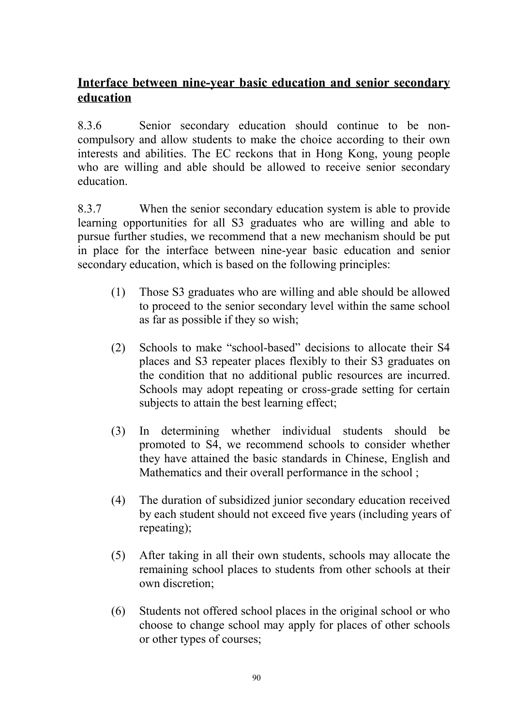# **Interface between nine-year basic education and senior secondary education**

8.3.6 Senior secondary education should continue to be noncompulsory and allow students to make the choice according to their own interests and abilities. The EC reckons that in Hong Kong, young people who are willing and able should be allowed to receive senior secondary education.

8.3.7 When the senior secondary education system is able to provide learning opportunities for all S3 graduates who are willing and able to pursue further studies, we recommend that a new mechanism should be put in place for the interface between nine-year basic education and senior secondary education, which is based on the following principles:

- (1) Those S3 graduates who are willing and able should be allowed to proceed to the senior secondary level within the same school as far as possible if they so wish;
- (2) Schools to make "school-based" decisions to allocate their S4 places and S3 repeater places flexibly to their S3 graduates on the condition that no additional public resources are incurred. Schools may adopt repeating or cross-grade setting for certain subjects to attain the best learning effect;
- (3) In determining whether individual students should be promoted to S4, we recommend schools to consider whether they have attained the basic standards in Chinese, English and Mathematics and their overall performance in the school;
- (4) The duration of subsidized junior secondary education received by each student should not exceed five years (including years of repeating);
- (5) After taking in all their own students, schools may allocate the remaining school places to students from other schools at their own discretion;
- (6) Students not offered school places in the original school or who choose to change school may apply for places of other schools or other types of courses;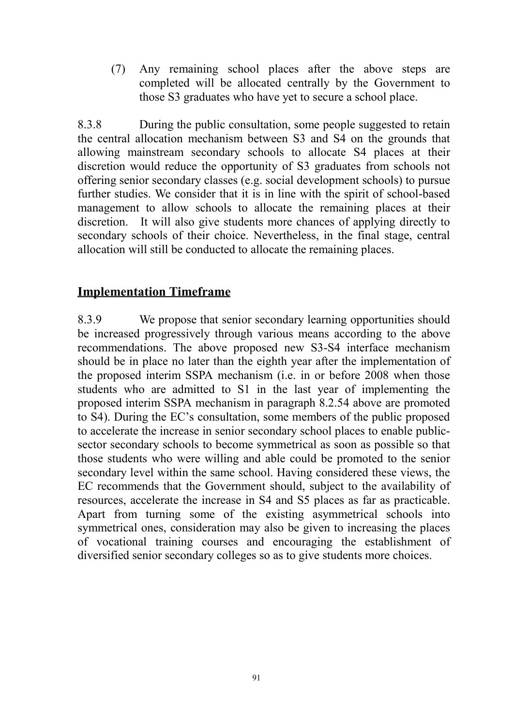(7) Any remaining school places after the above steps are completed will be allocated centrally by the Government to those S3 graduates who have yet to secure a school place.

8.3.8 During the public consultation, some people suggested to retain the central allocation mechanism between S3 and S4 on the grounds that allowing mainstream secondary schools to allocate S4 places at their discretion would reduce the opportunity of S3 graduates from schools not offering senior secondary classes (e.g. social development schools) to pursue further studies. We consider that it is in line with the spirit of school-based management to allow schools to allocate the remaining places at their discretion. It will also give students more chances of applying directly to secondary schools of their choice. Nevertheless, in the final stage, central allocation will still be conducted to allocate the remaining places.

## **Implementation Timeframe**

8.3.9 We propose that senior secondary learning opportunities should be increased progressively through various means according to the above recommendations. The above proposed new S3-S4 interface mechanism should be in place no later than the eighth year after the implementation of the proposed interim SSPA mechanism (i.e. in or before 2008 when those students who are admitted to S1 in the last year of implementing the proposed interim SSPA mechanism in paragraph 8.2.54 above are promoted to S4). During the EC's consultation, some members of the public proposed to accelerate the increase in senior secondary school places to enable publicsector secondary schools to become symmetrical as soon as possible so that those students who were willing and able could be promoted to the senior secondary level within the same school. Having considered these views, the EC recommends that the Government should, subject to the availability of resources, accelerate the increase in S4 and S5 places as far as practicable. Apart from turning some of the existing asymmetrical schools into symmetrical ones, consideration may also be given to increasing the places of vocational training courses and encouraging the establishment of diversified senior secondary colleges so as to give students more choices.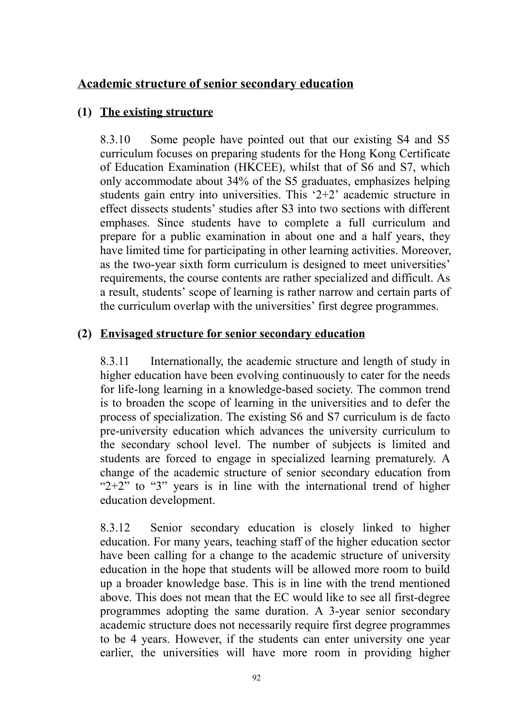## **Academic structure of senior secondary education**

## **(1) The existing structure**

8.3.10 Some people have pointed out that our existing S4 and S5 curriculum focuses on preparing students for the Hong Kong Certificate of Education Examination (HKCEE), whilst that of S6 and S7, which only accommodate about 34% of the S5 graduates, emphasizes helping students gain entry into universities. This '2+2' academic structure in effect dissects students' studies after S3 into two sections with different emphases. Since students have to complete a full curriculum and prepare for a public examination in about one and a half years, they have limited time for participating in other learning activities. Moreover, as the two-year sixth form curriculum is designed to meet universities' requirements, the course contents are rather specialized and difficult. As a result, students' scope of learning is rather narrow and certain parts of the curriculum overlap with the universities' first degree programmes.

### **(2) Envisaged structure for senior secondary education**

8.3.11 Internationally, the academic structure and length of study in higher education have been evolving continuously to cater for the needs for life-long learning in a knowledge-based society. The common trend is to broaden the scope of learning in the universities and to defer the process of specialization. The existing S6 and S7 curriculum is de facto pre-university education which advances the university curriculum to the secondary school level. The number of subjects is limited and students are forced to engage in specialized learning prematurely. A change of the academic structure of senior secondary education from " $2+2$ " to "3" years is in line with the international trend of higher education development.

8.3.12 Senior secondary education is closely linked to higher education. For many years, teaching staff of the higher education sector have been calling for a change to the academic structure of university education in the hope that students will be allowed more room to build up a broader knowledge base. This is in line with the trend mentioned above. This does not mean that the EC would like to see all first-degree programmes adopting the same duration. A 3-year senior secondary academic structure does not necessarily require first degree programmes to be 4 years. However, if the students can enter university one year earlier, the universities will have more room in providing higher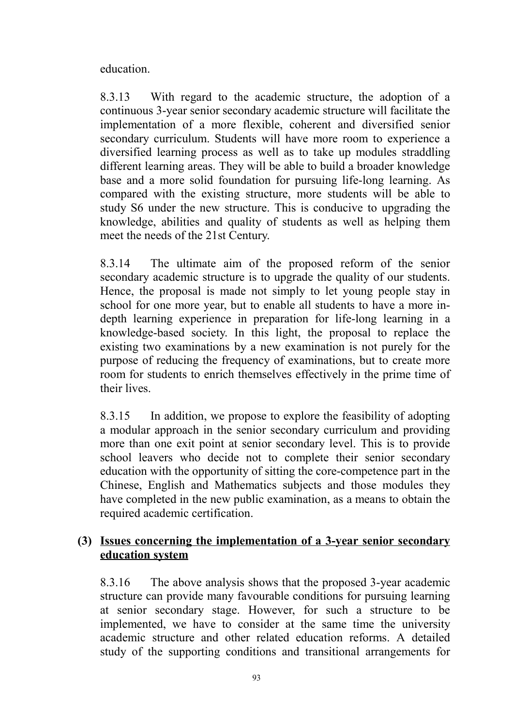education.

8.3.13 With regard to the academic structure, the adoption of a continuous 3-year senior secondary academic structure will facilitate the implementation of a more flexible, coherent and diversified senior secondary curriculum. Students will have more room to experience a diversified learning process as well as to take up modules straddling different learning areas. They will be able to build a broader knowledge base and a more solid foundation for pursuing life-long learning. As compared with the existing structure, more students will be able to study S6 under the new structure. This is conducive to upgrading the knowledge, abilities and quality of students as well as helping them meet the needs of the 21st Century.

8.3.14 The ultimate aim of the proposed reform of the senior secondary academic structure is to upgrade the quality of our students. Hence, the proposal is made not simply to let young people stay in school for one more year, but to enable all students to have a more indepth learning experience in preparation for life-long learning in a knowledge-based society. In this light, the proposal to replace the existing two examinations by a new examination is not purely for the purpose of reducing the frequency of examinations, but to create more room for students to enrich themselves effectively in the prime time of their lives.

8.3.15 In addition, we propose to explore the feasibility of adopting a modular approach in the senior secondary curriculum and providing more than one exit point at senior secondary level. This is to provide school leavers who decide not to complete their senior secondary education with the opportunity of sitting the core-competence part in the Chinese, English and Mathematics subjects and those modules they have completed in the new public examination, as a means to obtain the required academic certification.

## **(3) Issues concerning the implementation of a 3-year senior secondary education system**

8.3.16 The above analysis shows that the proposed 3-year academic structure can provide many favourable conditions for pursuing learning at senior secondary stage. However, for such a structure to be implemented, we have to consider at the same time the university academic structure and other related education reforms. A detailed study of the supporting conditions and transitional arrangements for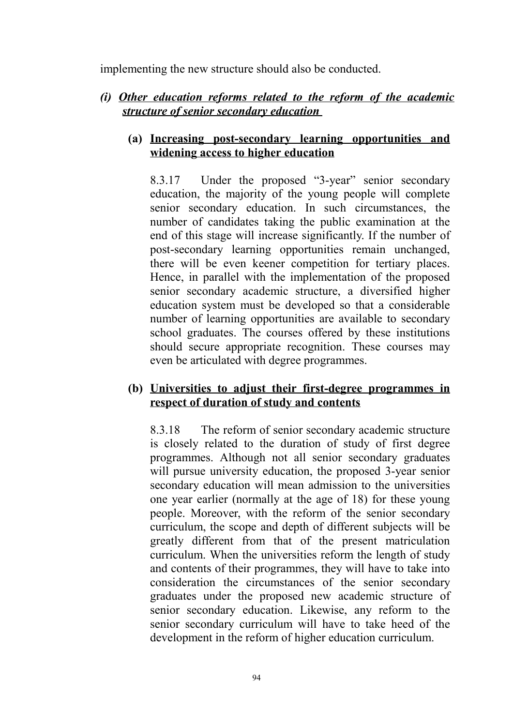implementing the new structure should also be conducted.

## *(i) Other education reforms related to the reform of the academic structure of senior secondary education*

### **(a) Increasing post-secondary learning opportunities and widening access to higher education**

8.3.17 Under the proposed "3-year" senior secondary education, the majority of the young people will complete senior secondary education. In such circumstances, the number of candidates taking the public examination at the end of this stage will increase significantly. If the number of post-secondary learning opportunities remain unchanged, there will be even keener competition for tertiary places. Hence, in parallel with the implementation of the proposed senior secondary academic structure, a diversified higher education system must be developed so that a considerable number of learning opportunities are available to secondary school graduates. The courses offered by these institutions should secure appropriate recognition. These courses may even be articulated with degree programmes.

## **(b) Universities to adjust their first-degree programmes in respect of duration of study and contents**

8.3.18 The reform of senior secondary academic structure is closely related to the duration of study of first degree programmes. Although not all senior secondary graduates will pursue university education, the proposed 3-year senior secondary education will mean admission to the universities one year earlier (normally at the age of 18) for these young people. Moreover, with the reform of the senior secondary curriculum, the scope and depth of different subjects will be greatly different from that of the present matriculation curriculum. When the universities reform the length of study and contents of their programmes, they will have to take into consideration the circumstances of the senior secondary graduates under the proposed new academic structure of senior secondary education. Likewise, any reform to the senior secondary curriculum will have to take heed of the development in the reform of higher education curriculum.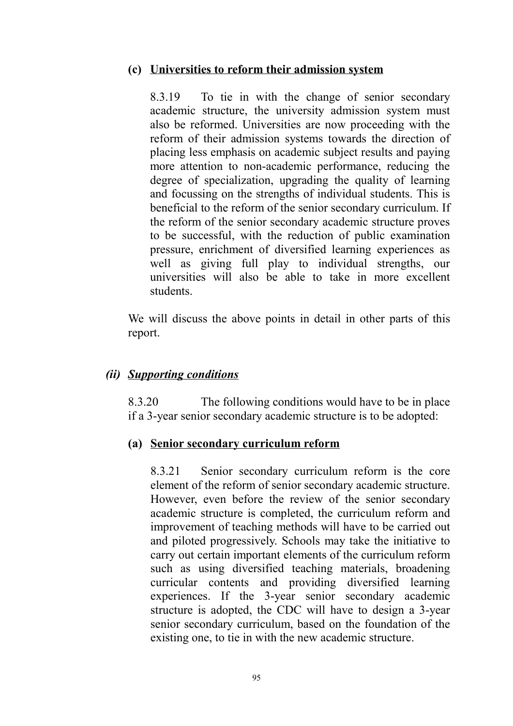#### **(c) Universities to reform their admission system**

8.3.19 To tie in with the change of senior secondary academic structure, the university admission system must also be reformed. Universities are now proceeding with the reform of their admission systems towards the direction of placing less emphasis on academic subject results and paying more attention to non-academic performance, reducing the degree of specialization, upgrading the quality of learning and focussing on the strengths of individual students. This is beneficial to the reform of the senior secondary curriculum. If the reform of the senior secondary academic structure proves to be successful, with the reduction of public examination pressure, enrichment of diversified learning experiences as well as giving full play to individual strengths, our universities will also be able to take in more excellent students.

We will discuss the above points in detail in other parts of this report.

#### *(ii) Supporting conditions*

8.3.20 The following conditions would have to be in place if a 3-year senior secondary academic structure is to be adopted:

#### **(a) Senior secondary curriculum reform**

8.3.21 Senior secondary curriculum reform is the core element of the reform of senior secondary academic structure. However, even before the review of the senior secondary academic structure is completed, the curriculum reform and improvement of teaching methods will have to be carried out and piloted progressively. Schools may take the initiative to carry out certain important elements of the curriculum reform such as using diversified teaching materials, broadening curricular contents and providing diversified learning experiences. If the 3-year senior secondary academic structure is adopted, the CDC will have to design a 3-year senior secondary curriculum, based on the foundation of the existing one, to tie in with the new academic structure.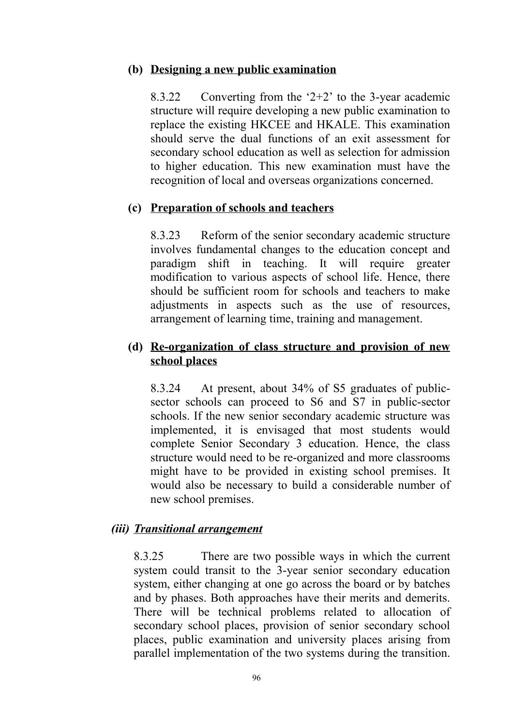#### **(b) Designing a new public examination**

8.3.22 Converting from the '2+2' to the 3-year academic structure will require developing a new public examination to replace the existing HKCEE and HKALE. This examination should serve the dual functions of an exit assessment for secondary school education as well as selection for admission to higher education. This new examination must have the recognition of local and overseas organizations concerned.

### **(c) Preparation of schools and teachers**

8.3.23 Reform of the senior secondary academic structure involves fundamental changes to the education concept and paradigm shift in teaching. It will require greater modification to various aspects of school life. Hence, there should be sufficient room for schools and teachers to make adjustments in aspects such as the use of resources, arrangement of learning time, training and management.

## **(d) Re-organization of class structure and provision of new school places**

8.3.24 At present, about 34% of S5 graduates of publicsector schools can proceed to S6 and S7 in public-sector schools. If the new senior secondary academic structure was implemented, it is envisaged that most students would complete Senior Secondary 3 education. Hence, the class structure would need to be re-organized and more classrooms might have to be provided in existing school premises. It would also be necessary to build a considerable number of new school premises.

### *(iii) Transitional arrangement*

8.3.25 There are two possible ways in which the current system could transit to the 3-year senior secondary education system, either changing at one go across the board or by batches and by phases. Both approaches have their merits and demerits. There will be technical problems related to allocation of secondary school places, provision of senior secondary school places, public examination and university places arising from parallel implementation of the two systems during the transition.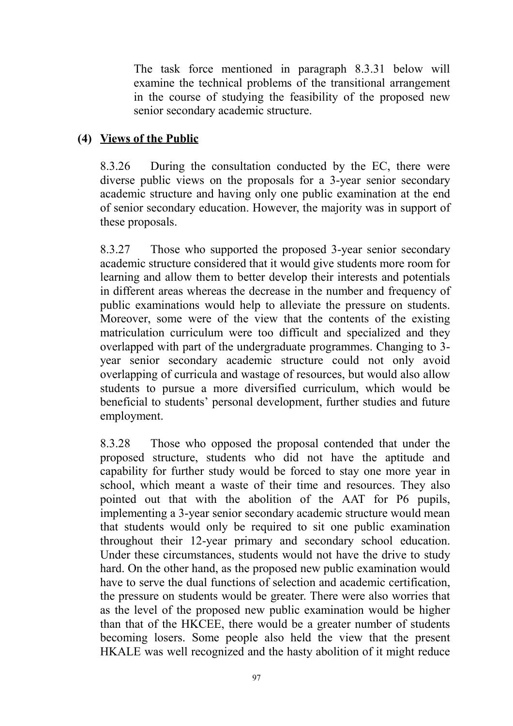The task force mentioned in paragraph 8.3.31 below will examine the technical problems of the transitional arrangement in the course of studying the feasibility of the proposed new senior secondary academic structure.

## **(4) Views of the Public**

8.3.26 During the consultation conducted by the EC, there were diverse public views on the proposals for a 3-year senior secondary academic structure and having only one public examination at the end of senior secondary education. However, the majority was in support of these proposals.

8.3.27 Those who supported the proposed 3-year senior secondary academic structure considered that it would give students more room for learning and allow them to better develop their interests and potentials in different areas whereas the decrease in the number and frequency of public examinations would help to alleviate the pressure on students. Moreover, some were of the view that the contents of the existing matriculation curriculum were too difficult and specialized and they overlapped with part of the undergraduate programmes. Changing to 3 year senior secondary academic structure could not only avoid overlapping of curricula and wastage of resources, but would also allow students to pursue a more diversified curriculum, which would be beneficial to students' personal development, further studies and future employment.

8.3.28 Those who opposed the proposal contended that under the proposed structure, students who did not have the aptitude and capability for further study would be forced to stay one more year in school, which meant a waste of their time and resources. They also pointed out that with the abolition of the AAT for P6 pupils, implementing a 3-year senior secondary academic structure would mean that students would only be required to sit one public examination throughout their 12-year primary and secondary school education. Under these circumstances, students would not have the drive to study hard. On the other hand, as the proposed new public examination would have to serve the dual functions of selection and academic certification, the pressure on students would be greater. There were also worries that as the level of the proposed new public examination would be higher than that of the HKCEE, there would be a greater number of students becoming losers. Some people also held the view that the present HKALE was well recognized and the hasty abolition of it might reduce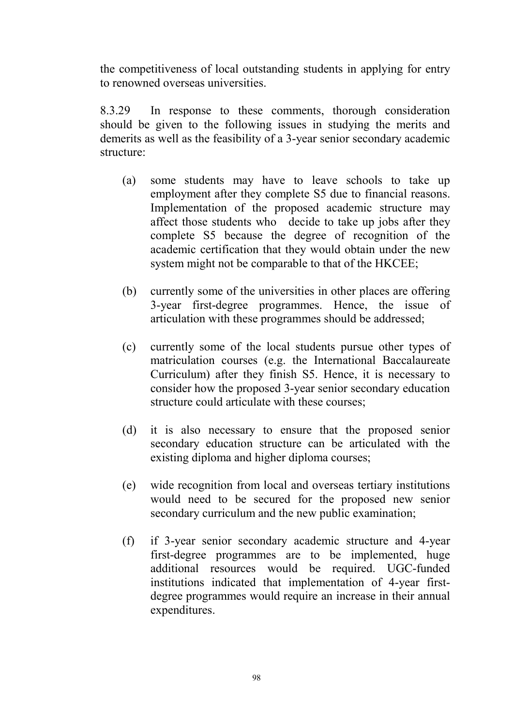the competitiveness of local outstanding students in applying for entry to renowned overseas universities.

8.3.29 In response to these comments, thorough consideration should be given to the following issues in studying the merits and demerits as well as the feasibility of a 3-year senior secondary academic structure:

- (a) some students may have to leave schools to take up employment after they complete S5 due to financial reasons. Implementation of the proposed academic structure may affect those students who decide to take up jobs after they complete S5 because the degree of recognition of the academic certification that they would obtain under the new system might not be comparable to that of the HKCEE;
- (b) currently some of the universities in other places are offering 3-year first-degree programmes. Hence, the issue of articulation with these programmes should be addressed;
- (c) currently some of the local students pursue other types of matriculation courses (e.g. the International Baccalaureate Curriculum) after they finish S5. Hence, it is necessary to consider how the proposed 3-year senior secondary education structure could articulate with these courses;
- (d) it is also necessary to ensure that the proposed senior secondary education structure can be articulated with the existing diploma and higher diploma courses;
- (e) wide recognition from local and overseas tertiary institutions would need to be secured for the proposed new senior secondary curriculum and the new public examination;
- (f) if 3-year senior secondary academic structure and 4-year first-degree programmes are to be implemented, huge additional resources would be required. UGC-funded institutions indicated that implementation of 4-year firstdegree programmes would require an increase in their annual expenditures.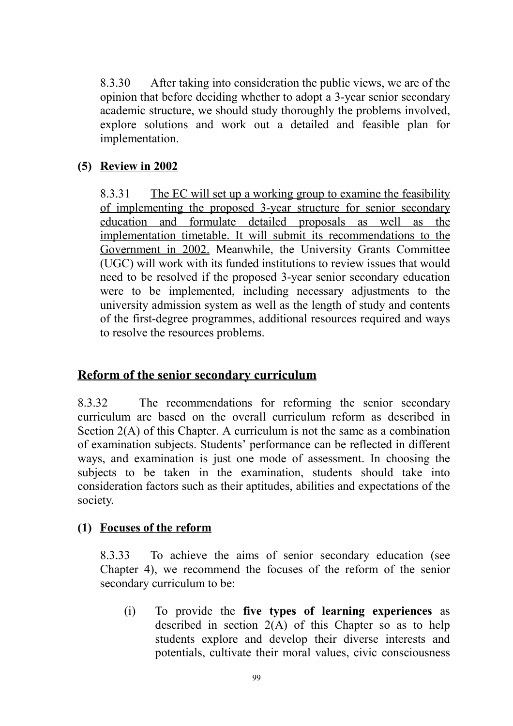8.3.30 After taking into consideration the public views, we are of the opinion that before deciding whether to adopt a 3-year senior secondary academic structure, we should study thoroughly the problems involved, explore solutions and work out a detailed and feasible plan for implementation.

## **(5) Review in 2002**

8.3.31 The EC will set up a working group to examine the feasibility of implementing the proposed 3-year structure for senior secondary education and formulate detailed proposals as well as the implementation timetable. It will submit its recommendations to the Government in 2002. Meanwhile, the University Grants Committee (UGC) will work with its funded institutions to review issues that would need to be resolved if the proposed 3-year senior secondary education were to be implemented, including necessary adjustments to the university admission system as well as the length of study and contents of the first-degree programmes, additional resources required and ways to resolve the resources problems.

## **Reform of the senior secondary curriculum**

8.3.32 The recommendations for reforming the senior secondary curriculum are based on the overall curriculum reform as described in Section 2(A) of this Chapter. A curriculum is not the same as a combination of examination subjects. Students' performance can be reflected in different ways, and examination is just one mode of assessment. In choosing the subjects to be taken in the examination, students should take into consideration factors such as their aptitudes, abilities and expectations of the society.

## **(1) Focuses of the reform**

8.3.33 To achieve the aims of senior secondary education (see Chapter 4), we recommend the focuses of the reform of the senior secondary curriculum to be:

(i) To provide the **five types of learning experiences** as described in section 2(A) of this Chapter so as to help students explore and develop their diverse interests and potentials, cultivate their moral values, civic consciousness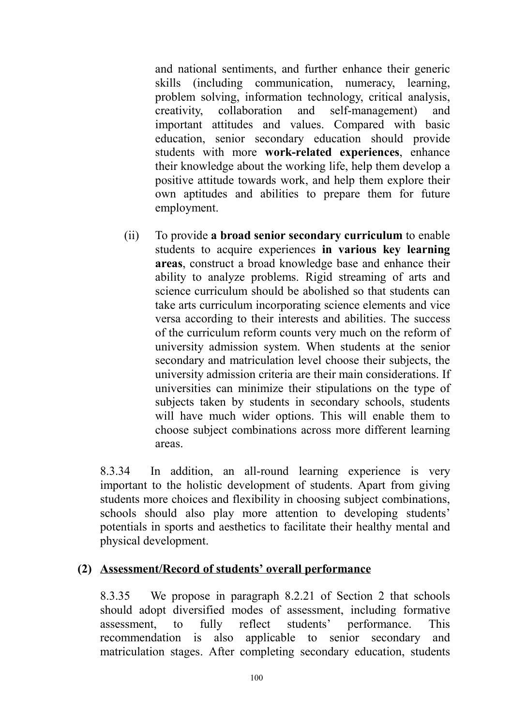and national sentiments, and further enhance their generic skills (including communication, numeracy, learning, problem solving, information technology, critical analysis, creativity, collaboration and self-management) and important attitudes and values. Compared with basic education, senior secondary education should provide students with more **work-related experiences**, enhance their knowledge about the working life, help them develop a positive attitude towards work, and help them explore their own aptitudes and abilities to prepare them for future employment.

(ii) To provide **a broad senior secondary curriculum** to enable students to acquire experiences **in various key learning areas**, construct a broad knowledge base and enhance their ability to analyze problems. Rigid streaming of arts and science curriculum should be abolished so that students can take arts curriculum incorporating science elements and vice versa according to their interests and abilities. The success of the curriculum reform counts very much on the reform of university admission system. When students at the senior secondary and matriculation level choose their subjects, the university admission criteria are their main considerations. If universities can minimize their stipulations on the type of subjects taken by students in secondary schools, students will have much wider options. This will enable them to choose subject combinations across more different learning areas.

8.3.34 In addition, an all-round learning experience is very important to the holistic development of students. Apart from giving students more choices and flexibility in choosing subject combinations, schools should also play more attention to developing students' potentials in sports and aesthetics to facilitate their healthy mental and physical development.

### **(2) Assessment/Record of students' overall performance**

8.3.35 We propose in paragraph 8.2.21 of Section 2 that schools should adopt diversified modes of assessment, including formative assessment, to fully reflect students' performance. This recommendation is also applicable to senior secondary and matriculation stages. After completing secondary education, students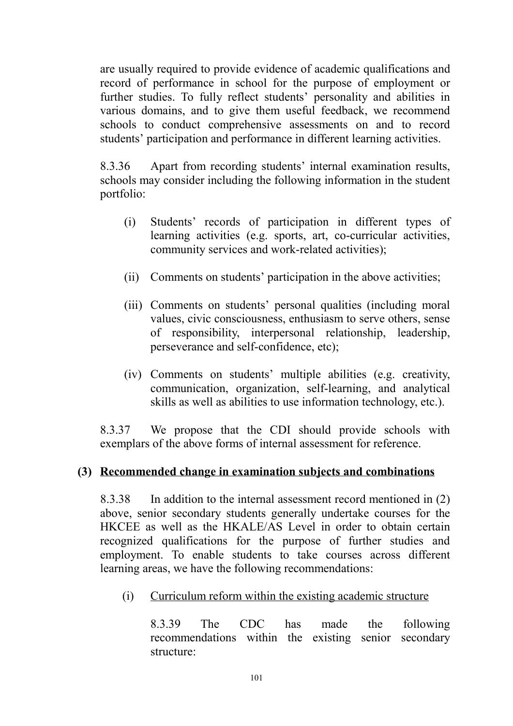are usually required to provide evidence of academic qualifications and record of performance in school for the purpose of employment or further studies. To fully reflect students' personality and abilities in various domains, and to give them useful feedback, we recommend schools to conduct comprehensive assessments on and to record students' participation and performance in different learning activities.

8.3.36 Apart from recording students' internal examination results, schools may consider including the following information in the student portfolio:

- (i) Students' records of participation in different types of learning activities (e.g. sports, art, co-curricular activities, community services and work-related activities);
- (ii) Comments on students' participation in the above activities;
- (iii) Comments on students' personal qualities (including moral values, civic consciousness, enthusiasm to serve others, sense of responsibility, interpersonal relationship, leadership, perseverance and self-confidence, etc);
- (iv) Comments on students' multiple abilities (e.g. creativity, communication, organization, self-learning, and analytical skills as well as abilities to use information technology, etc.).

8.3.37 We propose that the CDI should provide schools with exemplars of the above forms of internal assessment for reference.

## **(3) Recommended change in examination subjects and combinations**

8.3.38 In addition to the internal assessment record mentioned in (2) above, senior secondary students generally undertake courses for the HKCEE as well as the HKALE/AS Level in order to obtain certain recognized qualifications for the purpose of further studies and employment. To enable students to take courses across different learning areas, we have the following recommendations:

(i) Curriculum reform within the existing academic structure

8.3.39 The CDC has made the following recommendations within the existing senior secondary structure: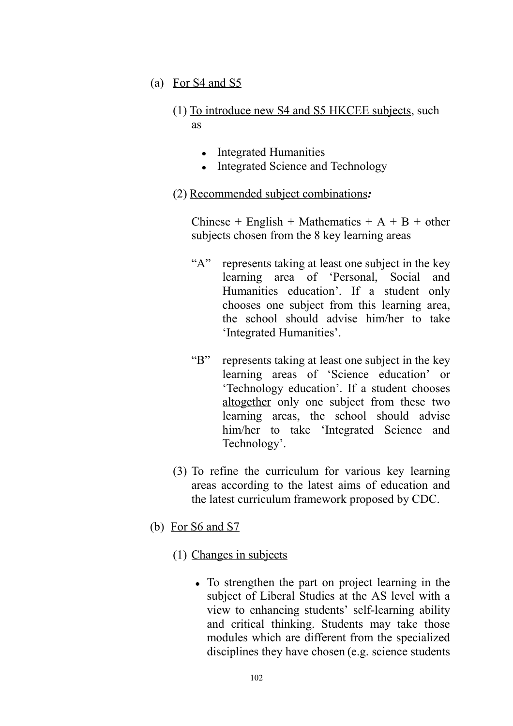- (a) For S4 and S5
	- (1) To introduce new S4 and S5 HKCEE subjects, such as
		- Integrated Humanities
		- Integrated Science and Technology

### (2) Recommended subject combinations*:*

Chinese + English + Mathematics +  $A + B +$  other subjects chosen from the 8 key learning areas

- "A" represents taking at least one subject in the key learning area of 'Personal, Social and Humanities education'. If a student only chooses one subject from this learning area, the school should advise him/her to take 'Integrated Humanities'.
- "B" represents taking at least one subject in the key learning areas of 'Science education' or 'Technology education'. If a student chooses altogether only one subject from these two learning areas, the school should advise him/her to take 'Integrated Science and Technology'.
- (3) To refine the curriculum for various key learning areas according to the latest aims of education and the latest curriculum framework proposed by CDC.
- (b) For S6 and S7
	- (1) Changes in subjects
		- To strengthen the part on project learning in the subject of Liberal Studies at the AS level with a view to enhancing students' self-learning ability and critical thinking. Students may take those modules which are different from the specialized disciplines they have chosen (e.g. science students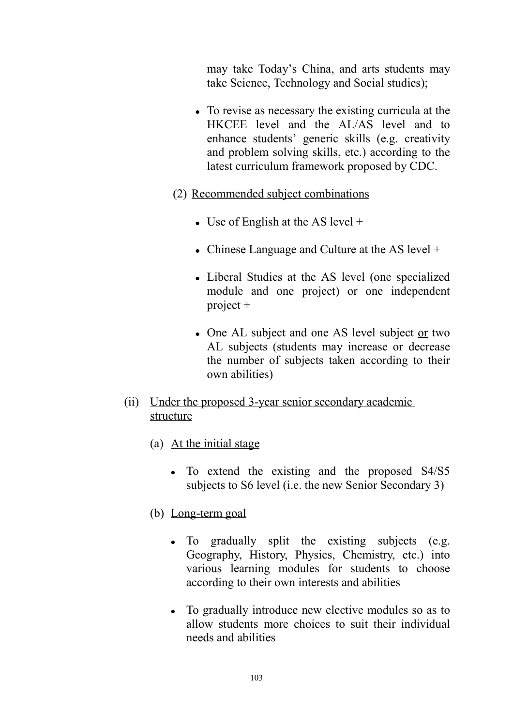may take Today's China, and arts students may take Science, Technology and Social studies);

- To revise as necessary the existing curricula at the HKCEE level and the AL/AS level and to enhance students' generic skills (e.g. creativity and problem solving skills, etc.) according to the latest curriculum framework proposed by CDC.
- (2) Recommended subject combinations
	- Use of English at the AS level  $+$
	- Chinese Language and Culture at the AS level  $+$
	- Liberal Studies at the AS level (one specialized module and one project) or one independent project +
	- One AL subject and one AS level subject or two AL subjects (students may increase or decrease the number of subjects taken according to their own abilities)
- (ii) Under the proposed 3-year senior secondary academic structure
	- (a) At the initial stage
		- To extend the existing and the proposed S4/S5 subjects to S6 level (i.e. the new Senior Secondary 3)
	- (b) Long-term goal
		- To gradually split the existing subjects (e.g. Geography, History, Physics, Chemistry, etc.) into various learning modules for students to choose according to their own interests and abilities
		- To gradually introduce new elective modules so as to allow students more choices to suit their individual needs and abilities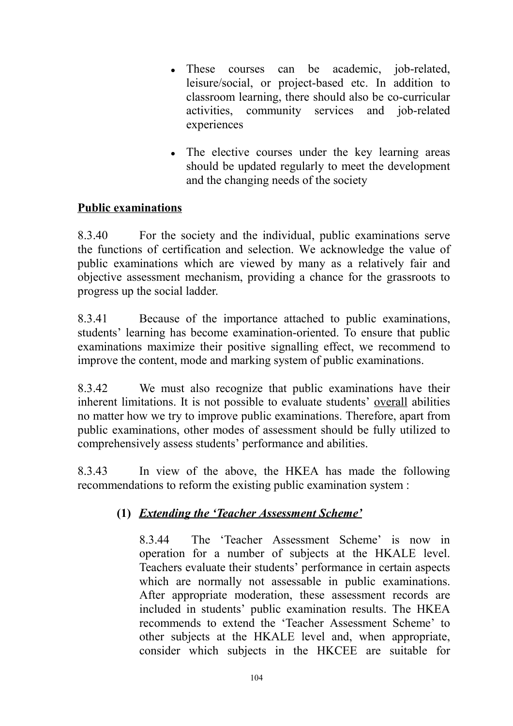- These courses can be academic, job-related, leisure/social, or project-based etc. In addition to classroom learning, there should also be co-curricular activities, community services and job-related experiences
- The elective courses under the key learning areas should be updated regularly to meet the development and the changing needs of the society

## **Public examinations**

8.3.40 For the society and the individual, public examinations serve the functions of certification and selection. We acknowledge the value of public examinations which are viewed by many as a relatively fair and objective assessment mechanism, providing a chance for the grassroots to progress up the social ladder.

8.3.41 Because of the importance attached to public examinations, students' learning has become examination-oriented. To ensure that public examinations maximize their positive signalling effect, we recommend to improve the content, mode and marking system of public examinations.

8.3.42 We must also recognize that public examinations have their inherent limitations. It is not possible to evaluate students' overall abilities no matter how we try to improve public examinations. Therefore, apart from public examinations, other modes of assessment should be fully utilized to comprehensively assess students' performance and abilities.

8.3.43 In view of the above, the HKEA has made the following recommendations to reform the existing public examination system :

## **(1)** *Extending the 'Teacher Assessment Scheme'*

8.3.44 The 'Teacher Assessment Scheme' is now in operation for a number of subjects at the HKALE level. Teachers evaluate their students' performance in certain aspects which are normally not assessable in public examinations. After appropriate moderation, these assessment records are included in students' public examination results. The HKEA recommends to extend the 'Teacher Assessment Scheme' to other subjects at the HKALE level and, when appropriate, consider which subjects in the HKCEE are suitable for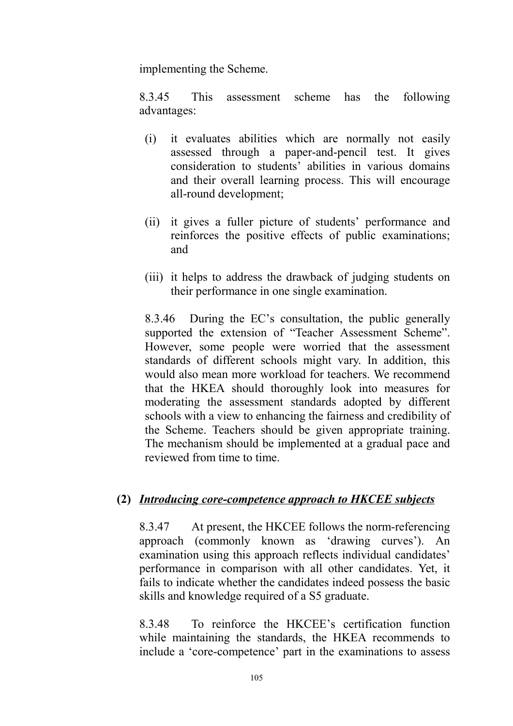implementing the Scheme.

8.3.45 This assessment scheme has the following advantages:

- (i) it evaluates abilities which are normally not easily assessed through a paper-and-pencil test. It gives consideration to students' abilities in various domains and their overall learning process. This will encourage all-round development;
- (ii) it gives a fuller picture of students' performance and reinforces the positive effects of public examinations; and
- (iii) it helps to address the drawback of judging students on their performance in one single examination.

8.3.46 During the EC's consultation, the public generally supported the extension of "Teacher Assessment Scheme". However, some people were worried that the assessment standards of different schools might vary. In addition, this would also mean more workload for teachers. We recommend that the HKEA should thoroughly look into measures for moderating the assessment standards adopted by different schools with a view to enhancing the fairness and credibility of the Scheme. Teachers should be given appropriate training. The mechanism should be implemented at a gradual pace and reviewed from time to time.

### **(2)** *Introducing core-competence approach to HKCEE subjects*

8.3.47 At present, the HKCEE follows the norm-referencing approach (commonly known as 'drawing curves'). An examination using this approach reflects individual candidates' performance in comparison with all other candidates. Yet, it fails to indicate whether the candidates indeed possess the basic skills and knowledge required of a S5 graduate.

8.3.48 To reinforce the HKCEE's certification function while maintaining the standards, the HKEA recommends to include a 'core-competence' part in the examinations to assess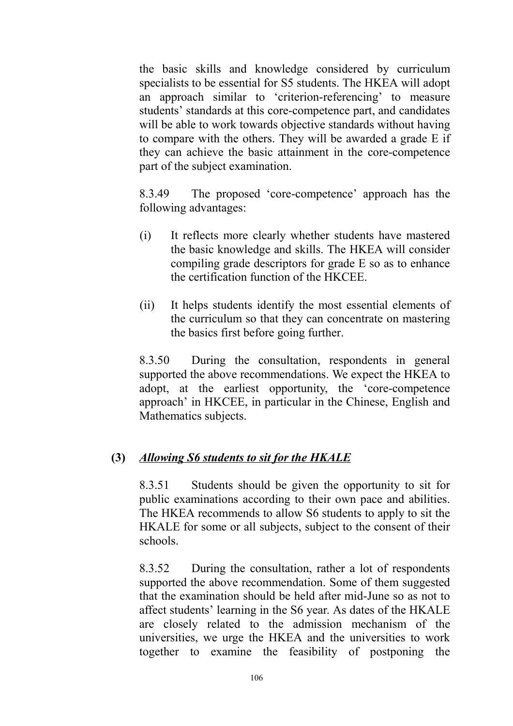the basic skills and knowledge considered by curriculum specialists to be essential for S5 students. The HKEA will adopt an approach similar to 'criterion-referencing' to measure students' standards at this core-competence part, and candidates will be able to work towards objective standards without having to compare with the others. They will be awarded a grade E if they can achieve the basic attainment in the core-competence part of the subject examination.

8.3.49 The proposed 'core-competence' approach has the following advantages:

- (i) It reflects more clearly whether students have mastered the basic knowledge and skills. The HKEA will consider compiling grade descriptors for grade E so as to enhance the certification function of the HKCEE.
- (ii) It helps students identify the most essential elements of the curriculum so that they can concentrate on mastering the basics first before going further.

8.3.50 During the consultation, respondents in general supported the above recommendations. We expect the HKEA to adopt, at the earliest opportunity, the 'core-competence approach' in HKCEE, in particular in the Chinese, English and Mathematics subjects.

## **(3)** *Allowing S6 students to sit for the HKALE*

8.3.51 Students should be given the opportunity to sit for public examinations according to their own pace and abilities. The HKEA recommends to allow S6 students to apply to sit the HKALE for some or all subjects, subject to the consent of their schools.

8.3.52 During the consultation, rather a lot of respondents supported the above recommendation. Some of them suggested that the examination should be held after mid-June so as not to affect students' learning in the S6 year. As dates of the HKALE are closely related to the admission mechanism of the universities, we urge the HKEA and the universities to work together to examine the feasibility of postponing the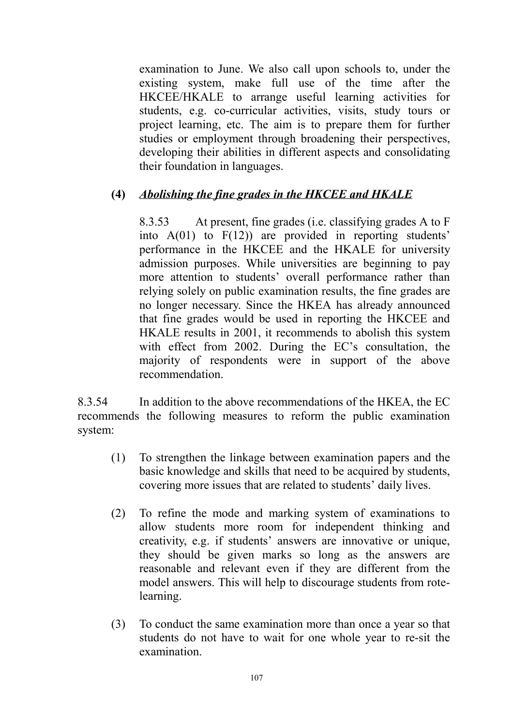examination to June. We also call upon schools to, under the existing system, make full use of the time after the HKCEE/HKALE to arrange useful learning activities for students, e.g. co-curricular activities, visits, study tours or project learning, etc. The aim is to prepare them for further studies or employment through broadening their perspectives, developing their abilities in different aspects and consolidating their foundation in languages.

## **(4)** *Abolishing the fine grades in the HKCEE and HKALE*

8.3.53 At present, fine grades (i.e. classifying grades A to F into  $A(01)$  to  $F(12)$  are provided in reporting students' performance in the HKCEE and the HKALE for university admission purposes. While universities are beginning to pay more attention to students' overall performance rather than relying solely on public examination results, the fine grades are no longer necessary. Since the HKEA has already announced that fine grades would be used in reporting the HKCEE and HKALE results in 2001, it recommends to abolish this system with effect from 2002. During the EC's consultation, the majority of respondents were in support of the above recommendation.

8.3.54 In addition to the above recommendations of the HKEA, the EC recommends the following measures to reform the public examination system:

- (1) To strengthen the linkage between examination papers and the basic knowledge and skills that need to be acquired by students, covering more issues that are related to students' daily lives.
- (2) To refine the mode and marking system of examinations to allow students more room for independent thinking and creativity, e.g. if students' answers are innovative or unique, they should be given marks so long as the answers are reasonable and relevant even if they are different from the model answers. This will help to discourage students from rotelearning.
- (3) To conduct the same examination more than once a year so that students do not have to wait for one whole year to re-sit the examination.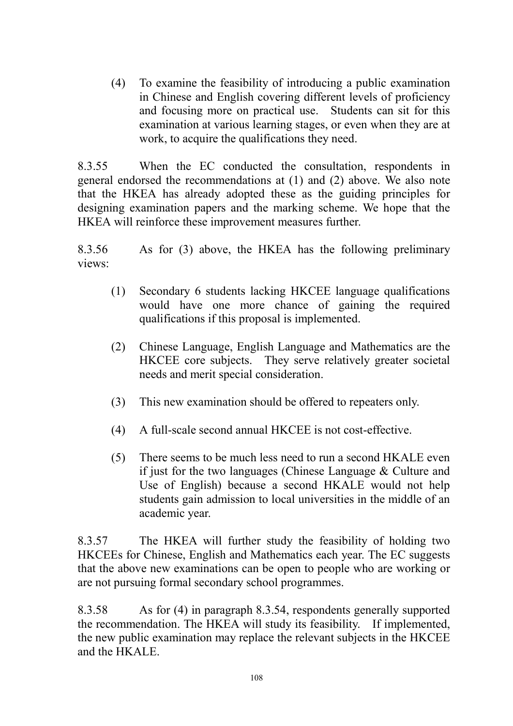(4) To examine the feasibility of introducing a public examination in Chinese and English covering different levels of proficiency and focusing more on practical use. Students can sit for this examination at various learning stages, or even when they are at work, to acquire the qualifications they need.

8.3.55 When the EC conducted the consultation, respondents in general endorsed the recommendations at (1) and (2) above. We also note that the HKEA has already adopted these as the guiding principles for designing examination papers and the marking scheme. We hope that the HKEA will reinforce these improvement measures further.

8.3.56 As for (3) above, the HKEA has the following preliminary views:

- (1) Secondary 6 students lacking HKCEE language qualifications would have one more chance of gaining the required qualifications if this proposal is implemented.
- (2) Chinese Language, English Language and Mathematics are the HKCEE core subjects. They serve relatively greater societal needs and merit special consideration.
- (3) This new examination should be offered to repeaters only.
- (4) A full-scale second annual HKCEE is not cost-effective.
- (5) There seems to be much less need to run a second HKALE even if just for the two languages (Chinese Language & Culture and Use of English) because a second HKALE would not help students gain admission to local universities in the middle of an academic year.

8.3.57 The HKEA will further study the feasibility of holding two HKCEEs for Chinese, English and Mathematics each year. The EC suggests that the above new examinations can be open to people who are working or are not pursuing formal secondary school programmes.

8.3.58 As for (4) in paragraph 8.3.54, respondents generally supported the recommendation. The HKEA will study its feasibility. If implemented, the new public examination may replace the relevant subjects in the HKCEE and the HKALE.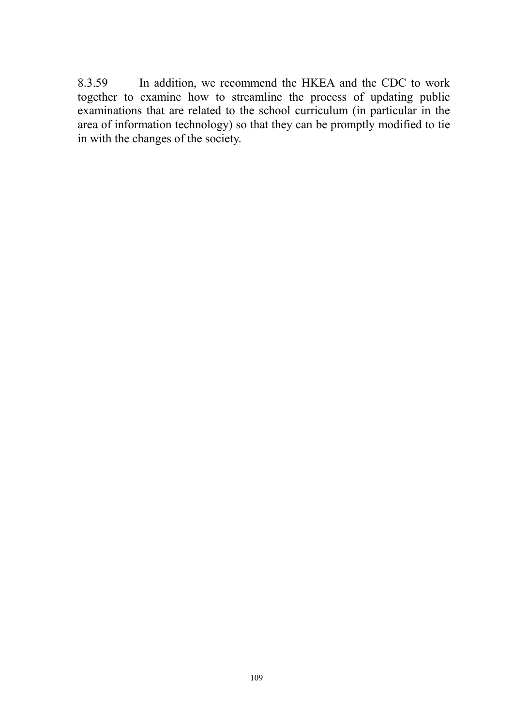8.3.59 In addition, we recommend the HKEA and the CDC to work together to examine how to streamline the process of updating public examinations that are related to the school curriculum (in particular in the area of information technology) so that they can be promptly modified to tie in with the changes of the society.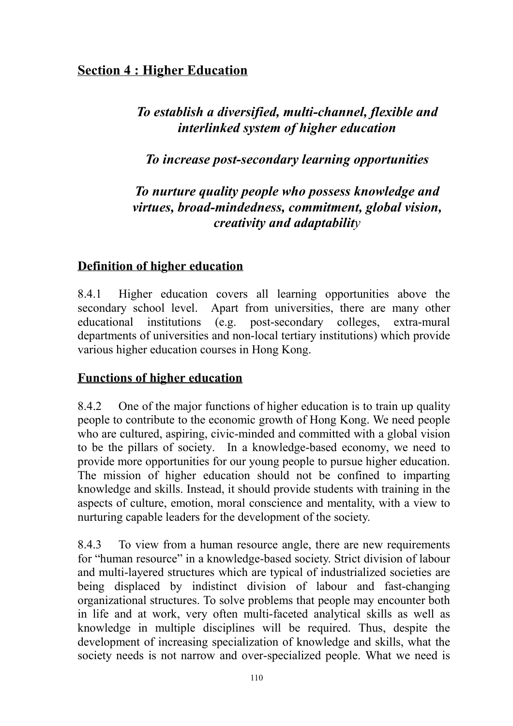## **Section 4 : Higher Education**

# *To establish a diversified, multi-channel, flexible and interlinked system of higher education*

# *To increase post-secondary learning opportunities*

# *To nurture quality people who possess knowledge and virtues, broad-mindedness, commitment, global vision, creativity and adaptability*

## **Definition of higher education**

8.4.1 Higher education covers all learning opportunities above the secondary school level. Apart from universities, there are many other educational institutions (e.g. post-secondary colleges, extra-mural departments of universities and non-local tertiary institutions) which provide various higher education courses in Hong Kong.

## **Functions of higher education**

8.4.2 One of the major functions of higher education is to train up quality people to contribute to the economic growth of Hong Kong. We need people who are cultured, aspiring, civic-minded and committed with a global vision to be the pillars of society. In a knowledge-based economy, we need to provide more opportunities for our young people to pursue higher education. The mission of higher education should not be confined to imparting knowledge and skills. Instead, it should provide students with training in the aspects of culture, emotion, moral conscience and mentality, with a view to nurturing capable leaders for the development of the society.

8.4.3 To view from a human resource angle, there are new requirements for "human resource" in a knowledge-based society. Strict division of labour and multi-layered structures which are typical of industrialized societies are being displaced by indistinct division of labour and fast-changing organizational structures. To solve problems that people may encounter both in life and at work, very often multi-faceted analytical skills as well as knowledge in multiple disciplines will be required. Thus, despite the development of increasing specialization of knowledge and skills, what the society needs is not narrow and over-specialized people. What we need is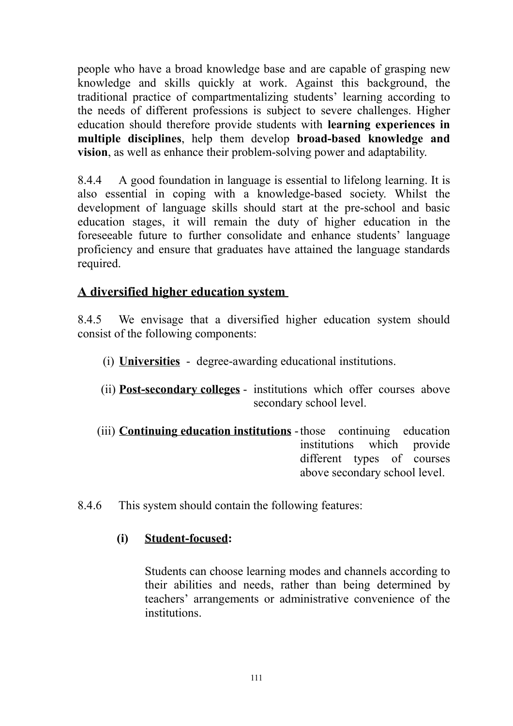people who have a broad knowledge base and are capable of grasping new knowledge and skills quickly at work. Against this background, the traditional practice of compartmentalizing students' learning according to the needs of different professions is subject to severe challenges. Higher education should therefore provide students with **learning experiences in multiple disciplines**, help them develop **broad-based knowledge and vision**, as well as enhance their problem-solving power and adaptability.

8.4.4 A good foundation in language is essential to lifelong learning. It is also essential in coping with a knowledge-based society. Whilst the development of language skills should start at the pre-school and basic education stages, it will remain the duty of higher education in the foreseeable future to further consolidate and enhance students' language proficiency and ensure that graduates have attained the language standards required.

## **A diversified higher education system**

8.4.5 We envisage that a diversified higher education system should consist of the following components:

- (i) **Universities** degree-awarding educational institutions.
- (ii) **Post-secondary colleges** institutions which offer courses above secondary school level.
- (iii) **Continuing education institutions** -those continuing education institutions which provide different types of courses above secondary school level.
- 8.4.6 This system should contain the following features:

## **(i) Student-focused:**

Students can choose learning modes and channels according to their abilities and needs, rather than being determined by teachers' arrangements or administrative convenience of the institutions.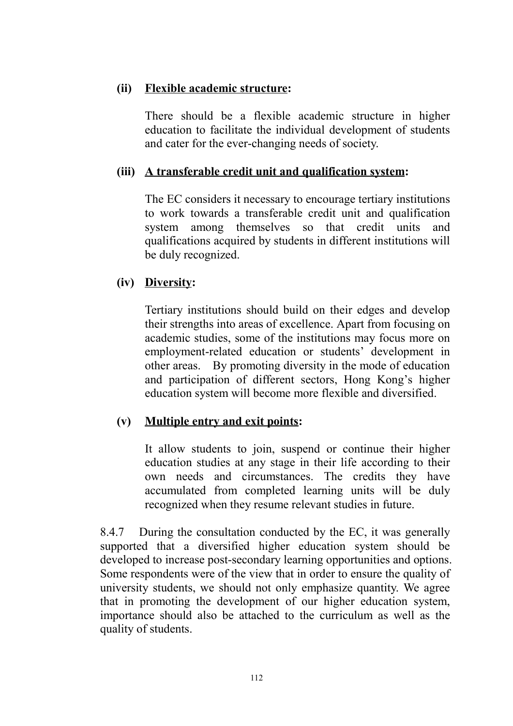### **(ii) Flexible academic structure:**

There should be a flexible academic structure in higher education to facilitate the individual development of students and cater for the ever-changing needs of society.

### **(iii) A transferable credit unit and qualification system:**

The EC considers it necessary to encourage tertiary institutions to work towards a transferable credit unit and qualification system among themselves so that credit units and qualifications acquired by students in different institutions will be duly recognized.

### **(iv) Diversity:**

Tertiary institutions should build on their edges and develop their strengths into areas of excellence. Apart from focusing on academic studies, some of the institutions may focus more on employment-related education or students' development in other areas. By promoting diversity in the mode of education and participation of different sectors, Hong Kong's higher education system will become more flexible and diversified.

## **(v) Multiple entry and exit points:**

It allow students to join, suspend or continue their higher education studies at any stage in their life according to their own needs and circumstances. The credits they have accumulated from completed learning units will be duly recognized when they resume relevant studies in future.

8.4.7 During the consultation conducted by the EC, it was generally supported that a diversified higher education system should be developed to increase post-secondary learning opportunities and options. Some respondents were of the view that in order to ensure the quality of university students, we should not only emphasize quantity. We agree that in promoting the development of our higher education system, importance should also be attached to the curriculum as well as the quality of students.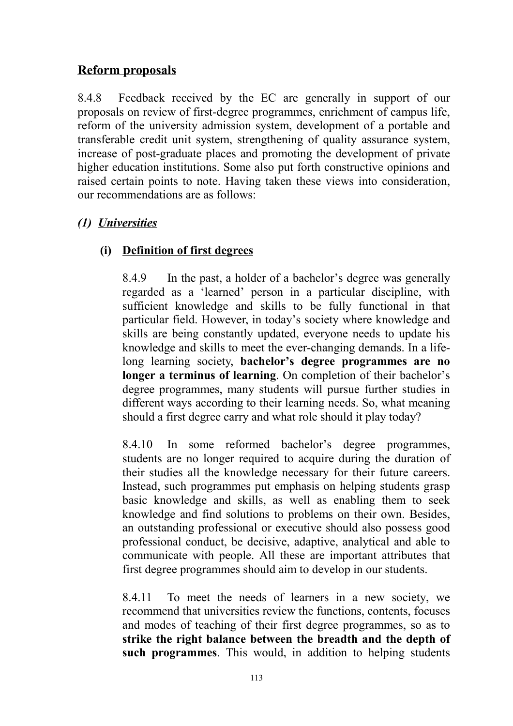## **Reform proposals**

8.4.8 Feedback received by the EC are generally in support of our proposals on review of first-degree programmes, enrichment of campus life, reform of the university admission system, development of a portable and transferable credit unit system, strengthening of quality assurance system, increase of post-graduate places and promoting the development of private higher education institutions. Some also put forth constructive opinions and raised certain points to note. Having taken these views into consideration, our recommendations are as follows:

## *(1) Universities*

## **(i) Definition of first degrees**

8.4.9 In the past, a holder of a bachelor's degree was generally regarded as a 'learned' person in a particular discipline, with sufficient knowledge and skills to be fully functional in that particular field. However, in today's society where knowledge and skills are being constantly updated, everyone needs to update his knowledge and skills to meet the ever-changing demands. In a lifelong learning society, **bachelor's degree programmes are no longer a terminus of learning**. On completion of their bachelor's degree programmes, many students will pursue further studies in different ways according to their learning needs. So, what meaning should a first degree carry and what role should it play today?

8.4.10 In some reformed bachelor's degree programmes, students are no longer required to acquire during the duration of their studies all the knowledge necessary for their future careers. Instead, such programmes put emphasis on helping students grasp basic knowledge and skills, as well as enabling them to seek knowledge and find solutions to problems on their own. Besides, an outstanding professional or executive should also possess good professional conduct, be decisive, adaptive, analytical and able to communicate with people. All these are important attributes that first degree programmes should aim to develop in our students.

8.4.11 To meet the needs of learners in a new society, we recommend that universities review the functions, contents, focuses and modes of teaching of their first degree programmes, so as to **strike the right balance between the breadth and the depth of such programmes**. This would, in addition to helping students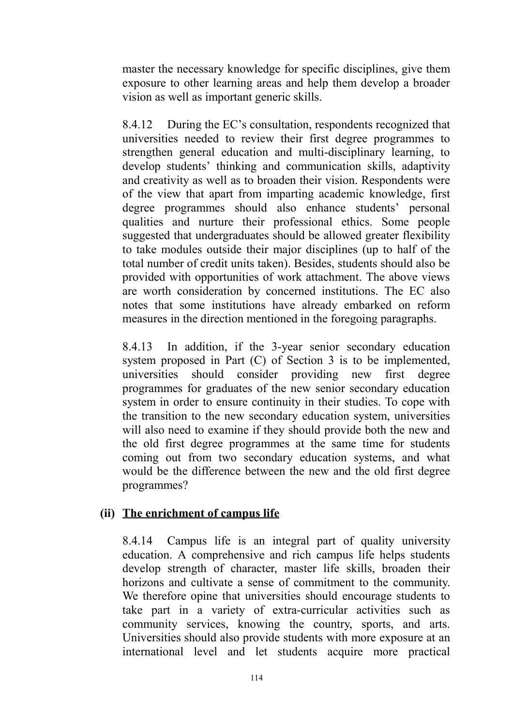master the necessary knowledge for specific disciplines, give them exposure to other learning areas and help them develop a broader vision as well as important generic skills.

8.4.12 During the EC's consultation, respondents recognized that universities needed to review their first degree programmes to strengthen general education and multi-disciplinary learning, to develop students' thinking and communication skills, adaptivity and creativity as well as to broaden their vision. Respondents were of the view that apart from imparting academic knowledge, first degree programmes should also enhance students' personal qualities and nurture their professional ethics. Some people suggested that undergraduates should be allowed greater flexibility to take modules outside their major disciplines (up to half of the total number of credit units taken). Besides, students should also be provided with opportunities of work attachment. The above views are worth consideration by concerned institutions. The EC also notes that some institutions have already embarked on reform measures in the direction mentioned in the foregoing paragraphs.

8.4.13 In addition, if the 3-year senior secondary education system proposed in Part (C) of Section 3 is to be implemented, universities should consider providing new first degree programmes for graduates of the new senior secondary education system in order to ensure continuity in their studies. To cope with the transition to the new secondary education system, universities will also need to examine if they should provide both the new and the old first degree programmes at the same time for students coming out from two secondary education systems, and what would be the difference between the new and the old first degree programmes?

## **(ii) The enrichment of campus life**

8.4.14 Campus life is an integral part of quality university education. A comprehensive and rich campus life helps students develop strength of character, master life skills, broaden their horizons and cultivate a sense of commitment to the community. We therefore opine that universities should encourage students to take part in a variety of extra-curricular activities such as community services, knowing the country, sports, and arts. Universities should also provide students with more exposure at an international level and let students acquire more practical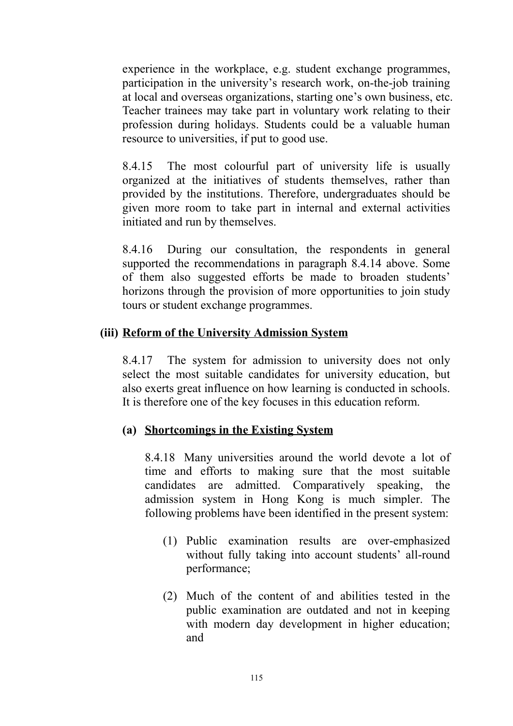experience in the workplace, e.g. student exchange programmes, participation in the university's research work, on-the-job training at local and overseas organizations, starting one's own business, etc. Teacher trainees may take part in voluntary work relating to their profession during holidays. Students could be a valuable human resource to universities, if put to good use.

8.4.15 The most colourful part of university life is usually organized at the initiatives of students themselves, rather than provided by the institutions. Therefore, undergraduates should be given more room to take part in internal and external activities initiated and run by themselves.

8.4.16 During our consultation, the respondents in general supported the recommendations in paragraph 8.4.14 above. Some of them also suggested efforts be made to broaden students' horizons through the provision of more opportunities to join study tours or student exchange programmes.

## **(iii) Reform of the University Admission System**

8.4.17 The system for admission to university does not only select the most suitable candidates for university education, but also exerts great influence on how learning is conducted in schools. It is therefore one of the key focuses in this education reform.

### **(a) Shortcomings in the Existing System**

8.4.18 Many universities around the world devote a lot of time and efforts to making sure that the most suitable candidates are admitted. Comparatively speaking, the admission system in Hong Kong is much simpler. The following problems have been identified in the present system:

- (1) Public examination results are over-emphasized without fully taking into account students' all-round performance;
- (2) Much of the content of and abilities tested in the public examination are outdated and not in keeping with modern day development in higher education; and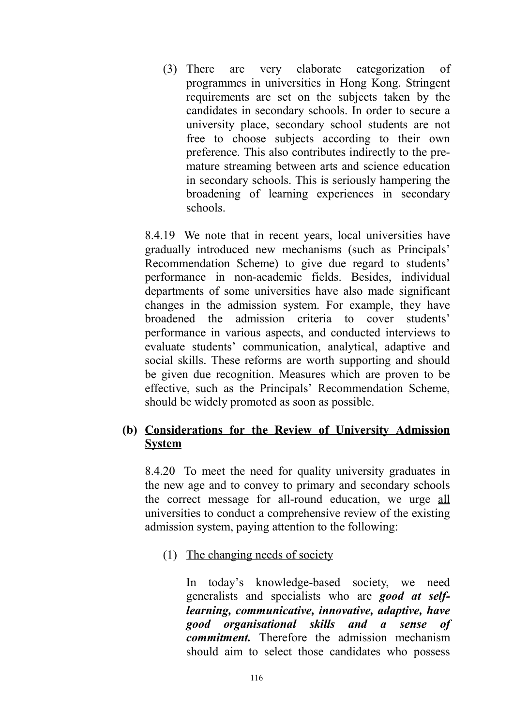(3) There are very elaborate categorization of programmes in universities in Hong Kong. Stringent requirements are set on the subjects taken by the candidates in secondary schools. In order to secure a university place, secondary school students are not free to choose subjects according to their own preference. This also contributes indirectly to the premature streaming between arts and science education in secondary schools. This is seriously hampering the broadening of learning experiences in secondary schools.

8.4.19 We note that in recent years, local universities have gradually introduced new mechanisms (such as Principals' Recommendation Scheme) to give due regard to students' performance in non-academic fields. Besides, individual departments of some universities have also made significant changes in the admission system. For example, they have broadened the admission criteria to cover students' performance in various aspects, and conducted interviews to evaluate students' communication, analytical, adaptive and social skills. These reforms are worth supporting and should be given due recognition. Measures which are proven to be effective, such as the Principals' Recommendation Scheme, should be widely promoted as soon as possible.

### **(b) Considerations for the Review of University Admission System**

8.4.20 To meet the need for quality university graduates in the new age and to convey to primary and secondary schools the correct message for all-round education, we urge all universities to conduct a comprehensive review of the existing admission system, paying attention to the following:

(1) The changing needs of society

In today's knowledge-based society, we need generalists and specialists who are *good at selflearning, communicative, innovative, adaptive, have good organisational skills and a sense commitment.* Therefore the admission mechanism should aim to select those candidates who possess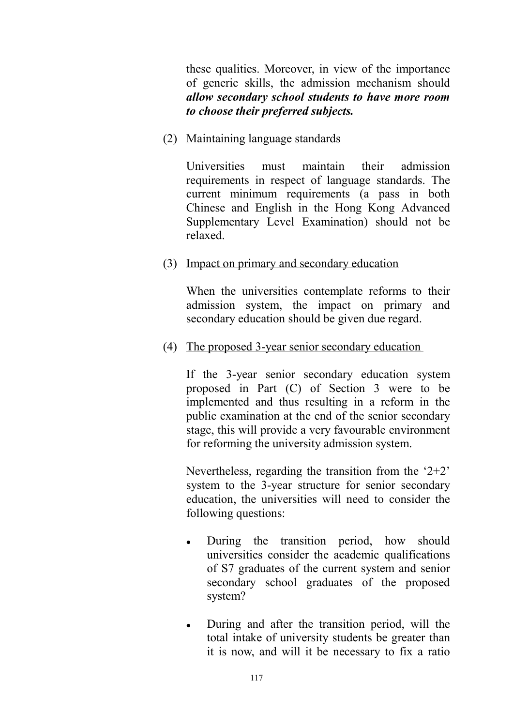these qualities. Moreover, in view of the importance of generic skills, the admission mechanism should *allow secondary school students to have more room to choose their preferred subjects.*

(2) Maintaining language standards

Universities must maintain their admission requirements in respect of language standards. The current minimum requirements (a pass in both Chinese and English in the Hong Kong Advanced Supplementary Level Examination) should not be relaxed.

(3) Impact on primary and secondary education

When the universities contemplate reforms to their admission system, the impact on primary and secondary education should be given due regard.

(4) The proposed 3-year senior secondary education

If the 3-year senior secondary education system proposed in Part (C) of Section 3 were to be implemented and thus resulting in a reform in the public examination at the end of the senior secondary stage, this will provide a very favourable environment for reforming the university admission system.

Nevertheless, regarding the transition from the '2+2' system to the 3-year structure for senior secondary education, the universities will need to consider the following questions:

- During the transition period, how should universities consider the academic qualifications of S7 graduates of the current system and senior secondary school graduates of the proposed system?
- During and after the transition period, will the total intake of university students be greater than it is now, and will it be necessary to fix a ratio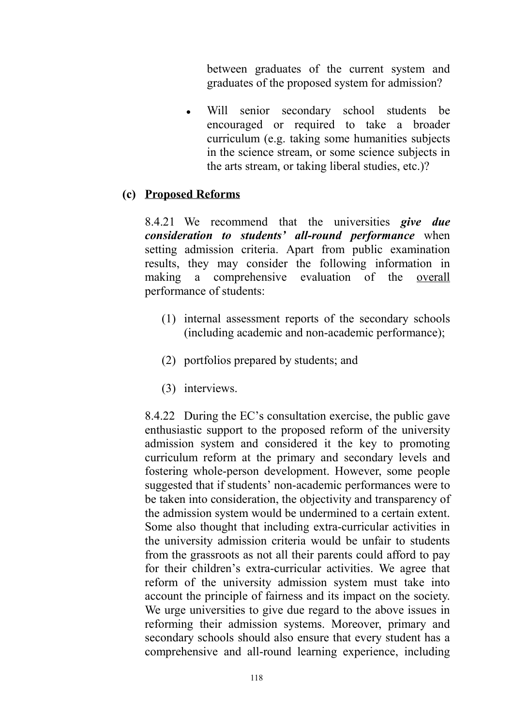between graduates of the current system and graduates of the proposed system for admission?

• Will senior secondary school students be encouraged or required to take a broader curriculum (e.g. taking some humanities subjects in the science stream, or some science subjects in the arts stream, or taking liberal studies, etc.)?

#### **(c) Proposed Reforms**

8.4.21 We recommend that the universities *give due consideration to students' all-round performance* when setting admission criteria. Apart from public examination results, they may consider the following information in making a comprehensive evaluation of the overall performance of students:

- (1) internal assessment reports of the secondary schools (including academic and non-academic performance);
- (2) portfolios prepared by students; and
- (3) interviews.

8.4.22 During the EC's consultation exercise, the public gave enthusiastic support to the proposed reform of the university admission system and considered it the key to promoting curriculum reform at the primary and secondary levels and fostering whole-person development. However, some people suggested that if students' non-academic performances were to be taken into consideration, the objectivity and transparency of the admission system would be undermined to a certain extent. Some also thought that including extra-curricular activities in the university admission criteria would be unfair to students from the grassroots as not all their parents could afford to pay for their children's extra-curricular activities. We agree that reform of the university admission system must take into account the principle of fairness and its impact on the society. We urge universities to give due regard to the above issues in reforming their admission systems. Moreover, primary and secondary schools should also ensure that every student has a comprehensive and all-round learning experience, including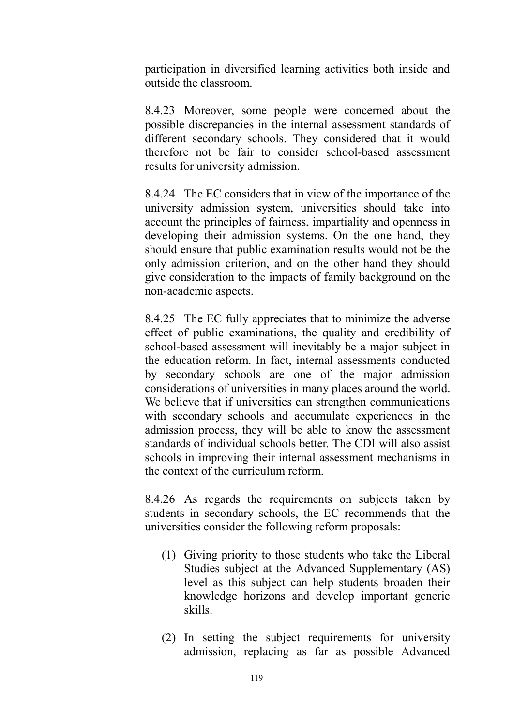participation in diversified learning activities both inside and outside the classroom.

8.4.23 Moreover, some people were concerned about the possible discrepancies in the internal assessment standards of different secondary schools. They considered that it would therefore not be fair to consider school-based assessment results for university admission.

8.4.24 The EC considers that in view of the importance of the university admission system, universities should take into account the principles of fairness, impartiality and openness in developing their admission systems. On the one hand, they should ensure that public examination results would not be the only admission criterion, and on the other hand they should give consideration to the impacts of family background on the non-academic aspects.

8.4.25 The EC fully appreciates that to minimize the adverse effect of public examinations, the quality and credibility of school-based assessment will inevitably be a major subject in the education reform. In fact, internal assessments conducted by secondary schools are one of the major admission considerations of universities in many places around the world. We believe that if universities can strengthen communications with secondary schools and accumulate experiences in the admission process, they will be able to know the assessment standards of individual schools better. The CDI will also assist schools in improving their internal assessment mechanisms in the context of the curriculum reform.

8.4.26 As regards the requirements on subjects taken by students in secondary schools, the EC recommends that the universities consider the following reform proposals:

- (1) Giving priority to those students who take the Liberal Studies subject at the Advanced Supplementary (AS) level as this subject can help students broaden their knowledge horizons and develop important generic skills.
- (2) In setting the subject requirements for university admission, replacing as far as possible Advanced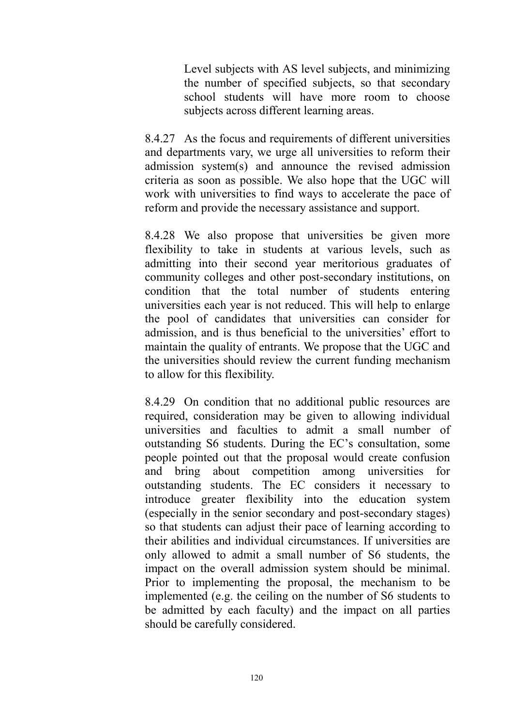Level subjects with AS level subjects, and minimizing the number of specified subjects, so that secondary school students will have more room to choose subjects across different learning areas.

8.4.27 As the focus and requirements of different universities and departments vary, we urge all universities to reform their admission system(s) and announce the revised admission criteria as soon as possible. We also hope that the UGC will work with universities to find ways to accelerate the pace of reform and provide the necessary assistance and support.

8.4.28 We also propose that universities be given more flexibility to take in students at various levels, such as admitting into their second year meritorious graduates of community colleges and other post-secondary institutions, on condition that the total number of students entering universities each year is not reduced. This will help to enlarge the pool of candidates that universities can consider for admission, and is thus beneficial to the universities' effort to maintain the quality of entrants. We propose that the UGC and the universities should review the current funding mechanism to allow for this flexibility.

8.4.29 On condition that no additional public resources are required, consideration may be given to allowing individual universities and faculties to admit a small number of outstanding S6 students. During the EC's consultation, some people pointed out that the proposal would create confusion and bring about competition among universities for outstanding students. The EC considers it necessary to introduce greater flexibility into the education system (especially in the senior secondary and post-secondary stages) so that students can adjust their pace of learning according to their abilities and individual circumstances. If universities are only allowed to admit a small number of S6 students, the impact on the overall admission system should be minimal. Prior to implementing the proposal, the mechanism to be implemented (e.g. the ceiling on the number of S6 students to be admitted by each faculty) and the impact on all parties should be carefully considered.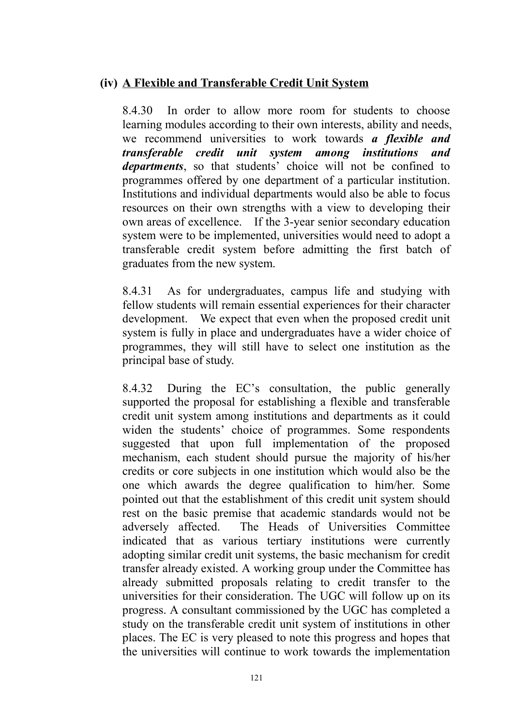### **(iv) A Flexible and Transferable Credit Unit System**

8.4.30 In order to allow more room for students to choose learning modules according to their own interests, ability and needs, we recommend universities to work towards *a flexible and transferable credit unit system among institutions and departments*, so that students' choice will not be confined to programmes offered by one department of a particular institution. Institutions and individual departments would also be able to focus resources on their own strengths with a view to developing their own areas of excellence. If the 3-year senior secondary education system were to be implemented, universities would need to adopt a transferable credit system before admitting the first batch of graduates from the new system.

8.4.31 As for undergraduates, campus life and studying with fellow students will remain essential experiences for their character development. We expect that even when the proposed credit unit system is fully in place and undergraduates have a wider choice of programmes, they will still have to select one institution as the principal base of study.

8.4.32 During the EC's consultation, the public generally supported the proposal for establishing a flexible and transferable credit unit system among institutions and departments as it could widen the students' choice of programmes. Some respondents suggested that upon full implementation of the proposed mechanism, each student should pursue the majority of his/her credits or core subjects in one institution which would also be the one which awards the degree qualification to him/her. Some pointed out that the establishment of this credit unit system should rest on the basic premise that academic standards would not be adversely affected. The Heads of Universities Committee indicated that as various tertiary institutions were currently adopting similar credit unit systems, the basic mechanism for credit transfer already existed. A working group under the Committee has already submitted proposals relating to credit transfer to the universities for their consideration. The UGC will follow up on its progress. A consultant commissioned by the UGC has completed a study on the transferable credit unit system of institutions in other places. The EC is very pleased to note this progress and hopes that the universities will continue to work towards the implementation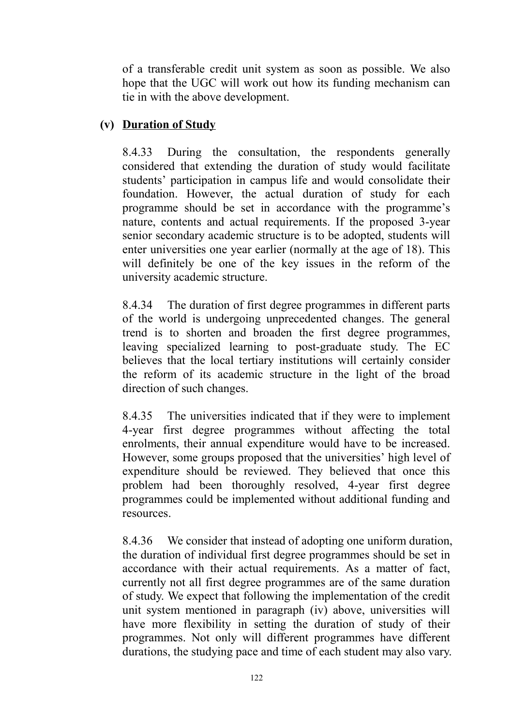of a transferable credit unit system as soon as possible. We also hope that the UGC will work out how its funding mechanism can tie in with the above development.

## **(v) Duration of Study**

8.4.33 During the consultation, the respondents generally considered that extending the duration of study would facilitate students' participation in campus life and would consolidate their foundation. However, the actual duration of study for each programme should be set in accordance with the programme's nature, contents and actual requirements. If the proposed 3-year senior secondary academic structure is to be adopted, students will enter universities one year earlier (normally at the age of 18). This will definitely be one of the key issues in the reform of the university academic structure.

8.4.34 The duration of first degree programmes in different parts of the world is undergoing unprecedented changes. The general trend is to shorten and broaden the first degree programmes, leaving specialized learning to post-graduate study. The EC believes that the local tertiary institutions will certainly consider the reform of its academic structure in the light of the broad direction of such changes.

8.4.35 The universities indicated that if they were to implement 4-year first degree programmes without affecting the total enrolments, their annual expenditure would have to be increased. However, some groups proposed that the universities' high level of expenditure should be reviewed. They believed that once this problem had been thoroughly resolved, 4-year first degree programmes could be implemented without additional funding and resources.

8.4.36 We consider that instead of adopting one uniform duration, the duration of individual first degree programmes should be set in accordance with their actual requirements. As a matter of fact, currently not all first degree programmes are of the same duration of study. We expect that following the implementation of the credit unit system mentioned in paragraph (iv) above, universities will have more flexibility in setting the duration of study of their programmes. Not only will different programmes have different durations, the studying pace and time of each student may also vary.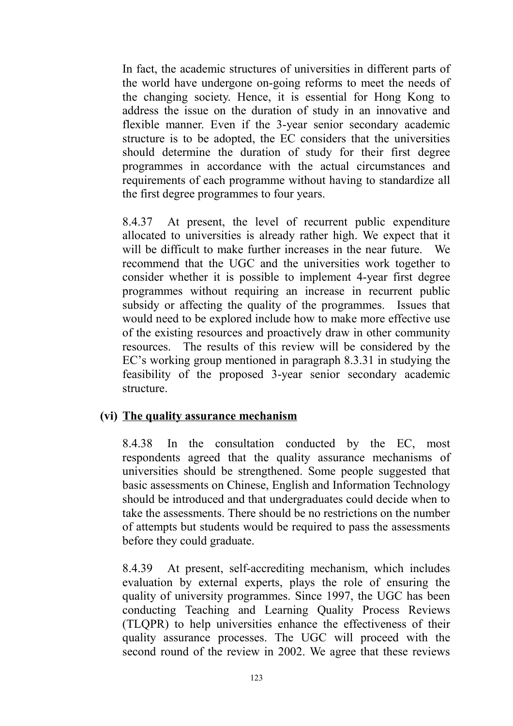In fact, the academic structures of universities in different parts of the world have undergone on-going reforms to meet the needs of the changing society. Hence, it is essential for Hong Kong to address the issue on the duration of study in an innovative and flexible manner. Even if the 3-year senior secondary academic structure is to be adopted, the EC considers that the universities should determine the duration of study for their first degree programmes in accordance with the actual circumstances and requirements of each programme without having to standardize all the first degree programmes to four years.

8.4.37 At present, the level of recurrent public expenditure allocated to universities is already rather high. We expect that it will be difficult to make further increases in the near future. We recommend that the UGC and the universities work together to consider whether it is possible to implement 4-year first degree programmes without requiring an increase in recurrent public subsidy or affecting the quality of the programmes. Issues that would need to be explored include how to make more effective use of the existing resources and proactively draw in other community resources. The results of this review will be considered by the EC's working group mentioned in paragraph 8.3.31 in studying the feasibility of the proposed 3-year senior secondary academic structure.

### **(vi) The quality assurance mechanism**

8.4.38 In the consultation conducted by the EC, most respondents agreed that the quality assurance mechanisms of universities should be strengthened. Some people suggested that basic assessments on Chinese, English and Information Technology should be introduced and that undergraduates could decide when to take the assessments. There should be no restrictions on the number of attempts but students would be required to pass the assessments before they could graduate.

8.4.39 At present, self-accrediting mechanism, which includes evaluation by external experts, plays the role of ensuring the quality of university programmes. Since 1997, the UGC has been conducting Teaching and Learning Quality Process Reviews (TLQPR) to help universities enhance the effectiveness of their quality assurance processes. The UGC will proceed with the second round of the review in 2002. We agree that these reviews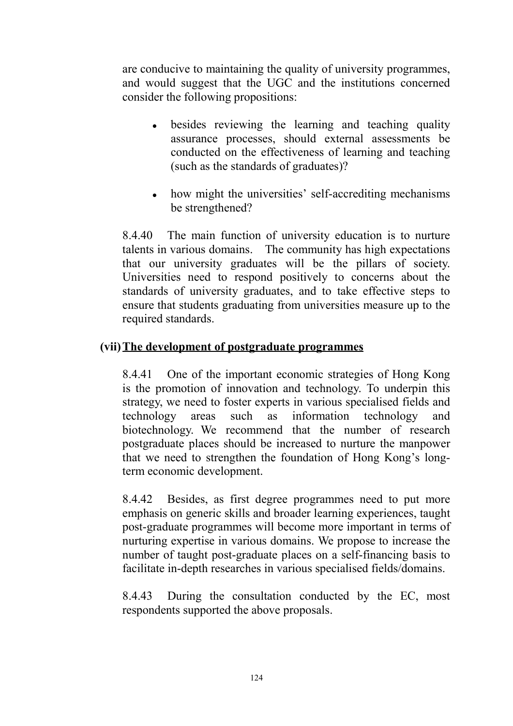are conducive to maintaining the quality of university programmes, and would suggest that the UGC and the institutions concerned consider the following propositions:

- besides reviewing the learning and teaching quality assurance processes, should external assessments be conducted on the effectiveness of learning and teaching (such as the standards of graduates)?
- how might the universities' self-accrediting mechanisms be strengthened?

8.4.40 The main function of university education is to nurture talents in various domains. The community has high expectations that our university graduates will be the pillars of society. Universities need to respond positively to concerns about the standards of university graduates, and to take effective steps to ensure that students graduating from universities measure up to the required standards.

## **(vii)The development of postgraduate programmes**

8.4.41 One of the important economic strategies of Hong Kong is the promotion of innovation and technology. To underpin this strategy, we need to foster experts in various specialised fields and technology areas such as information technology and biotechnology. We recommend that the number of research postgraduate places should be increased to nurture the manpower that we need to strengthen the foundation of Hong Kong's longterm economic development.

8.4.42 Besides, as first degree programmes need to put more emphasis on generic skills and broader learning experiences, taught post-graduate programmes will become more important in terms of nurturing expertise in various domains. We propose to increase the number of taught post-graduate places on a self-financing basis to facilitate in-depth researches in various specialised fields/domains.

8.4.43 During the consultation conducted by the EC, most respondents supported the above proposals.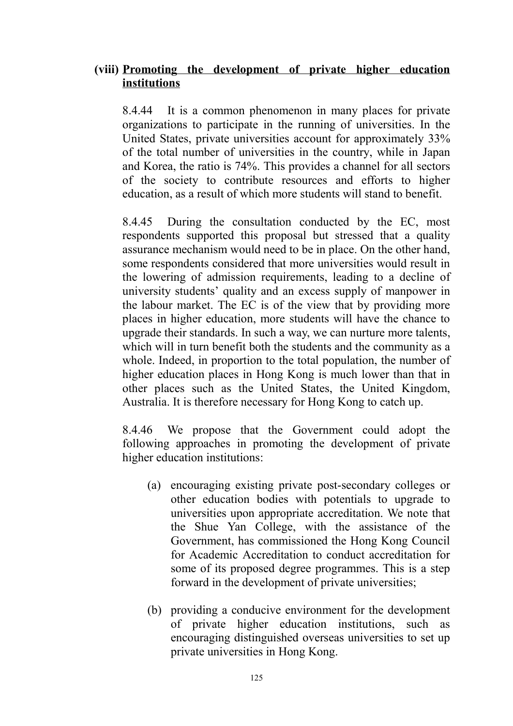### **(viii) Promoting the development of private higher education institutions**

8.4.44 It is a common phenomenon in many places for private organizations to participate in the running of universities. In the United States, private universities account for approximately 33% of the total number of universities in the country, while in Japan and Korea, the ratio is 74%. This provides a channel for all sectors of the society to contribute resources and efforts to higher education, as a result of which more students will stand to benefit.

8.4.45 During the consultation conducted by the EC, most respondents supported this proposal but stressed that a quality assurance mechanism would need to be in place. On the other hand, some respondents considered that more universities would result in the lowering of admission requirements, leading to a decline of university students' quality and an excess supply of manpower in the labour market. The EC is of the view that by providing more places in higher education, more students will have the chance to upgrade their standards. In such a way, we can nurture more talents, which will in turn benefit both the students and the community as a whole. Indeed, in proportion to the total population, the number of higher education places in Hong Kong is much lower than that in other places such as the United States, the United Kingdom, Australia. It is therefore necessary for Hong Kong to catch up.

8.4.46 We propose that the Government could adopt the following approaches in promoting the development of private higher education institutions:

- (a) encouraging existing private post-secondary colleges or other education bodies with potentials to upgrade to universities upon appropriate accreditation. We note that the Shue Yan College, with the assistance of the Government, has commissioned the Hong Kong Council for Academic Accreditation to conduct accreditation for some of its proposed degree programmes. This is a step forward in the development of private universities;
- (b) providing a conducive environment for the development of private higher education institutions, such as encouraging distinguished overseas universities to set up private universities in Hong Kong.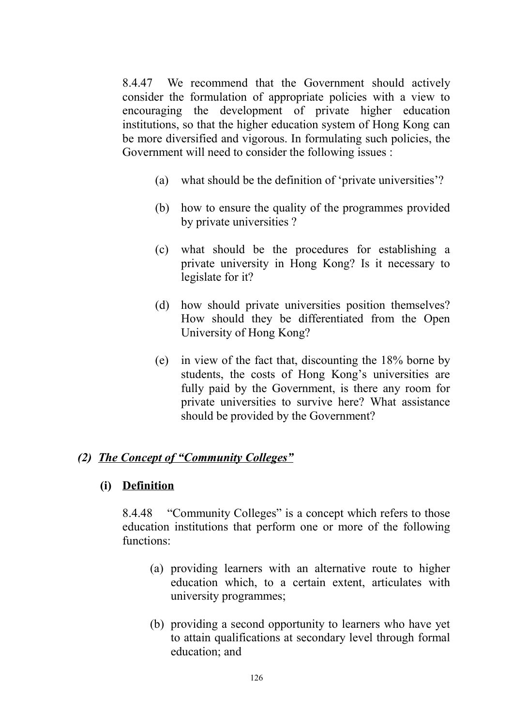8.4.47 We recommend that the Government should actively consider the formulation of appropriate policies with a view to encouraging the development of private higher education institutions, so that the higher education system of Hong Kong can be more diversified and vigorous. In formulating such policies, the Government will need to consider the following issues :

- (a) what should be the definition of 'private universities'?
- (b) how to ensure the quality of the programmes provided by private universities ?
- (c) what should be the procedures for establishing a private university in Hong Kong? Is it necessary to legislate for it?
- (d) how should private universities position themselves? How should they be differentiated from the Open University of Hong Kong?
- (e) in view of the fact that, discounting the 18% borne by students, the costs of Hong Kong's universities are fully paid by the Government, is there any room for private universities to survive here? What assistance should be provided by the Government?

### *(2) The Concept of "Community Colleges"*

#### **(i) Definition**

8.4.48 "Community Colleges" is a concept which refers to those education institutions that perform one or more of the following functions:

- (a) providing learners with an alternative route to higher education which, to a certain extent, articulates with university programmes;
- (b) providing a second opportunity to learners who have yet to attain qualifications at secondary level through formal education; and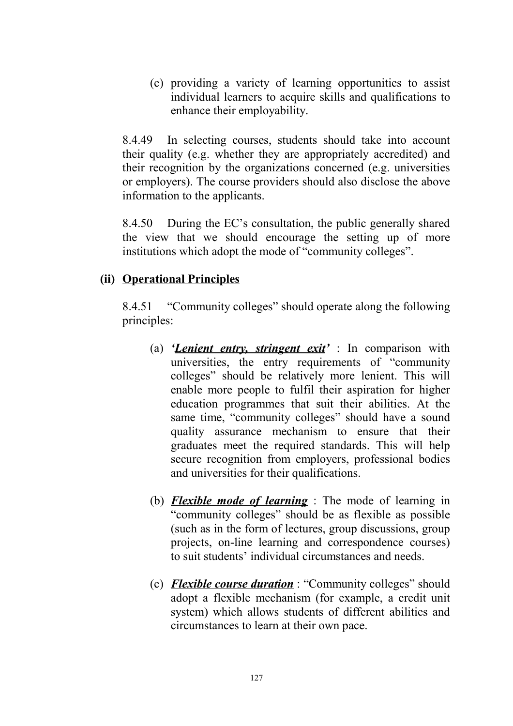(c) providing a variety of learning opportunities to assist individual learners to acquire skills and qualifications to enhance their employability.

8.4.49 In selecting courses, students should take into account their quality (e.g. whether they are appropriately accredited) and their recognition by the organizations concerned (e.g. universities or employers). The course providers should also disclose the above information to the applicants.

8.4.50 During the EC's consultation, the public generally shared the view that we should encourage the setting up of more institutions which adopt the mode of "community colleges".

## **(ii) Operational Principles**

8.4.51 "Community colleges" should operate along the following principles:

- (a) *'Lenient entry, stringent exit'* : In comparison with universities, the entry requirements of "community colleges" should be relatively more lenient. This will enable more people to fulfil their aspiration for higher education programmes that suit their abilities. At the same time, "community colleges" should have a sound quality assurance mechanism to ensure that their graduates meet the required standards. This will help secure recognition from employers, professional bodies and universities for their qualifications.
- (b) *Flexible mode of learning* : The mode of learning in "community colleges" should be as flexible as possible (such as in the form of lectures, group discussions, group projects, on-line learning and correspondence courses) to suit students' individual circumstances and needs.
- (c) *Flexible course duration* : "Community colleges" should adopt a flexible mechanism (for example, a credit unit system) which allows students of different abilities and circumstances to learn at their own pace.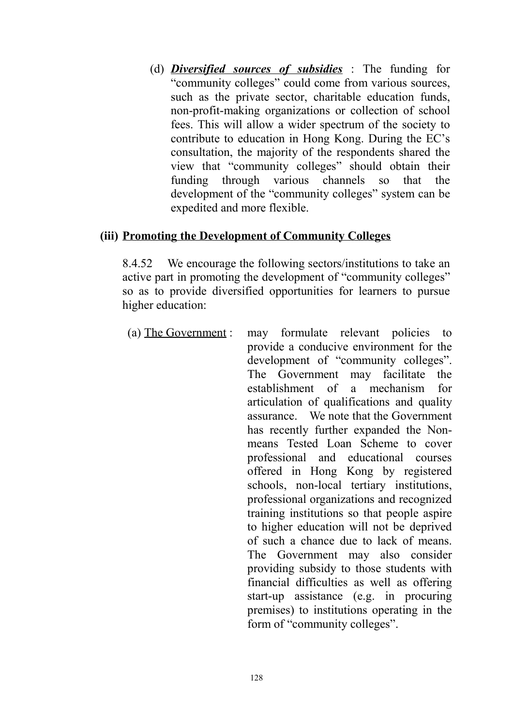(d) *Diversified sources of subsidies* : The funding for "community colleges" could come from various sources, such as the private sector, charitable education funds, non-profit-making organizations or collection of school fees. This will allow a wider spectrum of the society to contribute to education in Hong Kong. During the EC's consultation, the majority of the respondents shared the view that "community colleges" should obtain their funding through various channels so that the development of the "community colleges" system can be expedited and more flexible.

### **(iii) Promoting the Development of Community Colleges**

8.4.52 We encourage the following sectors/institutions to take an active part in promoting the development of "community colleges" so as to provide diversified opportunities for learners to pursue higher education:

(a) The Government : may formulate relevant policies to provide a conducive environment for the development of "community colleges". The Government may facilitate the establishment of a mechanism for articulation of qualifications and quality assurance. We note that the Government has recently further expanded the Nonmeans Tested Loan Scheme to cover professional and educational courses offered in Hong Kong by registered schools, non-local tertiary institutions, professional organizations and recognized training institutions so that people aspire to higher education will not be deprived of such a chance due to lack of means. The Government may also consider providing subsidy to those students with financial difficulties as well as offering start-up assistance (e.g. in procuring premises) to institutions operating in the form of "community colleges".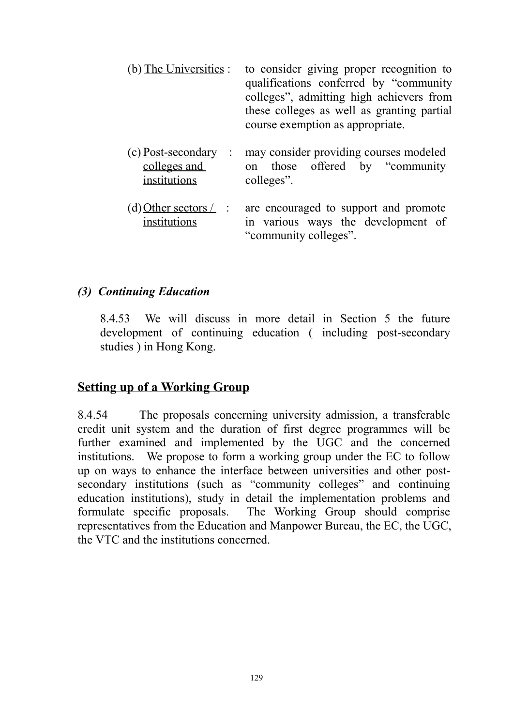| (b) The Universities :                                                     | to consider giving proper recognition to<br>qualifications conferred by "community"<br>colleges", admitting high achievers from<br>these colleges as well as granting partial<br>course exemption as appropriate. |
|----------------------------------------------------------------------------|-------------------------------------------------------------------------------------------------------------------------------------------------------------------------------------------------------------------|
| (c) Post-secondary<br>$\ddot{\phantom{1}}$<br>colleges and<br>institutions | may consider providing courses modeled<br>on those offered by "community"<br>colleges".                                                                                                                           |
| (d) Other sectors $\angle$<br>$\mathbb{R}^2$<br>institutions               | are encouraged to support and promote<br>in various ways the development of<br>"community colleges".                                                                                                              |

#### *(3) Continuing Education*

8.4.53 We will discuss in more detail in Section 5 the future development of continuing education ( including post-secondary studies ) in Hong Kong.

### **Setting up of a Working Group**

8.4.54 The proposals concerning university admission, a transferable credit unit system and the duration of first degree programmes will be further examined and implemented by the UGC and the concerned institutions. We propose to form a working group under the EC to follow up on ways to enhance the interface between universities and other postsecondary institutions (such as "community colleges" and continuing education institutions), study in detail the implementation problems and formulate specific proposals. The Working Group should comprise representatives from the Education and Manpower Bureau, the EC, the UGC, the VTC and the institutions concerned.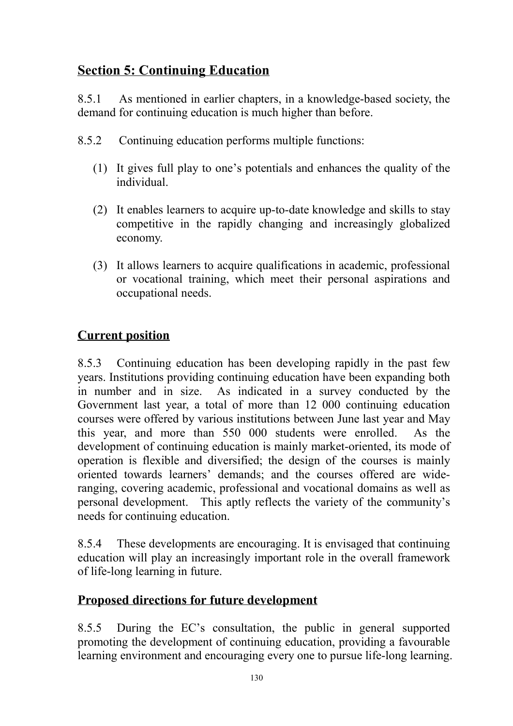# **Section 5: Continuing Education**

8.5.1 As mentioned in earlier chapters, in a knowledge-based society, the demand for continuing education is much higher than before.

- 8.5.2 Continuing education performs multiple functions:
	- (1) It gives full play to one's potentials and enhances the quality of the individual.
	- (2) It enables learners to acquire up-to-date knowledge and skills to stay competitive in the rapidly changing and increasingly globalized economy.
	- (3) It allows learners to acquire qualifications in academic, professional or vocational training, which meet their personal aspirations and occupational needs.

# **Current position**

8.5.3 Continuing education has been developing rapidly in the past few years. Institutions providing continuing education have been expanding both in number and in size. As indicated in a survey conducted by the Government last year, a total of more than 12 000 continuing education courses were offered by various institutions between June last year and May this year, and more than 550 000 students were enrolled. As the development of continuing education is mainly market-oriented, its mode of operation is flexible and diversified; the design of the courses is mainly oriented towards learners' demands; and the courses offered are wideranging, covering academic, professional and vocational domains as well as personal development. This aptly reflects the variety of the community's needs for continuing education.

8.5.4 These developments are encouraging. It is envisaged that continuing education will play an increasingly important role in the overall framework of life-long learning in future.

# **Proposed directions for future development**

8.5.5 During the EC's consultation, the public in general supported promoting the development of continuing education, providing a favourable learning environment and encouraging every one to pursue life-long learning.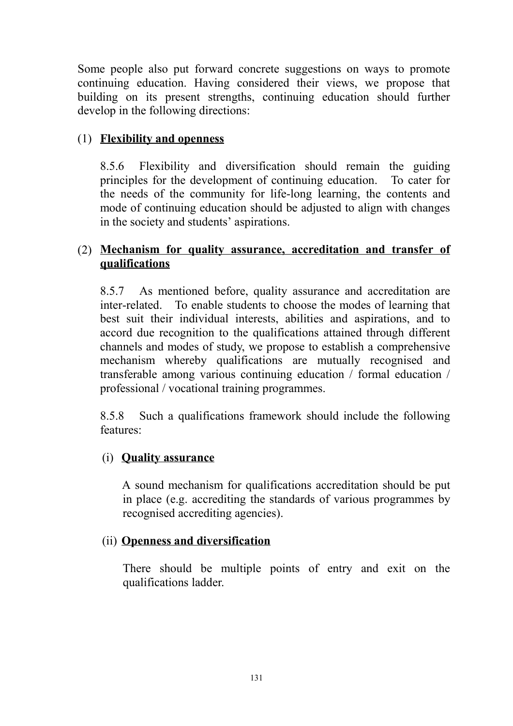Some people also put forward concrete suggestions on ways to promote continuing education. Having considered their views, we propose that building on its present strengths, continuing education should further develop in the following directions:

## (1) **Flexibility and openness**

8.5.6 Flexibility and diversification should remain the guiding principles for the development of continuing education. To cater for the needs of the community for life-long learning, the contents and mode of continuing education should be adjusted to align with changes in the society and students' aspirations.

## (2) **Mechanism for quality assurance, accreditation and transfer of qualifications**

8.5.7 As mentioned before, quality assurance and accreditation are inter-related. To enable students to choose the modes of learning that best suit their individual interests, abilities and aspirations, and to accord due recognition to the qualifications attained through different channels and modes of study, we propose to establish a comprehensive mechanism whereby qualifications are mutually recognised and transferable among various continuing education / formal education / professional / vocational training programmes.

8.5.8 Such a qualifications framework should include the following features:

### (i) **Quality assurance**

A sound mechanism for qualifications accreditation should be put in place (e.g. accrediting the standards of various programmes by recognised accrediting agencies).

### (ii) **Openness and diversification**

There should be multiple points of entry and exit on the qualifications ladder.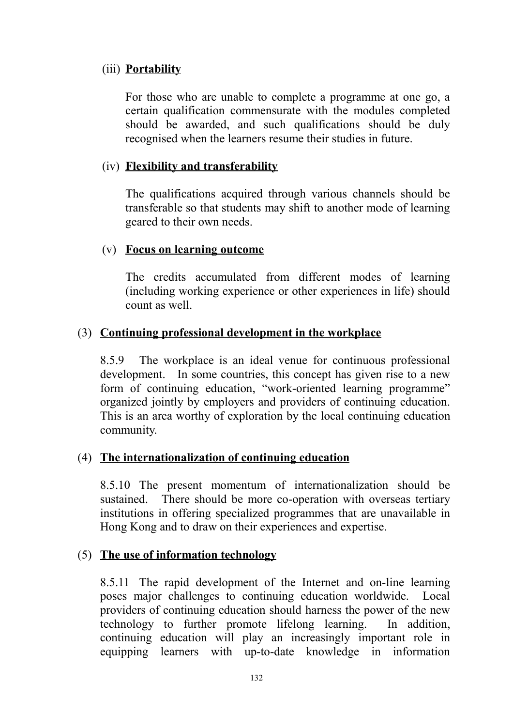### (iii) **Portability**

For those who are unable to complete a programme at one go, a certain qualification commensurate with the modules completed should be awarded, and such qualifications should be duly recognised when the learners resume their studies in future.

### (iv) **Flexibility and transferability**

The qualifications acquired through various channels should be transferable so that students may shift to another mode of learning geared to their own needs.

### (v) **Focus on learning outcome**

The credits accumulated from different modes of learning (including working experience or other experiences in life) should count as well.

### (3) **Continuing professional development in the workplace**

8.5.9 The workplace is an ideal venue for continuous professional development. In some countries, this concept has given rise to a new form of continuing education, "work-oriented learning programme" organized jointly by employers and providers of continuing education. This is an area worthy of exploration by the local continuing education community.

### (4) **The internationalization of continuing education**

8.5.10 The present momentum of internationalization should be sustained. There should be more co-operation with overseas tertiary institutions in offering specialized programmes that are unavailable in Hong Kong and to draw on their experiences and expertise.

### (5) **The use of information technology**

8.5.11 The rapid development of the Internet and on-line learning poses major challenges to continuing education worldwide. Local providers of continuing education should harness the power of the new technology to further promote lifelong learning. In addition, continuing education will play an increasingly important role in equipping learners with up-to-date knowledge in information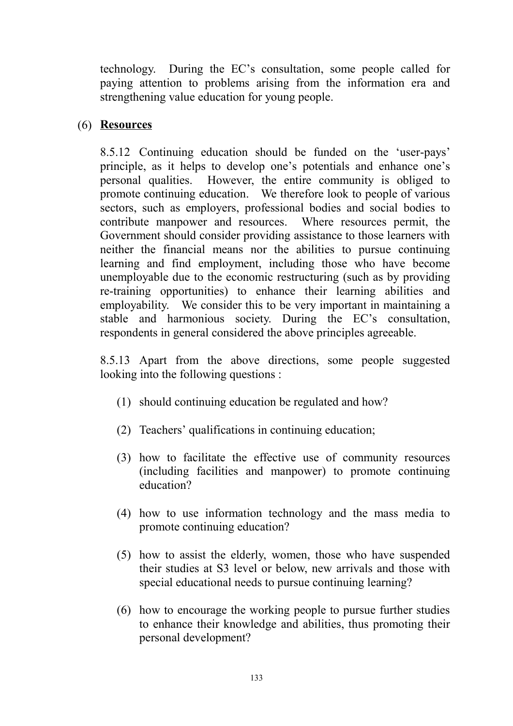technology. During the EC's consultation, some people called for paying attention to problems arising from the information era and strengthening value education for young people.

### (6) **Resources**

8.5.12 Continuing education should be funded on the 'user-pays' principle, as it helps to develop one's potentials and enhance one's personal qualities. However, the entire community is obliged to promote continuing education. We therefore look to people of various sectors, such as employers, professional bodies and social bodies to contribute manpower and resources. Where resources permit, the Government should consider providing assistance to those learners with neither the financial means nor the abilities to pursue continuing learning and find employment, including those who have become unemployable due to the economic restructuring (such as by providing re-training opportunities) to enhance their learning abilities and employability. We consider this to be very important in maintaining a stable and harmonious society. During the EC's consultation, respondents in general considered the above principles agreeable.

8.5.13 Apart from the above directions, some people suggested looking into the following questions :

- (1) should continuing education be regulated and how?
- (2) Teachers' qualifications in continuing education;
- (3) how to facilitate the effective use of community resources (including facilities and manpower) to promote continuing education?
- (4) how to use information technology and the mass media to promote continuing education?
- (5) how to assist the elderly, women, those who have suspended their studies at S3 level or below, new arrivals and those with special educational needs to pursue continuing learning?
- (6) how to encourage the working people to pursue further studies to enhance their knowledge and abilities, thus promoting their personal development?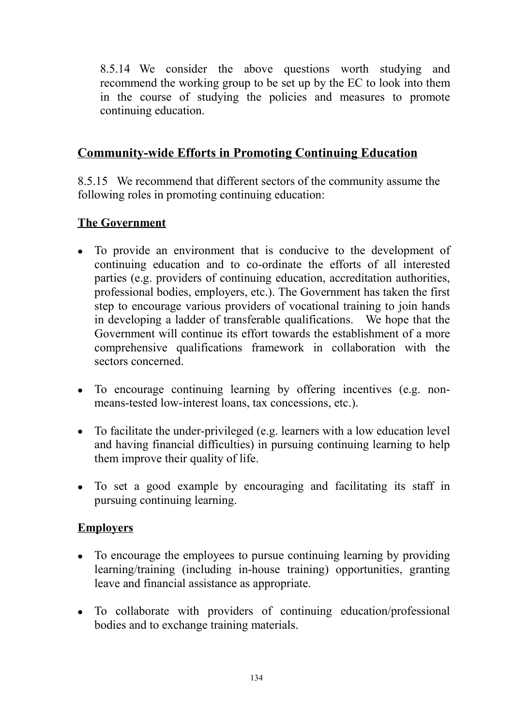8.5.14 We consider the above questions worth studying and recommend the working group to be set up by the EC to look into them in the course of studying the policies and measures to promote continuing education.

## **Community-wide Efforts in Promoting Continuing Education**

8.5.15 We recommend that different sectors of the community assume the following roles in promoting continuing education:

## **The Government**

- To provide an environment that is conducive to the development of continuing education and to co-ordinate the efforts of all interested parties (e.g. providers of continuing education, accreditation authorities, professional bodies, employers, etc.). The Government has taken the first step to encourage various providers of vocational training to join hands in developing a ladder of transferable qualifications. We hope that the Government will continue its effort towards the establishment of a more comprehensive qualifications framework in collaboration with the sectors concerned.
- To encourage continuing learning by offering incentives (e.g. nonmeans-tested low-interest loans, tax concessions, etc.).
- $\bullet$  To facilitate the under-privileged (e.g. learners with a low education level and having financial difficulties) in pursuing continuing learning to help them improve their quality of life.
- To set a good example by encouraging and facilitating its staff in pursuing continuing learning.

## **Employers**

- To encourage the employees to pursue continuing learning by providing learning/training (including in-house training) opportunities, granting leave and financial assistance as appropriate.
- To collaborate with providers of continuing education/professional bodies and to exchange training materials.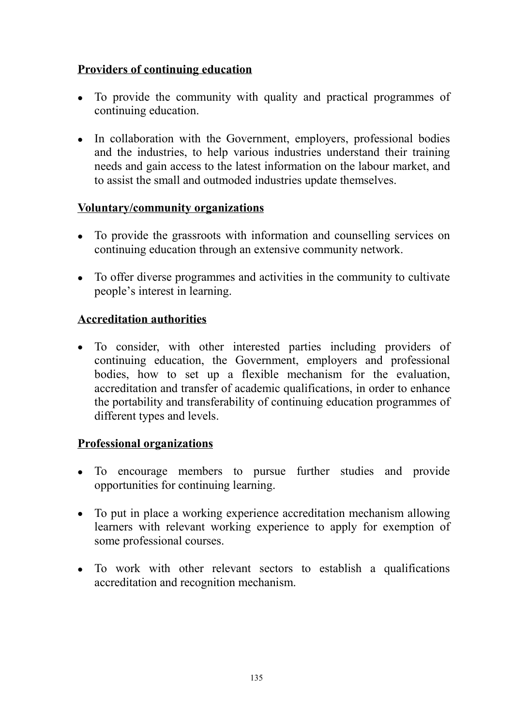## **Providers of continuing education**

- To provide the community with quality and practical programmes of continuing education.
- In collaboration with the Government, employers, professional bodies and the industries, to help various industries understand their training needs and gain access to the latest information on the labour market, and to assist the small and outmoded industries update themselves.

### **Voluntary/community organizations**

- To provide the grassroots with information and counselling services on continuing education through an extensive community network.
- To offer diverse programmes and activities in the community to cultivate people's interest in learning.

### **Accreditation authorities**

• To consider, with other interested parties including providers of continuing education, the Government, employers and professional bodies, how to set up a flexible mechanism for the evaluation. accreditation and transfer of academic qualifications, in order to enhance the portability and transferability of continuing education programmes of different types and levels.

### **Professional organizations**

- To encourage members to pursue further studies and provide opportunities for continuing learning.
- To put in place a working experience accreditation mechanism allowing learners with relevant working experience to apply for exemption of some professional courses.
- To work with other relevant sectors to establish a qualifications accreditation and recognition mechanism.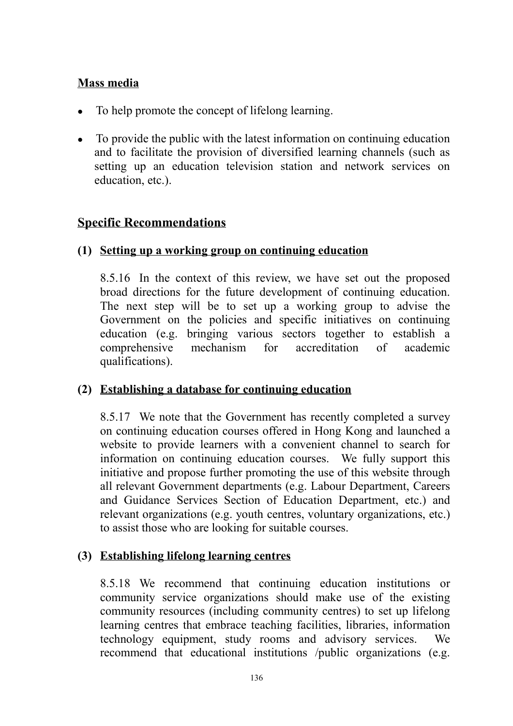### **Mass media**

- To help promote the concept of lifelong learning.
- To provide the public with the latest information on continuing education and to facilitate the provision of diversified learning channels (such as setting up an education television station and network services on education, etc.).

## **Specific Recommendations**

### **(1) Setting up a working group on continuing education**

8.5.16 In the context of this review, we have set out the proposed broad directions for the future development of continuing education. The next step will be to set up a working group to advise the Government on the policies and specific initiatives on continuing education (e.g. bringing various sectors together to establish a comprehensive mechanism for accreditation of academic qualifications).

### **(2) Establishing a database for continuing education**

8.5.17 We note that the Government has recently completed a survey on continuing education courses offered in Hong Kong and launched a website to provide learners with a convenient channel to search for information on continuing education courses. We fully support this initiative and propose further promoting the use of this website through all relevant Government departments (e.g. Labour Department, Careers and Guidance Services Section of Education Department, etc.) and relevant organizations (e.g. youth centres, voluntary organizations, etc.) to assist those who are looking for suitable courses.

### **(3) Establishing lifelong learning centres**

8.5.18 We recommend that continuing education institutions or community service organizations should make use of the existing community resources (including community centres) to set up lifelong learning centres that embrace teaching facilities, libraries, information technology equipment, study rooms and advisory services. We recommend that educational institutions /public organizations (e.g.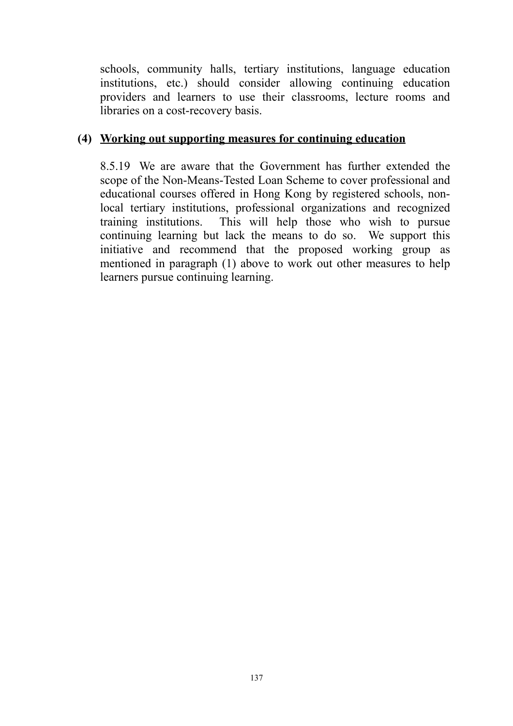schools, community halls, tertiary institutions, language education institutions, etc.) should consider allowing continuing education providers and learners to use their classrooms, lecture rooms and libraries on a cost-recovery basis.

### **(4) Working out supporting measures for continuing education**

8.5.19 We are aware that the Government has further extended the scope of the Non-Means-Tested Loan Scheme to cover professional and educational courses offered in Hong Kong by registered schools, nonlocal tertiary institutions, professional organizations and recognized training institutions. This will help those who wish to pursue continuing learning but lack the means to do so. We support this initiative and recommend that the proposed working group as mentioned in paragraph (1) above to work out other measures to help learners pursue continuing learning.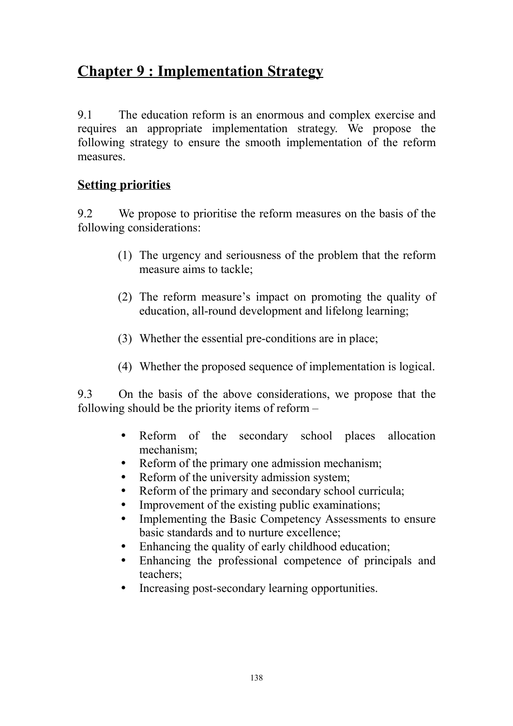# **Chapter 9 : Implementation Strategy**

9.1 The education reform is an enormous and complex exercise and requires an appropriate implementation strategy. We propose the following strategy to ensure the smooth implementation of the reform measures.

## **Setting priorities**

9.2 We propose to prioritise the reform measures on the basis of the following considerations:

- (1) The urgency and seriousness of the problem that the reform measure aims to tackle;
- (2) The reform measure's impact on promoting the quality of education, all-round development and lifelong learning;
- (3) Whether the essential pre-conditions are in place;
- (4) Whether the proposed sequence of implementation is logical.

9.3 On the basis of the above considerations, we propose that the following should be the priority items of reform –

- Reform of the secondary school places allocation mechanism;
- Reform of the primary one admission mechanism;
- Reform of the university admission system;
- Reform of the primary and secondary school curricula;
- Improvement of the existing public examinations;
- Implementing the Basic Competency Assessments to ensure basic standards and to nurture excellence;
- Enhancing the quality of early childhood education;
- Enhancing the professional competence of principals and teachers;
- Increasing post-secondary learning opportunities.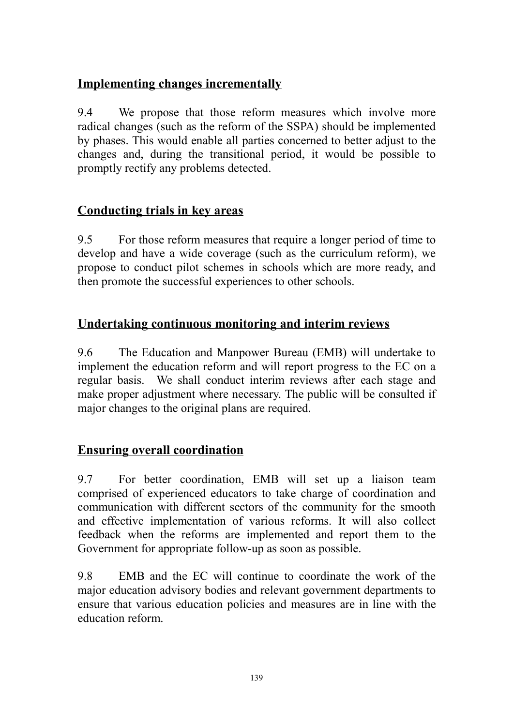## **Implementing changes incrementally**

9.4 We propose that those reform measures which involve more radical changes (such as the reform of the SSPA) should be implemented by phases. This would enable all parties concerned to better adjust to the changes and, during the transitional period, it would be possible to promptly rectify any problems detected.

## **Conducting trials in key areas**

9.5 For those reform measures that require a longer period of time to develop and have a wide coverage (such as the curriculum reform), we propose to conduct pilot schemes in schools which are more ready, and then promote the successful experiences to other schools.

# **Undertaking continuous monitoring and interim reviews**

9.6 The Education and Manpower Bureau (EMB) will undertake to implement the education reform and will report progress to the EC on a regular basis. We shall conduct interim reviews after each stage and make proper adjustment where necessary. The public will be consulted if major changes to the original plans are required.

# **Ensuring overall coordination**

9.7 For better coordination, EMB will set up a liaison team comprised of experienced educators to take charge of coordination and communication with different sectors of the community for the smooth and effective implementation of various reforms. It will also collect feedback when the reforms are implemented and report them to the Government for appropriate follow-up as soon as possible.

9.8 EMB and the EC will continue to coordinate the work of the major education advisory bodies and relevant government departments to ensure that various education policies and measures are in line with the education reform.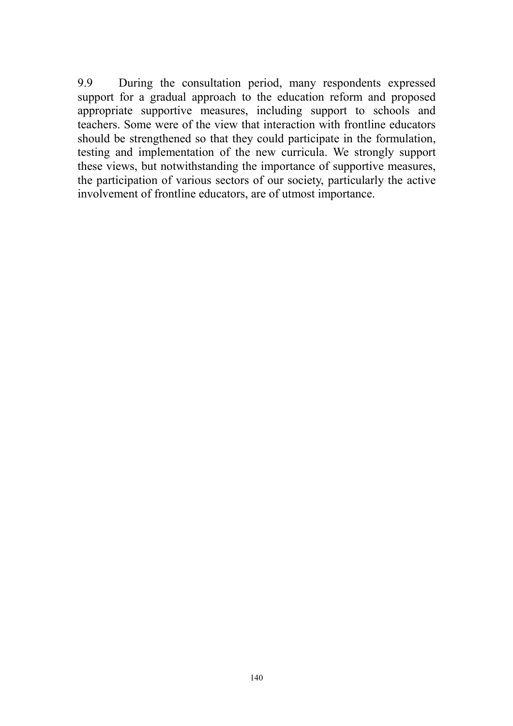9.9 During the consultation period, many respondents expressed support for a gradual approach to the education reform and proposed appropriate supportive measures, including support to schools and teachers. Some were of the view that interaction with frontline educators should be strengthened so that they could participate in the formulation, testing and implementation of the new curricula. We strongly support these views, but notwithstanding the importance of supportive measures, the participation of various sectors of our society, particularly the active involvement of frontline educators, are of utmost importance.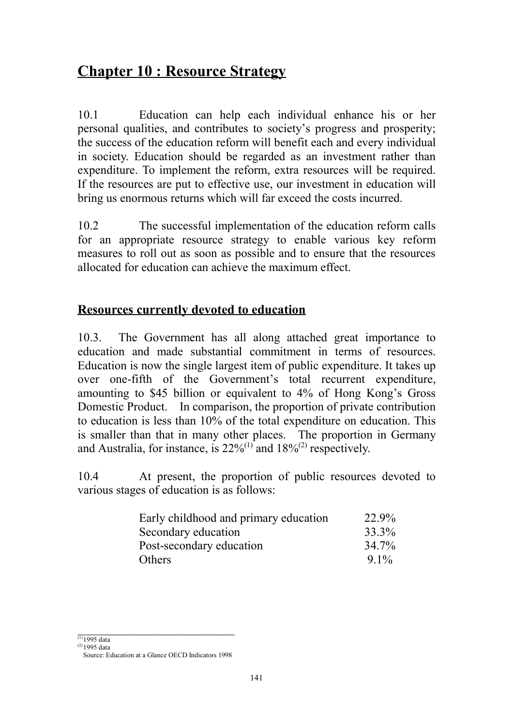# **Chapter 10 : Resource Strategy**

10.1 Education can help each individual enhance his or her personal qualities, and contributes to society's progress and prosperity; the success of the education reform will benefit each and every individual in society. Education should be regarded as an investment rather than expenditure. To implement the reform, extra resources will be required. If the resources are put to effective use, our investment in education will bring us enormous returns which will far exceed the costs incurred.

10.2 The successful implementation of the education reform calls for an appropriate resource strategy to enable various key reform measures to roll out as soon as possible and to ensure that the resources allocated for education can achieve the maximum effect.

# **Resources currently devoted to education**

10.3. The Government has all along attached great importance to education and made substantial commitment in terms of resources. Education is now the single largest item of public expenditure. It takes up over one-fifth of the Government's total recurrent expenditure, amounting to \$45 billion or equivalent to 4% of Hong Kong's Gross Domestic Product. In comparison, the proportion of private contribution to education is less than 10% of the total expenditure on education. This is smaller than that in many other places. The proportion in Germany and Australia, for instance, is  $22\%^{(1)}$  and  $18\%^{(2)}$  respectively.

10.4 At present, the proportion of public resources devoted to various stages of education is as follows:

| Early childhood and primary education | 22.9%   |
|---------------------------------------|---------|
| Secondary education                   | 33.3%   |
| Post-secondary education              | 34.7%   |
| Others                                | $9.1\%$ |

 $\mathcal{L}_\text{max}$  , where  $\mathcal{L}_\text{max}$  , we have the set of  $\mathcal{L}_\text{max}$  $(1)$ 1995 data

 $(2)1995$  data

Source: Education at a Glance OECD Indicators 1998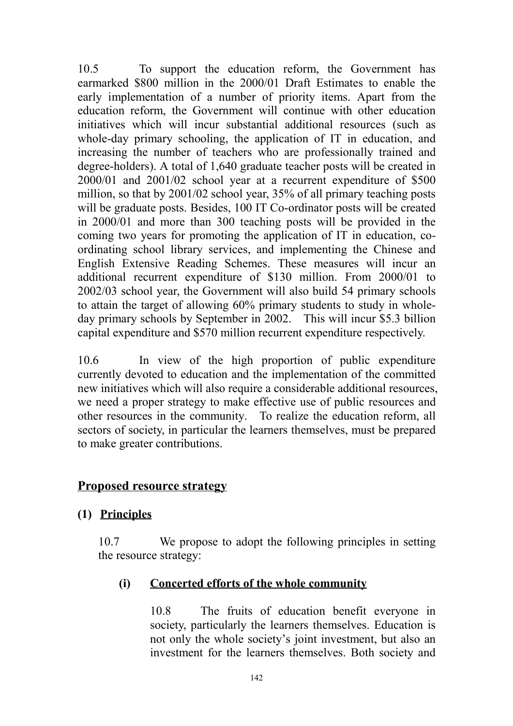10.5 To support the education reform, the Government has earmarked \$800 million in the 2000/01 Draft Estimates to enable the early implementation of a number of priority items. Apart from the education reform, the Government will continue with other education initiatives which will incur substantial additional resources (such as whole-day primary schooling, the application of IT in education, and increasing the number of teachers who are professionally trained and degree-holders). A total of 1,640 graduate teacher posts will be created in 2000/01 and 2001/02 school year at a recurrent expenditure of \$500 million, so that by 2001/02 school year, 35% of all primary teaching posts will be graduate posts. Besides, 100 IT Co-ordinator posts will be created in 2000/01 and more than 300 teaching posts will be provided in the coming two years for promoting the application of IT in education, coordinating school library services, and implementing the Chinese and English Extensive Reading Schemes. These measures will incur an additional recurrent expenditure of \$130 million. From 2000/01 to 2002/03 school year, the Government will also build 54 primary schools to attain the target of allowing 60% primary students to study in wholeday primary schools by September in 2002. This will incur \$5.3 billion capital expenditure and \$570 million recurrent expenditure respectively.

10.6 In view of the high proportion of public expenditure currently devoted to education and the implementation of the committed new initiatives which will also require a considerable additional resources, we need a proper strategy to make effective use of public resources and other resources in the community. To realize the education reform, all sectors of society, in particular the learners themselves, must be prepared to make greater contributions.

### **Proposed resource strategy**

### **(1) Principles**

10.7 We propose to adopt the following principles in setting the resource strategy:

### **(i) Concerted efforts of the whole community**

10.8 The fruits of education benefit everyone in society, particularly the learners themselves. Education is not only the whole society's joint investment, but also an investment for the learners themselves. Both society and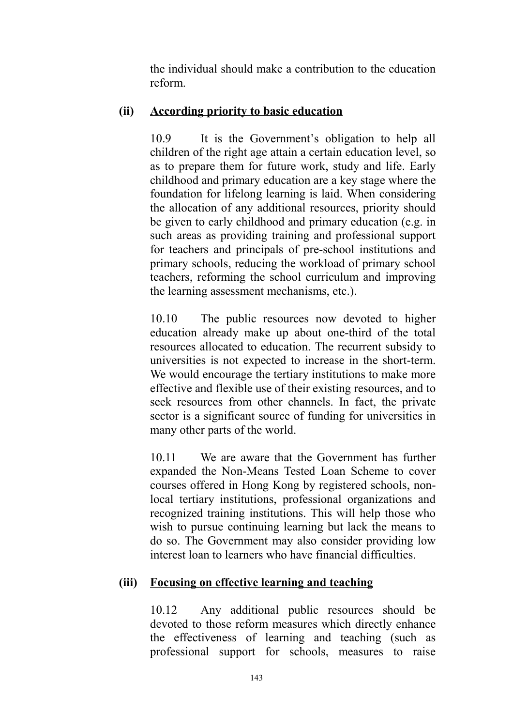the individual should make a contribution to the education reform.

### **(ii) According priority to basic education**

10.9 It is the Government's obligation to help all children of the right age attain a certain education level, so as to prepare them for future work, study and life. Early childhood and primary education are a key stage where the foundation for lifelong learning is laid. When considering the allocation of any additional resources, priority should be given to early childhood and primary education (e.g. in such areas as providing training and professional support for teachers and principals of pre-school institutions and primary schools, reducing the workload of primary school teachers, reforming the school curriculum and improving the learning assessment mechanisms, etc.).

10.10 The public resources now devoted to higher education already make up about one-third of the total resources allocated to education. The recurrent subsidy to universities is not expected to increase in the short-term. We would encourage the tertiary institutions to make more effective and flexible use of their existing resources, and to seek resources from other channels. In fact, the private sector is a significant source of funding for universities in many other parts of the world.

10.11 We are aware that the Government has further expanded the Non-Means Tested Loan Scheme to cover courses offered in Hong Kong by registered schools, nonlocal tertiary institutions, professional organizations and recognized training institutions. This will help those who wish to pursue continuing learning but lack the means to do so. The Government may also consider providing low interest loan to learners who have financial difficulties.

### **(iii) Focusing on effective learning and teaching**

10.12 Any additional public resources should be devoted to those reform measures which directly enhance the effectiveness of learning and teaching (such as professional support for schools, measures to raise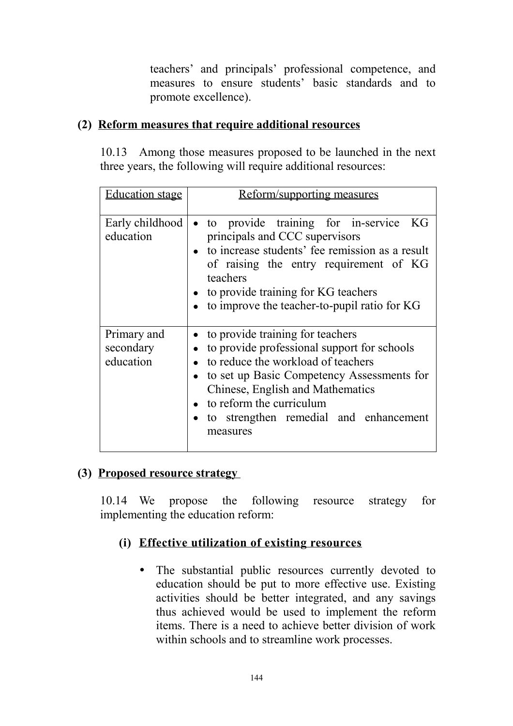teachers' and principals' professional competence, and measures to ensure students' basic standards and to promote excellence).

### **(2) Reform measures that require additional resources**

10.13 Among those measures proposed to be launched in the next three years, the following will require additional resources:

| <b>Education stage</b>                | <u>Reform/supporting measures</u>                                                                                                                                                                                                                                                           |
|---------------------------------------|---------------------------------------------------------------------------------------------------------------------------------------------------------------------------------------------------------------------------------------------------------------------------------------------|
| Early childhood<br>education          | · to provide training for in-service KG<br>principals and CCC supervisors<br>• to increase students' fee remission as a result<br>of raising the entry requirement of KG<br>teachers<br>• to provide training for KG teachers<br>• to improve the teacher-to-pupil ratio for KG             |
| Primary and<br>secondary<br>education | • to provide training for teachers<br>to provide professional support for schools<br>to reduce the workload of teachers<br>to set up Basic Competency Assessments for<br>Chinese, English and Mathematics<br>to reform the curriculum<br>to strengthen remedial and enhancement<br>measures |

### **(3) Proposed resource strategy**

10.14 We propose the following resource strategy for implementing the education reform:

### **(i) Effective utilization of existing resources**

• The substantial public resources currently devoted to education should be put to more effective use. Existing activities should be better integrated, and any savings thus achieved would be used to implement the reform items. There is a need to achieve better division of work within schools and to streamline work processes.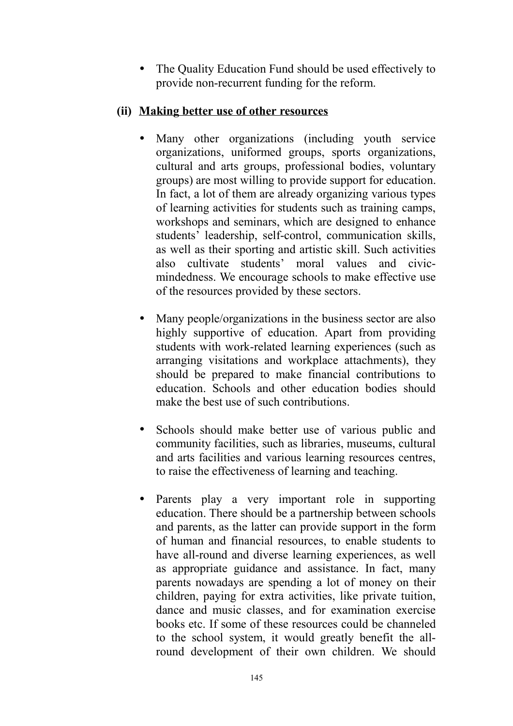• The Quality Education Fund should be used effectively to provide non-recurrent funding for the reform.

### **(ii) Making better use of other resources**

- Many other organizations (including youth service organizations, uniformed groups, sports organizations, cultural and arts groups, professional bodies, voluntary groups) are most willing to provide support for education. In fact, a lot of them are already organizing various types of learning activities for students such as training camps, workshops and seminars, which are designed to enhance students' leadership, self-control, communication skills, as well as their sporting and artistic skill. Such activities also cultivate students' moral values and civicmindedness. We encourage schools to make effective use of the resources provided by these sectors.
- Many people/organizations in the business sector are also highly supportive of education. Apart from providing students with work-related learning experiences (such as arranging visitations and workplace attachments), they should be prepared to make financial contributions to education. Schools and other education bodies should make the best use of such contributions.
- Schools should make better use of various public and community facilities, such as libraries, museums, cultural and arts facilities and various learning resources centres, to raise the effectiveness of learning and teaching.
- Parents play a very important role in supporting education. There should be a partnership between schools and parents, as the latter can provide support in the form of human and financial resources, to enable students to have all-round and diverse learning experiences, as well as appropriate guidance and assistance. In fact, many parents nowadays are spending a lot of money on their children, paying for extra activities, like private tuition, dance and music classes, and for examination exercise books etc. If some of these resources could be channeled to the school system, it would greatly benefit the allround development of their own children. We should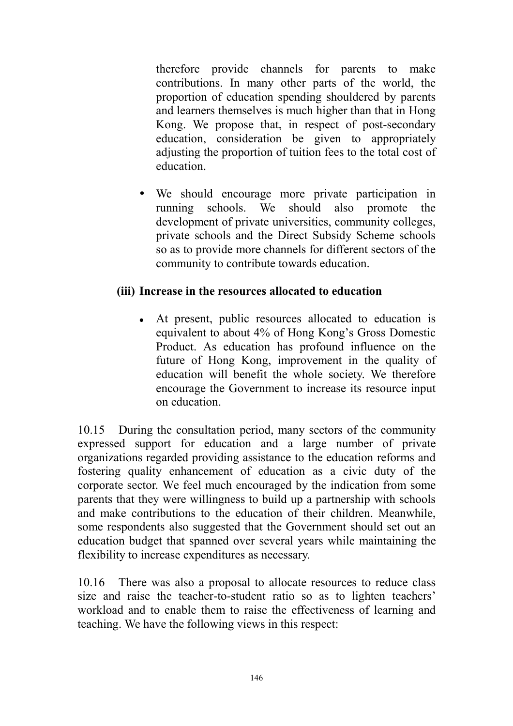therefore provide channels for parents to make contributions. In many other parts of the world, the proportion of education spending shouldered by parents and learners themselves is much higher than that in Hong Kong. We propose that, in respect of post-secondary education, consideration be given to appropriately adjusting the proportion of tuition fees to the total cost of education.

• We should encourage more private participation in running schools. We should also promote the development of private universities, community colleges, private schools and the Direct Subsidy Scheme schools so as to provide more channels for different sectors of the community to contribute towards education.

### **(iii) Increase in the resources allocated to education**

• At present, public resources allocated to education is equivalent to about 4% of Hong Kong's Gross Domestic Product. As education has profound influence on the future of Hong Kong, improvement in the quality of education will benefit the whole society. We therefore encourage the Government to increase its resource input on education.

10.15 During the consultation period, many sectors of the community expressed support for education and a large number of private organizations regarded providing assistance to the education reforms and fostering quality enhancement of education as a civic duty of the corporate sector. We feel much encouraged by the indication from some parents that they were willingness to build up a partnership with schools and make contributions to the education of their children. Meanwhile, some respondents also suggested that the Government should set out an education budget that spanned over several years while maintaining the flexibility to increase expenditures as necessary.

10.16 There was also a proposal to allocate resources to reduce class size and raise the teacher-to-student ratio so as to lighten teachers' workload and to enable them to raise the effectiveness of learning and teaching. We have the following views in this respect: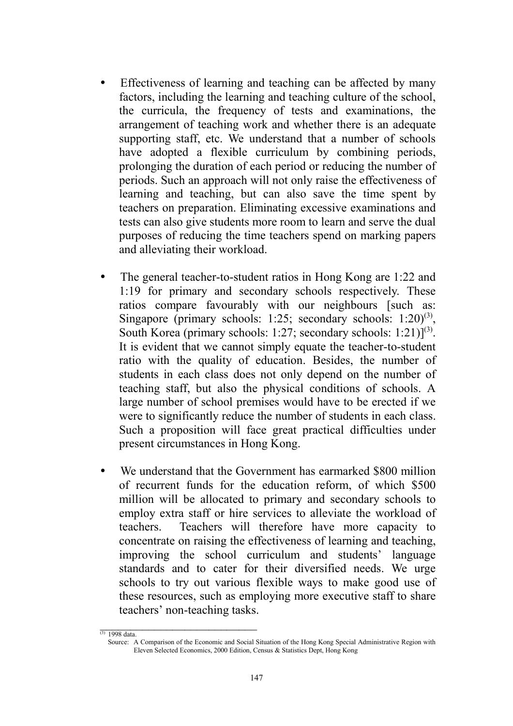- Effectiveness of learning and teaching can be affected by many factors, including the learning and teaching culture of the school, the curricula, the frequency of tests and examinations, the arrangement of teaching work and whether there is an adequate supporting staff, etc. We understand that a number of schools have adopted a flexible curriculum by combining periods, prolonging the duration of each period or reducing the number of periods. Such an approach will not only raise the effectiveness of learning and teaching, but can also save the time spent by teachers on preparation. Eliminating excessive examinations and tests can also give students more room to learn and serve the dual purposes of reducing the time teachers spend on marking papers and alleviating their workload.
- The general teacher-to-student ratios in Hong Kong are 1:22 and 1:19 for primary and secondary schools respectively. These ratios compare favourably with our neighbours [such as: Singapore (primary schools: 1:25; secondary schools: 1:20)<sup>(3)</sup>, South Korea (primary schools: 1:27; secondary schools: 1:21)]<sup>(3)</sup>. It is evident that we cannot simply equate the teacher-to-student ratio with the quality of education. Besides, the number of students in each class does not only depend on the number of teaching staff, but also the physical conditions of schools. A large number of school premises would have to be erected if we were to significantly reduce the number of students in each class. Such a proposition will face great practical difficulties under present circumstances in Hong Kong.
- We understand that the Government has earmarked \$800 million of recurrent funds for the education reform, of which \$500 million will be allocated to primary and secondary schools to employ extra staff or hire services to alleviate the workload of teachers. Teachers will therefore have more capacity to concentrate on raising the effectiveness of learning and teaching, improving the school curriculum and students' language standards and to cater for their diversified needs. We urge schools to try out various flexible ways to make good use of these resources, such as employing more executive staff to share teachers' non-teaching tasks.

 $\overline{\phantom{a}}$  , where  $\overline{\phantom{a}}$  $(3)$  1998 data.

Source: A Comparison of the Economic and Social Situation of the Hong Kong Special Administrative Region with Eleven Selected Economics, 2000 Edition, Census & Statistics Dept, Hong Kong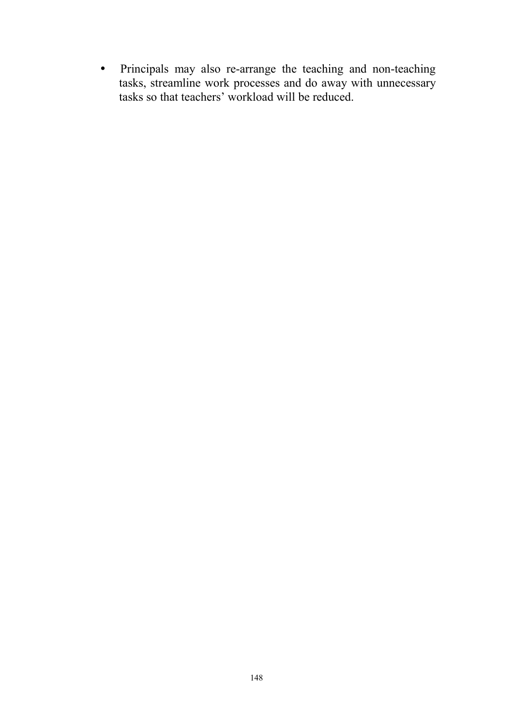• Principals may also re-arrange the teaching and non-teaching tasks, streamline work processes and do away with unnecessary tasks so that teachers' workload will be reduced.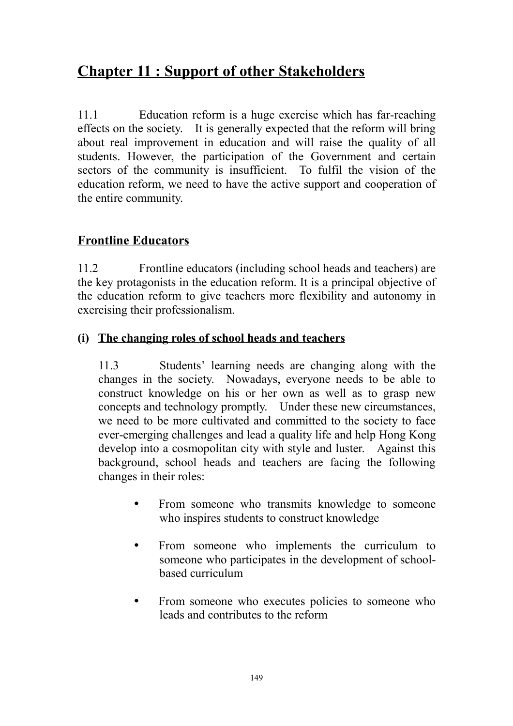# **Chapter 11 : Support of other Stakeholders**

11.1 Education reform is a huge exercise which has far-reaching effects on the society. It is generally expected that the reform will bring about real improvement in education and will raise the quality of all students. However, the participation of the Government and certain sectors of the community is insufficient. To fulfil the vision of the education reform, we need to have the active support and cooperation of the entire community.

# **Frontline Educators**

11.2 Frontline educators (including school heads and teachers) are the key protagonists in the education reform. It is a principal objective of the education reform to give teachers more flexibility and autonomy in exercising their professionalism.

# **(i) The changing roles of school heads and teachers**

11.3 Students' learning needs are changing along with the changes in the society. Nowadays, everyone needs to be able to construct knowledge on his or her own as well as to grasp new concepts and technology promptly. Under these new circumstances, we need to be more cultivated and committed to the society to face ever-emerging challenges and lead a quality life and help Hong Kong develop into a cosmopolitan city with style and luster. Against this background, school heads and teachers are facing the following changes in their roles:

- From someone who transmits knowledge to someone who inspires students to construct knowledge
- From someone who implements the curriculum to someone who participates in the development of schoolbased curriculum
- From someone who executes policies to someone who leads and contributes to the reform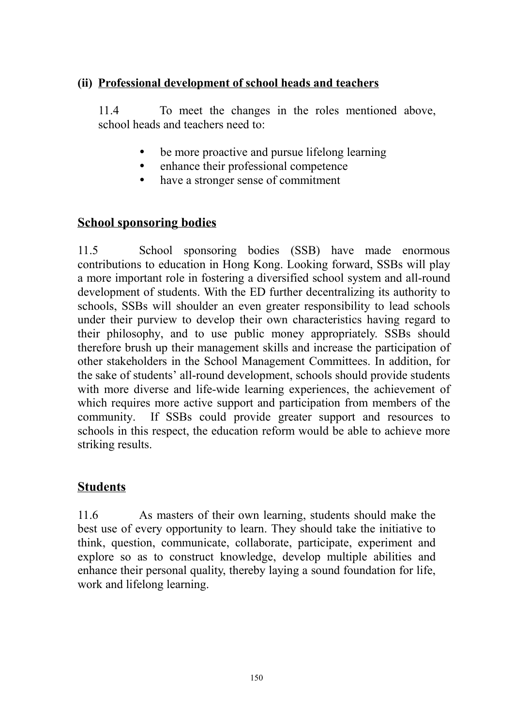### **(ii) Professional development of school heads and teachers**

11.4 To meet the changes in the roles mentioned above, school heads and teachers need to:

- be more proactive and pursue lifelong learning
- enhance their professional competence
- have a stronger sense of commitment

## **School sponsoring bodies**

11.5 School sponsoring bodies (SSB) have made enormous contributions to education in Hong Kong. Looking forward, SSBs will play a more important role in fostering a diversified school system and all-round development of students. With the ED further decentralizing its authority to schools, SSBs will shoulder an even greater responsibility to lead schools under their purview to develop their own characteristics having regard to their philosophy, and to use public money appropriately. SSBs should therefore brush up their management skills and increase the participation of other stakeholders in the School Management Committees. In addition, for the sake of students' all-round development, schools should provide students with more diverse and life-wide learning experiences, the achievement of which requires more active support and participation from members of the community. If SSBs could provide greater support and resources to schools in this respect, the education reform would be able to achieve more striking results.

# **Students**

11.6 As masters of their own learning, students should make the best use of every opportunity to learn. They should take the initiative to think, question, communicate, collaborate, participate, experiment and explore so as to construct knowledge, develop multiple abilities and enhance their personal quality, thereby laying a sound foundation for life, work and lifelong learning.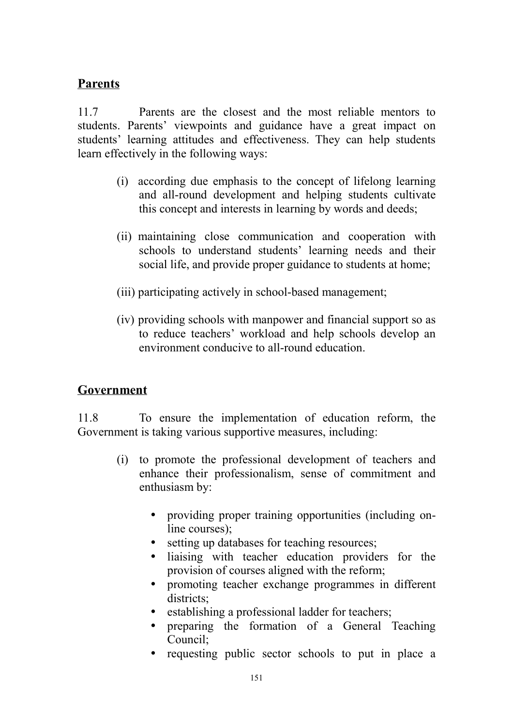### **Parents**

11.7 Parents are the closest and the most reliable mentors to students. Parents' viewpoints and guidance have a great impact on students' learning attitudes and effectiveness. They can help students learn effectively in the following ways:

- (i) according due emphasis to the concept of lifelong learning and all-round development and helping students cultivate this concept and interests in learning by words and deeds;
- (ii) maintaining close communication and cooperation with schools to understand students' learning needs and their social life, and provide proper guidance to students at home;
- (iii) participating actively in school-based management;
- (iv) providing schools with manpower and financial support so as to reduce teachers' workload and help schools develop an environment conducive to all-round education.

### **Government**

11.8 To ensure the implementation of education reform, the Government is taking various supportive measures, including:

- (i) to promote the professional development of teachers and enhance their professionalism, sense of commitment and enthusiasm by:
	- providing proper training opportunities (including online courses);
	- setting up databases for teaching resources;
	- liaising with teacher education providers for the provision of courses aligned with the reform;
	- promoting teacher exchange programmes in different districts;
	- establishing a professional ladder for teachers;
	- y preparing the formation of a General Teaching Council;
	- requesting public sector schools to put in place a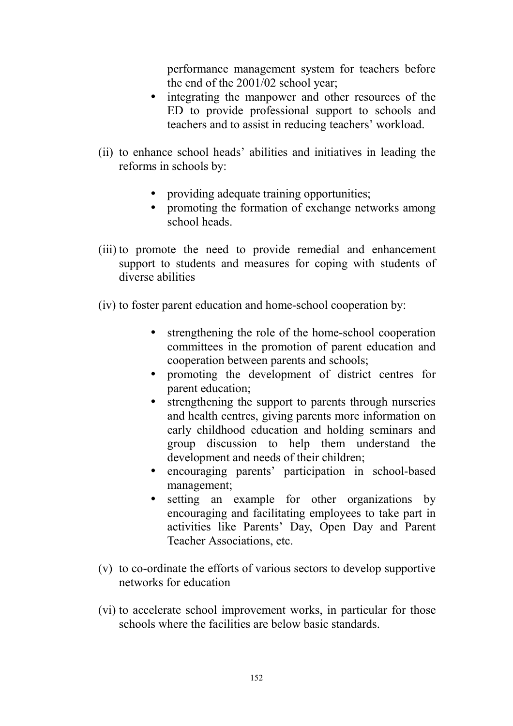performance management system for teachers before the end of the 2001/02 school year;

- integrating the manpower and other resources of the ED to provide professional support to schools and teachers and to assist in reducing teachers' workload.
- (ii) to enhance school heads' abilities and initiatives in leading the reforms in schools by:
	- providing adequate training opportunities;
	- promoting the formation of exchange networks among school heads.
- (iii) to promote the need to provide remedial and enhancement support to students and measures for coping with students of diverse abilities
- (iv) to foster parent education and home-school cooperation by:
	- strengthening the role of the home-school cooperation committees in the promotion of parent education and cooperation between parents and schools;
	- promoting the development of district centres for parent education;
	- strengthening the support to parents through nurseries and health centres, giving parents more information on early childhood education and holding seminars and group discussion to help them understand the development and needs of their children;
	- encouraging parents' participation in school-based management;
	- setting an example for other organizations by encouraging and facilitating employees to take part in activities like Parents' Day, Open Day and Parent Teacher Associations, etc.
- (v) to co-ordinate the efforts of various sectors to develop supportive networks for education
- (vi) to accelerate school improvement works, in particular for those schools where the facilities are below basic standards.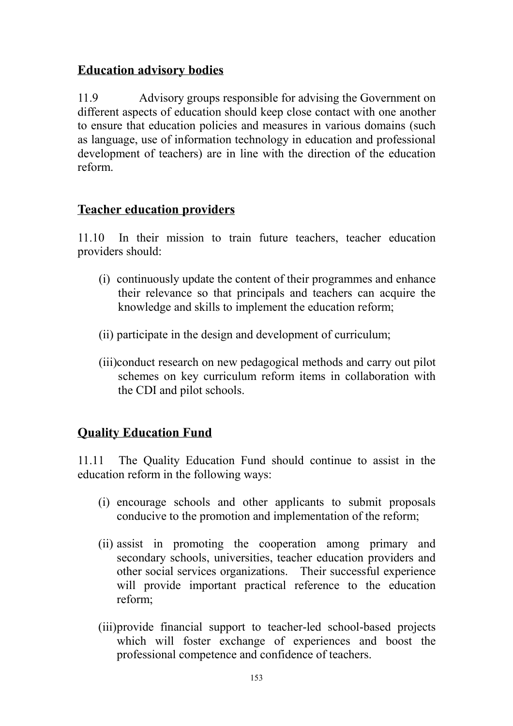# **Education advisory bodies**

11.9 Advisory groups responsible for advising the Government on different aspects of education should keep close contact with one another to ensure that education policies and measures in various domains (such as language, use of information technology in education and professional development of teachers) are in line with the direction of the education reform.

# **Teacher education providers**

11.10 In their mission to train future teachers, teacher education providers should:

- (i) continuously update the content of their programmes and enhance their relevance so that principals and teachers can acquire the knowledge and skills to implement the education reform;
- (ii) participate in the design and development of curriculum;
- (iii)conduct research on new pedagogical methods and carry out pilot schemes on key curriculum reform items in collaboration with the CDI and pilot schools.

# **Quality Education Fund**

11.11 The Quality Education Fund should continue to assist in the education reform in the following ways:

- (i) encourage schools and other applicants to submit proposals conducive to the promotion and implementation of the reform;
- (ii) assist in promoting the cooperation among primary and secondary schools, universities, teacher education providers and other social services organizations. Their successful experience will provide important practical reference to the education reform;
- (iii)provide financial support to teacher-led school-based projects which will foster exchange of experiences and boost the professional competence and confidence of teachers.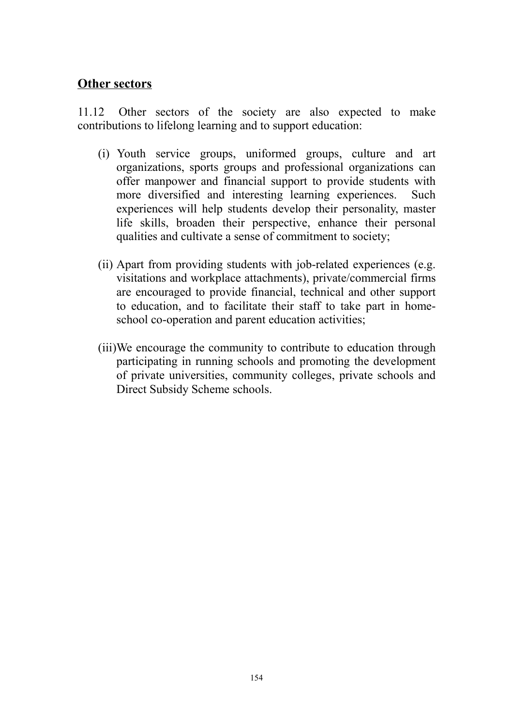### **Other sectors**

11.12 Other sectors of the society are also expected to make contributions to lifelong learning and to support education:

- (i) Youth service groups, uniformed groups, culture and art organizations, sports groups and professional organizations can offer manpower and financial support to provide students with more diversified and interesting learning experiences. Such experiences will help students develop their personality, master life skills, broaden their perspective, enhance their personal qualities and cultivate a sense of commitment to society;
- (ii) Apart from providing students with job-related experiences (e.g. visitations and workplace attachments), private/commercial firms are encouraged to provide financial, technical and other support to education, and to facilitate their staff to take part in homeschool co-operation and parent education activities;
- (iii)We encourage the community to contribute to education through participating in running schools and promoting the development of private universities, community colleges, private schools and Direct Subsidy Scheme schools.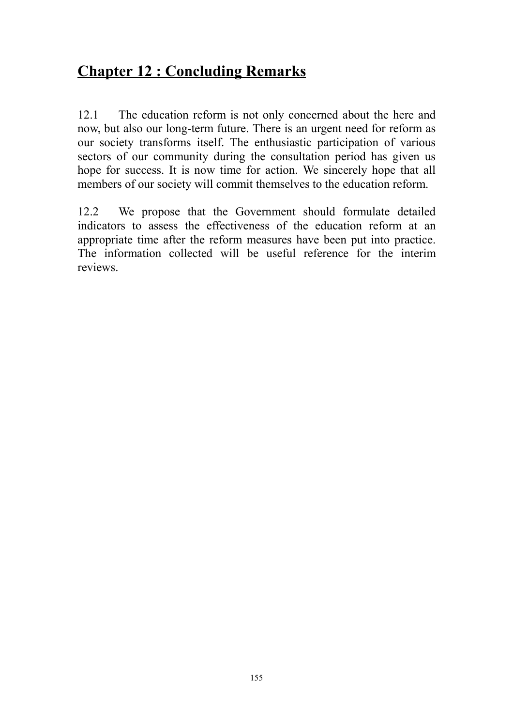# **Chapter 12 : Concluding Remarks**

12.1 The education reform is not only concerned about the here and now, but also our long-term future. There is an urgent need for reform as our society transforms itself. The enthusiastic participation of various sectors of our community during the consultation period has given us hope for success. It is now time for action. We sincerely hope that all members of our society will commit themselves to the education reform.

12.2 We propose that the Government should formulate detailed indicators to assess the effectiveness of the education reform at an appropriate time after the reform measures have been put into practice. The information collected will be useful reference for the interim reviews.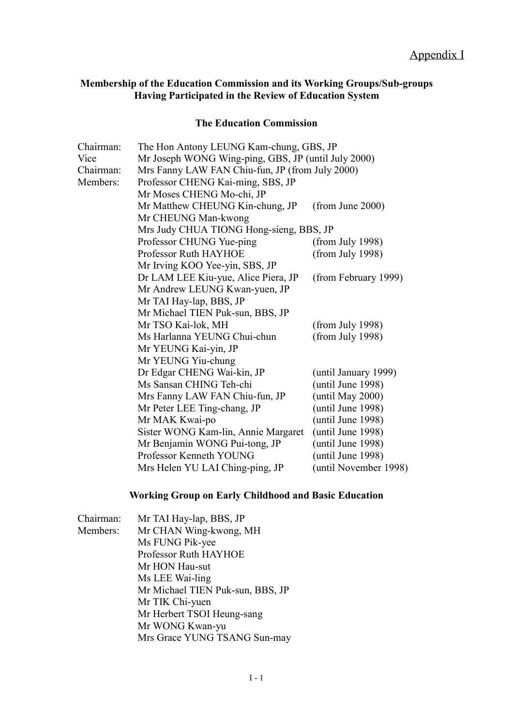#### **Membership of the Education Commission and its Working Groups/Sub-groups Having Participated in the Review of Education System**

#### **The Education Commission**

| Chairman: | The Hon Antony LEUNG Kam-chung, GBS, JP             |                       |
|-----------|-----------------------------------------------------|-----------------------|
| Vice      | Mr Joseph WONG Wing-ping, GBS, JP (until July 2000) |                       |
| Chairman: | Mrs Fanny LAW FAN Chiu-fun, JP (from July 2000)     |                       |
| Members:  | Professor CHENG Kai-ming, SBS, JP                   |                       |
|           | Mr Moses CHENG Mo-chi, JP                           |                       |
|           | Mr Matthew CHEUNG Kin-chung, JP                     | (from June 2000)      |
|           | Mr CHEUNG Man-kwong                                 |                       |
|           | Mrs Judy CHUA TIONG Hong-sieng, BBS, JP             |                       |
|           | Professor CHUNG Yue-ping                            | (from July 1998)      |
|           | Professor Ruth HAYHOE                               | (from July 1998)      |
|           | Mr Irving KOO Yee-yin, SBS, JP                      |                       |
|           | Dr LAM LEE Kiu-yue, Alice Piera, JP                 | (from February 1999)  |
|           | Mr Andrew LEUNG Kwan-yuen, JP                       |                       |
|           | Mr TAI Hay-lap, BBS, JP                             |                       |
|           | Mr Michael TIEN Puk-sun, BBS, JP                    |                       |
|           | Mr TSO Kai-lok, MH                                  | (from July 1998)      |
|           | Ms Harlanna YEUNG Chui-chun                         | (from July 1998)      |
|           | Mr YEUNG Kai-yin, JP                                |                       |
|           | Mr YEUNG Yiu-chung                                  |                       |
|           | Dr Edgar CHENG Wai-kin, JP                          | (until January 1999)  |
|           | Ms Sansan CHING Teh-chi                             | until June 1998)      |
|           | Mrs Fanny LAW FAN Chiu-fun, JP                      | (until May 2000)      |
|           | Mr Peter LEE Ting-chang, JP                         | (until June 1998)     |
|           | Mr MAK Kwai-po                                      | until June 1998)      |
|           | Sister WONG Kam-lin, Annie Margaret                 | (until June 1998)     |
|           | Mr Benjamin WONG Pui-tong, JP                       | until June 1998)      |
|           | Professor Kenneth YOUNG                             | (until June 1998)     |
|           | Mrs Helen YU LAI Ching-ping, JP                     | (until November 1998) |

### **Working Group on Early Childhood and Basic Education**

| Chairman: | Mr TAI Hay-lap, BBS, JP          |
|-----------|----------------------------------|
| Members:  | Mr CHAN Wing-kwong, MH           |
|           | Ms FUNG Pik-yee                  |
|           | Professor Ruth HAYHOE            |
|           | Mr HON Hau-sut                   |
|           | Ms LEE Wai-ling                  |
|           | Mr Michael TIEN Puk-sun, BBS, JP |
|           | Mr TIK Chi-yuen                  |
|           | Mr Herbert TSOI Heung-sang       |
|           | Mr WONG Kwan-yu                  |
|           | Mrs Grace YUNG TSANG Sun-may     |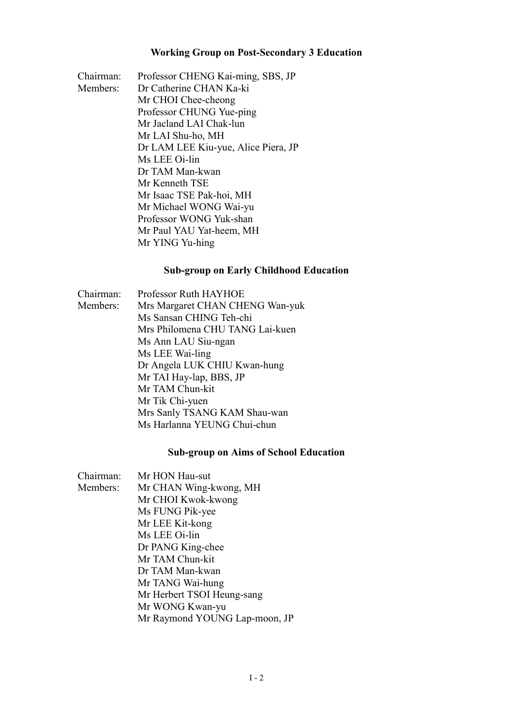#### **Working Group on Post-Secondary 3 Education**

Chairman: Professor CHENG Kai-ming, SBS, JP Members: Dr Catherine CHAN Ka-ki Mr CHOI Chee-cheong Professor CHUNG Yue-ping Mr Jacland LAI Chak-lun Mr LAI Shu-ho, MH Dr LAM LEE Kiu-yue, Alice Piera, JP Ms LEE Oi-lin Dr TAM Man-kwan Mr Kenneth TSE Mr Isaac TSE Pak-hoi, MH Mr Michael WONG Wai-yu Professor WONG Yuk-shan Mr Paul YAU Yat-heem, MH Mr YING Yu-hing

#### **Sub-group on Early Childhood Education**

Chairman: Professor Ruth HAYHOE Members: Mrs Margaret CHAN CHENG Wan-yuk Ms Sansan CHING Teh-chi Mrs Philomena CHU TANG Lai-kuen Ms Ann LAU Siu-ngan Ms LEE Wai-ling Dr Angela LUK CHIU Kwan-hung Mr TAI Hay-lap, BBS, JP Mr TAM Chun-kit Mr Tik Chi-yuen Mrs Sanly TSANG KAM Shau-wan Ms Harlanna YEUNG Chui-chun

#### **Sub-group on Aims of School Education**

| Chairman: | Mr HON Hau-sut                |
|-----------|-------------------------------|
| Members:  | Mr CHAN Wing-kwong, MH        |
|           | Mr CHOI Kwok-kwong            |
|           | Ms FUNG Pik-yee               |
|           | Mr LEE Kit-kong               |
|           | Ms LEE Oi-lin                 |
|           | Dr PANG King-chee             |
|           | Mr TAM Chun-kit               |
|           | Dr TAM Man-kwan               |
|           | Mr TANG Wai-hung              |
|           | Mr Herbert TSOI Heung-sang    |
|           | Mr WONG Kwan-yu               |
|           | Mr Raymond YOUNG Lap-moon, JP |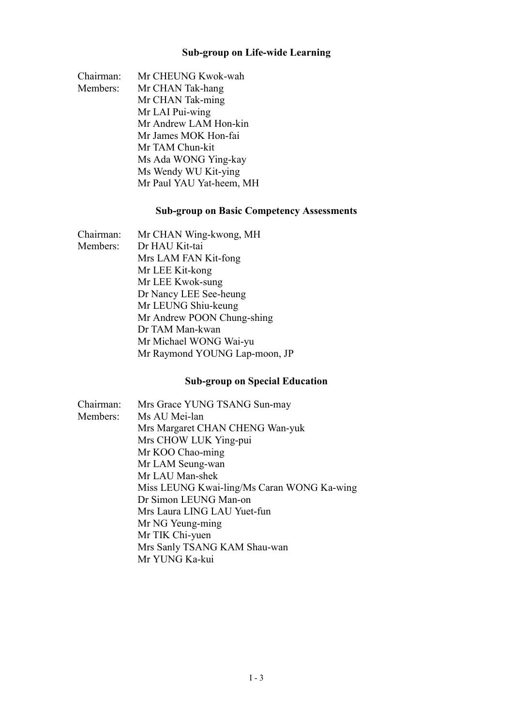### **Sub-group on Life-wide Learning**

| Chairman: | Mr CHEUNG Kwok-wah       |
|-----------|--------------------------|
| Members:  | Mr CHAN Tak-hang         |
|           | Mr CHAN Tak-ming         |
|           | Mr LAI Pui-wing          |
|           | Mr Andrew LAM Hon-kin    |
|           | Mr James MOK Hon-fai     |
|           | Mr TAM Chun-kit          |
|           | Ms Ada WONG Ying-kay     |
|           | Ms Wendy WU Kit-ying     |
|           | Mr Paul YAU Yat-heem, MH |

### **Sub-group on Basic Competency Assessments**

| Chairman: | Mr CHAN Wing-kwong, MH        |
|-----------|-------------------------------|
| Members:  | Dr HAU Kit-tai                |
|           | Mrs LAM FAN Kit-fong          |
|           | Mr LEE Kit-kong               |
|           | Mr LEE Kwok-sung              |
|           | Dr Nancy LEE See-heung        |
|           | Mr LEUNG Shiu-keung           |
|           | Mr Andrew POON Chung-shing    |
|           | Dr TAM Man-kwan               |
|           | Mr Michael WONG Wai-yu        |
|           | Mr Raymond YOUNG Lap-moon, JP |

### **Sub-group on Special Education**

| Chairman: | Mrs Grace YUNG TSANG Sun-may               |
|-----------|--------------------------------------------|
| Members:  | Ms AU Mei-lan                              |
|           | Mrs Margaret CHAN CHENG Wan-yuk            |
|           | Mrs CHOW LUK Ying-pui                      |
|           | Mr KOO Chao-ming                           |
|           | Mr LAM Seung-wan                           |
|           | Mr LAU Man-shek                            |
|           | Miss LEUNG Kwai-ling/Ms Caran WONG Ka-wing |
|           | Dr Simon LEUNG Man-on                      |
|           | Mrs Laura LING LAU Yuet-fun                |
|           | Mr NG Yeung-ming                           |
|           | Mr TIK Chi-yuen                            |
|           | Mrs Sanly TSANG KAM Shau-wan               |
|           | Mr YUNG Ka-kui                             |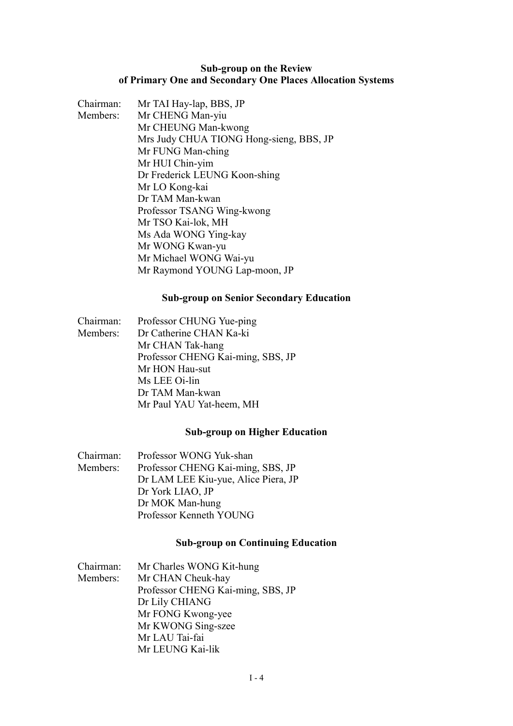#### **Sub-group on the Review of Primary One and Secondary One Places Allocation Systems**

| Chairman: | Mr TAI Hay-lap, BBS, JP                 |
|-----------|-----------------------------------------|
| Members:  | Mr CHENG Man-yiu                        |
|           | Mr CHEUNG Man-kwong                     |
|           | Mrs Judy CHUA TIONG Hong-sieng, BBS, JP |
|           | Mr FUNG Man-ching                       |
|           | Mr HUI Chin-yim                         |
|           | Dr Frederick LEUNG Koon-shing           |
|           | Mr LO Kong-kai                          |
|           | Dr TAM Man-kwan                         |
|           | Professor TSANG Wing-kwong              |
|           | Mr TSO Kai-lok, MH                      |
|           | Ms Ada WONG Ying-kay                    |
|           | Mr WONG Kwan-yu                         |
|           | Mr Michael WONG Wai-yu                  |
|           | Mr Raymond YOUNG Lap-moon, JP           |
|           |                                         |

#### **Sub-group on Senior Secondary Education**

| Chairman: | Professor CHUNG Yue-ping          |
|-----------|-----------------------------------|
| Members:  | Dr Catherine CHAN Ka-ki           |
|           | Mr CHAN Tak-hang                  |
|           | Professor CHENG Kai-ming, SBS, JP |
|           | Mr HON Hau-sut                    |
|           | Ms LEE Oi-lin                     |
|           | Dr TAM Man-kwan                   |
|           | Mr Paul YAU Yat-heem, MH          |

### **Sub-group on Higher Education**

| Chairman: | Professor WONG Yuk-shan             |
|-----------|-------------------------------------|
| Members:  | Professor CHENG Kai-ming, SBS, JP   |
|           | Dr LAM LEE Kiu-yue, Alice Piera, JP |
|           | Dr York LIAO, JP                    |
|           | Dr MOK Man-hung                     |
|           | Professor Kenneth YOUNG             |

#### **Sub-group on Continuing Education**

| Chairman: | Mr Charles WONG Kit-hung          |
|-----------|-----------------------------------|
| Members:  | Mr CHAN Cheuk-hay                 |
|           | Professor CHENG Kai-ming, SBS, JP |
|           | Dr Lily CHIANG                    |
|           | Mr FONG Kwong-yee                 |
|           | Mr KWONG Sing-szee                |
|           | Mr LAU Tai-fai                    |
|           | Mr LEUNG Kai-lik                  |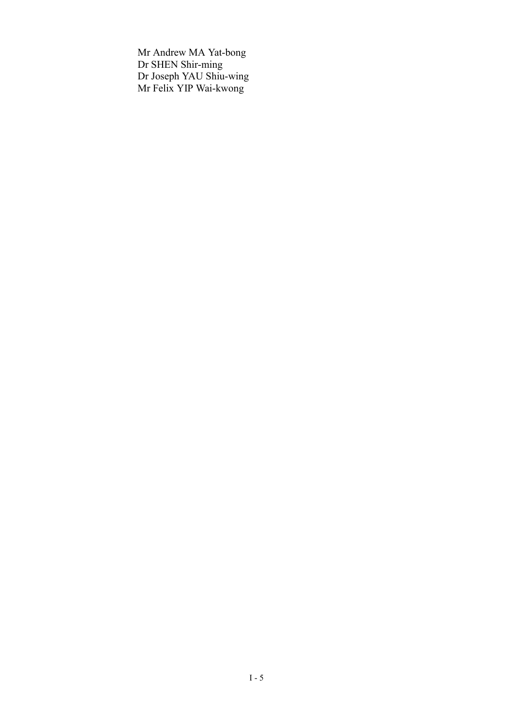Mr Andrew MA Yat-bong Dr SHEN Shir-ming Dr Joseph YAU Shiu-wing Mr Felix YIP Wai-kwong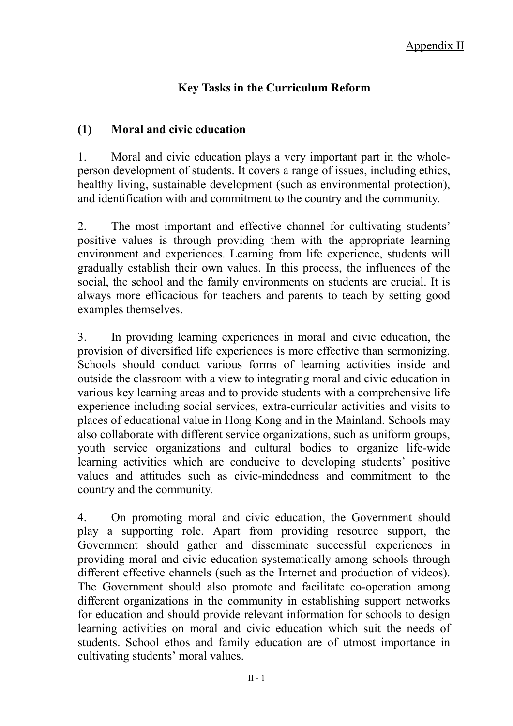# **Key Tasks in the Curriculum Reform**

# **(1) Moral and civic education**

1. Moral and civic education plays a very important part in the wholeperson development of students. It covers a range of issues, including ethics, healthy living, sustainable development (such as environmental protection), and identification with and commitment to the country and the community.

2. The most important and effective channel for cultivating students' positive values is through providing them with the appropriate learning environment and experiences. Learning from life experience, students will gradually establish their own values. In this process, the influences of the social, the school and the family environments on students are crucial. It is always more efficacious for teachers and parents to teach by setting good examples themselves.

3. In providing learning experiences in moral and civic education, the provision of diversified life experiences is more effective than sermonizing. Schools should conduct various forms of learning activities inside and outside the classroom with a view to integrating moral and civic education in various key learning areas and to provide students with a comprehensive life experience including social services, extra-curricular activities and visits to places of educational value in Hong Kong and in the Mainland. Schools may also collaborate with different service organizations, such as uniform groups, youth service organizations and cultural bodies to organize life-wide learning activities which are conducive to developing students' positive values and attitudes such as civic-mindedness and commitment to the country and the community.

4. On promoting moral and civic education, the Government should play a supporting role. Apart from providing resource support, the Government should gather and disseminate successful experiences in providing moral and civic education systematically among schools through different effective channels (such as the Internet and production of videos). The Government should also promote and facilitate co-operation among different organizations in the community in establishing support networks for education and should provide relevant information for schools to design learning activities on moral and civic education which suit the needs of students. School ethos and family education are of utmost importance in cultivating students' moral values.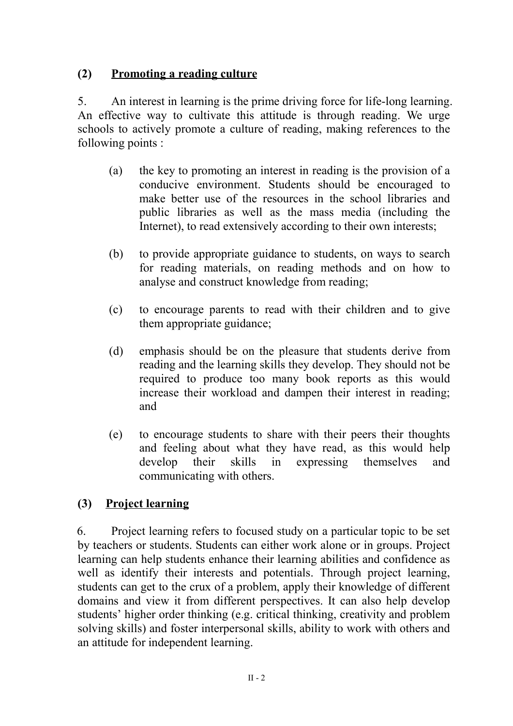# **(2) Promoting a reading culture**

5. An interest in learning is the prime driving force for life-long learning. An effective way to cultivate this attitude is through reading. We urge schools to actively promote a culture of reading, making references to the following points :

- (a) the key to promoting an interest in reading is the provision of a conducive environment. Students should be encouraged to make better use of the resources in the school libraries and public libraries as well as the mass media (including the Internet), to read extensively according to their own interests;
- (b) to provide appropriate guidance to students, on ways to search for reading materials, on reading methods and on how to analyse and construct knowledge from reading;
- (c) to encourage parents to read with their children and to give them appropriate guidance;
- (d) emphasis should be on the pleasure that students derive from reading and the learning skills they develop. They should not be required to produce too many book reports as this would increase their workload and dampen their interest in reading; and
- (e) to encourage students to share with their peers their thoughts and feeling about what they have read, as this would help develop their skills in expressing themselves and communicating with others.

# **(3) Project learning**

6. Project learning refers to focused study on a particular topic to be set by teachers or students. Students can either work alone or in groups. Project learning can help students enhance their learning abilities and confidence as well as identify their interests and potentials. Through project learning, students can get to the crux of a problem, apply their knowledge of different domains and view it from different perspectives. It can also help develop students' higher order thinking (e.g. critical thinking, creativity and problem solving skills) and foster interpersonal skills, ability to work with others and an attitude for independent learning.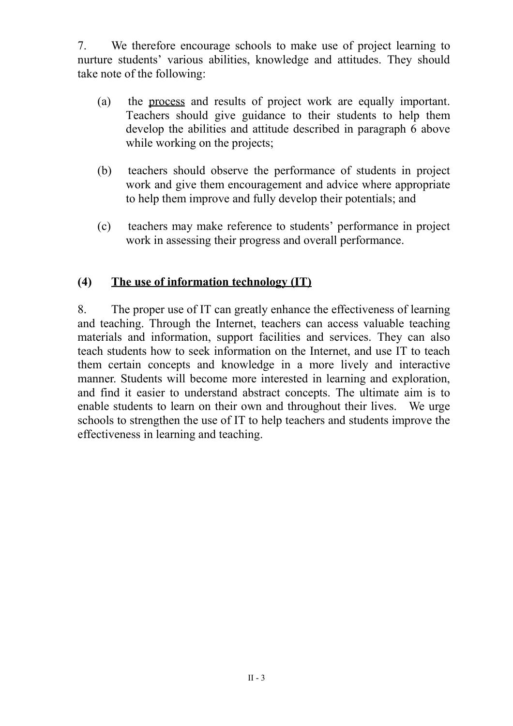7. We therefore encourage schools to make use of project learning to nurture students' various abilities, knowledge and attitudes. They should take note of the following:

- (a) the process and results of project work are equally important. Teachers should give guidance to their students to help them develop the abilities and attitude described in paragraph 6 above while working on the projects;
- (b) teachers should observe the performance of students in project work and give them encouragement and advice where appropriate to help them improve and fully develop their potentials; and
- (c) teachers may make reference to students' performance in project work in assessing their progress and overall performance.

## **(4) The use of information technology (IT)**

8. The proper use of IT can greatly enhance the effectiveness of learning and teaching. Through the Internet, teachers can access valuable teaching materials and information, support facilities and services. They can also teach students how to seek information on the Internet, and use IT to teach them certain concepts and knowledge in a more lively and interactive manner. Students will become more interested in learning and exploration, and find it easier to understand abstract concepts. The ultimate aim is to enable students to learn on their own and throughout their lives. We urge schools to strengthen the use of IT to help teachers and students improve the effectiveness in learning and teaching.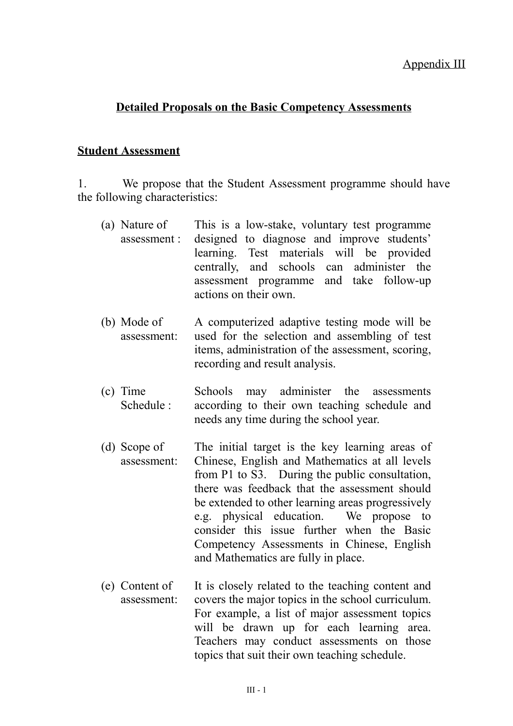### **Detailed Proposals on the Basic Competency Assessments**

### **Student Assessment**

1. We propose that the Student Assessment programme should have the following characteristics:

- (a) Nature of assessment : This is a low-stake, voluntary test programme designed to diagnose and improve students' learning. Test materials will be provided centrally, and schools can administer the assessment programme and take follow-up actions on their own.
- (b) Mode of assessment: A computerized adaptive testing mode will be used for the selection and assembling of test items, administration of the assessment, scoring, recording and result analysis.
- (c) Time Schedule : Schools may administer the assessments according to their own teaching schedule and needs any time during the school year.
- (d) Scope of assessment: The initial target is the key learning areas of Chinese, English and Mathematics at all levels from P1 to S3. During the public consultation, there was feedback that the assessment should be extended to other learning areas progressively e.g. physical education. We propose to consider this issue further when the Basic Competency Assessments in Chinese, English and Mathematics are fully in place.
- (e) Content of assessment: It is closely related to the teaching content and covers the major topics in the school curriculum. For example, a list of major assessment topics will be drawn up for each learning area. Teachers may conduct assessments on those topics that suit their own teaching schedule.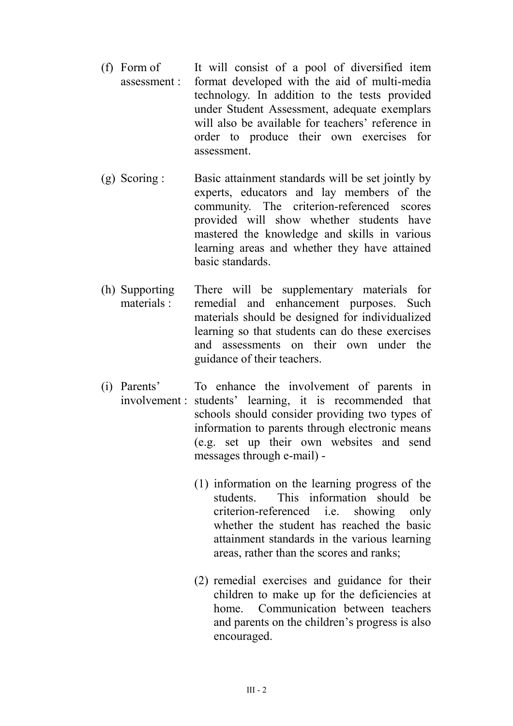- (f) Form of assessment : It will consist of a pool of diversified item format developed with the aid of multi-media technology. In addition to the tests provided under Student Assessment, adequate exemplars will also be available for teachers' reference in order to produce their own exercises for assessment.
- (g) Scoring : Basic attainment standards will be set jointly by experts, educators and lay members of the community. The criterion-referenced scores provided will show whether students have mastered the knowledge and skills in various learning areas and whether they have attained basic standards.
- (h) Supporting materials : There will be supplementary materials for remedial and enhancement purposes. Such materials should be designed for individualized learning so that students can do these exercises and assessments on their own under the guidance of their teachers.
- (i) Parents' involvement : students' learning, it is recommended that To enhance the involvement of parents in schools should consider providing two types of information to parents through electronic means (e.g. set up their own websites and send messages through e-mail) -
	- (1) information on the learning progress of the students. This information should be criterion-referenced i.e. showing only whether the student has reached the basic attainment standards in the various learning areas, rather than the scores and ranks;
	- (2) remedial exercises and guidance for their children to make up for the deficiencies at home. Communication between teachers and parents on the children's progress is also encouraged.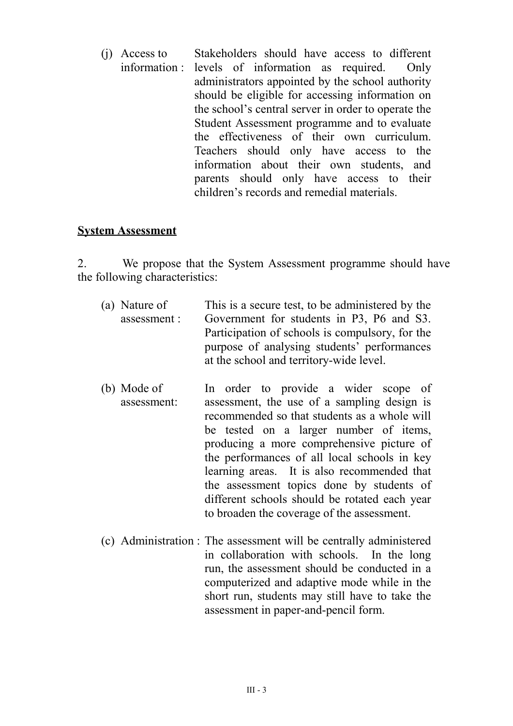(j) Access to information : Stakeholders should have access to different levels of information as required. Only administrators appointed by the school authority should be eligible for accessing information on the school's central server in order to operate the Student Assessment programme and to evaluate the effectiveness of their own curriculum. Teachers should only have access to the information about their own students, and parents should only have access to their children's records and remedial materials.

### **System Assessment**

2. We propose that the System Assessment programme should have the following characteristics:

- (a) Nature of assessment : This is a secure test, to be administered by the Government for students in P3, P6 and S3. Participation of schools is compulsory, for the purpose of analysing students' performances at the school and territory-wide level.
- (b) Mode of assessment: In order to provide a wider scope of assessment, the use of a sampling design is recommended so that students as a whole will be tested on a larger number of items, producing a more comprehensive picture of the performances of all local schools in key learning areas. It is also recommended that the assessment topics done by students of different schools should be rotated each year to broaden the coverage of the assessment.
- (c) Administration : The assessment will be centrally administered in collaboration with schools. In the long run, the assessment should be conducted in a computerized and adaptive mode while in the short run, students may still have to take the assessment in paper-and-pencil form.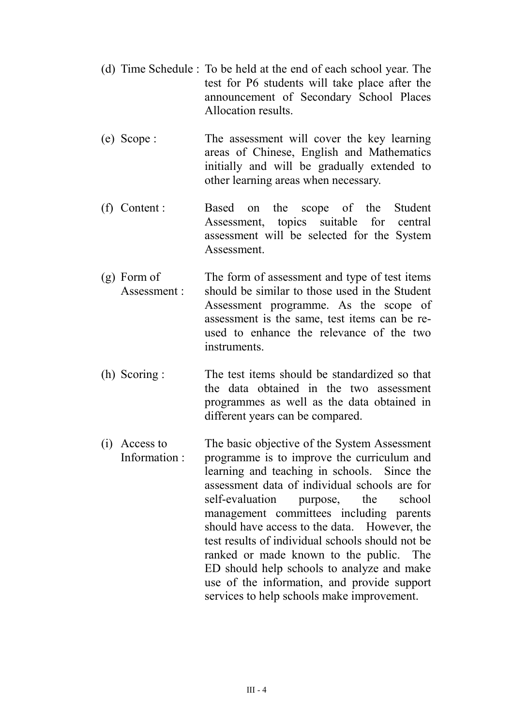- (d) Time Schedule : To be held at the end of each school year. The test for P6 students will take place after the announcement of Secondary School Places Allocation results.
- (e) Scope : The assessment will cover the key learning areas of Chinese, English and Mathematics initially and will be gradually extended to other learning areas when necessary.
- (f) Content : Based on the scope of the Student Assessment, topics suitable for central assessment will be selected for the System **Assessment**
- (g) Form of Assessment : The form of assessment and type of test items should be similar to those used in the Student Assessment programme. As the scope of assessment is the same, test items can be reused to enhance the relevance of the two instruments.
- (h) Scoring : The test items should be standardized so that the data obtained in the two assessment programmes as well as the data obtained in different years can be compared.
- (i) Access to Information : The basic objective of the System Assessment programme is to improve the curriculum and learning and teaching in schools. Since the assessment data of individual schools are for self-evaluation purpose, the school management committees including parents should have access to the data. However, the test results of individual schools should not be ranked or made known to the public. The ED should help schools to analyze and make use of the information, and provide support services to help schools make improvement.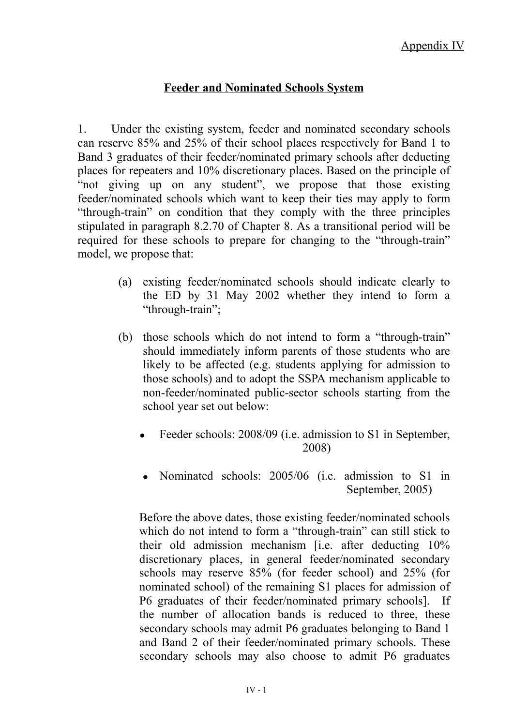### **Feeder and Nominated Schools System**

1. Under the existing system, feeder and nominated secondary schools can reserve 85% and 25% of their school places respectively for Band 1 to Band 3 graduates of their feeder/nominated primary schools after deducting places for repeaters and 10% discretionary places. Based on the principle of "not giving up on any student", we propose that those existing feeder/nominated schools which want to keep their ties may apply to form "through-train" on condition that they comply with the three principles stipulated in paragraph 8.2.70 of Chapter 8. As a transitional period will be required for these schools to prepare for changing to the "through-train" model, we propose that:

- (a) existing feeder/nominated schools should indicate clearly to the ED by 31 May 2002 whether they intend to form a "through-train";
- (b) those schools which do not intend to form a "through-train" should immediately inform parents of those students who are likely to be affected (e.g. students applying for admission to those schools) and to adopt the SSPA mechanism applicable to non-feeder/nominated public-sector schools starting from the school year set out below:
	- Feeder schools: 2008/09 (i.e. admission to S1 in September, 2008)
	- Nominated schools: 2005/06 (i.e. admission to S1 in September, 2005)

Before the above dates, those existing feeder/nominated schools which do not intend to form a "through-train" can still stick to their old admission mechanism [i.e. after deducting 10% discretionary places, in general feeder/nominated secondary schools may reserve 85% (for feeder school) and 25% (for nominated school) of the remaining S1 places for admission of P6 graduates of their feeder/nominated primary schools]. If the number of allocation bands is reduced to three, these secondary schools may admit P6 graduates belonging to Band 1 and Band 2 of their feeder/nominated primary schools. These secondary schools may also choose to admit P6 graduates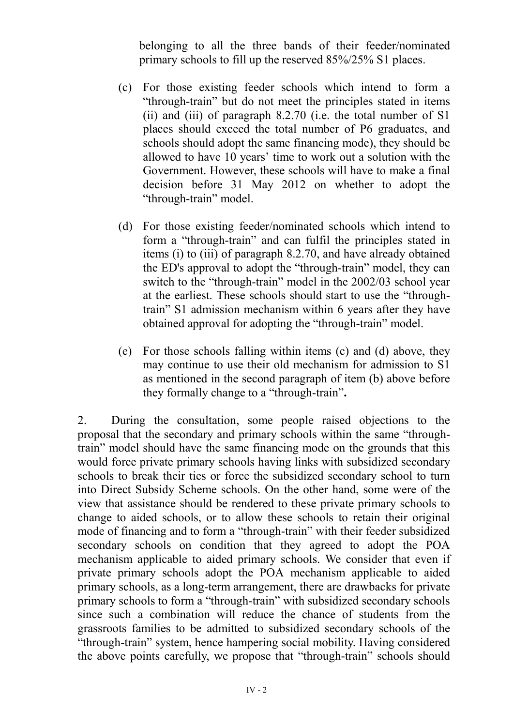belonging to all the three bands of their feeder/nominated primary schools to fill up the reserved 85%/25% S1 places.

- (c) For those existing feeder schools which intend to form a "through-train" but do not meet the principles stated in items (ii) and (iii) of paragraph 8.2.70 (i.e. the total number of S1 places should exceed the total number of P6 graduates, and schools should adopt the same financing mode), they should be allowed to have 10 years' time to work out a solution with the Government. However, these schools will have to make a final decision before 31 May 2012 on whether to adopt the "through-train" model.
- (d) For those existing feeder/nominated schools which intend to form a "through-train" and can fulfil the principles stated in items (i) to (iii) of paragraph 8.2.70, and have already obtained the ED's approval to adopt the "through-train" model, they can switch to the "through-train" model in the 2002/03 school year at the earliest. These schools should start to use the "throughtrain" S1 admission mechanism within 6 years after they have obtained approval for adopting the "through-train" model.
- (e) For those schools falling within items (c) and (d) above, they may continue to use their old mechanism for admission to S1 as mentioned in the second paragraph of item (b) above before they formally change to a "through-train"**.**

2. During the consultation, some people raised objections to the proposal that the secondary and primary schools within the same "throughtrain" model should have the same financing mode on the grounds that this would force private primary schools having links with subsidized secondary schools to break their ties or force the subsidized secondary school to turn into Direct Subsidy Scheme schools. On the other hand, some were of the view that assistance should be rendered to these private primary schools to change to aided schools, or to allow these schools to retain their original mode of financing and to form a "through-train" with their feeder subsidized secondary schools on condition that they agreed to adopt the POA mechanism applicable to aided primary schools. We consider that even if private primary schools adopt the POA mechanism applicable to aided primary schools, as a long-term arrangement, there are drawbacks for private primary schools to form a "through-train" with subsidized secondary schools since such a combination will reduce the chance of students from the grassroots families to be admitted to subsidized secondary schools of the "through-train" system, hence hampering social mobility. Having considered the above points carefully, we propose that "through-train" schools should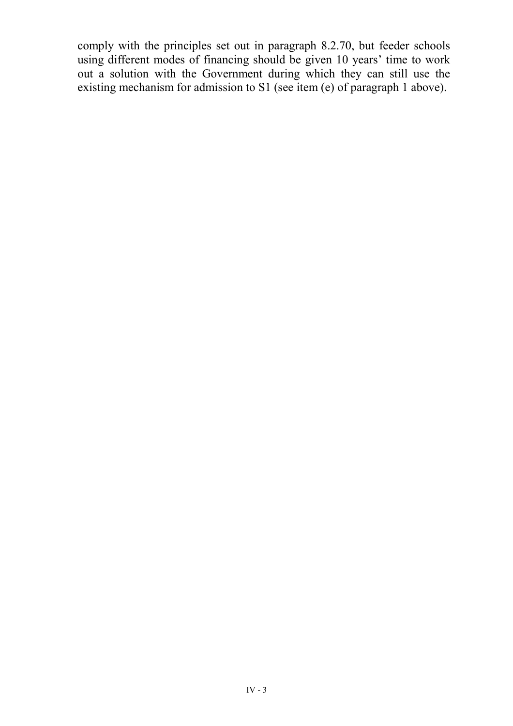comply with the principles set out in paragraph 8.2.70, but feeder schools using different modes of financing should be given 10 years' time to work out a solution with the Government during which they can still use the existing mechanism for admission to S1 (see item (e) of paragraph 1 above).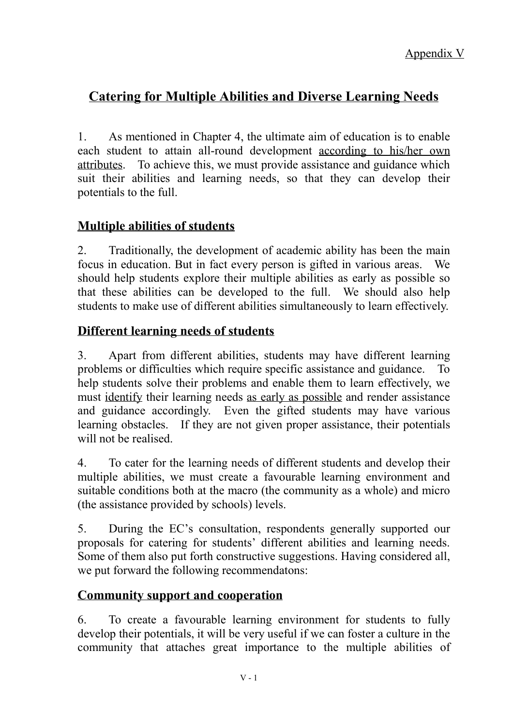# **Catering for Multiple Abilities and Diverse Learning Needs**

1. As mentioned in Chapter 4, the ultimate aim of education is to enable each student to attain all-round development according to his/her own attributes. To achieve this, we must provide assistance and guidance which suit their abilities and learning needs, so that they can develop their potentials to the full.

# **Multiple abilities of students**

2. Traditionally, the development of academic ability has been the main focus in education. But in fact every person is gifted in various areas. We should help students explore their multiple abilities as early as possible so that these abilities can be developed to the full. We should also help students to make use of different abilities simultaneously to learn effectively.

## **Different learning needs of students**

3. Apart from different abilities, students may have different learning problems or difficulties which require specific assistance and guidance. To help students solve their problems and enable them to learn effectively, we must identify their learning needs as early as possible and render assistance and guidance accordingly. Even the gifted students may have various learning obstacles. If they are not given proper assistance, their potentials will not be realised.

4. To cater for the learning needs of different students and develop their multiple abilities, we must create a favourable learning environment and suitable conditions both at the macro (the community as a whole) and micro (the assistance provided by schools) levels.

5. During the EC's consultation, respondents generally supported our proposals for catering for students' different abilities and learning needs. Some of them also put forth constructive suggestions. Having considered all, we put forward the following recommendatons:

### **Community support and cooperation**

6. To create a favourable learning environment for students to fully develop their potentials, it will be very useful if we can foster a culture in the community that attaches great importance to the multiple abilities of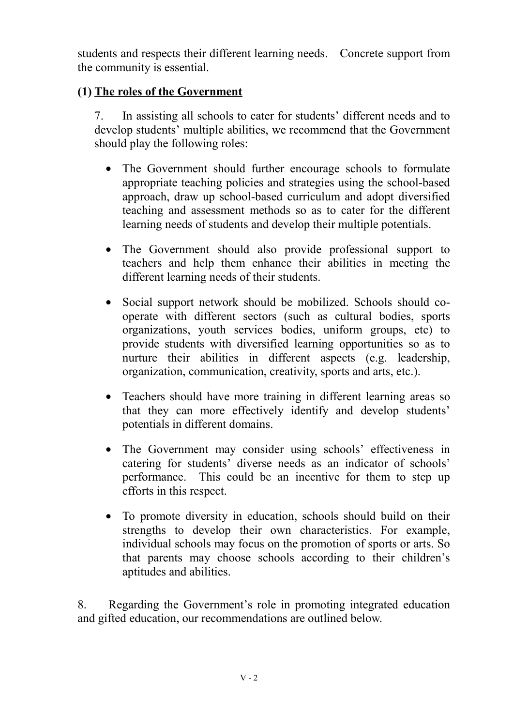students and respects their different learning needs. Concrete support from the community is essential.

# **(1) The roles of the Government**

7. In assisting all schools to cater for students' different needs and to develop students' multiple abilities, we recommend that the Government should play the following roles:

- The Government should further encourage schools to formulate appropriate teaching policies and strategies using the school-based approach, draw up school-based curriculum and adopt diversified teaching and assessment methods so as to cater for the different learning needs of students and develop their multiple potentials.
- The Government should also provide professional support to teachers and help them enhance their abilities in meeting the different learning needs of their students.
- Social support network should be mobilized. Schools should cooperate with different sectors (such as cultural bodies, sports organizations, youth services bodies, uniform groups, etc) to provide students with diversified learning opportunities so as to nurture their abilities in different aspects (e.g. leadership, organization, communication, creativity, sports and arts, etc.).
- Teachers should have more training in different learning areas so that they can more effectively identify and develop students' potentials in different domains.
- The Government may consider using schools' effectiveness in catering for students' diverse needs as an indicator of schools' performance. This could be an incentive for them to step up efforts in this respect.
- To promote diversity in education, schools should build on their strengths to develop their own characteristics. For example, individual schools may focus on the promotion of sports or arts. So that parents may choose schools according to their children's aptitudes and abilities.

8. Regarding the Government's role in promoting integrated education and gifted education, our recommendations are outlined below.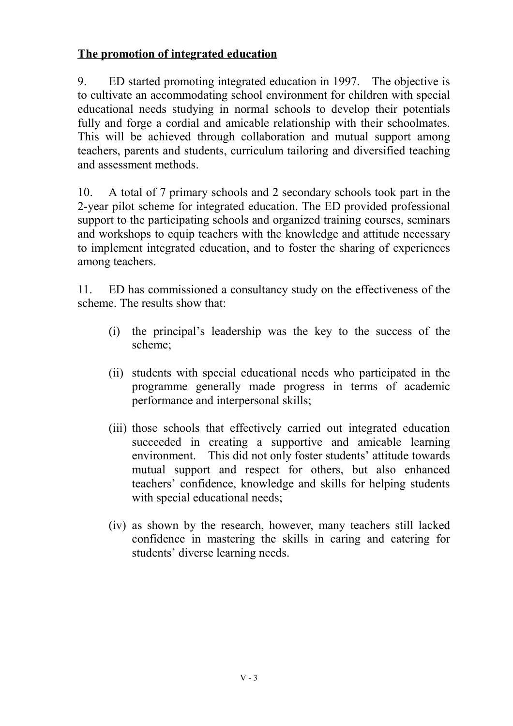# **The promotion of integrated education**

9. ED started promoting integrated education in 1997. The objective is to cultivate an accommodating school environment for children with special educational needs studying in normal schools to develop their potentials fully and forge a cordial and amicable relationship with their schoolmates. This will be achieved through collaboration and mutual support among teachers, parents and students, curriculum tailoring and diversified teaching and assessment methods.

10. A total of 7 primary schools and 2 secondary schools took part in the 2-year pilot scheme for integrated education. The ED provided professional support to the participating schools and organized training courses, seminars and workshops to equip teachers with the knowledge and attitude necessary to implement integrated education, and to foster the sharing of experiences among teachers.

11. ED has commissioned a consultancy study on the effectiveness of the scheme. The results show that:

- (i) the principal's leadership was the key to the success of the scheme;
- (ii) students with special educational needs who participated in the programme generally made progress in terms of academic performance and interpersonal skills;
- (iii) those schools that effectively carried out integrated education succeeded in creating a supportive and amicable learning environment. This did not only foster students' attitude towards mutual support and respect for others, but also enhanced teachers' confidence, knowledge and skills for helping students with special educational needs;
- (iv) as shown by the research, however, many teachers still lacked confidence in mastering the skills in caring and catering for students' diverse learning needs.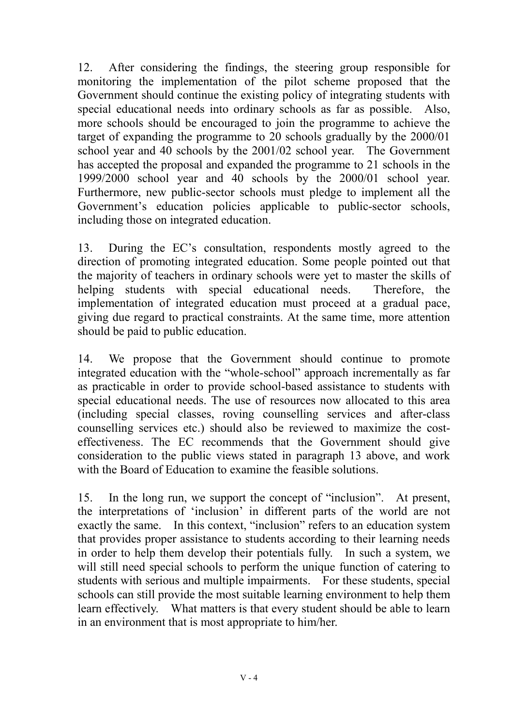12. After considering the findings, the steering group responsible for monitoring the implementation of the pilot scheme proposed that the Government should continue the existing policy of integrating students with special educational needs into ordinary schools as far as possible. Also, more schools should be encouraged to join the programme to achieve the target of expanding the programme to 20 schools gradually by the 2000/01 school year and 40 schools by the 2001/02 school year. The Government has accepted the proposal and expanded the programme to 21 schools in the 1999/2000 school year and 40 schools by the 2000/01 school year. Furthermore, new public-sector schools must pledge to implement all the Government's education policies applicable to public-sector schools, including those on integrated education.

13. During the EC's consultation, respondents mostly agreed to the direction of promoting integrated education. Some people pointed out that the majority of teachers in ordinary schools were yet to master the skills of helping students with special educational needs. Therefore, the implementation of integrated education must proceed at a gradual pace, giving due regard to practical constraints. At the same time, more attention should be paid to public education.

14. We propose that the Government should continue to promote integrated education with the "whole-school" approach incrementally as far as practicable in order to provide school-based assistance to students with special educational needs. The use of resources now allocated to this area (including special classes, roving counselling services and after-class counselling services etc.) should also be reviewed to maximize the costeffectiveness. The EC recommends that the Government should give consideration to the public views stated in paragraph 13 above, and work with the Board of Education to examine the feasible solutions.

15. In the long run, we support the concept of "inclusion". At present, the interpretations of 'inclusion' in different parts of the world are not exactly the same. In this context, "inclusion" refers to an education system that provides proper assistance to students according to their learning needs in order to help them develop their potentials fully. In such a system, we will still need special schools to perform the unique function of catering to students with serious and multiple impairments. For these students, special schools can still provide the most suitable learning environment to help them learn effectively. What matters is that every student should be able to learn in an environment that is most appropriate to him/her.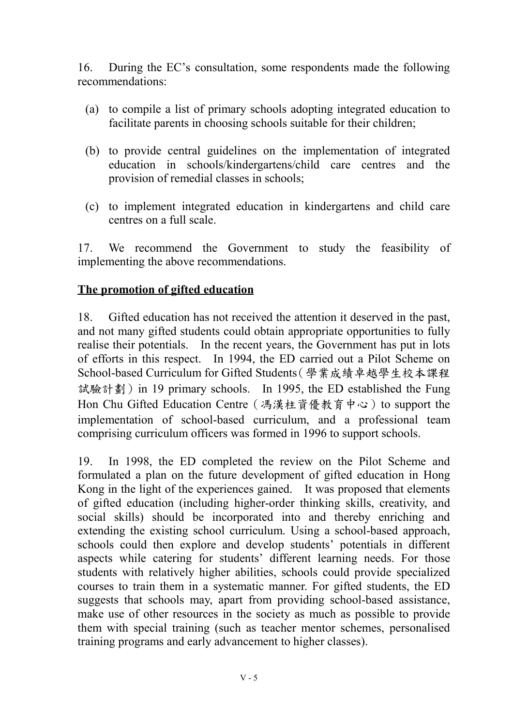16. During the EC's consultation, some respondents made the following recommendations:

- (a) to compile a list of primary schools adopting integrated education to facilitate parents in choosing schools suitable for their children;
- (b) to provide central guidelines on the implementation of integrated education in schools/kindergartens/child care centres and the provision of remedial classes in schools;
- (c) to implement integrated education in kindergartens and child care centres on a full scale.

17. We recommend the Government to study the feasibility of implementing the above recommendations.

### **The promotion of gifted education**

18. Gifted education has not received the attention it deserved in the past, and not many gifted students could obtain appropriate opportunities to fully realise their potentials. In the recent years, the Government has put in lots of efforts in this respect. In 1994, the ED carried out a Pilot Scheme on School-based Curriculum for Gifted Students(學業成績卓越學生校本課程 試驗計劃) in 19 primary schools. In 1995, the ED established the Fung Hon Chu Gifted Education Centre (馮漢柱資優教育中心) to support the implementation of school-based curriculum, and a professional team comprising curriculum officers was formed in 1996 to support schools.

19. In 1998, the ED completed the review on the Pilot Scheme and formulated a plan on the future development of gifted education in Hong Kong in the light of the experiences gained. It was proposed that elements of gifted education (including higher-order thinking skills, creativity, and social skills) should be incorporated into and thereby enriching and extending the existing school curriculum. Using a school-based approach, schools could then explore and develop students' potentials in different aspects while catering for students' different learning needs. For those students with relatively higher abilities, schools could provide specialized courses to train them in a systematic manner. For gifted students, the ED suggests that schools may, apart from providing school-based assistance, make use of other resources in the society as much as possible to provide them with special training (such as teacher mentor schemes, personalised training programs and early advancement to higher classes).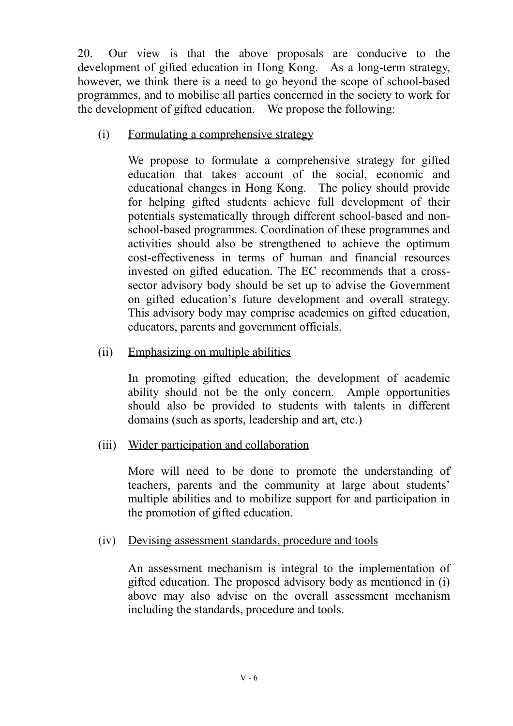20. Our view is that the above proposals are conducive to the development of gifted education in Hong Kong. As a long-term strategy, however, we think there is a need to go beyond the scope of school-based programmes, and to mobilise all parties concerned in the society to work for the development of gifted education. We propose the following:

(i) Formulating a comprehensive strategy

We propose to formulate a comprehensive strategy for gifted education that takes account of the social, economic and educational changes in Hong Kong. The policy should provide for helping gifted students achieve full development of their potentials systematically through different school-based and nonschool-based programmes. Coordination of these programmes and activities should also be strengthened to achieve the optimum cost-effectiveness in terms of human and financial resources invested on gifted education. The EC recommends that a crosssector advisory body should be set up to advise the Government on gifted education's future development and overall strategy. This advisory body may comprise academics on gifted education, educators, parents and government officials.

(ii) Emphasizing on multiple abilities

In promoting gifted education, the development of academic ability should not be the only concern. Ample opportunities should also be provided to students with talents in different domains (such as sports, leadership and art, etc.)

(iii) Wider participation and collaboration

More will need to be done to promote the understanding of teachers, parents and the community at large about students' multiple abilities and to mobilize support for and participation in the promotion of gifted education.

(iv) Devising assessment standards, procedure and tools

An assessment mechanism is integral to the implementation of gifted education. The proposed advisory body as mentioned in (i) above may also advise on the overall assessment mechanism including the standards, procedure and tools.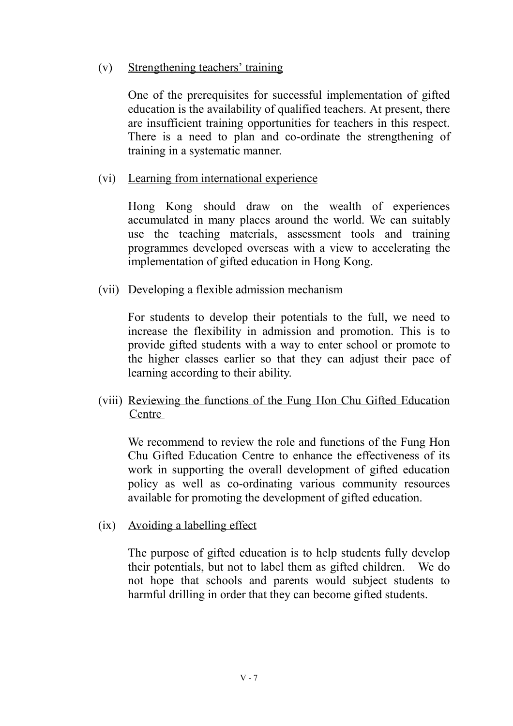### (v) Strengthening teachers' training

One of the prerequisites for successful implementation of gifted education is the availability of qualified teachers. At present, there are insufficient training opportunities for teachers in this respect. There is a need to plan and co-ordinate the strengthening of training in a systematic manner.

### (vi) Learning from international experience

Hong Kong should draw on the wealth of experiences accumulated in many places around the world. We can suitably use the teaching materials, assessment tools and training programmes developed overseas with a view to accelerating the implementation of gifted education in Hong Kong.

### (vii) Developing a flexible admission mechanism

For students to develop their potentials to the full, we need to increase the flexibility in admission and promotion. This is to provide gifted students with a way to enter school or promote to the higher classes earlier so that they can adjust their pace of learning according to their ability.

### (viii) Reviewing the functions of the Fung Hon Chu Gifted Education **Centre**

We recommend to review the role and functions of the Fung Hon Chu Gifted Education Centre to enhance the effectiveness of its work in supporting the overall development of gifted education policy as well as co-ordinating various community resources available for promoting the development of gifted education.

#### (ix) Avoiding a labelling effect

The purpose of gifted education is to help students fully develop their potentials, but not to label them as gifted children. We do not hope that schools and parents would subject students to harmful drilling in order that they can become gifted students.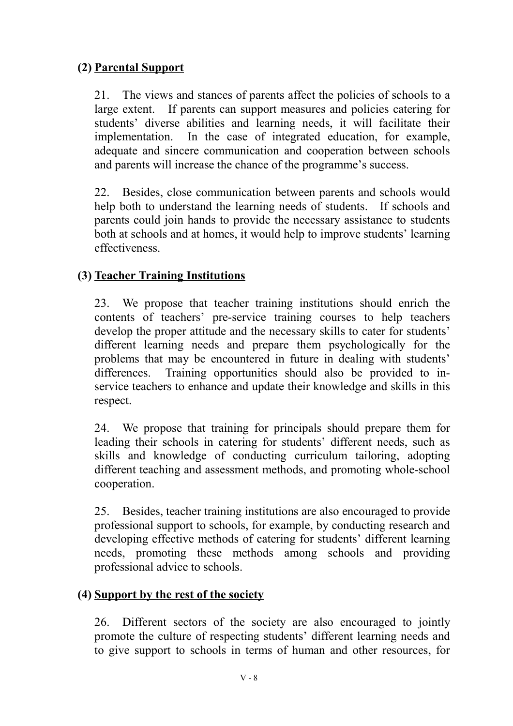# **(2) Parental Support**

21. The views and stances of parents affect the policies of schools to a large extent. If parents can support measures and policies catering for students' diverse abilities and learning needs, it will facilitate their implementation. In the case of integrated education, for example, adequate and sincere communication and cooperation between schools and parents will increase the chance of the programme's success.

22. Besides, close communication between parents and schools would help both to understand the learning needs of students. If schools and parents could join hands to provide the necessary assistance to students both at schools and at homes, it would help to improve students' learning effectiveness.

# **(3) Teacher Training Institutions**

23. We propose that teacher training institutions should enrich the contents of teachers' pre-service training courses to help teachers develop the proper attitude and the necessary skills to cater for students' different learning needs and prepare them psychologically for the problems that may be encountered in future in dealing with students' differences. Training opportunities should also be provided to inservice teachers to enhance and update their knowledge and skills in this respect.

24. We propose that training for principals should prepare them for leading their schools in catering for students' different needs, such as skills and knowledge of conducting curriculum tailoring, adopting different teaching and assessment methods, and promoting whole-school cooperation.

25. Besides, teacher training institutions are also encouraged to provide professional support to schools, for example, by conducting research and developing effective methods of catering for students' different learning needs, promoting these methods among schools and providing professional advice to schools.

#### **(4) Support by the rest of the society**

26. Different sectors of the society are also encouraged to jointly promote the culture of respecting students' different learning needs and to give support to schools in terms of human and other resources, for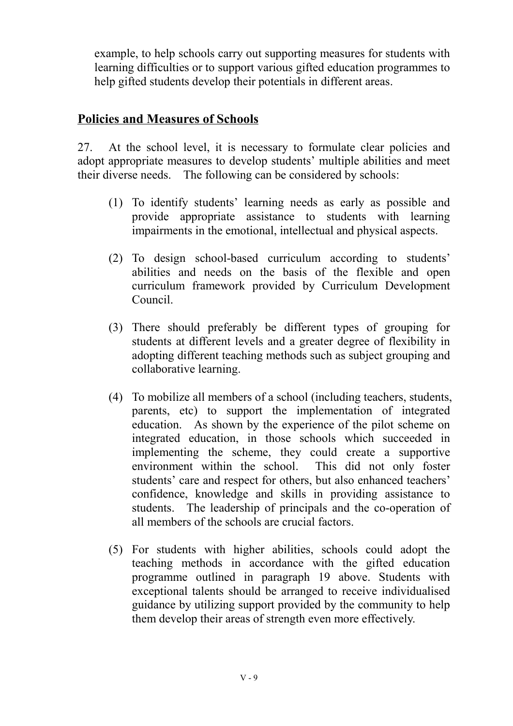example, to help schools carry out supporting measures for students with learning difficulties or to support various gifted education programmes to help gifted students develop their potentials in different areas.

## **Policies and Measures of Schools**

27. At the school level, it is necessary to formulate clear policies and adopt appropriate measures to develop students' multiple abilities and meet their diverse needs. The following can be considered by schools:

- (1) To identify students' learning needs as early as possible and provide appropriate assistance to students with learning impairments in the emotional, intellectual and physical aspects.
- (2) To design school-based curriculum according to students' abilities and needs on the basis of the flexible and open curriculum framework provided by Curriculum Development Council.
- (3) There should preferably be different types of grouping for students at different levels and a greater degree of flexibility in adopting different teaching methods such as subject grouping and collaborative learning.
- (4) To mobilize all members of a school (including teachers, students, parents, etc) to support the implementation of integrated education. As shown by the experience of the pilot scheme on integrated education, in those schools which succeeded in implementing the scheme, they could create a supportive environment within the school. This did not only foster students' care and respect for others, but also enhanced teachers' confidence, knowledge and skills in providing assistance to students. The leadership of principals and the co-operation of all members of the schools are crucial factors.
- (5) For students with higher abilities, schools could adopt the teaching methods in accordance with the gifted education programme outlined in paragraph 19 above. Students with exceptional talents should be arranged to receive individualised guidance by utilizing support provided by the community to help them develop their areas of strength even more effectively.